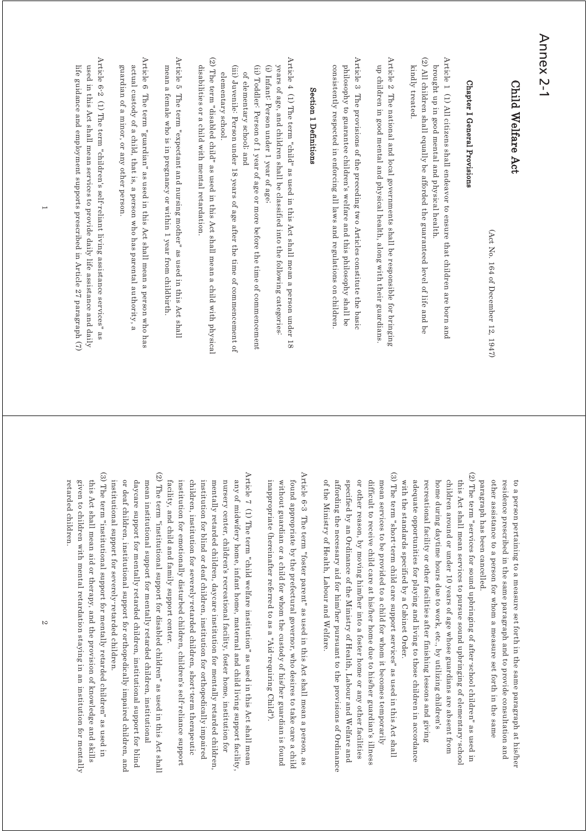## Annex 2-1

### Child Welfare Act Child Welfare Act

(Act No. 164 of December 12, 1947) (Act No. 164 of December 12, 1947)

### Chapter I General Provisions Chapter I General Provisions

(2) All children shall equally be afforded the guaranteed level of life and be Article 1 (1) All citizens shall endeavor to ensure that children are born and (2) All children shall equally be afforded the guaranteed level of life and be  $\Delta$ rticle 1 (1)  $\Delta$ ll citizens shall endeavor to ensure that children are born and kindly treated. brought up in good mental and physical health kindly treated. brought up in good mental and physical health.

Article 2 The national and local governments shall be responsible for bringing Article 2 The national and local governments shall be responsible for bringing up children in good mental and physical health, along with their guardians. up children in good mental and physical health, along with their guardians.

Article 3 The provisions of the preceding two Articles constitute the basic Article 3 The provisions of the preceding two Articles constitute the basic consistently respected in enforcing all laws and regulations on children philosophy to guarantee children's welfare and this philosophy shall be consistently respected in enforcing all laws and regulations on children. philosophy to guarantee children's welfare and this philosophy shall be

#### Section 1 Definitions Section 1 Definitions

Article 4 (1) The term "child" as used in this Act shall mean a person under 18 Article 4 (1) The term "child" as used in this Act shall mean a person under 18 years of age, and children shall be classified into the following categories. (i) Infant: Person under 1 year of age; (i) Infant: Person under 1 year of age; years of age, and children shall be classified into the following categories:

(ii) Toddler: Person of 1 year of age or more before the time of commencement (ii) Toddler: Person of 1 year of age or more before the time of commencement of elementary school; and of elementary school; and

(iii) Juvenile: Person under 18 years of age after the time of commencement of (iii) Juvenile: Person under 18 years of age after the time of commencement of elementary school elementary school.

(2) The term "disabled child" as used in this Act shall mean a child with physical (2) The term "disabled child" as used in this Act shall mean a child with physical disabilities or a child with mental retardation. disabilities or a child with mental retardation.

Article 5 The term "expectant and nursing mother" as used in this Act shall Article 5 The term "expectant and nursing mother" as used in this Act shall mean a female who is in pregnancy or within 1 year from childbirth. mean a female who is in pregnancy or within 1 year from childbirth.

Article 6 The term "guardian" as used in this Act shall mean a person who has Article 6 The term "guardian" as used in this Act shall mean a person who has actual custody of a child, that is, a person who has parental authority, a guardian of a minor, or any other person guardian of a minor, or any other person. actual custody of a child, that is, a person who has parental authority, a

Article 6-2 (1) The term "children's self-reliant living assistance services" as Article 6-2 (1) The term "children's self-reliant living assistance services" as used in this Act shall mean services to provide daily life assistance and daily life guidance and employment supports prescribed in Article 27 paragraph  $(7)$ life guidance and employment supports prescribed in Article 27 paragraph (7) used in this Act shall mean services to provide daily life assistance and daily

> paragraph has been cancelled. other assistance to a person for whom a measure set forth in the same residence prescribed in the same paragraph and to provide consultation and to a person pertaining to a measure set forth in the same paragraph at his/her paragraph has been cancelled. other assistance to a person for whom a measure set forth in the same residence prescribed in the same paragraph and to provide consultation and to a person pertaining to a measure set forth in the same paragraph at his/her

(2) The term "services for sound upbringing of after-school children" as used in (2) The term "services for sound upbringing of after-school children" as used in with the standards specified by a Cabinet Order adequate opportunities for playing and living to those children in accordance recreational facility or other facilities after finishing lessons and giving home during daytime hours due to work, etc., by utilizing children's children around or under 10 years of age whose guardians are absent from this Act shall mean services to pursue sound upbringing of elementary school with the standards specified by a Cabinet Order. adequate opportunities for playing and living to those children in accordance recreational facility or other facilities after finishing lessons and giving home during daytime hours due to work, etc., by utilizing children's children around or under 10 years of age whose guardians are absent from this Act shall mean services to pursue sound upbringing of elementary-school

(3) The term "short term child care support services" as used in this Act shall (3) The term "short-term child care support services" as used in this Act shall of the Ministry of Health, Labour and Welfare. affording the necessary aid for him/her pursuant to the provisions of Ordinance specified by an Ordinance of the Ministry of Health, Labour and Welfare and or other reason, by moving him/her into a foster home or any other facilities mean services to be provided to a child for whom it becomes temporarily difficult to receive child care at his/her home due to his/her guardian's illness of the Ministry of Health, Labour and Welfare. affording the necessary aid for him/her pursuant to the provisions of Ordinance specified by an Ordinance of the Ministry of Health, Labour and Welfare and or other reason, by moving him/her into a foster home or any other facilities difficult to receive child care at his/her home due to his/her guardian's illness mean services to be provided to a child for whom it becomes temporarily

Article 6<sup>-3</sup> The term "foster parent" as used in this Act shall mean a person, as Article 6-3 The term "foster parent" as used in this Act shall mean a person, as inappropriate (hereinafter referred to as a "Aid-requiring Child") without guardian or a child for whom the custody of his/her guardian is found found appropriate by the prefectural governor, who desires to take care a child inappropriate (hereinafter referred to as a "Aid-requiring Child"). without guardian or a child for whom the custody of his/her guardian is found found appropriate by the prefectural governor, who desires to take care a child

Article 7 (1) The term "child welfare institution" as used in this Act shall mean Article 7 (1) The term "child welfare institution" as used in this Act shall mean facility, and child and family support center. institution for emotionally disturbed children, children's self reliance support children, institution for severely retarded children, short term therapeutic institution for blind or deaf children, institution for orthopedically impaired nursery center, children's recreational facility, foster home, institution for any of midwifery home, infant home, maternal and child living support facility mentally retarded children, daycare institution for mentally retarded children facility, and child and family support center. institution for emotionally disturbed children, children's self-reliance support children, institution for severely-retarded children, short-term therapeutic institution for blind or deaf children, institution for orthopedically impaired mentally retarded children, daycare institution for mentally retarded children, nursery center, children's recreational facility, foster home, institution for any of midwifery home, infant home, maternal and child living support facility,

(2) The term "institutional support for disabled children" as used in this Act shall (2) The term "institutional support for disabled children" as used in this Act shall institutional support for severely-retarded children or deaf children, institutional support for orthopedically impaired children, and daycare support for mentally retarded children, institutional support for blind mean institutional support for mentally retarded children, institutional institutional support for severely-retarded children. or deaf children, institutional support for orthopedically impaired children, and daycare support for mentally retarded children, institutional support for blind mean institutional support for mentally retarded children, institutional

(3) The term "institutional support for mentally retarded children" as used in (3) The term "institutional support for mentally retarded children" as used in this Act shall mean aid or therapy, and the provision of knowledge and skills retarded children given to children with mental retardation staying in an institution for mentally retarded children. given to children with mental retardation staying in an institution for mentally this Act shall mean aid or therapy, and the provision of knowledge and skills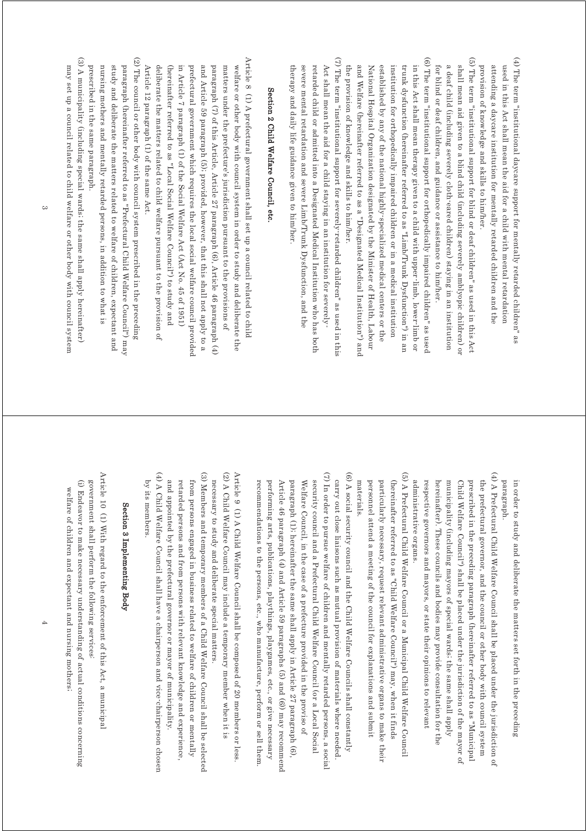(4) The term "institutional daycare support for mentally retarded children" as (4) The term "institutional daycare support for mentally retarded children" as attending a daycare institution for mentally retarded children and the used in this Act shall mean the aid for a child with mental retardation provision of knowledge and skills to him/her. provision of knowledge and skills to him/her. attending a daycare institution for mentally retarded children and the used in this Act shall mean the aid for a child with mental retardation

(5) The term "institutional support for blind or deaf children" as used in this Act (5) The term "institutional support for blind or deaf children" as used in this Act shall mean aid given to a blind child (including severely amblyopic children) or for blind or deaf children, and guidance or assistance to him/her. a deaf child (including severely cloth-eared children) staying in an institution for blind or deaf children, and guidance or assistance to him/her. a deaf child (including severely cloth-eared children) staying in an institution shall mean aid given to a blind child (including severely amblyopic children) or

(6) The term "institutional support for orthopedically impaired children" as used (6) The term "institutional support for orthopedically impaired children" as used established by any of the national highly specialized medical centers or the in this Act shall mean therapy given to a child with upper-limb, lower-limb or the provision of knowledge and skills to him/her. and Welfare (hereinafter referred to as a "Designated Medical Institution") and National Hospital Organization designated by the Minister of Health, Labour institution for orthopedically impaired children or in a medical institution trunk dysfunction (hereinafter referred to as "Limb/Trunk Dysfunction") in an the provision of knowledge and skills to him/her. and Welfare (hereinafter referred to as a "Designated Medical Institution") and National Hospital Organization designated by the Minister of Health, Labour established by any of the national highly-specialized medical centers or the institution for orthopedically impaired children or in a medical institution trunk dysfunction (hereinafter referred to as "Limb/Trunk Dysfunction") in an in this Act shall mean therapy given to a child with upper-limb, lower-limb or

(7) The term "institutional support for severely-retarded children" as used in this (7) The term "institutional support for severely-retarded children" as used in this therapy and daily life guidance given to him/her. severe mental retardation and severe Limb/Trunk Dysfunction, and the retarded child or admitted into a Designated Medical Institution who has both Act shall mean the aid for a child staying in an institution for severelytherapy and daily life guidance given to him/her. severe mental retardation and severe Limb/Trunk Dysfunction, and the retarded child or admitted into a Designated Medical Institution who has both Act shall mean the aid for a child staying in an institution for severely-

## Section 2 Child Welfare Council, etc Section 2 Child Welfare Council, etc.

Article 8  $(1)$  A prefectural government shall set up a council related to child Article 8 (1) A prefectural government shall set up a council related to child Article 12 paragraph  $(1)$  of the same Act. deliberate the matters related to child welfare pursuant to the provision of (hereinafter referred to as "Local Social Welfare Council") to study and in Article 7 paragraph (1) of the Social Welfare Act (Act No. 45 of 1951) prefectural government which requires the local social welfare council provided and Article 59 paragraph (5); provided, however, that this shall not apply to a paragraph (7) of this Article, Article 27 paragraph (6), Article 46 paragraph (4) matters under the prefecture's jurisdiction pursuant to the provisions of welfare or other body with council system in order to study and deliberate the Article 12 paragraph (1) of the same Act. deliberate the matters related to child welfare pursuant to the provision of (hereinafter referred to as "Local Social Welfare Council") to study and in Article 7 paragraph (1) of the Social Welfare Act (Act No. 45 of 1951) prefectural government which requires the local social welfare council provided and Article 59 paragraph (5); provided, however, that this shall not apply to a paragraph (7) of this Article, Article 27 paragraph (6), Article 46 paragraph (4) matters under the prefecture's jurisdiction pursuant to the provisions of welfare or other body with council system in order to study and deliberate the

 $(2)$  The council or other body with council system prescribed in the preceding (2) The council or other body with council system prescribed in the preceding study and deliberate the matters related to welfare of children, expectant and paragraph (hereinafter referred to as "Prefectural Child Welfare Council") may prescribed in the same paragraph. nursing mothers and mentally retarded persons, in addition to what is prescribed in the same paragraph. nursing mothers and mentally retarded persons, in addition to what is study and deliberate the matters related to welfare of children, expectant and paragraph (hereinafter referred to as "Prefectural Child Welfare Council") may

(3) A municipality (including special wards; the same shall apply hereinafter) (3) A municipality (including special wards; the same shall apply hereinafter) may set up a council related to child welfare or other body with council system may set up a council related to child welfare or other body with council system

> in order to study and deliberate the matters set forth in the preceding paragraph paragraph. in order to study and deliberate the matters set forth in the preceding

 $(4)$  A Prefectural Child Welfare Council shall be placed under the jurisdiction of (4) A Prefectural Child Welfare Council shall be placed under the jurisdiction of respective governors and mayors, or state their opinions to relevant Child Welfare Council") shall be placed under the jurisdiction of the mayor of the prefectural governor, and the council or other body with council system administrative organs. hereinafter). These councils and bodies may provide consultation for the municipality (including mayors of special wards; the same shall apply prescribed in the preceding paragraph (hereinafter referred to as "Municipal administrative organs. respective governors and mayors, or state their opinions to relevant hereinafter). These councils and bodies may provide consultation for the municipality (including mayors of special wards; the same shall apply Child Welfare Council") shall be placed under the jurisdiction of the mayor of prescribed in the preceding paragraph (hereinafter referred to as "Municipal the prefectural governor, and the council or other body with council system

(5) A Prefectural Child Welfare Council or a Municipal Child Welfare Council (5) A Prefectural Child Welfare Council or a Municipal Child Welfare Council materials. personnel attend a meeting of the council for explanations and submit particularly necessary, request relevant administrative organs to make their (hereinafter referred to as "Child Welfare Council") may, when it finds materials. personnel attend a meeting of the council for explanations and submit particularly necessary, request relevant administrative organs to make their (hereinafter referred to as "Child Welfare Council") may, when it finds

(7) In order to pursue welfare of children and mentally retarded persons, a social (7) In order to pursue welfare of children and mentally retarded persons, a social (6) A social security council and the Child Welfare Councils shall constantly (6) A social security council and the Child Welfare Councils shall constantly carry out close liaisons such as mutual provision of materials where needed security council and a Prefectural Child Welfare Council (or a Local Social security council and a Prefectural Child Welfare Council (or a Local Social carry out close liaisons such as mutual provision of materials where needed.

Article 46 paragraph (4) and Article 59 paragraphs (5) and (6)) may recommend paragraph (1); hereinafter the same shall apply in Article 27 paragraph (6) Welfare Council, in the case of a prefecture provided in the proviso of performing arts, publications, playthings, playgames, etc., or give necessary recommendations to the persons, etc., who manufacture, perform or sell them recommendations to the persons, etc., who manufacture, perform or sell them. performing arts, publications, playthings, playgames, etc., or give necessary Article 46 paragraph  $(4)$  and Article 59 paragraphs (5) and  $(6)$ ) may recommend paragraph (1); hereinafter the same shall apply in Article 27 paragraph (6), Welfare Council, in the case of a prefecture provided in the proviso of

(2) A Child Welfare Council may include a temporary member when it is (2) A Child Welfare Council may include a temporary member when it is Article 9 (1) A Child Welfare Council shall be composed of 20 members or less Article 9 (1) A Child Welfare Council shall be composed of 20 members or less. necessary to study and deliberate special matters necessary to study and deliberate special matters.

(4) A Child Welfare Council shall have a chairperson and vice-chairperson chosen (4) A Child Welfare Council shall have a chairperson and vice-chairperson chosen (3) Members and temporary members of a Child Welfare Council shall be selected (3) Members and temporary members of a Child Welfare Council shall be selected by its members. and appointed by the prefectural governor or mayor of municipality. retarded persons and from persons with relevant knowledge and experience, from persons engaged in business related to welfare of children or mentally by its members. and appointed by the prefectural governor or mayor of municipality. retarded persons and from persons with relevant knowledge and experience, from persons engaged in business related to welfare of children or mentally

### Section 3 Implementing Body Section 3 Implementing Body

Article 10  $(1)$  With regard to the enforcement of this Act, a municipal Article 10 (1) With regard to the enforcement of this Act, a municipal (i) Endeavor to make necessary understanding of actual conditions concerning government shall perform the following services. government shall perform the following services: (i) Endeavor to make necessary understanding of actual conditions concerning welfare of children and expectant and nursing mothers; welfare of children and expectant and nursing mothers;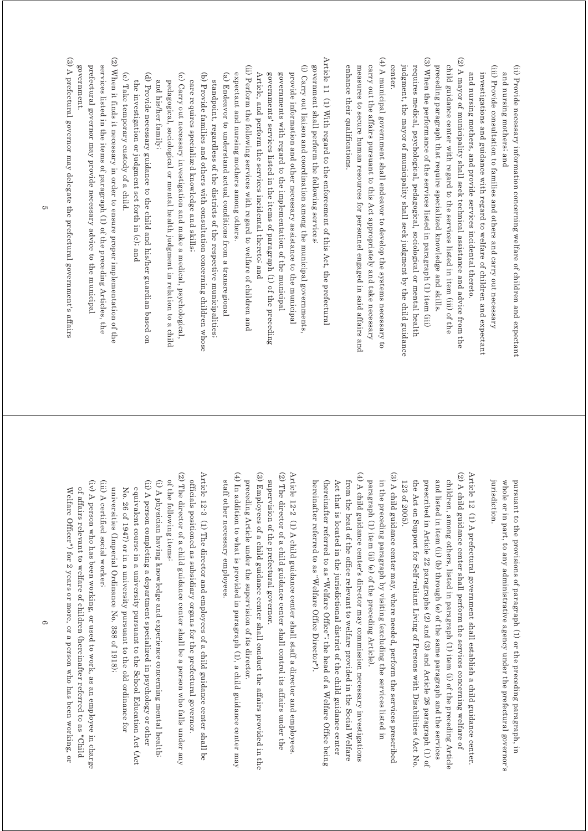(ii) Provide necessary information concerning welfare of children and expectant (ii) Provide necessary information concerning welfare of children and expectant and nursing mothers; and and nursing mothers; and

(iii) Provide consultation to families and others and carry out necessary (iii) Provide consultation to families and others and carry out necessary and nursing mothers, and provide services incidental thereto. investigations and guidance with regard to welfare of children and expectant and nursing mothers, and provide services incidental thereto. investigations and guidance with regard to welfare of children and expectant

(3) When the performance of the services listed in paragraph (1) item (iii) (2) A mayor of municipality shall seek technical assistance and advice from the (3) When the performance of the services listed in paragraph (1) item (iii) (2) A mayor of municipality shall seek technical assistance and advice from the preceding paragraph that require specialized knowledge and skills. child guidance center with regard to the services listed in item (iii) of the preceding paragraph that require specialized knowledge and skills. child guidance center with regard to the services listed in item (iii) of the

judgment, the mayor of municipality shall seek judgment by the child guidance requires medical, psychological, pedagogical, sociological or mental health judgment, the mayor of municipality shall seek judgment by the child guidance center. requires medical, psychological, pedagogical, sociological or mental health

(4) A municipal government shall endeavor to develop the systems necessary to (4) A municipal government shall endeavor to develop the systems necessary to carry out the affairs pursuant to this Act appropriately and take necessary enhance their qualifications measures to secure human resources for personnel engaged in said affairs and enhance their qualifications. measures to secure human resources for personnel engaged in said affairs and carry out the affairs pursuant to this Act appropriately and take necessary

Article 11 (1) With regard to the enforcement of this Act, the prefectural Article 11 (1) With regard to the enforcement of this Act, the prefectural (i) Carry out liaison and coordination among the municipal governments government shall perform the following services: (i) Carry out liaison and coordination among the municipal governments, government shall perform the following services: governments with regard to the implementation of the municipal provide information and other necessary assistance to the municipal governments with regard to the implementation of the municipal provide information and other necessary assistance to the municipal

governments' services listed in the items of paragraph (1) of the preceding Article, and perform the services incidental thereto; and Article, and perform the services incidental thereto; and governments' services listed in the items of paragraph (1) of the preceding

(ii) Perform the following services with regard to welfare of children and (ii) Perform the following services with regard to welfare of children and expectant and nursing mothers among others. expectant and nursing mothers among others.

(b) Provide families and others with consultation concerning children whose (a) Endeavor to understand actual conditions from a transregional (b) Provide families and others with consultation concerning children whose (a) Endeavor to understand actual conditions from a transregional standpoint, regardless of the districts of the respective municipalities; standpoint, regardless of the districts of the respective municipalities;

care requires specialized knowledge and skills; care requires specialized knowledge and skills;

(c) Carry out necessary investigation and make a medical, psychological, (c) Carry out necessary investigation and make a medical, psychological, and his/her family; pedagogical, sociological or mental health judgment in relation to a chilc and his/her family; pedagogical, sociological or mental health judgment in relation to a child

(d) Provide necessary guidance to the child and his/her guardian based on (d) Provide necessary guidance to the child and his/her guardian based on the investigation or judgment set forth in (c); and the investigation or judgment set forth in (c); and

(e) Take temporary custody of a child. (e) Take temporary custody of a child.

(2) When it finds it necessary in order to ensure proper implementation of the (2) When it finds it necessary in order to ensure proper implementation of the prefectural governor may provide necessary advice to the municipal services listed in the items of paragraph (1) of the preceding Articles, the prefectural governor may provide necessary advice to the municipal services listed in the items of paragraph (1) of the preceding Articles, the

(3) A prefectural governor may delegate the prefectural government's affairs (3) A prefectural governor may delegate the prefectural government's affairs government government.

> jurisdiction pursuant to the provisions of paragraph (1) or the preceding paragraph, in whole or in part, to any administrative agency under the prefectural governor's jurisdiction. whole or in part, to any administrative agency under the prefectural governor's pursuant to the provisions of paragraph (1) or the preceding paragraph, in

 $(2)$  A child guidance center shall perform the services concerning welfare of (2) A child guidance center shall perform the services concerning welfare of Article 12 (1) A prefectural government shall establish a child guidance center. Article 12 (1) A prefectural government shall establish a child guidance center. the Act on Support for Self-reliant Living of Persons with Disabilities (Act No prescribed in Article 22 paragraphs (2) and (3) and Article 26 paragraph (1) of and listed in item (ii) (b) through (e) of the same paragraph and the services children, among others, listed in paragraph (1) item (i) of the preceding Article 123 of 2005) the Act on Support for Self-reliant Living of Persons with Disabilities (Act No. prescribed in Article 22 paragraphs (2) and (3) and Article 26 paragraph (1) of and listed in item (ii) (b) through (e) of the same paragraph and the services children, among others, listed in paragraph (1) item (i) of the preceding Article 123 of 2005).

(3) A child guidance center may, where needed, perform the services prescribed (3) A child guidance center may, where needed, perform the services prescribed in the preceding paragraph by visiting (excluding the services listed in paragraph (1) item (ii) (e) of the preceding Article). paragraph (1) item (ii) (e) of the preceding Article). in the preceding paragraph by visiting (excluding the services listed in

(4) A child guidance center's director may commission necessary investigations (4) A child guidance center's director may commission necessary investigations (hereinafter referred to as "Welfare Office"; the head of a Welfare Office being Act that is located in the jurisdictional district of the child guidance center from the head of the office relevant to welfare provided in the Social Welfare hereinafter referred to as "Welfare Office Director"). hereinafter referred to as "Welfare Office Director"). (hereinafter referred to as "Welfare Office"; the head of a Welfare Office being Act that is located in the jurisdictional district of the child guidance center from the head of the office relevant to welfare provided in the Social Welfare

(2) The director of a child guidance center shall control its affairs under the (2) The director of a child guidance center shall control its affairs under the Article 12-2 (1) A child guidance center shall staff a director and employees. Article 12-2  $(1)$  A child guidance center shall staff a director and employees supervision of the prefectural governor supervision of the prefectural governor.

(3) Employees of a child guidance center shall conduct the affairs provided in the (3) Employees of a child guidance center shall conduct the affairs provided in the preceding Article under the supervision of its director. preceding Article under the supervision of its director.

(4) In addition to what is provided in paragraph (1), a child guidance center may (4) In addition to what is provided in paragraph (1), a child guidance center may staff other necessary employees staff other necessary employees.

(2) The director of a child guidance center shall be a person who falls under any (2) The director of a child guidance center shall be a person who falls under any Article 12-3 (1) The director and employees of a child guidance center shall be Article 12-3 (1) The director and employees of a child guidance center shall be officials positioned as subsidiary organs for the prefectural governor. officials positioned as subsidiary organs for the prefectural governor.

(ii) A person completing a department specialized in psychology or other (i) A physician having knowledge and experience concerning mental health; of the following items: of the following items: (ii) A person completing a department specialized in psychology or other (i) A physician having knowledge and experience concerning mental health;

universities (Imperial Ordinance No. 388 of 1918). No. 26 of 1947) or in a university pursuant to the old ordinance for equivalent course in a university pursuant to the School Education Act (Act universities (Imperial Ordinance No. 388 of 1918); No. 26 of 1947) or in a university pursuant to the old ordinance for equivalent course in a university pursuant to the School Education Act (Act

(iii) A certified social worker; (iii) A certified social worker;

(iv) A person who has been working, or used to work, as an employee in charge (iv) A person who has been working, or used to work, as an employee in charge of affairs relevant to welfare of children (hereinafter referred to as "Child Welfare Officer") for 2 years or more, or a person who has been working, or Welfare Officer") for 2 years or more, or a person who has been working, or of affairs relevant to welfare of children (hereinafter referred to as "Child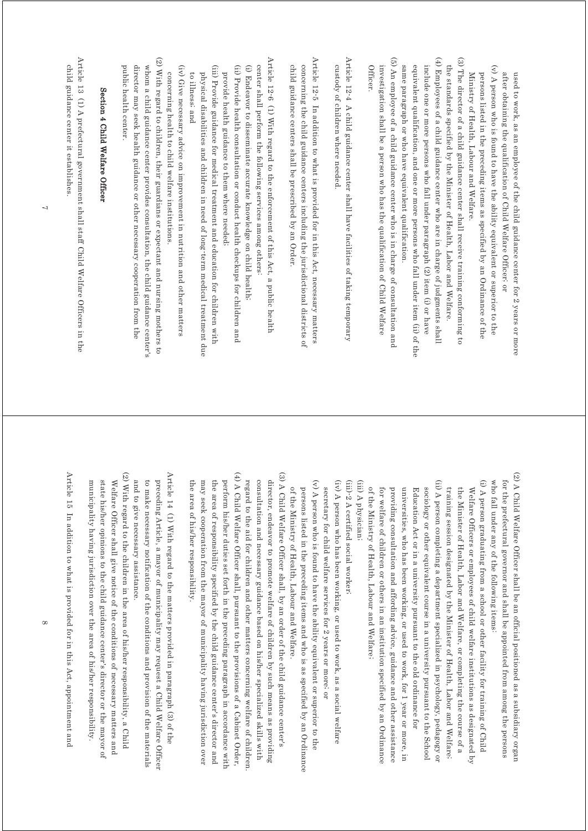after obtaining the qualification of Child Welfare Officer; or used to work, as an employee of the child guidance center for 2 years or more after obtaining the qualification of Child Welfare Officer; or used to work, as an employee of the child guidance center for 2 years or more

 $(v)$  A person who is found to have the ability equivalent or superior to the (v) A person who is found to have the ability equivalent or superior to the persons listed in the preceding items as specified by an Ordinance of the Ministry of Health, Labour and Welfare. Ministry of Health, Labour and Welfare. persons listed in the preceding items as specified by an Ordinance of the

(4) Employees of a child guidance center who are in charge of judgments shall (3) The director of a child guidance center shall receive training conforming to (4) Employees of a child guidance center who are in charge of judgments shall (3) The director of a child guidance center shall receive training conforming to the standards specified by the Minister of Health, Labor and Welfare include one or more persons who fall under paragraph (2) item (i) or have the standards specified by the Minister of Health, Labor and Welfare.

(5) An employee of a child guidance center who is in charge of consultation and (5) An employee of a child guidance center who is in charge of consultation and same paragraph or who have equivalent qualification. equivalent qualification, and one or more persons who fall under item (ii) of the include one or more persons who fall under paragraph (2) item (i) or have same paragraph or who have equivalent qualification. equivalent qualification, and one or more persons who fall under item (ii) of the

investigation shall be a person who has the qualification of Child Welfare **Officer** Officer. investigation shall be a person who has the qualification of Child Welfare

Article 12-4 A child guidance center shall have facilities of taking temporary Article 12-4 A child guidance center shall have facilities of taking temporary custody of children where needed custody of children where needed.

Article 12-5 In addition to what is provided for in this Act, necessary matters Article 12-5 In addition to what is provided for in this Act, necessary matters concerning the child guidance centers including the jurisdictional districts of child guidance centers shall be prescribed by an Order. child guidance centers shall be prescribed by an Order. concerning the child guidance centers including the jurisdictional districts of

Article 12-6 (1) With regard to the enforcement of this Act, a public health Article 12-6 (1) With regard to the enforcement of this Act, a public health (ii) Provide health consultation or conduct health checkups for children and (i) Endeavor to disseminate accurate knowledge on child health; center shall perform the following services among others: (ii) Provide health consultation or conduct health checkups for children and (i) Endeavor to disseminate accurate knowledge on child health; center shall perform the following services among others:

(iii) Provide guidance for medical treatment and education for children with (iii) Provide guidance for medical treatment and education for children with provide health guidance to them where needed; physical disabilities and children in need of long-term medical treatment due physical disabilities and children in need of long-term medical treatment due provide health guidance to them where needed;

to illness; and to illness; and

(iv) Give necessary advice on improvement in nutrition and other matters (iv) Give necessary advice on improvement in nutrition and other matters concerning health to child welfare institutions. concerning health to child welfare institutions.

(2) With regard to children, their guardians or expectant and nursing mothers to (2) With regard to children, their guardians or expectant and nursing mothers to whom a child guidance center provides consultation, the child guidance center's public health center director may seek health guidance or other necessary cooperation from the public health center. director may seek health guidance or other necessary cooperation from the whom a child guidance center provides consultation, the child guidance center's

## Section 4 Child Welfare Officer Section 4 Child Welfare Officer

Article 13 (1) A prefectural government shall staff Child Welfare Officers in the Article 13  $(1)$  A prefectural government shall staff Child Welfare Officers in the child guidance center it establishes. child guidance center it establishes.

> (2) A Child Welfare Officer shall be an official positioned as a subsidiary organ (2) A Child Welfare Officer shall be an official positioned as a subsidiary organ for the prefectural governor and shall be appointed from among the persons who fall under any of the following items: who fall under any of the following items: for the prefectural governor and shall be appointed from among the persons

(ii) A person completing a department specialized in psychology, pedagogy or (i) A person graduating from a school or other facility for training of Child (ii) A person completing a department specialized in psychology, pedagogy or (i) A person graduating from a school or other facility for training of Child training session designated by the Minister of Health, Labor and Welfare; the Minister of Health, Labor and Welfare, or completing the course of a Welfare Officers or employees of child welfare institutions as designated by training session designated by the Mi the Minister of Health, Labor and Welfare, or completing the course of a Welfare Officers or employees of child welfare institutions as designated by nister of Health, Labor and Welfare;

of the Ministry of Health, Labour and Welfare; for welfare of children or others in an institution specified by an Ordinance universities, who has been working, or used to work, for 1 year or more, in sociology or other equivalent course in a university pursuant to the School providing consultation and affording advice, guidance and other assistance Education Act or in a university pursuant to the old ordinance for of the Ministry of Health, Labour and Welfare; for welfare of children or others in an institution specified by an Ordinance providing consultation and affording advice, guidance and other assistance universities, who has been working, or used to work, for 1 year or more, in sociology or other equivalent course in a university pursuant to the School Education Act or in a university pursuant to the old ordinance for

(iii) A physician; (iii) A physician;

(iii)-2 A certified social worker; (iii)-2 A certified social worker;

(iv) A person who has been working, or used to work, as a social welfare (iv) A person who has been working, or used to work, as a social welfare secretary for child welfare services for 2 years or more, or secretary for child welfare services for 2 years or more; or

(v) A person who is found to have the ability equivalent or superior to the (v) A person who is found to have the ability equivalent or superior to the of the Ministry of Health, Labour and Welfare. persons listed in the preceding items and who is as specified by an Ordinance of the Ministry of Health, Labour and Welfare. persons listed in the preceding items and who is as specified by an Ordinance

(4) A Child Welfare Officer shall, pursuant to the provisions of a Cabinet Order, (4) A Child Welfare Officer shall, pursuant to the provisions of a Cabinet Order, (3) A Child Welfare Officer shall, by an order of the child guidance center's (3) A Child Welfare Officer shall, by an order of the child guidance center's may seek cooperation from the mayor of municipality having jurisdiction over the area of responsibility specified by the child guidance center's director and perform his/her duties set forth in the preceding paragraph in accordance with regard to the aid for children and other matters concerning welfare of children consultation and necessary guidance based on his/her specialized skills with director, endeavor to promote welfare of children by such means as providing may seek cooperation from the mayor of municipality having jurisdiction over the area of responsibility specified by the child guidance center's director and perform his/her duties set forth in the preceding paragraph in accordance with regard to the aid for children and other matters concerning welfare of children. consultation and necessary guidance based on his/her specialized skills with director, endeavor to promote welfare of children by such means as providing

Article 14  $(1)$  With regard to the matters provided in paragraph (3) of the Article 14 (1) With regard to the matters provided in paragraph (3) of the and to give necessary assistance. to make necessary notification of the conditions and provision of the materials preceding Article, a mayor of municipality may request a Child Welfare Officer and to give necessary assistance. to make necessary notification of the conditions and provision of the materials preceding Article, a mayor of municipality may request a Child Welfare Officer

the area of his/her responsibility.

the area of his/her responsibility.

(2) With regard to the children in the area of his/her responsibility, a Child (2) With regard to the children in the area of his/her responsibility, a Child state his/her opinions to the child guidance center's director or the mayor of municipality having jurisdiction over the area of his/her responsibility. Welfare Officer shall give notice of the conditions of necessary matters and municipality having jurisdiction over the area of his/her responsibility. state his/her opinions to the child guidance center's director or the mayor of Welfare Officer shall give notice of the conditions of necessary matters and

Article 15 In addition to what is provided for in this Act, appointment and Article 15 In addition to what is provided for in this Act, appointment and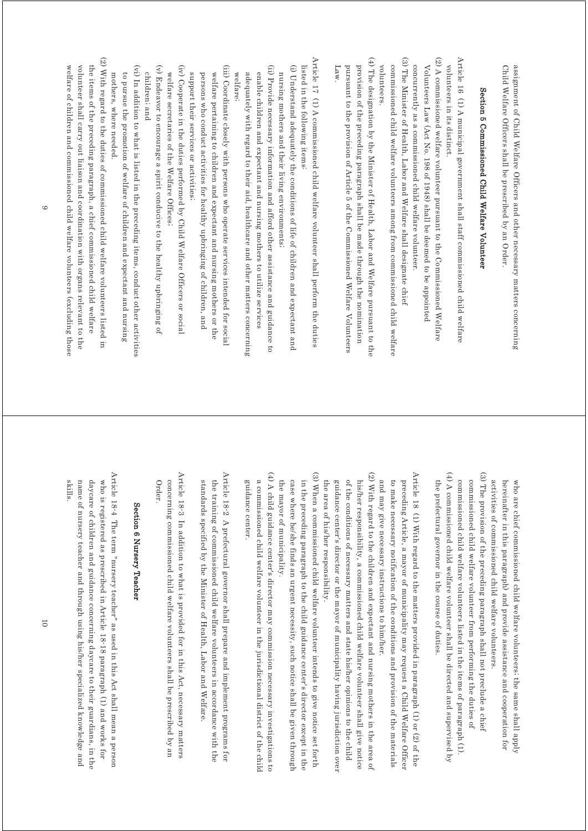Child Welfare Officers shall be prescribed by an Order. assignment of Child Welfare Officers and other necessary matters concerning Child Welfare Officers shall be prescribed by an Order. assignment of Child Welfare Officers and other necessary matters concerning

# Section 5 Commissioned Child Welfare Volunteer Section 5 Commissioned Child Welfare Volunteer

- Article 16 (1) A municipal government shall staff commissioned child welfare Article 16 (1) A municipal government shall staff commissioned child welfare volunteers in its distinct. volunteers in its distinct.
- (2) A commissioned welfare volunteer pursuant to the Commissioned Welfare (2) A commissioned welfare volunteer pursuant to the Commissioned Welfare Volunteers Law (Act No. 198 of 1948) shall be deemed to be appointed Volunteers Law (Act No. 198 of 1948) shall be deemed to be appointed
- (3) The Minister of Health, Labor and Welfare shall designate chief (3) The Minister of Health, Labor and Welfare shall designate chief concurrently as a commissioned child welfare volunteer. concurrently as a commissioned child welfare volunteer.
- volunteers. commissioned child welfare volunteers among from commissioned child welfare volunteers. commissioned child welfare volunteers among from commissioned child welfare
- (4) The designation by the Minister of Health, Labor and Welfare pursuant to the (4) The designation by the Minister of Health, Labor and Welfare pursuant to the provision of the preceding paragraph shall be made through the nomination Law. pursuant to the provision of Article 5 of the Commissioned Welfare Volunteers pursuant to the provision of Article 5 of the Commissioned Welfare Volunteers provision of the preceding paragraph shall be made through the nomination
- Article 17 (1) A commissioned child welfare volunteer shall perform the duties Article 17 (1) A commissioned child welfare volunteer shall perform the duties listed in the following items. listed in the following items:
- (i) Understand adequately the conditions of life of children and expectant and (i) Understand adequately the conditions of life of children and expectant and nursing mothers and their living environments; nursing mothers and their living environments;
- (ii) Provide necessary information and afford other assistance and guidance to (ii) Provide necessary information and afford other assistance and guidance to adequately with regard to their aid, healthcare and other matters concerning enable children and expectant and nursing mothers to utilize services adequately with regard to their aid, healthcare and other matters concerning enable children and expectant and nursing mothers to utilize services
- (iii) Coordinate closely with persons who operate services intended for social (iii) Coordinate closely with persons who operate services intended for social welfare, welfare;
- support their services or activities; persons who conduct activities for healthy upbringing of children, and welfare pertaining to children and expectant and nursing mothers or the support their services or activities; persons who conduct activities for healthy upbringing of children, and welfare pertaining to children and expectant and nursing mothers or the
- (iv) Cooperate in the duties performed by Child Welfare Officers or social (iv) Cooperate in the duties performed by Child Welfare Officers or social welfare secretaries of the Welfare Offices; welfare secretaries of the Welfare Offices;
- (v) Endeavor to encourage a spirit conducive to the healthy upbringing of (v) Endeavor to encourage a spirit conducive to the healthy upbringing of children; and children; and
- (vi) In addition to what is listed in the preceding items, conduct other activities (vi) In addition to what is listed in the preceding items, conduct other activities to pursue the promotion of welfare of children and expectant and nursing mothers, where needed. mothers, where needed. to pursue the promotion of welfare of children and expectant and nursing
- (2) With regard to the duties of commissioned child welfare volunteers listed in (2) With regard to the duties of commissioned child welfare volunteers listed in the items of the preceding paragraph, a chief commissioned child welfare welfare of children and commissioned child welfare volunteers (excluding those volunteer shall carry out liaison and coordination with organs relevant to the welfare of children and commissioned child welfare volunteers (excluding those volunteer shall carry out liaison and coordination with organs relevant to the the items of the preceding paragraph, a chief commissioned child welfare

hereinafter in this paragraph) and provide assistance and cooperation for who are chief commissioned child welfare volunteers; the same shall apply activities of commissioned child welfare volunteers. activities of commissioned child welfare volunteers. hereinafter in this paragraph) and provide assistance and cooperation for who are chief commissioned child welfare volunteers; the same shall apply

- (4) A commissioned child welfare volunteer shall be directed and supervised by (4) A commissioned child welfare volunteer shall be directed and supervised by (3) The provision of the preceding paragraph shall not preclude a chief (3) The provision of the preceding paragraph shall not preclude a chief commissioned child welfare volunteers listed in the items of paragraph (1). the prefectural governor in the course of duties. commissioned child welfare volunteer from performing the duties of the prefectural governor in the course of duties. commissioned child welfare volunteers listed in the items of paragraph (1). commissioned child welfare volunteer from performing the duties of
- Article 18 (1) With regard to the matters provided in paragraph (1) or (2) of the Article 18 (1) With regard to the matters provided in paragraph (1) or (2) of the and may give necessary instructions to him/her. to make necessary notification of the conditions and provision of the materials preceding Article, a mayor of municipality may request a Child Welfare Officer and may give necessary instructions to him/her. to make necessary notification of the conditions and provision of the materials preceding Article, a mayor of municipality may request a Child Welfare Officer
- (2) With regard to the children and expectant and nursing mothers in the area of (2) With regard to the children and expectant and nursing mothers in the area of of the conditions of necessary matters and state his/her opinions to the child guidance center's director or the mayor of municipality having jurisdiction over his/her responsibility, a commissioned child welfare volunteer shall give notice the area of his/her responsibility. the area of his/her responsibility. guidance center's director or the mayor of municipality having jurisdiction over of the conditions of necessary matters and state his/her opinions to the child his/her responsibility, a commissioned child welfare volunteer shall give notice
- (3) When a commissioned child welfare volunteer intends to give notice set forth (3) When a commissioned child welfare volunteer intends to give notice set forth in the preceding paragraph to the child guidance center's director except in the the mayor of municipality. case where he/she finds an urgent necessity, such notice shall be given through the mayor of municipality. case where he/she finds an urgent necessity, such notice shall be given through in the preceding paragraph to the child guidance center's director except in the
- (4) A child guidance center's director may commission necessary investigations to (4) A child guidance center's director may commission necessary investigations to guidance center. a commissioned child welfare volunteer in the jurisdictional district of the child guidance center. a commissioned child welfare volunteer in the jurisdictional district of the child
- Article 18-2 A prefectural governor shall prepare and implement programs for Article 18-2 A prefectural governor shall prepare and implement programs for the training of commissioned child welfare volunteers in accordance with the standards specified by the Minister of Health, Labor and Welfare. standards specified by the Minister of Health, Labor and Welfare. the training of commissioned child welfare volunteers in accordance with the
- Article 18-3 In addition to what is provided for in this Act, necessary matters Article 18-3 In addition to what is provided for in this Act, necessary matters concerning commissioned child welfare volunteers shall be prescribed by an Order. concerning commissioned child welfare volunteers shall be prescribed by an

### Section 6 Nursery Teacher Section 6 Nursery Teacher

Article 18-4 The term "nursery teacher" as used in this Act shall mean a person Article 18-4 The term "nursery teacher" as used in this Act shall mean a person daycare of children and guidance concerning daycare to their guardians, in the who is registered as prescribed in Article 18-18 paragraph (1) and works for skills. name of nursery teacher and through using his/her specialized knowledge and name of nursery teacher and through using his/her specialized knowledge and daycare of children and guidance concerning daycare to their guardians, in the who is registered as prescribed in Article 18-18 paragraph (1) and works for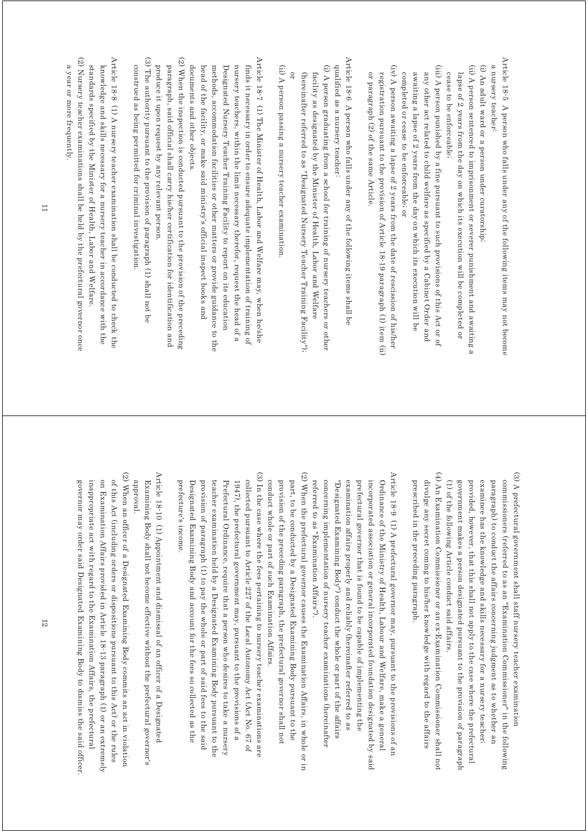Article 18-5 A person who falls under any of the following items may not become Article 18-5 A person who falls under any of the following items may not become a nursery teacher. a nursery teacher:

- (i) An adult ward or a person under curatorship; (i) An adult ward or a person under curatorship;
- (ii) A person sentenced to imprisonment or severer punishment and awaiting a (ii) A person sentenced to imprisonment or severer punishment and awaiting a cease to be enforceable; lapse of 2 years from the day on which its execution will be completed or cease to be enforceable; lapse of 2 years from the day on which its execution will be completed or
- (iii) A person punished by a fine pursuant to such provisions of this Act or of (iii) A person punished by a fine pursuant to such provisions of this Act or of completed or cease to be enforceable; or awaiting a lapse of 2 years from the day on which its execution will be any other act related to child welfare as specified by a Cabinet Order and completed or cease to be enforceable; or awaiting a lapse of 2 years from the day on which its execution will be any other act related to child welfare as specified by a Cabinet Order and
- $(iv)$  A person awaiting a lapse of 2 years from the date of rescission of his/her (iv) A person awaiting a lapse of 2 years from the date of rescission of his/her or paragraph (2) of the same Article. registration pursuant to the provision of Article 18-19 paragraph (1) item (ii) or paragraph (2) of the same Article. registration pursuant to the provision of Article 18-19 paragraph (1) item (ii)
- Article 18-6 A person who falls under any of the following items shall be Article 18-6 A person who falls under any of the following items shall be qualified as a nursery teacher. qualified as a nursery teacher:
- (i) A person graduating from a school for training of nursery teachers or other (i) A person graduating from a school for training of nursery teachers or other (hereinafter referred to as "Designated Nursery Teacher Training Facility"); facility as designated by the Minister of Health, Labor and Welfare (hereinafter referred to as "Designated Nursery Teacher Training Facility"); facility as designated by the Minister of Health, Labor and Welfare
- (ii) A person passing a nursery teacher examination (ii) A person passing a nursery teacher examination.

or

- Article 18-7 (1) The Minister of Health, Labor and Welfare may, when he/she  $\Delta$ rticle 18-7 (1) The Minister of Health, Labor and Welfare may, when he/she finds it necessary in order to ensure adequate implementation of training of documents and other objects methods, accommodation facilities or other matters or provide guidance to the Designated Nursery Teacher Training Facility to report on its education nursery teachers, within the limit necessary therefor, request the head of a documents and other objects. head of the facility, or make said ministry's official inspect books and head of the facility, or make said ministry's official inspect books and methods, accommodation facilities or other matters or provide guidance to the Designated Nursery Teacher Training Facility to report on its education nursery teachers, within the limit necessary therefor, request the head of a finds it necessary in order to ensure adequate implementation of training of
- (2) When the inspection is conducted pursuant to the provision of the preceding (2) When the inspection is conducted pursuant to the provision of the preceding  $(2)$ paragraph, said official shall carry his/her certification for identification and produce it upon request by any relevant person. produce it upon request by any relevant person. paragraph, said official shall carry his/her certification for identification and
- (3) The authority pursuant to the provision of paragraph (1) shall not be (3) The authority pursuant to the provision of paragraph (1) shall not be construed as being permitted for criminal investigation construed as being permitted for criminal investigation.
- (2) Nursery teacher examinations shall be held by the prefectural governor once Article 18<sup>-8</sup> (1) A nursery teacher examination shall be conducted to check the (2) Nursery teacher examinations shall be held by the prefectural governor once Article 18-8 (1)  $\forall$  H nursery teacher examination shall be conducted to check the standards specified by the Minister of Health, Labor and Welfare. knowledge and skills necessary for a nursery teacher in accordance with the standards specified by the Minister of Health, Labor and Welfare. knowledge and skills necessary for a nursery teacher in accordance with the
- a year or more frequently. a year or more frequently.

- (3) A prefectural government shall staff nursery teacher examination (3) A prefectural government shall staff nursery teacher examination (1) of the following Article conduct said affairs. provided, however, that this shall not apply to the case where the prefectural examinee has the knowledge and skills necessary for a nursery teacher; paragraph) to conduct the affairs concerning judgment as to whether an commissioners (referred to as an "Examination Commissioner" in the following government makes a person designated pursuant to the provision of paragraph (1) of the following Article conduct said affairs. government makes a person designated pursuant to the provision of paragraph provided, however, that this shall not apply to the case where the prefectural examinee has the knowledge and skills necessary for a nursery teacher; paragraph) to conduct the affairs concerning judgment as to whether an commissioners (referred to as an "Examination Commissioner" in the following
- (4) An Examination Commissioner or an ex-Examination Commissioner shall not (4) An Examination Commissioner or an ex-Examination Commissioner shall not prescribed in the preceding paragraph. divulge any secret coming to his/her knowledge with regard to the affairs prescribed in the preceding paragraph. divulge any secret coming to his/her knowledge with regard to the affairs
- Article 18-9 (1) A prefectural governor may, pursuant to the provisions of an Article 18-9 (1) A prefectural governor may, pursuant to the provisions of an referred to as "Examination Affairs"). concerning implementation of nursery teacher examinations (hereinaffer "Designated Examining Body") conduct the whole or part of the affairs examination affairs properly and reliably (hereinafter referred to as prefectural governor that is found to be capable of implementing the Ordinance of the Ministry of Health, Labour and Welfare, make a general incorporated association or general incorporated foundation designated by said referred to as "Examination Affairs"). concerning implementation of nursery teacher examinations (hereinafter "Designated Examining Body") conduct the whole or part of the affairs examination affairs properly and reliably (hereinafter referred to as prefectural governor that is found to be capable of implementing the incorporated association or general incorporated foundation designated by said Ordinance of the Ministry of Health, Labour and Welfare, make a general
- (2) When the prefectural governor causes the Examination Affairs, in whole or in (2) When the prefectural governor causes the Examination Affairs, in whole or in conduct whole or part of such Examination Affairs. provision of the preceding paragraph, the prefectural governor shall not part, to be conducted by a Designated Examining Body pursuant to the conduct whole or part of such Examination Affairs. provision of the preceding paragraph, the prefectural governor shall not part, to be conducted by a Designated Examining Body pursuant to the
- (3) In the case where the fees pertaining to nursery teacher examinations are (3) In the case where the fees pertaining to nursery teacher examinations are  $(3)$ provision of paragraph (1) to pay the whole or part of said fees to the said collected pursuant to Article 227 of the Local Autonomy Act (Act No. 67 of Designated Examining Body and account for the fees so collected as the teacher examination held by a Designated Examining Body pursuant to the Prefectural Ordinance, require that a person who desires to take a nursery 1947), the prefectural government may, pursuant to the provisions of a prefecture's income. prefecture's income. Designated Examining Body and account for the fees so collected as the provision of paragraph (1) to pay the whole or part of said fees to the said teacher examination held by a Designated Examining Body pursuant to the Prefectural Ordinance, require that a person who desires to take a nursery collected pursuant to Article 227 of the Local Autonomy Act (Act No. 67 of 1947), the prefectural government may, pursuant to the provisions of a
- Article 18-10 (1) Appointment and dismissal of an officer of a Designated Article 18-10 (1) Appointment and dismissal of an officer of a Designated Tevorqqs. Examining Body shall not become effective without the prefectural governor's approval. Examining Body shall not become effective without the prefectural governor's
- (2) When an officer of a Designated Examining Body commits an act in violation (2) When an officer of a Designated Examining Body commits an act in violation of this Act (including orders or dispositions pursuant to this Act) or the rules inappropriate act with regard to the Examination Affairs, the prefectural on Examination Affairs provided in Article 18-13 paragraph (1) or an extremely governor may order said Designated Examining Body to dismiss the said officer governor may order said Designated Examining Body to dismiss the said officer. inappropriate act with regard to the Examination Affairs, the prefectural on Examination Affairs provided in Article 18-13 paragraph (1) or an extremely of this Act (including orders or dispositions pursuant to this Act) or the rules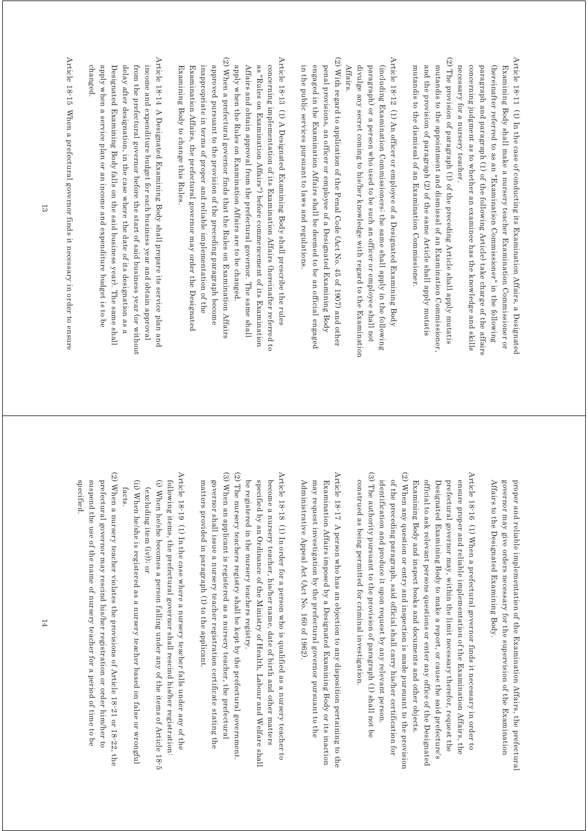- Article 18-11 (1) In the case of conducting its Examination Affairs, a Designated Article 18-11 (1) In the case of conducting its Examination Affairs, a Designated necessary for a nursery teacher. concerning judgment as to whether an examinee has the knowledge and skills paragraph and paragraph (1) of the following Article) take charge of the affairs (hereinafter referred to as an "Examination Commissioner" in the following Examining Body shall make a nursery teacher Examination Commissioner or necessary for a nursery teacher. concerning judgment as to whether an examinee has the knowledge and skills paragraph and paragraph (1) of the following Article) take charge of the affairs (hereinafter referred to as an "Examination Commissioner" in the following Examining Body shall make a nursery teacher Examination Commissioner or
- (2) The provision of paragraph (1) of the preceding Article shall apply mutatis (2) The provision of paragraph (1) of the preceding Article shall apply mutatis mutandis to the appointment and dismissal of an Examination Commissioner and the provision of paragraph (2) of the same Article shall apply mutatis mutandis to the dismissal of an Examination Commissioner mutandis to the dismissal of an Examination Commissioner. and the provision of paragraph (2) of the same Article shall apply mutatis mutandis to the appointment and dismissal of an Examination Commissioner,
- Article 18-12 (1) An officer or employee of a Designated Examining Body Article 18-12 (1) An officer or employee of a Designated Examining Body divulge any secret coming to his/her knowledge with regard to the Examination paragraph) or a person who used to be such an officer or employee shall not (including Examination Commissioners; the same shall apply in the following Affairs. divulge any secret coming to his/her knowledge with regard to the Examination paragraph) or a person who used to be such an officer or employee shall not (including Examination Commissioners; the same shall apply in the following
- (2) With regard to application of the Penal Code (Act No. 45 of 1907) and other (2) With regard to application of the Penal Code (Act No. 45 of 1907) and other in the public services pursuant to laws and regulations. penal provisions, an officer or employee of a Designated Examining Body engaged in the Examination Affairs shall be deemed to be an official engaged in the public services pursuant to laws and regulations. engaged in the Examination Affairs shall be deemed to be an official engaged penal provisions, an officer or employee of a Designated Examining Body
- (2) When a prefectural governor finds that the Rules on Examination Affairs Article 18-13 (1) A Designated Examining Body shall prescribe the rules (2) When a prefectural governor finds that the Rules on Examination Affairs Article 18-13 (1) A Designated Examining Body shall prescribe the rules concerning implementation of its Examination Affairs (hereinafter referred to inappropriate in terms of proper and reliable implementation of the as "Rules on Examination Affairs") before commencement of its Examination Examining Body to change this Rules. Examination Affairs, the prefectural governor may order the Designated approved pursuant to the provision of the preceding paragraph become apply when the Rules on Examination Affairs are to be changed. Affairs and obtain approval from the prefectural governor. The same shall Examining Body to change this Rules. Examination Affairs, the prefectural governor may order the Designated inappropriate in terms of proper and reliable implementation of the approved pursuant to the provision of the preceding paragraph become apply when the Rules on Examination Affairs are to be changed. Affairs and obtain approval from the prefectural governor. The same shall as "Rules on Examination Affairs") before commencement of its Examination concerning implementation of its Examination Affairs (hereinafter referred to
- Article 18-14 A Designated Examining Body shall prepare its service plan and Article 18-14 A Designated Examining Body shall prepare its service plan and changed. apply when a service plan or an income and expenditure budget is to be Designated Examining Body falls on the said business year). The same shall delay after designation, in the case where the date of its designation as a from the prefectural governor before the start of said business year (or without income and expenditure budget for each business year and obtain approval apply when a service plan or an income and expenditure budget is to be Designated Examining Body falls on the said business year). The same shall delay after designation, in the case where the date of its designation as a from the prefectural governor before the start of said business year (or without) income and expenditure budget for each business year and obtain approval

Article 18-15 When a prefectural governor finds it necessary in order to ensure Article 18-15 When a prefectural governor finds it necessary in order to ensure

> proper and reliable implementation of the Examination Affairs, the prefectural governor may give orders necessary for the supervision of the Examination Affairs to the Designated Examining Body Affairs to the Designated Examining Body. governor may give orders necessary for the supervision of the Examination proper and reliable implementation of the Examination Affairs, the prefectural

- (3) The authority pursuant to the provision of paragraph (1) shall not be (3) The authority pursuant to the provision of paragraph (1) shall not be (2) When any question or entry and inspection is made pursuant to the provision (2) When any question or entry and inspection is made pursuant to the provision Article 18-16 (1) When a prefectural governor finds it necessary in order to Article 18-16 (1) When a prefectural governor finds it necessary in order to identification and produce it upon request by any relevant person. of the preceding paragraph, said official shall carry his/her certification for official to ask relevant persons questions or enter any office of the Designated ensure proper and reliable implementation of the Examination Affairs, the Designated Examining Body to make a report, or cause the said prefecture's prefectural governor may, within the limit necessary therefor, request the identification and produce it upon request by any relevant person. of the preceding paragraph, said official shall carry his/her certification for Examining Body and inspect books and documents and other objects. Examining Body and inspect books and documents and other objects. official to ask relevant persons questions or enter any office of the Designated Designated Examining Body to make a report, or cause the said prefecture's prefectural governor may, within the limit necessary therefor, request the ensure proper and reliable implementation of the Examination Affairs, the
- Article 18-17 A person who has an objection to any disposition pertaining to the Article  $18$ -17 A person who has an objection to any disposition pertaining to the Administrative Appeal Act (Act No. 160 of 1962). Examination Affairs imposed by a Designated Examining Body or its inaction may request investigation by the prefectural governor pursuant to the Administrative Appeal Act (Act No. 160 of 1962). may request investigation by the prefectural governor pursuant to the Examination Affairs imposed by a Designated Examining Body or its inaction

construed as being permitted for criminal investigation.

construed as being permitted for criminal investigation.

- Article 18-18 (1) In order for a person who is qualified as a nursery teacher to Article 18-18 (1) In order for a person who is qualified as a nursery teacher to be registered in the nursery teachers registry. specified by an Ordinance of the Ministry of Health, Labour and Welfare shall become a nursery teacher, his/her name, date of birth and other matters be registered in the nursery teachers registry. specified by an Ordinance of the Ministry of Health, Labour and Welfare shall become a nursery teacher, his/her name, date of birth and other matters
- (3) When an applicant is registered as a nursery teacher, the prefectural (3) When an applicant is registered as a nursery teacher, the prefectural (2) The nursery teachers registry shall be kept by the prefectural government (2) The nursery teachers registry shall be kept by the prefectural government. matters provided in paragraph (1) to the applicant. governor shall issue a nursery teacher registration certificate stating the matters provided in paragraph (1) to the applicant. governor shall issue a nursery teacher registration certificate stating the
- Article 18-19  $\,$  (1) In the case where a nursery teacher falls under any of the Article 18-19 (1) In the case where a nursery teacher falls under any of the (i) When he/she becomes a person falling under any of the items of Article 18-5 following items, the prefectural governor shall rescind his/her registration: following items, the prefectural governor shall rescind his/her registration: (i) When he/she becomes a person falling under any of the items of Article 18-5 (excluding item (iv)); or (excluding item (iv)); or
- (ii) When he/she is registered as a nursery teacher based on false or wrongful (ii) When he/she is registered as a nursery teacher based on false or wrongful facts.
- (2) When a nursery teacher violates the provisions of Article 18-21 or 18-22, the (2) When a nursery teacher violates the provisions of  $\Delta$  ringle  $\alpha$  and  $\alpha$  18-22, the  $(2)$ prefectural governor may rescind his/her registration or order him/her to specified. suspend the use of the name of nursery teacher for a period of time to be specified. suspend the use of the name of nursery teacher for a period of time to be prefectural governor may rescind his/her registration or order him/her to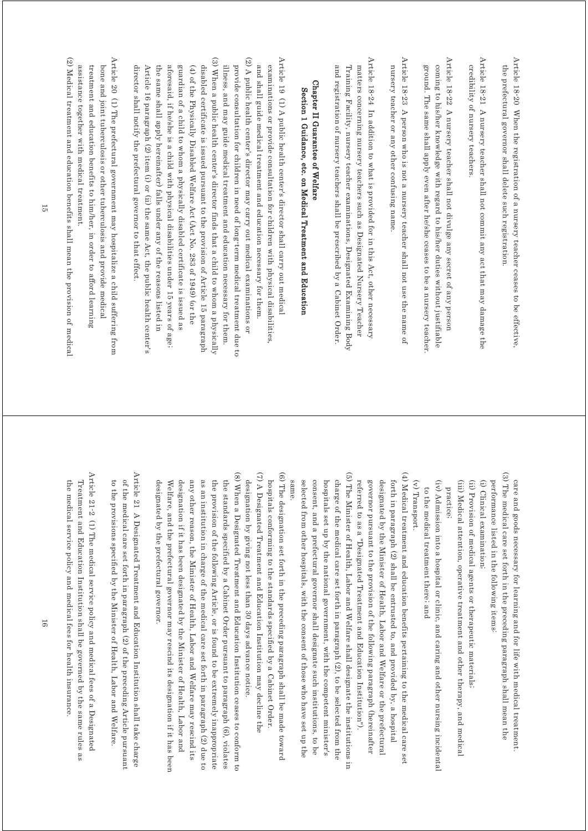Article 18-20 When the registration of a nursery teacher ceases to be effective Article 18-20 When the registration of a nursery teacher ceases to be effective, the prefectural governor shall delete such registration the prefectural governor shall delete such registration.

Article 18-21 A nursery teacher shall not commit any act that may damage the Article 18-21 A nursery teacher shall not commit any act that may damage the credibility of nursery teachers credibility of nursery teachers.

Article 18-22 A nursery teacher shall not divulge any secret of any persor Article 18-22 A nursery teacher shall not divulge any secret of any person ground. The same shall apply even after he/she ceases to be a nursery teacher coming to his/her knowledge with regard to his/her duties without justifiable ground. The same shall apply even after he/she ceases to be a nursery teacher. coming to his/her knowledge with regard to his/her duties without justifiable

Article 18-23 A person who is not a nursery teacher shall not use the name of Article 18-23 A person who is not a nursery teacher shall not use the name of nursery teacher or any other confusing name. nursery teacher or any other confusing name.

Article 18-24 In addition to what is provided for in this Act, other necessary Article 18-24 In addition to what is provided for in this Act, other necessary and registration of nursery teachers shall be prescribed by a Cabinet Order Training Facility, nursery teacher examinations, Designated Examining Body matters concerning nursery teachers such as Designated Nursery Teacher and registration of nursery teachers shall be prescribed by a Cabinet Order. Training Facility, nursery teacher examinations, Designated Examining Body matters concerning nursery teachers such as Designated Nursery Teacher

## Chapter II Guarantee of Welfare Chapter II Guarantee of Welfare Section 1 Guidance, etc. on Medical Treatment and Education Section 1 Guidance, etc. on Medical Treatment and Education

(3) When a public health center's director finds that a child to whom a physically Article 19 (1) A public health center's director shall carry out medica (3) When a public health center's director finds that a child to whom a physically (2) A public health center's director may carry out medical examinations or (2) A public health center's director may carry out medical examinations or Article 19 (1) A public health center's director shall carry out medical examinations or provide consultation for children with physical disabilities. disabled certificate is issued pursuant to the provision of Article 15 paragraph illness, and may guide medical treatment and education necessary for them. and shall guide medical treatment and education necessary for them. director shall notify the prefectural governor to that effect Article 16 paragraph (2) item (i) or (ii) the same Act, the public health center's the same shall apply hereinafter) falls under any of the reasons listed in aforesaid, if he/she is a child with physical disabilities under 15 years of age; guardian of a child to whom a physically disabled certificate is issued as  $(4)$  of the Physically Disabled Welfare Act (Act No. 283 of 1949) (or the provide consultation for children in need of long-term medical treatment due to director shall notify the prefectural governor to that effect. Article 16 paragraph (2) item (i) or (ii) the same Act, the public health center's the same shall apply hereinafter) falls under any of the reasons listed in aforesaid, if he/she is a child with physical disabilities under 15 years of age; guardian of a child to whom a physically disabled certificate is issued as (4) of the Physically Disabled Welfare Act (Act No. 283 of 1949) (or the disabled certificate is issued pursuant to the provision of Article 15 paragraph illness, and may guide medical treatment and education necessary for them. provide consultation for children in need of long-term medical treatment due to and shall guide medical treatment and education necessary for them. examinations or provide consultation for children with physical disabilities,

Article 20 (1) The prefectural government may hospitalize a child suffering from Article 20  $(1)$  The prefectural government may hospitalize a child suffering from assistance together with medical treatment. treatment and education benefits to him/her, in order to afford learning bone and joint tuberculosis or other tuberculosis and provide medical assistance together with medical treatment. treatment and education benefits to him/her, in order to afford learning bone and joint tuberculosis or other tuberculosis and provide medical

(2) Medical treatment and education benefits shall mean the provision of medical (2) Medical treatment and education benefits shall mean the provision of medical

> (3) The medical care set forth in the preceding paragraph shall mean the (3) The medical care set forth in the preceding paragraph shall mean the care and goods necessary for learning and for life with medical treatment. care and goods necessary for learning and for life with medical treatment.

performance listed in the following items. performance listed in the following items:

(i) Clinical examination; (i) Clinical examination;

(ii) Provision of medical agents or therapeutic materials (ii) Provision of medical agents or therapeutic materials;

(iii) Medical attention, operative treatment and other therapy, and medical (iii) Medical attention, operative treatment and other therapy, and medical practice;

(iv) Admission into a hospital or clinic, and caring and other nursing incidenta (iv) Admission into a hospital or clinic, and caring and other nursing incidental to the medical treatment there; and to the medical treatment there; and

 $\left(\textsc{v}\right)$  Transport. (v) Transport.

(4) Medical treatment and education benefits pertaining to the medical care set (4) Medical treatment and education benefits pertaining to the medical care set referred to as a "Designated Treatment and Education Institution"). governor pursuant to the provision of the following paragraph (hereinafter designated by the Minister of Health, Labor and Welfare or the prefectural forth in paragraph (2) shall be entrusted to, and provided by, a hospital referred to as a "Designated Treatment and Education Institution"). governor pursuant to the provision of the following paragraph (hereinafter designated by the Minister of Health, Labor and Welfare or the prefectural forth in paragraph (2) shall be entrusted to, and provided by, a hospital

(5) The Minister of Health, Labor and Welfare shall designate the institutions in (5) The Minister of Health, Labor and Welfare shall designate the institutions in selected from other hospitals, with the consent of those who have set up the consent, and a prefectural governor shall designate such institutions, to be hospitals set up by the national government, with the competent minister's charge of the medical care set forth in paragraph (2), to be selected from the same same. selected from other hospitals, with the consent of those who have set up the consent, and a prefectural governor shall designate such institutions, to be hospitals set up by the national government, with the competent minister's charge of the medical care set forth in paragraph (2), to be selected from the

(6) The designation set forth in the preceding paragraph shall be made toward (6) The designation set forth in the preceding paragraph shall be made toward hospitals conforming to the standards specified by a Cabinet Order. hospitals conforming to the standards specified by a Cabinet Order.

(7) A Designated Treatment and Education Institution may decline the (7) A Designated Treatment and Education Institution may decline the designation by giving not less than 30 days advance notice designation by giving not less than 30 days advance notice.

(8) When a Designated Treatment and Education Institution ceases to conform to (8) When a Designated Treatment and Education Institution ceases to conform to designation if it has been designated by the Minister of Health, Labor and any other reason, the Minister of Health, Labor and Welfare may rescind its as an institution in charge of the medical care set forth in paragraph (2) due to the standards specified by a Cabinet Order pursuant to paragraph (6), violates designated by the prefectural governor. Welfare, and the prefectural governor may rescind its designation if it has been the provision of the following Article, or is found to be extremely inappropriate designated by the prefectural governor. Welfare, and the prefectural governor may rescind its designation if it has been designation if it has been designated by the Minister of Health, Labor and any other reason, the Minister of Health, Labor and Welfare may rescind its as an institution in charge of the medical care set forth in paragraph (2) due to the provision of the following Article, or is found to be extremely inappropriate the standards specified by a Cabinet Order pursuant to paragraph (6), violates

Article 21 A Designated Treatment and Education Institution shall take charge Article 21 A Designated Treatment and Education Institution shall take charge to the provisions specified by the Minister of Health, Labor and Welfare of the medical care set forth in paragraph (2) of the preceding Article pursuant to the provisions specified by the Minister of Health, Labor and Welfare. of the medical care set forth in paragraph (2) of the preceding Article pursuant

Article 21-2  $(1)$  The medical service policy and medical fees of a Designated Article 21-2 (1) The medical service policy and medical fees of a Designated the medical service policy and medical fees for health insurance. Treatment and Education Institution shall be governed by the same rules as the medical service policy and medical fees for health insurance. Treatment and Education Institution shall be governed by the same rules as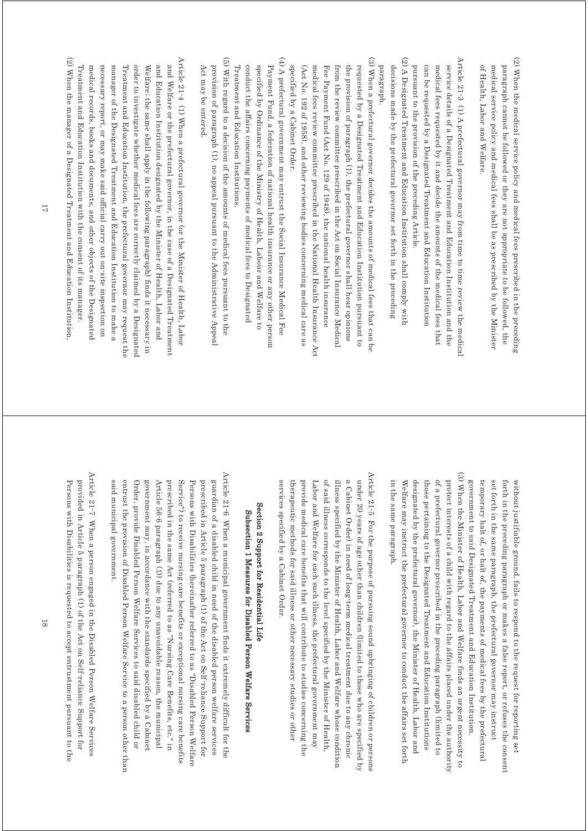- $(2)$  When the medical service policy and medical fees prescribed in the preceding (2) When the medical service policy and medical fees prescribed in the preceding paragraph cannot be followed or they are not appropriate to be followed, the of Health, Labor and Welfare medical service policy and medical fees shall be as prescribed by the Minister of Health, Labor and Welfare. medical service policy and medical fees shall be as prescribed by the Minister paragraph cannot be followed or they are not appropriate to be followed, the
- Article 21-3 (1) A prefectural governor may from time to time review the medical Article 21-3 (1) A prefectural governor may from time to time review the medical pursuant to the provision of the preceding Article. can be requested by a Designated Treatment and Education Institution medical fees requested by it and decide the amounts of the medical fees that service details of a Designated Treatment and Education Institution and the pursuant to the provision of the preceding Article. can be requested by a Designated Treatment and Education Institution medical fees requested by it and decide the amounts of the medical fees that service details of a Designated Treatment and Education Institution and the
- (2) A Designated Treatment and Education Institution shall comply with (2) A Designated Treatment and Education Institution shall comply with paragraph. decisions made by the prefectural governor set forth in the preceding paragraph. decisions made by the prefectural governor set forth in the preceding
- (3) When a prefectural governor decides the amounts of medical fees that can be (3) When a prefectural governor decides the amounts of medical fees that can be specified by a Cabinet Order. (Act No. 192 of 1958), and other reviewing bodies concerning medical care as medical fees review committee prescribed in the National Health Insurance Act Fee Payment Fund (Act No. 129 of 1948), the national health insurance from the review committee prescribed in the Act on Social Insurance Medical the provision of paragraph (1), the prefectural governor shall hear opinions requested by a Designated Treatment and Education Institution pursuant to specified by a Cabinet Order. (Act No. 192 of 1958), and other reviewing bodies concerning medical care as medical fees review committee prescribed in the National Health Insurance Act Fee Payment Fund (Act No. 129 of 1948), the national health insurance from the review committee prescribed in the Act on Social Insurance Medical the provision of paragraph (1), the prefectural governor shall hear opinions requested by a Designated Treatment and Education Institution pursuant to
- (4) A prefectural government may entrust the Social Insurance Medical Fee (4) A prefectural government may entrust the Social Insurance Medical Fee conduct the affairs concerning payments of medical fees to Designated specified by Ordinance of the Ministry of Health, Labour and Welfare to Payment Fund, a federation of national health insurance or any other person Treatment and Education Institutions. Treatment and Education Institutions. conduct the affairs concerning payments of medical fees to Designated specified by Ordinance of the Ministry of Health, Labour and Welfare to Payment Fund, a federation of national health insurance or any other person
- (5) With regard to a decision of the amounts of medical fees pursuant to the (5) With regard to a decision of the amounts of medical fees pursuant to the provision of paragraph (1), no appeal pursuant to the Administrative Appeal Act may be entered. Act may be entered. provision of paragraph (1), no appeal pursuant to the Administrative Appeal
- Article 21-4 (1) When a prefectural governor (or the Minister of Health, Labou Article 21-4 (1) When a prefectural governor (or the Minister of Health, Labor and Welfare or the prefectural governor, in the case of a Designated Treatment Treatment and Education Institution with the consent of its manager: medical records, books and documents, and other objects of the Designated necessary report, or may make said official carry out on-site inspection on manager of the Designated Treatment and Education Institution to make a Treatment and Education Institution, the prefectural governor may request the order to investigate whether medical fees are correctly claimed by a Designated Welfare: the same shall apply in the following paragraph) finds it necessary in and Education Institution designated by the Minister of Health, Labor and Treatment and Education Institution with the consent of its manager. medical records, books and documents, and other objects of the Designated necessary report, or may make said official carry out on-site inspection on manager of the Designated Treatment and Education Institution to make a Treatment and Education Institution, the prefectural governor may request the order to investigate whether medical fees are correctly claimed by a Designated Welfare; the same shall apply in the following paragraph) finds it necessary in and Education Institution designated by the Minister of Health, Labor and and Welfare or the prefectural governor, in the case of a Designated Treatment
- (2) When the manager of a Designated Treatment and Education Institution. (2) When the manager of a Designated Treatment and Education Institution,

(3) When the Minister of Health, Labor and Welfare finds an urgent necessity to (3) When the Minister of Health, Labor and Welfare finds an urgent necessity to designated by the prefectural governor), the Minister of Health, Labor and those pertaining to the Designated Treatment and Education Institutions of a prefectural governor prescribed in the preceding paragraph (limited to protect interests of a child with regard to the affairs placed under the authority temporary halt of, or halt of, the payments of medical fees by the prefectural in the same paragraph set forth in the same paragraph, the prefectural governor may instruct without justifiable ground, fails to respond to the request for reporting set in the same paragraph. Welfare may instruct the prefectural governor to conduct the affairs set forth Welfare may instruct the prefectural governor to conduct the affairs set forth designated by the prefectural governor), the Minister of Health, Labor and those pertaining to the Designated Treatment and Education Institutions of a prefectural governor prescribed in the preceding paragraph (limited to protect interests of a child with regard to the affairs placed under the authority government to said Designated Treatment and Education Institution. government to said Designated Treatment and Education Institution. temporary halt of, or halt of, the payments of medical fees by the prefectural set forth in the same paragraph, the prefectural governor may instruct forth in the preceding paragraph or makes a false report, or refuses the consent forth in the preceding paragraph or makes a false report, or refuses the consent without justifiable ground, fails to respond to the request for reporting set

Article 21-5 For the purpose of pursuing sound upbringing of children or persons Article 21-5 For the purpose of pursuing sound upbringing of children or persons a Cabinet Order) in need of long term medical treatment due to any chronic of said illness corresponds to the level specified by the Minister of Health, illness specified by the Minister of Health, Labor and Welfare whose condition under 20 years of age other than children (limited to those who are specified by services specified by a Cabinet Order. services specified by a Cabinet Order. therapeutic methods for said illness or other necessary studies or other therapeutic methods for said illness or other necessary studies or other provide medical care benefits that will contribute to studies concerning the provide medical care benefits that will contribute to studies concerning the Labor and Welfare for each such illness, the prefectural government may Labor and Welfare for each such illness, the prefectural government may of said illness corresponds to the level specified by the Minister of Health, illness specified by the Minister of Health, Labor and Welfare whose condition a Cabinet Order) in need of long-term medical treatment due to any chronic under 20 years of age other than children (limited to those who are specified by

## Section 2 Support for Residential Life Section 2 Support for Residential Life Subsection 1 Measures for Disabled Person Welfare Services Subsection 1 Measures for Disabled Person Welfare Services

Article 21-6 When a municipal government finds it extremely difficult for the Article 21-6 When a municipal government finds it extremely difficult for the Service") to receive nursing care benefits or exceptional nursing care benefits Persons with Disabilities (hereinafter referred to as "Disabled Person Welfare prescribed in Article 5 paragraph (1) of the Act on Self-reliance Support for guardian of a disabled child in need of the disabled person welfare services said municipal government. entrust the provision of Disabled Person Welfare Service to a person other than Order, provide Disabled Person Welfare Services to said disabled child or government may, in accordance with the standards specified by a Cabinet Article 56<sup>-6</sup> paragraph (1)) due to any unavoidable reason, the municipal prescribed in the same Act (referred to as "Nursing Care Benefits, etc." in said municipal government. entrust the provision of Disabled Person Welfare Service to a person other than Order, provide Disabled Person Welfare Services to said disabled child or government may, in accordance with the standards specified by a Cabinet Article 56-6 paragraph (1)) due to an prescribed in the same Act (referred to as "Nursing Care Benefits, etc." in Service") to receive nursing care benefits or exceptional nursing care benefits Persons with Disabilities (hereinafter referred to as "Disabled Person Welfare prescribed in Article 5 paragraph (1) of the Act on Self-reliance Support for guardian of a disabled child in need of the disabled person welfare services y unavoidable reason, the municipal

Article 21-7 When a person engaged in the Disabled Person Welfare Services Article 21-7 When a person engaged in the Disabled Person Welfare Services Persons with Disabilities is requested to accept entrustment pursuant to the provided in Article 5 paragraph (1) of the Act on Self-reliance Support for Persons with Disabilities is requested to accept entrustment pursuant to the provided in Article 5 paragraph (1) of the Act on Self-reliance Support for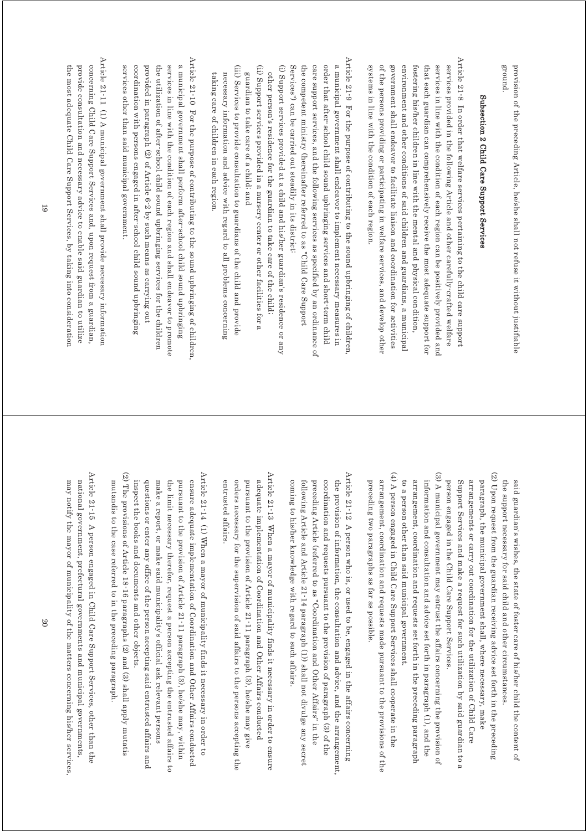ground. provision of the preceding Article, he/she shall not refuse it without justifiable provision of the preceding Article, he/she shall not refuse it without justifiable

# Subsection 2 Child Care Support Services Subsection 2 Child Care Support Services

Article 21-8 In order that welfare services pertaining to the child care support Article 21-8 In order that welfare services pertaining to the child care support systems in line with the condition of each region. of the persons providing or participating in welfare services, and develop other government shall endeavor to facilitate liaison and coordination for activities environment and other conditions of said children and guardians, a municipal fostering his/her children in line with the mental and physical condition, that each guardian can comprehensively receive the most adequate support for services in line with the condition of each region can be positively provided and services provided in the following Article and other carefully-crafted welfare systems in line with the condition of each region. of the persons providing or participating in welfare services, and develop other government shall endeavor to facilitate liaison and coordination for activities environment and other conditions of said children and guardians, a municipal fostering his/her children in line with the mental and physical condition, that each guardian can comprehensively receive the most adequate support for services in line with the condition of each region can be positively provided and services provided in the following Article and other carefully-crafted welfare

Article 21-9 For the purpose of contributing to the sound upbringing of children Article 21-9 For the purpose of contributing to the sound upbringing of children, a municipal government shall endeavor to implement necessary measures in (i) Support services provided at a child and his/her guardian's residence or any Services") can be carried out steadily in its district: the competent ministry (hereinafter referred to as "Child Care Support care support services, and the following services as specified by an ordinance of order that after school child sound upbringing services and short term child (i) Support services provided at a child and his/her guardian's residence or any Services") can be carried out steadily in its district: the competent ministry (hereinafter referred to as "Child Care Support care support services, and the following services as specified by an ordinance of order that after-school child sound upbringing services and short-term child a municipal government shall endeavor to implement necessary measures in

(ii) Support services provided in a nursery center or other facilities for a (ii) Support services provided in a nursery center or other facilities for a other person's residence for the guardian to take care of the child: other person's residence for the guardian to take care of the child;

guardian to take care of a child; and

guardian to take care of a child; and

(iii) Services to provide consultation to guardians of the child and provide (iii) Services to provide consultation to guardians of the child and provide taking care of children in each region. necessary information and advice with regard to all problems concerning taking care of children in each region. necessary information and advice with regard to all problems concerning

Article 21-10 For the purpose of contributing to the sound upbringing of children, Article 21-10 For the purpose of contributing to the sound upbringing of children, services other than said municipal government coordination with persons engaged in after school child sound upbringing provided in paragraph (2) of Article 6-2 by such means as carrying out the utilization of after-school child sound upbringing services for the children services in line with the condition of each region and shall endeavor to promote a municipal government shall perform after-school child sound upbringing services other than said municipal government. coordination with persons engaged in after-school child sound upbringing provided in paragraph (2) of Article 6-2 by such means as carrying out the utilization of after-school child sound upbringing services for the children services in line with the condition of each region and shall endeavor to promote a municipal government shall perform after-school child sound upbringing

Article 21-11 (1) A municipal government shall provide necessary information Article 21-11 (1) A municipal government shall provide necessary information  $\mathcal{L}(1)$ concerning Child Care Support Services and, upon request from a guardian, the most adequate Child Care Support Services, by taking into consideration provide consultation and necessary advice to enable said guardian to utilize the most adequate Child Care Support Services, by taking into consideration provide consultation and necessary advice to enable said guardian to utilize concerning Child Care Support Services and, upon request from a guardian,

> the support necessary for said child and other circumstances said guardian's wishes, the state of foster care of his/her child the content of the support necessary for said child and other circumstances. said guardian's wishes, the state of foster care of his/her child the content of

(2) Upon request from the guardian receiving advice set forth in the preceding (2) Upon request from the guardian receiving advice set forth in the preceding person engaged in the Child Care Support Services Support Services and make a request for such utilization by said guardian to a paragraph, the municipal government shall, where necessary, make arrangements or carry out coordination for the utilization of Child Care person engaged in the Child Care Support Services. Support Services and make a request for such utilization by said guardian to a arrangements or carry out coordination for the utilization of Child Care paragraph, the municipal government shall, where necessary, make

 $(3)$  A municipal government may entrust the affairs concerning the provision of (3) A municipal government may entrust the affairs concerning the provision of to a person other than said municipal government arrangement, coordination and requests set forth in the preceding paragraph information and consultation and advice set forth in paragraph (1), and the to a person other than said municipal government. arrangement, coordination and requests set forth in the preceding paragraph information and consultation and advice set forth in paragraph (1), and the

(4) A person engaged in Child Care Support Services shall cooperate in the (4) A person engaged in Child Care Support Services shall cooperate in the preceding two paragraphs as far as possible. arrangement, coordination and requests made pursuant to the provisions of the preceding two paragraphs as far as possible. arrangement, coordination and requests made pursuant to the provisions of the

Article 21-12 A person who is, or used to be, engaged in the affairs concerning Article  $21$ -12 A person who is, or used to be, engaged in the affairs concerning following Article and Article 21-14 paragraph (1)) shall not divulge any secret coordination and requests pursuant to the provision of paragraph (3) of the coming to his/her knowledge with regard to such affairs preceding Article (referred to as "Coordination and Other Affairs" in the the provision of information, the consultation and advice, and the arrangement, coming to his/her knowledge with regard to such affairs. following Article and Article 21-14 paragraph (1)) shall not divulge any secret preceding Article (referred to as "Coordination and Other Affairs" in the coordination and requests pursuant to the provision of paragraph (3) of the the provision of information, the consultation and advice, and the arrangement,

Article 21-13 When a mayor of municipality finds it necessary in order to ensure Article 21-13 When a mayor of municipality finds it necessary in order to ensure pursuant to the provision of Article 21-11 paragraph (3), he/she may give entrusted affairs. orders necessary for the supervision of said affairs to the persons accepting the adequate implementation of Coordination and Other Affairs conducted entrusted affairs. orders necessary for the supervision of said affairs to the persons accepting the pursuant to the provision of Article 21-11 paragraph (3), he/she may give adequate implementation of Coordination and Other Affairs conducted

(2) The provisions of Article 18-16 paragraphs (2) and (3) shall apply mutatis (2) The provisions of Article 18-16 paragraphs (2) and (3) shall apply mutatis Article 21-14 (1) When a mayor of municipality finds it necessary in order to Article 21-14 (1) When a mayor of municipality finds it necessary in order to mutandis to the case referred to in the preceding paragraph questions or enter any office of the person accepting said entrusted affairs and pursuant to the provision of Article 21-11 paragraph (3), he/she may, within ensure adequate implementation of Coordination and Other Affairs conducted inspect the books and documents and other objects. make a report, or make said municipality's official ask relevant persons the limit necessary therefor, request a person accepting the entrusted affairs to inspect the books and documents and other objects. questions or enter any office of the person accepting said entrusted affairs and make a report, or make said municipality's official ask relevant persons the limit necessary therefor, request a person accepting the entrusted affairs to pursuant to the provision of Article 21-11 paragraph (3), he/she may, within ensure adequate implementation of Coordination and Other Affairs conducted

Article 21-15 A person engaged in Child Care Support Services, other than the Article 21-15 A person engaged in Child Care Support Services, other than the

mutandis to the case referred to in the preceding paragraph.

may notify the mayor of municipality of the matters concerning his/her services, national government, prefectural governments and municipal governments, may notify the mayor of municipality of the matters concerning his/her services, national government, prefectural governments and municipal governments,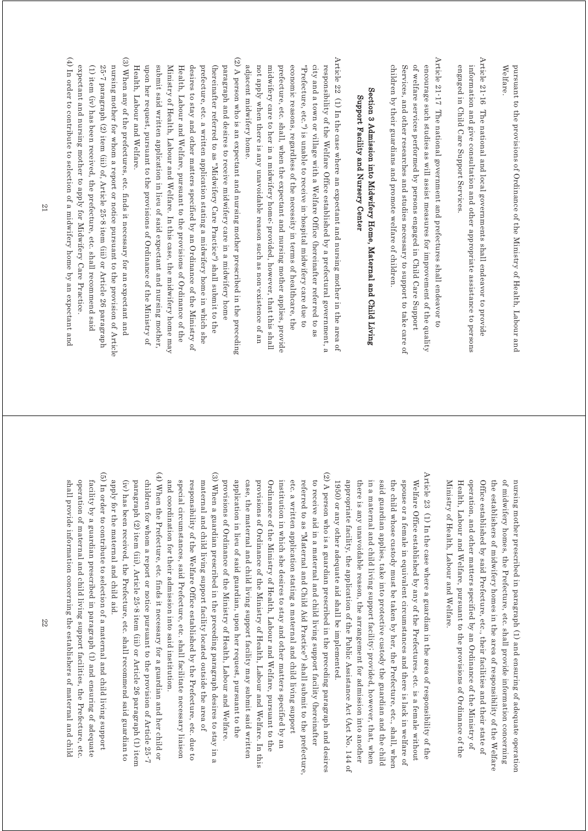pursuant to the provisions of Ordinance of the Ministry of Health, Labour and Welfare Welfare. pursuant to the provisions of Ordinance of the Ministry of Health, Labour and

Article 21-16 The national and local governments shall endeavor to provide Article 21-16 The national and local governments shall endeavor to provide engaged in Child Care Support Services. information and give consultation and other appropriate assistance to persons engaged in Child Care Support Services. information and give consultation and other appropriate assistance to persons

Article 21-17 The national government and prefectures shall endeavor to Article  $21$ -17 The national government and prefectures shall endeavor to of welfare services performed by persons engaged in Child Care Support children by their guardians and promote welfare of children. Services, and other researches and studies necessary to support to take care of encourage such studies as will assist measures for improvement of the quality children by their guardians and promote welfare of children. Services, and other researches and studies necessary to support to take care of of welfare services performed by persons engaged in Child Care Support encourage such studies as will assist measures for improvement of the quality

## Section 3 Admission into Midwifery Home, Maternal and Child Living Section 3 Admission into Midwifery Home, Maternal and Child Living Support Facility and Nursery Center Support Facility and Nursery Center

Article 22 (1) In the case where an expectant and nursing mother in the area of Article 22 (1) In the case where an expectant and nursing mother in the area of adjacent midwifery home. not apply when there is any unavoidable reason such as non-existence of an midwifery care to her in a midwifery home, provided, however, that this shall prefecture, etc. shall, when the expectant and nursing mother applies, provide economic reasons, regardless of the necessity in terms of healthcare, the "Prefecture, etc.") is unable to receive in-hospital midwifery care due to city and a town or village with a Welfare Office (hereinatter referred to as responsibility of the Welfare Office established by a prefectural government, a adjacent midwifery home. not apply when there is any unavoidable reason such as non-existence of an midwifery care to her in a midwifery home; provided, however, that this shall prefecture, etc. shall, when the expectant and nursing mother applies, provide economic reasons, regardless of the necessity in terms of healthcare, the "Prefecture, etc.") is unable to receive in-hospital midwifery care due to city and a town or village with a Welfare Office (hereinafter referred to as responsibility of the Welfare Office established by a prefectural government, a

(2) A person who is an expectant and nursing mother prescribed in the preceding (2) A person who is an expectant and nursing mother prescribed in the preceding Health, Labour and Welfare. upon her request, pursuant to the provisions of Ordinance of the Ministry of submit said written application in lieu of said expectant and nursing mother Ministry of Health, Labour and Welfare. In this case, the midwifery home may Health, Labour and Welfare, pursuant to the provisions of Ordinance of the desires to stay and other matters specified by an Ordinance of the Ministry of prefecture, etc. a written application stating a midwifery home in which she (hereinafter referred to as "Midwifery Care Practice") shall submit to the paragraph and desires to receive midwifery care in a midwifery home Health, Labour and Welfare. upon her request, pursuant to the provisions of Ordinance of the Ministry of submit said written application in lieu of said expectant and nursing mother, Ministry of Health, Labour and Welfare. In this case, the midwifery home may Health, Labour and Welfare, pursuant to the provisions of Ordinance of the desires to stay and other matters specified by an Ordinance of the Ministry of prefecture, etc. a written application stating a midwifery home in which she (hereinafter referred to as "Midwifery Care Practice") shall submit to the paragraph and desires to receive midwifery care in a midwifery home

 $(4)$  In order to contribute to selection of a midwifery home by an expectant and (3) When any of the prefectures, etc. finds it necessary for an expectant and (4) In order to contribute to selection of a midwifery home by an expectant and  $(4)$ (3) When any of the prefectures, etc. finds it necessary for an expectant and nursing mother for whom a report or notice pursuant to the provision of Article expectant and nursing mother to apply for Midwifery Care Practice (1) item (iv) has been received, the prefecture, etc. shall recommend said 25-7 paragraph (2) item (iii) of, Article 25-8 item (iii) or Article 26 paragraph expectant and nursing mother to apply for Midwifery Care Practice. (1) item (iv) has been received, the prefecture, etc. shall recommend said 25-7 paragraph (2) item (iii) of, Article 25-8 item (iii) or Article 26 paragraph nursing mother for whom a report or notice pursuant to the provision of Article

> the establishers of midwifery homes in the area of responsibility of the Welfare of midwifery homes, the Prefecture, etc. shall provide information concerning nursing mother prescribed in paragraph (1) and ensuring of adequate operation Health, Labour and Welfare, pursuant to the provisions of Ordinance of the operation, and other matters specified by an Ordinance of the Ministry of Office established by said Prefecture, etc., their facilities and their state of Ministry of Health, Labour and Welfare. Ministry of Health, Labour and Welfare. Health, Labour and Welfare, pursuant to the provisions of Ordinance of the operation, and other matters specified by an Ordinance of the Ministry of Office established by said Prefecture, etc., their facilities and their state of the establishers of midwifery homes in the area of responsibility of the Welfare of midwifery homes, the Prefecture, etc. shall provide information concerning nursing mother prescribed in paragraph (1) and ensuring of adequate operation

Article 23 (1) In the case where a guardian in the area of responsibility of the Article 23 (1) In the case where a guardian in the area of responsibility of the appropriate facility, the application of the Public Assistance Act (Act No. 144 of spouse or a female in equivalent circumstances and there is lack in welfare of there is any unavoidable reason, the arrangement for admission into another in a maternal and child living support facility; provided, however, that, when said guardian applies, take into protective custody the guardian and the child the child whose custody must be taken by her, the Prefecture, etc., shall, when Welfare Office established by any of the Prefectures, etc. is a female without 1950) or any other adequate aid shall be implemented. appropriate facility, the application of the Public Assistance and the No. 144 of there is any unavoidable reason, the arrangement for admission into another in a maternal and child living support facility; provided, however, that, when said guardian applies, take into protective custody the guardian and the child the child whose custody must be taken by her, the Prefecture, etc., shall, when spouse or a female in equivalent circumstances and there is lack in welfare of Welfare Office established by any of the Prefectures, etc. is a female without 1950) or any other adequate aid shall be implemented.

(3) When a guardian prescribed in the preceding paragraph desires to stay in a (3) When a guardian prescribed in the preceding paragraph desires to stay in a (2) A person who is a guardian prescribed in the preceding paragraph and desires (2) A person who is a guardian prescribed in the preceding paragraph and desires provisions of Ordinance of the Ministry of Health, Labour and Welfare. case, the maternal and child living support facility may submit said written provisions of Ordinance of the Ministry of Health, Labour and Welfare. In this etc. a written application stating a maternal and child living support referred to as "Maternal and Child Aid Practice") shall submit to the prefecture, to receive aid in a maternal and child living support facility (hereinafter application in lieu of said guardian, upon her request, pursuant to the Ordinance of the Ministry of Health, Labour and Welfare, pursuant to the institution in which she desires to stay and other matters specified by an provisions of Ordinance of the Ministry of Health, Labour and Welfare. application in lieu of said guardian, upon her request, pursuant to the case, the maternal and child living supp provisions of Ordinance of the Ministry of Health, Labour and Welfare. In this Ordinance of the Ministry of Health, Labour and Welfare, pursuant to the institution in which she desires to stay and other matters specified by an etc. a written application stating a maternal and child living support referred to as "Maternal and Child Aid Practice") shall submit to the prefecture, to receive aid in a maternal and child living support facility (hereinafter ort facility may submit said written

and coordination for their admission into said institution. special circumstances, said Prefecture, etc. shall facilitate necessary liaison responsibility of the Welfare Office established by the Prefecture, etc. due to maternal and child living support facility located outside the area of and coordination for their admission into said institution. special circumstances, said Prefecture, etc. shall facilitate necessary liaison responsibility of the Welfare Office established by the Prefecture, etc. due to maternal and child living support facility located outside the area of

(4) When the Prefecture, etc. finds it necessary for a guardian and her child or (4) When the Prefecture, etc. finds it necessary for a guardian and her child or (iv) has been received, the Prefecture, etc. shall recommend said guardian to paragraph (2) item (iii), Article 25-8 item (iii) or Article 26 paragraph (1) item children for whom a report or notice pursuant to the provision of Article 25-7 apply for the maternal and child aid. apply for the maternal and child aid. (iv) has been received, the Prefecture, etc. shall recommend said guardian to paragraph (2) item (iii), Article 25-8 item (iii) or Article 26 paragraph (1) item children for whom a report or notice pursuant to the provision of Article 25-7

(5) In order to contribute to selection of a maternal and child living support (5) In order to contribute to selection of a maternal and child living support facility by a guardian prescribed in paragraph (1) and ensuring of adequate shall provide information concerning the establishers of maternal and child operation of maternal and child living support facilities, the Prefecture, etc shall provide information concerning the establishers of maternal and child operation of maternal and child living support facilities, the Prefecture, etc. facility by a guardian prescribed in paragraph (1) and ensuring of adequate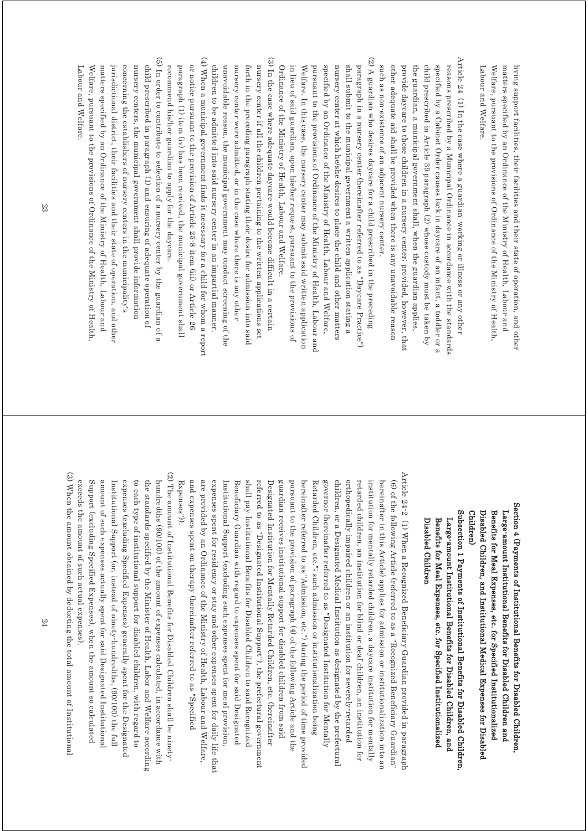Welfare, pursuant to the provisions of Ordinance of the Ministry of Health, matters specified by an Ordinance of the Ministry of Health, Labour and living support facilities, their facilities and their state of operation, and other Labour and Welfare. Labour and Welfare. Welfare, pursuant to the provisions of Ordinance of the Ministry of Health, matters specified by an Ordinance of the Ministry of Health, Labour and living support facilities, their facilities and their state of operation, and other

- Article 24 (1) In the case where a guardian' working or illness or any other Article 24 (1) In the case where a guardian' working or illness or any other such as non-existence of an adjacent nursery center. child prescribed in Article 39 paragraph (2) whose custody must be taken by other adequate aid shall be provided when there is any unavoidable reason provide daycare to those children in a nursery centeri provided, however, that the guardian, a municipal government shall, when the guardian applies, specified by a Cabinet Order causes lack in daycare of an infant, a toddler or a reasons prescribed by a Municipal Ordinance in accordance with the standards such as non-existence of an adjacent nursery center. other adequate aid shall be provided when there is any unavoidable reason provide daycare to those children in a nursery center; provided, however, that the guardian, a municipal government shall, when the guardian applies, child prescribed in Article 39 paragraph (2) whose custody must be taken by specified by a Cabinet Order causes lack in daycare of an infant, a toddler or a reasons prescribed by a Municipal Ordinance in accordance with the standards
- (3) In the case where adequate daycare would become difficult in a certain (2) A guardian who desires daycare for a child prescribed in the preceding (3) In the case where adequate daycare would become difficult in a certain (2) A guardian who desires daycare for a child prescribed in the preceding Ordinance of the Ministry of Health, Labour and Welfare. in lieu of said guardian, upon his/her request, pursuant to the provisions of Welfare. In this case, the nursery center may submit said written application pursuant to the provisions of Ordinance of the Ministry of Health, Labour and specified by an Ordinance of the Ministry of Health, Labour and Welfare, nursery center at which he/she desires to place the child and other matters shall submit to the municipal government a written application stating a paragraph in a nursery center (hereinafter referred to as "Daycare Practice") Ordinance of the Ministry of Health, Labour and Welfare. in lieu of said guardian, upon his/her request, pursuant to the provisions of Welfare. In this case, the nursery center may submit said written application pursuant to the provisions of Ordinance of the Ministry of Health, Labour and specified by an Ordinance of the Ministry of Health, Labour and Welfare, nursery center at which he/she desires to place the child and other matters shall submit to the municipal government a written application stating a paragraph in a nursery center (hereinafter referred to as "Daycare Practice")
- (4) When a municipal government finds it necessary for a child for whom a report (4) When a municipal government finds it necessary for a child for whom a report or notice pursuant to the provision of Article 25-8 item (iii) or Article 26 nursery center if all the children pertaining to the written applications set paragraph (1) item (iv) has been received, the municipal government shall children to be admitted into said nursery center in an impartial manner. unavoidable reason, the municipal government may conduct screening of the nursery center were admitted, or in the case where there is any other forth in the preceding paragraph stating their desire for admission into said paragraph (1) item (iv) has been received, the municipal government shall or notice pursuant to the provision of Article 25-8 item (iii) or Article 26 children to be admitted into said nursery center in an impartial manner. unavoidable reason, the municipal government may conduct screening of the nursery center were admitted, or in the case where there is any other forth in the preceding paragraph stating their desire for admission into said nursery center if all the children pertaining to the written applications set
- $(5)$  In order to contribute to selection of a nursery center by the guardian of a (5) In order to contribute to selection of a nursery center by the guardian of a child prescribed in paragraph (1) and ensuring of adequate operation of Welfare, pursuant to the provisions of Ordinance of the Ministry of Health matters specified by an Ordinance of the Ministry of Health, Labour and jurisdictional district, their facilities and their state of operation, and other jurisdictional district, their facilities and their state of operation, and other concerning the establishers of nursery centers in the municipality's nursery centers, the municipal government shall provide informatior Labour and Welfare. Labour and Welfare. Welfare, pursuant to the provisions of Ordinance of the Ministry of Health, matters specified by an Ordinance of the Ministry of Health, Labour and concerning the establishers of nurs nursery centers, the municipal government shall provide information child prescribed in paragraph (1) and ensuring of adequate operation of ery centers in the municipality's

recommend his/her guardian to apply for the daycare.

recommend his/her guardian to apply for the daycare

Section 4 (Payments of Institutional Benefits for Disabled Children, Section 4 (Payments of Institutional Benefits for Disabled Children, Children) Disabled Children, and Institutional Medical Expenses for Disabled Benefits for Meal Expenses, etc. for Specified Institutionalized Large-amount Institutional Benefits for Disabled Children and Children) Disabled Children, and Institutional Medical Expenses for Disabled Benefits for Meal Expenses, etc. for Specified Institutionalized Large-amount Institutional Benefits for Disabled Children and

Subsection 1 Payments of Institutional Benefits for Disabled Children Subsection 1 Payments of Institutional Benefits for Disabled Children, Benefits for Meal Expenses, etc. for Specified Institutionalized Large-amount Institutional Benefits for Disabled Children, and Disabled Children Disabled Children Benefits for Meal Expenses, etc. for Specified Institutionalized Large-amount Institutional Benefits for Disabled Children, and

Article 24-2 (1) When a Recognized Beneficiary Guardian provided in paragraph Article 24-2 (1) When a Recognized Beneficiary Guardian provided in paragraph and expenses spent on therapy (hereinafter referred to as "Specified are provided by an Ordinance of the Ministry of Health, Labour and Welfare, shall pay Institutional Benefits for Disabled Children to said Recognized referred to as "Designated Institutional Support"), the prefectural government pursuant to the provision of paragraph (4) of the following Article and the children, or a Designated Medical Institution as designated by the prefectural orthopedically impaired children or an institution for severely retarded hereinafter in this Article) applies for admission or institutionalization into an Designated Institution for Mentally Retarded Children, etc. (hereinafter guardian receives institutional support for disabled children from said hereinafter referred to as "Admission, etc.") during the period of time provided governor (hereinafter referred to as "Designated Institution for Mentally retarded children, an institution for blind or deaf children, an institution for institution for mentally retarded children, a daycare institution for mentally (6) of the following Article (referred to as a "Recognized Beneficiary Guardian" Expenses")). Expenses")). and expenses spent on therapy (hereinafter referred to as "Specified are provided by an Ordinance of the Ministry of Health, Labour and Welfare, expenses spent for residency or stay and other expenses spent for daily life that expenses spent for residency or stay and other expenses spent for daily life that Institutional Support (excluding such expenses spent for meal provision. Institutional Support (excluding such expenses spent for meal provision, Beneficiary Guardian with regard to expenses spent for said Designatec Beneficiary Guardian with regard to expenses spent for said Designated shall pay Institutional Benefits for Disabled Children to said Recognized referred to as "Designated Institutional Support"), the prefectural government Designated Institution for Mentally Retarded Children, etc. (hereinafter guardian receives institutional support for disabled children from said pursuant to the provision of paragraph (4) of the following Article and the hereinafter referred to as "Admission, etc.") during the period of time provided Retarded Children, etc."; such admission or institutionalization being Retarded Children, etc."; such admission or institutionalization being governor (hereinafter referred to as "Designated Institution for Mentally children, or a Designated Medical Institution as designated by the prefectural orthopedically impaired children or an institution for severely-retarded retarded children, an institution for blind or deaf children, an institution for institution for mentally retarded children, a daycare institution for mentally hereinafter in this Article) applies for admission or institutionalization into an (6) of the following Article (referred to as a "Recognized Beneficiary Guardian"

(2) The amount of Institutional Benefits for Disabled Children shall be ninety (2) The amount of Institutional Benefits for Disabled Children shall be ninetyhundredths (90/100) of the amount of expenses calculated, in accordance with the standards specified by the Minister of Health, Labor and Welfare according expenses (excluding Specified Expenses) generally spent for the D

(3) When the amount obtained by deducting the total amount of Institutional (3) When the amount obtained by deducting the total amount of Institutional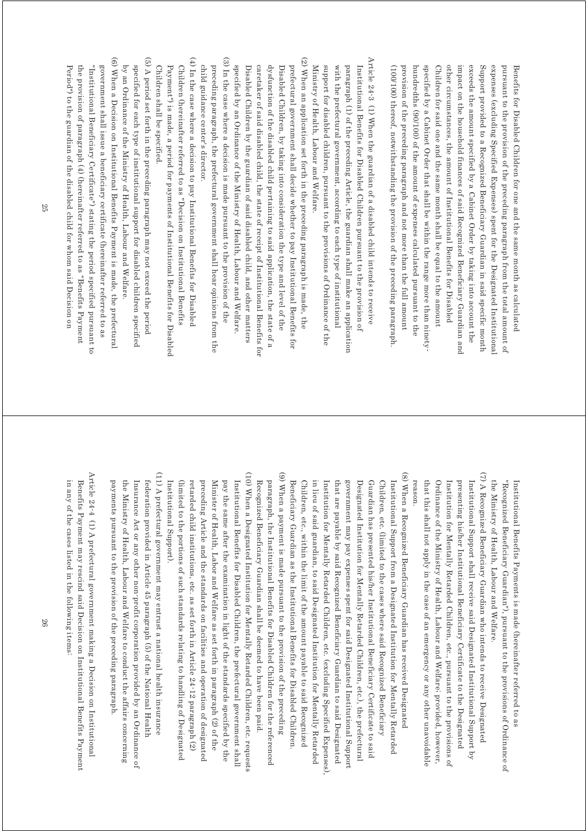(100/100) thereof, notwithstanding the provision of the preceding paragraph provision of the preceding paragraph and not more than the full amount hundredths (90/100) of the amount of expenses calculated pursuant to the specified by a Cabinet Order that shall be within the range more than ninety Children for said one and the same month shall be equal to the amount other circumstances, the amount of Institutional Benefits for Disabled impact on the household finances of said Recognized Beneficiary Guardian and exceeds the amount specified by a Cabinet Order by taking into account the Support provided to a Recognized Beneficiary Guardian in said specific month expenses (excluding Specified Expenses) spent for the Designated Institutional pursuant to the provision of the preceding paragraph from the total amount of (100/100) thereof, notwithstanding the provision of the preceding paragraph. provision of the preceding paragraph and not more than the full amount hundredths (90/100) of the amount of expenses calculated pursuant to the specified by a Cabinet Order that shall be within the range more than ninety-Children for said one and the same month shall be equal to the amount other circumstances, the amount of Institutional Benefits for Disabled impact on the household finances of said Recognized Beneficiary Guardian and exceeds the amount specified by a Cabinet Order by taking into account the Support provided to a Recognized Beneficiary Guardian in said specific month expenses (excluding Specified Expenses) spent for the Designated Institutional pursuant to the provision of the preceding paragraph from the total amount of Benefits for Disabled Children for one and the same month as calculated Benefits for Disabled Children for one and the same month as calculated

Article  $24\text{-}3$  (1) When the guardian of a disabled child intends to receive Article 24-3 (1) When the guardian of a disabled child intends to receive Ministry of Health, Labour and Welfare. support for disabled children, pursuant to the provisions of Ordinance of the with the prefectural government, according to each type of institutional paragraph (1) of the preceding Article, the guardian shall make an application Institutional Benefits for Disabled Children pursuant to the provision of Ministry of Health, Labour and Welfare. support for disabled children, pursuant to the provisions of Ordinance of the with the prefectural government, according to each type of institutional paragraph (1) of the preceding Article, the guardian shall make an application Institutional Benefits for Disabled Children pursuant to the provision of

(3) In the case where a decision is made pursuant to the provision of the (2) When an application set forth in the preceding paragraph is made, the (3) In the case where a decision is made pursuant to the provision of the (2) When an application set forth in the preceding paragraph is made, the preceding paragraph, the prefectural government shall hear opinions from the caretaker of said disabled child, the state of receipt of Institutional Benefits for dysfunction of the disabled child pertaining to said application, the state of a prefectural government shall decide whether to pay Institutional Benefits for specified by an Ordinance of the Ministry of Health, Labour and Welfare. Disabled Children by the guardian of said disabled child, and other matters Disabled Children, by taking into consideration the type and level of the preceding paragraph, the prefectural government shall hear opinions from the specified by an Ordinance of the Ministry of Health, Labour and Welfare. Disabled Children by the guardian of said disabled child, and other matters caretaker of said disabled child, the state of receipt of Institutional Benefits for dysfunction of the disabled child pertaining to said application, the state of a Disabled Children, by taking into consideration the type and level of the prefectural government shall decide whether to pay Institutional Benefits for

(4) In the case where a decision to pay Institutional Benefits for Disablec (4) In the case where a decision to pay Institutional Benefits for Disabled Children shall be specified. Payment") is made, a period for payments of Institutional Benefits for Disabled Children (hereinafter referred to as "Decision on Institutional Benefits child guidance center's director. Children shall be specified. Payment") is made, a period for payments of Institutional Benefits for Disabled Children (hereinafter referred to as "Decision on Institutional Benefits

child guidance center's director.

(6) When a Decision on Institutional Benefits Payment is made, the prefectural  $(5)$  A period set forth in the preceding paragraph may not exceed the period (6) When a Decision on Institutional Benefits Payment is made, the prefectural (5) A period set forth in the preceding paragraph may not exceed the period specified for each type of institutional support for disabled children specified by an Ordinance of the Ministry of Health, Labour and Welfare. by an Ordinance of the Ministry of Health, Labour and Welfare. specified for each type of institutional support for disabled children specified

Period") to the guardian of the disabled child for whom said Decision on the provision of paragraph  $(4)$  (hereinafter referred to as "Benefits Payment "Institutional Beneficiary Certificate") stating the period specified pursuant to government shall issue a beneficiary certificate (hereinafter referred to as Period") to the guardian of the disabled child for whom said Decision on the provision of paragraph (4) (hereinafter referred to as "Benefits Payment "Institutional Beneficiary Certificate") stating the period specified pursuant to government shall issue a beneficiary certificate (hereinafter referred to as

> the Ministry of Health, Labour and Welfare. the Ministry of Health, Labour and Welfare. "Recognized Beneficiary Guardian"), pursuant to the provisions of Ordinance of "Recognized Beneficiary Guardian"), pursuant to the provisions of Ordinance of Institutional Benefits Payments is made (hereinafter referred to as Institutional Benefits Payments is made (hereinafter referred to as

(7) A Recognized Beneficiary Guardian who intends to receive Designated (7) A Recognized Beneficiary Guardian who intends to receive Designated Ordinance of the Ministry of Health, Labour and Welfare, provided, however, presenting his/her Institutional Beneficiary Certificate to the Designated reason. that this shall not apply in the case of an emergency or any other unavoidable that this shall not apply in the case of an emergency or any other unavoidable Ordinance of the Ministry of Health, Labour and Welfare; provided, however, Institution for Mentally Retarded Children, etc., pursuant to the provisions of Institution for Mentally Retarded Children, etc., pursuant to the provisions of presenting his/her Institutional Beneficiary Certificate to the Designated Institutional Support shall receive said Designated Institutional Support by Institutional Support shall receive said Designated Institutional Support by

(8) When a Recognized Beneficiary Guardian has received Designated (8) When a Recognized Beneficiary Guardian has received Designated Children, etc., within the limit of the amount payable to said Recognized in lieu of said guardian, to said Designated Institution for Mentally Retarded Institution for Mentally Retarded Children, etc. (excluding Specified Expenses) government may pay expenses spent for said Designated Institutional Suppor Designated Institution for Mentally Retarded Children, etc.), the prefectural Guardian has presented his/her Institutional Beneficiary Certificate to said Children, etc. (limited to the cases where said Recognized Beneficiary Institutional Support from a Designated Institution for Mentally Ketarded Beneficiary Guardian as the Institutional Benefits for Disabled Children Beneficiary Guardian as the Institutional Benefits for Disabled Children. Children, etc., within the limit of the amount payable to said Recognized in lieu of said guardian, to said Designated Institution for Mentally Retarded Institution for Mentally Retarded Children, etc. (excluding Specified Expenses), that are payable by said Recognized Beneficiary Guardian to said Designated that are payable by said Recognized Beneficiary Guardian to said Designated government may pay expenses spent for said Designated Institutional Support Designated Institution for Mentally Retarded Children, etc.), the prefectural Guardian has presented his/her Institutional Beneficiary Certificate to said Children, etc. (limited to the cases where said Recognized Beneficiary Institutional Support from a Designated Institution for Mentally Retarded

(10) When a Designated Institution for Mentally Retarded Children, etc. requests (10) When a Designated Institution for Mentally Retarded Children, etc. requests (9) When a payment is made pursuant to the provision of the preceding (9) When a payment is made pursuant to the provision of the preceding Minister of Health, Labor and Welfare as set forth in paragraph (2) of the pay the same after the examination in light of the standards specified by the Institutional Benefits for Disabled Children, the prefectural government shall paragraph, the Institutional Benefits for Disabled Children for the referenced preceding Article and the standards on facilities and operation of designated Recognized Beneficiary Guardian shall be deemed to have been paid. Minister of Health, Labor and Welfare as set forth in paragraph (2) of the pay the same after the examination in light of the standards specified by the Institutional Benefits for Disabled Children, the prefectural government shall Recognized Beneficiary Guardian shall be deemed to have been paid. paragraph, the Institutional Benefits for Disabled Children for the referenced

(11) A prefectural government may entrust a national health insurance (11) A prefectural government may entrust a national health insurance payments pursuant to the provision of the preceding paragraph. federation provided in Article 45 paragraph (5) of the National Health Institutional Support) payments pursuant to the provision of the preceding paragraph. the Ministry of Health, Labour and Welfare to conduct the affairs concerning the Ministry of Health, Labour and Welfare to conduct the affairs concerning Insurance Act or any other non-profit corporation provided by an Ordinance of Insurance Act or any other non-profit corporation provided by an Ordinance of federation provided in Article 45 paragraph (5) of the National Health Institutional Support).

(limited to the portions of such standards relating to handling of Designated retarded child institutions, etc. as set forth in Article 24-12 paragraph (2) preceding Article and the standards on facilities and operation of designated

(limited to the portions of such standards relating to handling of Designated retarded child institutions, etc. as set forth in Article 24-12 paragraph (2)

Article 24-4 (1) A prefectural government making a Decision on Institutional Article 24-4 (1) A prefectural government making a Decision on Institutional in any of the cases listed in the following items. Benefits Payment may rescind said Decision on Institutional Benefits Payment in any of the cases listed in the following items: Benefits Payment may rescind said Decision on Institutional Benefits Payment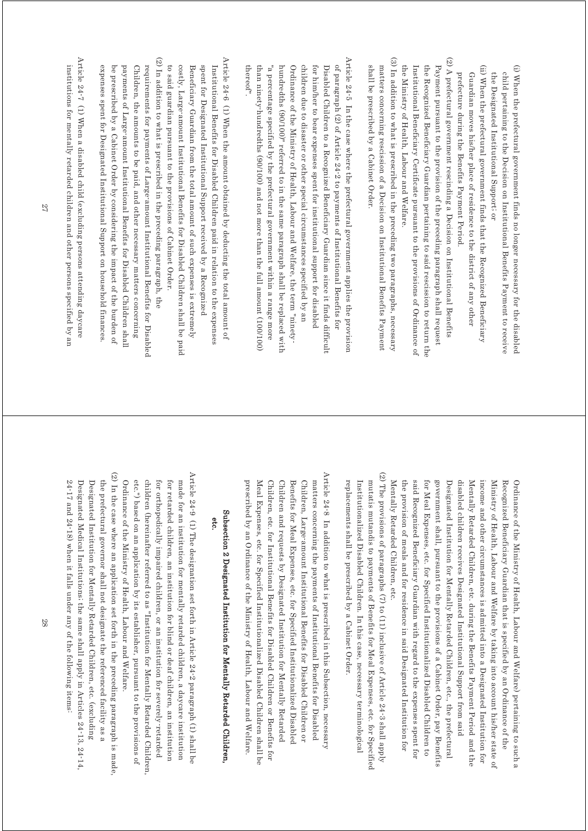- (i) When the prefectural government finds no longer necessary for the disabled (i) When the prefectural government finds no longer necessary for the disabled child pertaining to the Decision on Institutional Benefits Payment to receive the Designated Institutional Support; or the Designated Institutional Support; or child pertaining to the Decision on Institutional Benefits Payment to receive
- (ii) When the prefectural government finds that the Recognized Beneficiary (ii) When the prefectural government finds that the Recognized Beneficiary prefecture during the Benefits Payment Period. Guardian moves his/her place of residence to the district of any other prefecture during the Benefits Payment Period. Guardian moves his/her place of residence to the district of any other
- (2) A prefectural government rescinding a Decision on Institutional Benefits (2) A prefectural government rescinding a Decision on Institutional Benefits the Ministry of Health, Labour and Welfare. Institutional Beneficiary Certificate pursuant to the provisions of Ordinance of the Recognized Beneficiary Guardian pertaining to said rescission to return the Payment pursuant to the provision of the preceding paragraph shall request the Ministry of Health, Labour and Welfare. Institutional Beneficiary Certificate pursuant to the provisions of Ordinance of the Recognized Beneficiary Guardian pertaining to said rescission to return the Payment pursuant to the provision of the preceding paragraph shall request
- (3) In addition to what is prescribed in the preceding two paragraphs, necessary (3) In addition to what is prescribed in the preceding two paragraphs, necessary shall be prescribed by a Cabinet Order. matters concerning rescission of a Decision on Institutional Benefits Payment shall be prescribed by a Cabinet Order. matters concerning rescission of a Decision on Institutional Benefits Payment
- Article  $24^{\circ}5$  In the case where the prefectural government applies the provision Article 24-5 In the case where the prefectural government applies the provision of paragraph (2) of Article 24-2 to payments of Institutional Benefits for thereof" than ninety-hundredths (90/100) and not more than the full amount (100/100) "a percentage specified by the prefectural government within a range more hundredths (90/100)" referred to in the same paragraph shall be replaced with Ordinance of the Ministry of Health, Labour and Welfare, the term "ninetychildren due to disaster or other special circumstances specified by an for him/her to bear expenses spent for institutional support for disabled Disabled Children to a Recognized Beneficiary Guardian since it finds difficult thereof". than ninety-hundredths (90/100) and not more than the full amount (100/100) "a percentage specified by the prefectural government within a range more hundredths (90/100)" referred to in the same paragraph shall be replaced with Ordinance of the Ministry of Health, Labour and Welfare, the term "ninetychildren due to disaster or other special circumstances specified by an for him/her to bear expenses spent for institutional support for disabled Disabled Children to a Recognized Beneficiary Guardian since it finds difficult of paragraph (2) of Article 24-2 to payments of Institutional Benefits for
- (2) In addition to what is prescribed in the preceding paragraph, the Article 24-6 (1) When the amount obtained by deducting the total amount of (2) In addition to what is prescribed in the preceding paragraph, the Article 24-6 (1) When the amount obtained by deducting the total amount of spent for Designated Institutional Support received by a Recognized to said guardian pursuant to the provisions of Cabinet Order. costly, Large-amount Institutional Benefits for Disabled Children shall be paid Beneficiary Guardian from the total amount of such expenses is extremely Institutional Benefits for Disabled Children paid in relation to the expenses to said guardian pursuant to the provisions of Cabinet Order. costly, Large-amount Institutional Benefits for Disabled Children shall be paid Beneficiary Guardian from the total amount of such expenses is extremely spent for Designated Institutional Support received by a Recognized Institutional Benefits for Disabled Children paid in relation to the expenses
- expenses spent for Designated Institutional Support on household finances be prescribed by a Cabinet Order by considering the impact of the burden of payments of Large-amount Institutional Benefits for Disabled Children shall Children, the amounts to be paid, and other necessary matters concerning requirements for payments of Large-amount Institutional Benefits for Disabled expenses spent for Designated Institutional Support on household finances. be prescribed by a Cabinet Order by considering the impact of the burden of payments of Large-amount Institutional Benefits for Disabled Children shall Children, the amounts to be paid, and other necessary matters concerning requirements for payments of Large-amount Institutional Benefits for Disabled
- Article 24-7 (1) When a disabled child (excluding persons attending daycare Article 24-7 (1) When a disabled child (excluding persons attending daycare institutions for mentally retarded children and other persons specified by an institutions for mentally retarded children and other persons specified by an

said Recognized Beneficiary Guardian with regard to the expenses spent for government shall, pursuant to the provisions of a Cabinet Order, pay Benefits Mentally Retarded Children, etc. the provision of meals and for residence in said Designated Institution for for Meal Expenses, etc. for Specified Institutionalized Disabled Children to Designated Institution for Mentally Retarded Children, etc., the prefectural disabled children receives Designated Institutional Support from said Mentally Retarded Children, etc. during the Benefits Payment Period and the Ministry of Health, Labour and Welfare by taking into account his/her state of Recognized Beneficiary Guardian that is specified by an Ordinance of the Mentally Retarded Children, etc. the provision of meals and for residence in said Designated Institution for said Recognized Beneficiary Guardian with regard to the expenses spent for for Meal Expenses, etc. for Specified Institutionalized Disabled Children to government shall, pursuant to the provisions of a Cabinet Order, pay Benefits Designated Institution for Mentally Retarded Children, etc., the prefectural disabled children receives Designated Institutional Support from said Mentally Retarded Children, etc. during the Benefits Payment Period and the income and other circumstances is admitted into a Designated Institution for income and other circumstances is admitted into a Designated Institution for Ministry of Health, Labour and Welfare by taking into account his/her state of Recognized Beneficiary Guardian that is specified by an Ordinance of the Ordinance of the Ministry of Health, Labour and Welfare) pertaining to such a Ordinance of the Ministry of Health, Labour and Welfare) pertaining to such a

- (2) The provisions of paragraphs (7) to (11) inclusive of Article 24-3 shall apply (2) The provisions of paragraphs (7) to (11) inclusive of Article 24-3 shall apply replacements shall be prescribed by a Cabinet Order mutatis mutandis to payments of Benefits for Meal Expenses, etc. for Specified Institutionalized Disabled Children. In this case, necessary terminological replacements shall be prescribed by a Cabinet Order. Institutionalized Disabled Children. In this case, necessary terminological mutatis mutandis to payments of Benefits for Meal Expenses, etc. for Specified
- Article 24-8 In addition to what is prescribed in this Subsection, necessary Article 24-8 In addition to what is prescribed in this Subsection, necessary Children and requests by Designated Institution for Mentally Retarded prescribed by an Ordinance of the Ministry of Health, Labour and Welfare. Meal Expenses, etc. for Specified Institutionalized Disabled Children shall be Children, etc. for Institutional Benefits for Disabled Children or Benefits for Benefits for Meal Expenses, etc. for Specified Institutionalized Disabled Children, Large-amount Institutional Benefits for Disabled Children or matters concerning the payments of Institutional Benefits for Disabled prescribed by an Ordinance of the Ministry of Health, Labour and Welfare. Meal Expenses, etc. for Specified Institutionalized Disabled Children shall be Children, etc. for Institutional Benefits for Disabled Children or Benefits for Children and requests by Designated Institution for Mentally Retarded Benefits for Meal Expenses, etc. for Specified Institutionalized Disabled Children, Large-amount Institutional Benefits for Disabled Children or matters concerning the payments of Institutional Benefits for Disabled

# Subsection 2 Designated Institution for Mentally Retarded Children. Subsection 2 Designated Institution for Mentally Retarded Children, etc.

- Article 24-9 (1) The designation set for  $24$ -2 paragraph (1) shall be Article 24-9 (1) The designation set forth in Article 24-2 paragraph (1) shall be Ordinance of the Ministry of Health, Labour and Welfare. etc.") based on an application by its establisher, pursuant to the provisions of children (hereinafter referred to as "Institution for Mentally Retarded Children for orthopedically impaired children, or an institution for severely-retarded for retarded children, an institution for blind or deaf children, an institution made for an institution for mentally retarded children, a daycare institution Ordinance of the Ministry of Health, Labour and Welfare. etc.") based on an application by its establisher, pursuant to the provisions of children (hereinafter referred to as "Institution for Mentally Retarded Children, for orthopedically impaired children, or an institution for severely-retarded for retarded children, an institution for blind or deaf children, an institution made for an institution for mentally retarded children, a daycare institution
- (2) In the case where an application set forth in the preceding paragraph is made, (2) In the case where an application set forth in the preceding paragraph is made, Designated Institution for Mentally Retarded Children, etc. (excluding  $24$ -17 and  $24$ -18) when it falls under any of the following items. Designated Medical Institutions; the same shall apply in Articles 24-13, 24-14, the prefectural governor shall not designate the referenced facility as a 24-17 and 24-18) when it falls under any of the following items: Designated Medical Institutions; the same shall apply in Articles 24-13, 24-14, Designated Institution for Mentally Retarded Children, etc. (excluding the prefectural governor shall not designate the referenced facility as a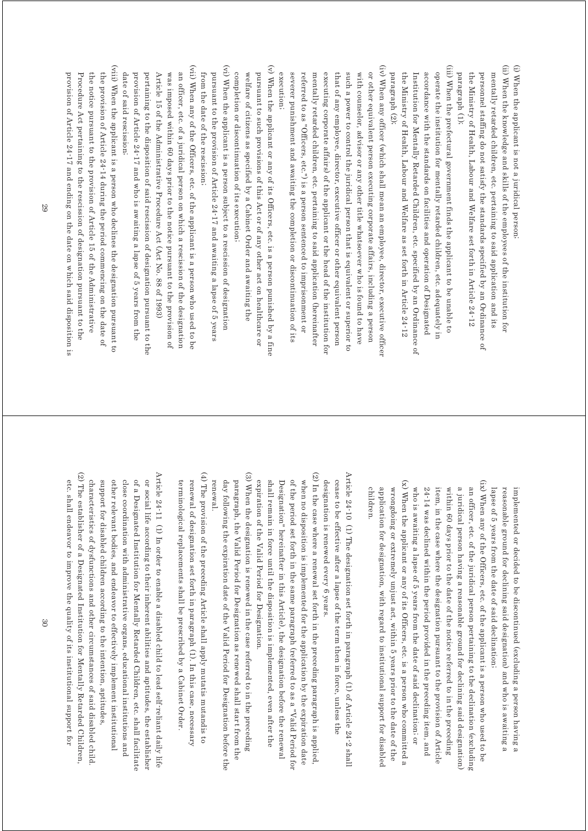(ii) When the knowledge and skills of the employees of the institution for (i) When the applicant is not a juridical person (ii) When the knowledge and skills of the employees of the institution for (i) When the applicant is not a juridical person; the Ministry of Health, Labour and Welfare set forth in Article 24-12 personnel staffing do not satisfy the standards specified by an Ordinance of mentally retarded children, etc. pertaining to said application and its the Ministry of Health, Labour and Welfare set forth in Article 24-12 personnel staffing do not satisfy the standards specified by an Ordinance of mentally retarded children, etc. pertaining to said application and its

paragraph (1);

paragraph (1);

(iii) When the prefectural government finds the applicant to be unable to (iii) When the prefectural government finds the applicant to be unable to operate the institution for mentally retarded children, etc. adequately in the Ministry of Health, Labour and Welfare as set forth in Article 24-12 accordance with the standards on facilities and operation of Designated paragraph (2); Institution for Mentally Retarded Children, etc. specified by an Ordinance of paragraph (2); the Ministry of Health, Labour and Welfare as set forth in Article 24-12 Institution for Mentally Retarded Children, etc. specified by an Ordinance of accordance with the standards on facilities and operation of Designated operate the institution for mentally retarded children, etc. adequately in

(iv) When any officer (which shall mean an employee, director, executive officer (iv) When any officer (which shall mean an employee, director, executive officer or other equivalent person executing corporate affairs, including a person execution; severer punishment and awaiting the completion or discontinuation of its referred to as "Officers, etc.") is a person sentenced to imprisonment or mentally retarded children, etc. pertaining to said application (hereinafter executing corporate affairs) of the applicant or the head of the institution for that of any employee, director, executive officer or other equivalent person such a power to control the juridical person that is equivalent or superior to with counselor, advisor or any other title whatsoever who is found to have execution; severer punishment and awaiting the completion or discontinuation of its referred to as "Officers, etc.") is a person sentenced to imprisonment or mentally retarded children, etc. pertaining to said application (hereinafter executing corporate affairs) of the applicant or the head of the institution for that of any employee, director, executive officer or other equivalent person such a power to control the juridical person that is equivalent or superior to with counselor, advisor or any other title whatsoever who is found to have or other equivalent person executing corporate affairs, including a person

(v) When the applicant or any of its Officers, etc. is a person punished by a fine (v) When the applicant or any of its Officers, etc. is a person punished by a fine completion or discontinuation of its execution; welfare of citizens as specified by a Cabinet Order and awaiting the pursuant to such provisions of this Act or of any other act on healthcare or completion or discontinuation of its execution; welfare of citizens as specified by a Cabinet Order and awaiting the pursuant to such provisions of this Act or of any other act on healthcare or

(vi) When the applicant is a person subject to a rescission of designation (vi) When the applicant is a person subject to a rescission of designation pursuant to the provision of Article 24-17 and awaiting a lapse of 5 years from the date of the rescission; from the date of the rescission; pursuant to the provision of Article  $24$ -17 and awaiting a lapse of 5 years

(vii) When any of the Officers, etc. of the applicant is a person who used to be (vii) When any of the Officers, etc. of the applicant is a person who used to be was imposed within 60 days prior to the notice pursuant to the provision of date of said rescission; provision of Article 24-17 and who is awaiting a lapse of 5 years from the pertaining to the disposition of said rescission of designation pursuant to the Article 15 of the Administrative Procedure Act (Act No. 88 of 1993) an officer, etc. of a juridical person on which a rescission of the designation date of said rescission; provision of Article 24-17 and who is awaiting a lapse of 5 years from the pertaining to the disposition of said rescission of designation pursuant to the Article 15 of the Administrative Procedure Act (Act No. 88 of 1993) was imposed within 60 days prior to the notice pursuant to the provision of an officer, etc. of a juridical person on which a rescission of the designation

(viii) When the applicant is a person who declines the designation pursuant to (viii) When the applicant is a person who declines the designation pursuant to provision of Article 24-17 and ending on the date on which said disposition is Procedure Act pertaining to the rescission of designation pursuant to the the notice pursuant to the provision of Article 15 of the Administrative the provision of Article 24-14 during the period commencing on the date of provision of Article 24-17 and ending on the date on which said disposition is Procedure Act pertaining to the rescission of designation pursuant to the the notice pursuant to the provision of Article 15 of the Administrative the provision of Article 24-14 during the period commencing on the date of

> lapse of 5 years from the date of said declination; lapse of 5 years from the date of said declination; reasonable ground for declining said designation) and who is awaiting a reasonable ground for declining said designation) and who is awaiting a implemented or decided to be discontinued (excluding a person having a implemented or decided to be discontinued (excluding a person having a

(x) When the applicant or any of its Officers, etc. is a person who committed a (ix) When any of the Officers, etc. of the applicant is a person who used to be (x) When the applicant or any of its Officers, etc. is a person who committed a (ix) When any of the Officers, etc. of the applicant is a person who used to be who is awaiting a lapse of 5 years from the date of said declination, or within 60 days prior to the date of the notice referred to in the preceding a juridical person having a reasonable ground for declining said designation) children application for designation, with regard to institutional support for disablec 24-14 was declined within the period provided in the preceding item, and item, in the case where the designation pursuant to the provision of Article an officer, etc. of the juridical person pertaining to the declination (excluding children. application for designation, with regard to institutional support for disabled wrongdoing or extremely unjust act, within 5 years prior to the date of the wrongdoing or extremely unjust act, within 5 years prior to the date of the who is awaiting a lapse of 5 years from the date of said declination; or  $24$ -14 was declined within the period provided in the preceding item, and item, in the case where the designation pursuant to the provision of Article within 60 days prior to the date of the notice referred to in the preceding a juridical person having a reasonable ground for declining said designation) an officer, etc. of the juridical person pertaining to the declination (excluding

Article 24-10 (1) The designation set forth in paragraph (1) of Article 24-2 shall Article 24-10 (1) The designation set forth in paragraph (1) of Article 24-2 shall designation is renewed every 6 years. cease to be effective after a lapse of the term then in force, unless the designation is renewed every 6 years. cease to be effective after a lapse of the term then in force, unless the

(2) In the case where a renewal set forth in the preceding paragraph is applied (2) In the case where a renewal set forth in the preceding paragraph is applied, when no disposition is implemented for the application by the expiration date expiration of the Valid Period for Designation. shall remain in force until the disposition is implemented, even after the of the period set forth in the same paragraph (referred to as a "Valid Period for Designation" hereinafter in this Article), the designation before the renewal expiration of the Valid Period for Designation. shall remain in force until the disposition is implemented, even after the Designation" hereinafter in this Article), the designation before the renewal of the period set forth in the same paragraph (referred to as a "Valid Period for when no disposition is implemented for the application by the expiration date

(3) When the designation is renewed in the case referred to in the preceding (3) When the designation is renewed in the case referred to in the preceding renewal day following the expiration date of the Valid Period for Designation before the paragraph, the Valid Period for Designation as renewed shall start from the renewal. day following the expiration date of the Valid Period for Designation before the paragraph, the Valid Period for Designation as renewed shall start from the

 $(4)$  The provision of the preceding Article shall apply mutatis mutandis to (4) The provision of the preceding Article shall apply mutatis mutandis to terminological replacements shall be prescribed by a Cabinet Order. renewal of designation set forth in paragraph (1). In this case, necessary terminological replacements shall be prescribed by a Cabinet Order. renewal of designation set forth in paragraph (1). In this case, necessary

(2) The establisher of a Designated Institution for Mentally Retarded Children (2) The establisher of a Designated Institution for Mentally Retarded Children, Article 24-11 (1) In order to enable a disabled child to lead self-reliant daily life Article 24-11 (1) In order to enable a disabled child to lead self-reliant daily life close coordination with administrative organs, educational institutions and of a Designated Institution for Mentally Retarded Children, etc. shall facilitate or social life according to their inherent abilities and aptitudes, the establisher characteristics of dysfunctions and other circumstances of said disabled child support for disabled children according to the intention, aptitudes other relevant bodies, and endeavor to effectively implement institutional etc. shall endeavor to improve the quality of its institutional support for etc. shall endeavor to improve the quality of its institutional support for characteristics of dysfunctions and other circumstances of said disabled child. support for disabled children according to the intention, aptitudes, other relevant bodies, and endeavor to effectively implement institutional close coordination with administrative organs, educational institutions and of a Designated Institution for Mentally Retarded Children, etc. shall facilitate or social life according to their inherent abilities and aptitudes, the establisher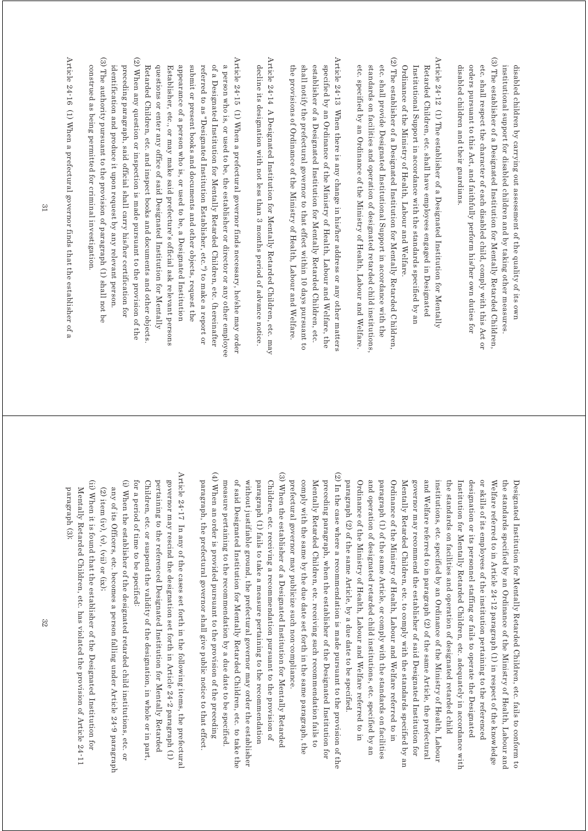(3) The establisher of a Designated Institution for Mentally Retarded Children, (3) The establisher of a Designated Institution for Mentally Retarded Children, etc. shall respect the character of each disabled child, comply with this Act or institutional support for disabled children and by taking other measures. disabled children and their guardians. orders pursuant to this Act, and faithfully perform his/her own duties for disabled children by carrying out assessment of the quality of its own disabled children and their guardians. orders pursuant to this Act, and faithfully perform his/her own duties for etc. shall respect the character of each disabled child, comply with this Act or institutional support for disabled children and by taking other measures. disabled children by carrying out assessment of the quality of its own

(2) The establisher of a Designated Institution for Mentally Retarded Children Article 24-12 (1) The establisher of a Designated Institution for Mentally (2) The establisher of a Designated Institution for Mentally Retarded Children, Article 24-12 (1) The establisher of a Designated Institution for Mentally etc. shall provide Designated Institutional Support in accordance with the standards on facilities and operation of designated retarded child institutions Ordinance of the Ministry of Health, Labour and Welfare etc. specified by an Ordinance of the Ministry of Health, Labour and Welfare Institutional Support in accordance with the standards specified by an Retarded Children, etc. shall have employees engaged in Designated etc. specified by an Ordinance of the Ministry of Health, Labour and Welfare. standards on facilities and operation of designated retarded child institutions, etc. shall provide Designated Institutional Support in accordance with the Ordinance of the Ministry of Health, Labour and Welfare. Institutional Support in accordance with the standards specified by an Retarded Children, etc. shall have employees engaged in Designated

Article 24-13 When there is any change in his/her address or any other matters Article 24-13 When there is any change in his/her address or any other matters specified by an Ordinance of the Ministry of Health, Labour and Welfare, the the provisions of Ordinance of the Ministry of Health, Labour and Welfare. shall notify the prefectural governor to that effect within 10 days pursuant to establisher of a Designated Institution for Mentally Retarded Children, etc. the provisions of Ordinance of the Ministry of Health, Labour and Welfare. shall notify the prefectural governor to that effect within 10 days pursuant to establisher of a Designated Institution for Mentally Retarded Children, etc. specified by an Ordinance of the Ministry of Health, Labour and Welfare, the

Article 24-14 A Designated Institution for Mentally Retarded Children, etc. may Article  $24$ -14 A Designated Institution for Mentally Retarded Children, etc. may decline its designation with not less than 3 months period of advance notice decline its designation with not less than 3 months period of advance notice.

(3) The authority pursuant to the provision of paragraph (1) shall not be (2) When any question or inspection is made pursuant to the provision of the Article 24-15 (1) When a prefectural governor finds necessary, he/she may order (3) The authority pursuant to the provision of paragraph (1) shall not be (2) When any question or inspection is made pursuant to the provision of the Article 24-15 (1) When a prefectural governor finds necessary, he/she may order a person who is, or used to be, the establisher or director or any other employee preceding paragraph, said official shall carry his/her certification for referred to as "Designated Institution Establisher, etc.") to make a report or of a Designated Institution for Mentally Retarded Children, etc. (hereinafter construed as being permitted for criminal investigation. identification and produce it upon request by any relevant person. Retarded Children, etc. and inspect books and documents and other objects questions or enter any office of said Designated Institution for Mentally Establisher, etc., or may make said prefecture's official ask relevant persons appearance of a person who is, or used to be, a Designated Institution submit or present books and documents and other objects, request the construed as being permitted for criminal investigation. identification and produce it upon request by any relevant person. preceding paragraph, said official shall carry his/her certification for Retarded Children, etc. and inspect books and documents and other objects. questions or enter any office of said Designated Institution for Mentally Establisher, etc., or may make said prefecture's official ask relevant persons appearance of a person who is, or used to be, a Designated Institution submit or present books and documents and other objects, request the referred to as "Designated Institution Establisher, etc.") to make a report or of a Designated Institution for Mentally Retarded Children, etc. (hereinafter a person who is, or used to be, the establisher or director or any other employee

Article 24-16 (1) When a prefectural governor finds that the establisher of a Article 24-16 (1) When a prefectural governor finds that the establisher of a

> (2) In the case where a recommendation is made pursuant to the provision of the (2) In the case where a recommendation is made pursuant to the provision of the Mentally Retarded Children, etc. receiving such recommendation fails to preceding paragraph, when the establisher of the Designated Institution for Ordinance of the Ministry of Health, Labour and Welfare referred to in and operation of designated retarded child institutions, etc. specified by an governor may recommend the establisher of said Designated Institution for and Welfare referred to in paragraph (2) of the same Article, the prefectural paragraph (2) of the same Article, by a due date to be specified paragraph (1) of the same Article, or comply with the standards on facilities Ordinance of the Ministry of Health, Labour and Welfare referred to in Mentally Retarded Children, etc. to comply with the standards specified by an institutions, etc. specified by an Ordinance of the Ministry of Health, Labour Institution for Mentally Retarded Children, etc. adequately in accordance with or skills of its employees of the institution pertaining to the referenced Welfare referred to in Article 24-12 paragraph (1) in respect of the knowledge the standards specified by an Ordinance of the Ministry of Health, Labour and Mentally Retarded Children, etc. receiving such recommendation fails to preceding paragraph, when the establisher of the Designated Institution for paragraph (2) of the same Article, by a due date to be specified. Ordinance of the Ministry of Health, Labour and Welfare referred to in and operation of designated retarded child institutions, etc. specified by an paragraph (1) of the same Article, or comply with the standards on facilities Ordinance of the Ministry of Health, Labour and Welfare referred to in Mentally Retarded Children, etc. to comply with the standards specified by an governor may recommend the establisher of said Designated Institution for and Welfare referred to in paragraph (2) of the same Article, the prefectural institutions, etc. specified by an Ordinance of the Ministry of Health, Labour the standards on facilities and operation of designated retarded child the standards on facilities and operation of designated retarded child Institution for Mentally Retarded Children, etc. adequately in accordance with designation or its personnel staffing or fails to operate the Designated designation or its personnel staffing or fails to operate the Designated or skills of its employees of the institution pertaining to the referenced Welfare referred to in Article 24-12 paragraph (1) in respect of the knowledge the standards specified by an Ordinance of the Ministry of Health, Labour and Designated Institution for Mentally Retarded Children, etc. fails to conform to Designated Institution for Mentally Retarded Children, etc. fails to conform to

(4) When an order is provided pursuant to the provision of the preceding (4) When an order is provided pursuant to the provision of the preceding (3) When the establisher of a Designated Institution for Mentally Retarded (3) When the establisher of a Designated Institution for Mentally Retarded paragraph, the prefectural governor shall give public notice to that effect. measure pertaining to the recommendation by a due date to be specified. of said Designated Institution for Mentally Retarded Children, etc. to take the without justifiable ground, the prefectural governor may order the establisher paragraph (1) fails to take a measure pertaining to the recommendation Children, etc. receiving a recommendation pursuant to the provision of prefectural governor may publicize such non-compliance. paragraph, the prefectural governor shall give public notice to that effect. measure pertaining to the recommendation by a due date to be specified. of said Designated Institution for Mentally Retarded Children, etc. to take the without justifiable ground, the prefectural governor may order the establisher paragraph (1) fails to take a measure pertaining to the recommendation Children, etc. receiving a recommendation pursuant to the provision of prefectural governor may publicize such non-compliance.

comply with the same by the due date set forth in the same paragraph, the

comply with the same by the due date set forth in the same paragraph, the

Article  $24\text{-}17$  In any of the cases set forth in the following items, the prefectural Article  $24$ -17 In any of the cases set forth in the following items, the prefectural Children, etc. or suspend the validity of the designation, in whole or in part, governor may rescind the designation set forth in Article 24-2 paragraph (1) for a period of time to be specified. pertaining to the referenced Designated Institution for Mentally Retarded for a period of time to be specified: Children, etc. or suspend the validity of the designation, in whole or in part, pertaining to the referenced Designated Institution for Mentally Retarded governor may rescind the designation set forth in Article 24-2 paragraph (1)

(i) When the establisher of the designated retarded child institutions, etc. or (i) When the establisher of the designated retarded child institutions, etc. or (2) item (iv), (y), (yii) or (ix); any of its Officers, etc. becomes a person falling under Article 24-9 paragraph any of its Officers, etc. becomes a person falling under Article 24-9 paragraph  $(2)$  item  $(iv)$ ,  $(v)$ ,  $(vii)$  or  $(ix)$ ;

(ii) When it is found that the establisher of the Designated Institution for (ii) When it is found that the establisher of the Designated Institution for paragraph (3); Mentally Retarded Children, etc. has violated the provision of Article 24-11 paragraph (3); Mentally Retarded Children, etc. has violated the provision of Article 24-11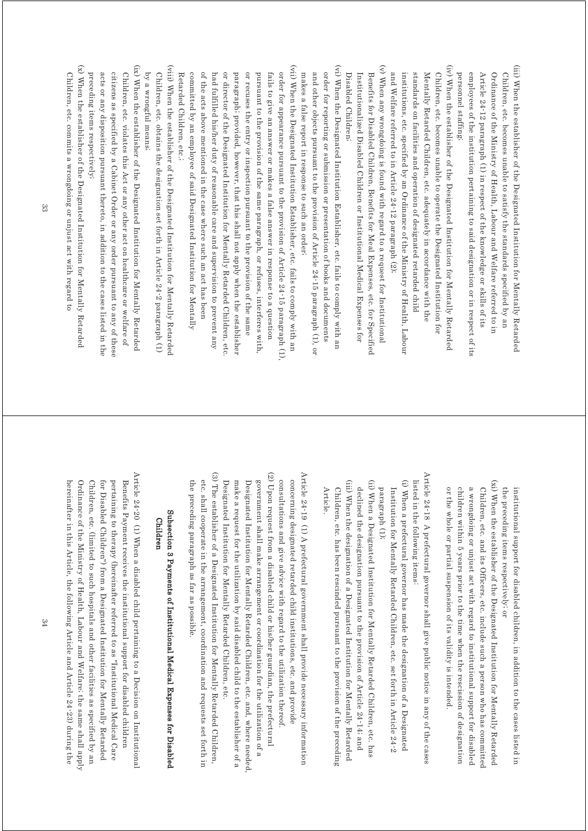- (iii) When the establisher of the Designated Institution for Mentally Retarded (iii) When the establisher of the Designated Institution for Mentally Retarded personnel staffing; employees of the institution pertaining to said designation or in respect of its Article 24-12 paragraph (1) in respect of the knowledge or skills of its Ordinance of the Ministry of Health, Labour and Welfare referred to in Children, etc. becomes unable to satisfy the standards specified by an personnel staffing; employees of the institution pertaining to said designation or in respect of its Article 24-12 paragraph (1) in respect of the knowledge or skills of its Ordinance of the Ministry of Health, Labour and Welfare referred to in Children, etc. becomes unable to satisfy the standards specified by an
- (iv) When the establisher of the Designated Institution for Mentally Retarded (iv) When the establisher of the Designated Institution for Mentally Retarded and Welfare referred to in Article 24-12 paragraph (2); institutions, etc. specified by an Ordinance of the Ministry of Health, Labour standards on facilities and operation of designated retarded child Mentally Retarded Children, etc. adequately in accordance with the Children, etc. becomes unable to operate the Designated Institution for and Welfare referred to in Article 24-12 paragraph (2); institutions, etc. specified by an Ordinance of the Ministry of Health, Labour standards on facilities and operation of designated retarded child Mentally Retarded Children, etc. adequately in accordance with the Children, etc. becomes unable to operate the Designated Institution for
- (v) When any wrongdoing is found with regard to a request for Institutional (v) When any wrongdoing is found with regard to a request for Institutional Disabled Children; Institutionalized Disabled Children or Institutional Medical Expenses for Benefits for Disabled Children, Benefits for Meal Expenses, etc. for Specified Disabled Children; Institutionalized Disabled Children or Institutional Medical Expenses for Benefits for Disabled Children, Benefits for Meal Expenses, etc. for Specified
- (vi) When the Designated Institution Establisher, etc. fails to comply with an (vi) When the Designated Institution Establisher, etc. fails to comply with an order for reporting or submission or presentation of books and documents makes a false report in response to such an order; and other objects pursuant to the provision of Article 24-15 paragraph (1), or makes a false report in response to such an order; and other objects pursuant to the provision of Article 24-15 paragraph (1), or order for reporting or submission or presentation of books and documents
- (vii) When the Designated Institution Establisher, etc. fails to comply with an (vii) When the Designated Institution Establisher, etc. fails to comply with an or recuses the entry or inspection pursuant to the provision of the same order for appearance pursuant to the provision of Article 24-15 paragraph (1), Retarded Children, etc.; committed by an employee of said Designated Institution for Mentally of the acts above mentioned in the case where such an act has been had fulfilled his/her duty of reasonable care and supervision to prevent any or director of the Designated Institution for Mentally Retarded Children, etc paragraph; provided, however, that this shall not apply when the establisher pursuant to the provision of the same paragraph, or refuses, interferes with fails to give an answer or makes a false answer in response to a question Retarded Children, etc.; committed by an employee of said Designated Institution for Mentally of the acts above mentioned in the case where such an act has been had fulfilled his/her duty of reasonable care and supervision to prevent any or director of the Designated Institution for Mentally Retarded Children, etc. paragraph; provided, however, that this shall not apply when the establisher or recuses the entry or inspection pursuant to the provision of the same pursuant to the provision of the same paragraph, or refuses, interferes with, fails to give an answer or makes a false answer in response to a question order for appearance pursuant to the provision of Article 24-15 paragraph (1),
- (viii) When the establisher of the Designated Institution for Mentally Retarded (viii) When the establisher of the Designated Institution for Mentally Retarded by a wrongful means; Children, etc. obtains the designation set forth in Article 24-2 paragraph (1) by a wrongful means; Children, etc. obtains the designation set forth in Article 24-2 paragraph (1)
- (ix) When the establisher of the Designated Institution for Mentally Retarded (ix) When the establisher of the Designated Institution for Mentally Retarded preceding items respectively; citizens as specified by a Cabinet Order or any order pursuant to any of these Children, etc. violates this Act or any other act on healthcare or welfare of acts or any disposition pursuant thereto, in addition to the cases listed in the preceding items respectively; acts or any disposition pursuant thereto, in addition to the cases listed in the citizens as specified by a Cabinet Order or any order pursuant to any of these Children, etc. violates this Act or any other act on healthcare or welfare of
- (x) When the establisher of the Designated Institution for Mentally Retarded (x) When the establisher of the Designated Institution for Mentally Retarded Children, etc. commits a wrongdoing or unjust act with regard to Children, etc. commits a wrongdoing or unjust act with regard to

the preceding items respectively; or the preceding items respectively; or institutional support for disabled children, in addition to the cases listed in institutional support for disabled children, in addition to the cases listed in

- (xi) When the establisher of the Designated Institution for Mentally Retarded (xi) When the establisher of the Designated Institution for Mentally Retarded or the whole or partial suspension of its validity is intended. children within 5 years prior to the time when the rescission of designation a wrongdoing or unjust act with regard to institutional support for disabled Children, etc. and its Officers, etc. include such a person who has committed or the whole or partial suspension of its validity is intended. children within 5 years prior to the time when the rescission of designation a wrongdoing or unjust act with regard to institutional support for disabled Children, etc. and its Officers, etc. include such a person who has committed
- Article  $24\text{-}18$  A prefectural governor shall give public notice in any of the cases Article  $24$ -18 A prefectural governor shall give public notice in any of the cases listed in the following items: listed in the following items:
- (i) When a prefectural governor has made the designation of a Designated (i) When a prefectural governor has made the designation of a Designated paragraph (1); Institution for Mentally Retarded Children, etc. set forth in Article 24-2 paragraph (1); Institution for Mentally Retarded Children, etc. set forth in Article 24-2
- (iii) When the designation of a Designated Institution for Mentally Retarded (ii) When a Designated Institution for Mentally Retarded Children, etc. has (iii) When the designation of a Designated Institution for Mentally Retarded (ii) When a Designated Institution for Mentally Retarded Children, etc. has Article. Children, etc. has been rescinded pursuant to the provision of the preceding declined the designation pursuant to the provision of Article 24-14; and Article. declined the designation pursuant to the provision of Article 24-14; and Children, etc. has been rescinded pursuant to the provision of the preceding
- (3) The establisher of a Designated Institution for Mentally Retarded Children, (3) The establisher of a Designated Institution for Mentally Retarded Children, (2) Upon request from a disabled child or his/her guardian, the prefectural (2) Upon request from a disabled child or his/her guardian, the prefectural Article 24-19 (1) A prefectural government shall provide necessary information  $\text{Article 24-19}$  (1)  $\text{A}$  prefectural government shall provide necessary information Designated Institution for Mentally Retarded Children, etc. make a request for the utilization by said disabled child to the establisher of a Designated Institution for Mentally Retarded Children, etc. and, where needed government shall make arrangement or coordination for the utilization of a consultations and give advice with regard to the utilization thereof. concerning designated retarded child institutions, etc. and provide Designated Institution for Mentally Retarded Children, etc. make a request for the utilization by said disabled child to the establisher of a Designated Institution for Mentally Retarded Children, etc. and, where needed, government shall make arrangement or coordination for the utilization of a consultations and give advice with regard to the utilization thereof. concerning designated retarded child institutions, etc. and provide
- Subsection 3 Payments of Institutional Medical Expenses for Disabled Subsection 3 Payments of Institutional Medical Expenses for Disabled Children Children

the preceding paragraph as far as possible.

the preceding paragraph as far as possible

etc. shall cooperate in the arrangement, coordination and requests set forth in

etc. shall cooperate in the arrangement, coordination and requests set forth in

Article 24-20 (1) When a disabled child pertaining to a Decision on Institutional Article 24-20 (1) When a disabled child pertaining to a Decision on Institutional for Disabled Children") from a Designated Institution for Mentally Retarded pertaining to therapy (hereinafter referred to as "Institutional Medical Care Benefits Payment receives the institutional support for disabled children Children, etc. (limited to such hospitals and other facilities as specified by an hereinafter in this Article, the following Article and Article 24-23) during the hereinafter in this Article, the following Article and Article 24-23) during the Ordinance of the Ministry of Health, Labour and Welfare; the same shall apply Ordinance of the Ministry of Health, Labour and Welfare; the same shall apply Children, etc. (limited to such hospitals and other facilities as specified by an for Disabled Children") from a Designated Institution for Mentally Retarded pertaining to therapy (hereinafter referred to as "Institutional Medical Care Benefits Payment receives the institutional support for disabled children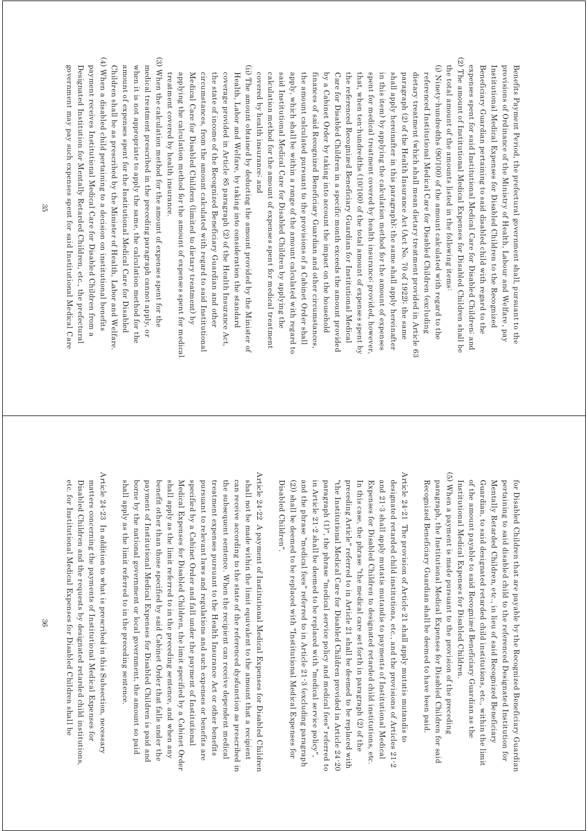(2) The amount of Institutional Medical Expenses for Disabled Children shall be (2) The amount of Institutional Medical Expenses for Disabled Children shall be the total amount of the amounts listed in the following items. expenses spent for said Institutional Medical Care for Disabled Children; and Beneficiary Guardian pertaining to said disabled child with regard to the provisions of Ordinance of the Ministry of Health, Labour and Welfare, pay expenses spent for said Institutional Medical Care for Disabled Children; and Beneficiary Guardian pertaining to said disabled child with regard to the Institutional Medical Expenses for Disabled Children to the Recognized Institutional Medical Expenses for Disabled Children to the Recognized provisions of Ordinance of the Ministry of Health, Labour and Welfare, pay Benefits Payment Period, the prefectural government shall, pursuant to the Benefits Payment Period, the prefectural government shall, pursuant to the

the total amount of the amounts listed in the following items:

(i) Ninety-hundredths (90/100) of the amount calculated with regard to the (i) Ninety-hundredths (90/100) of the amount calculated with regard to the calculation method for the amount of expenses spent for medical treatment said Institutional Medical Care for Disabled Children by applying the apply, which shall be within a range of the amount calculated with regard to covered by health insurance, and the amount calculated pursuant to the provisions of a Cabinet Order shall by a Cabinet Order by taking into account the impact on the household Care for Disabled Children in a specific month exceeds the amount provided the referenced Recognized Beneficiary Guardian for Institutional Medical that, when ten hundredths (10/100) of the total amount of expenses spent by spent for medical treatment covered by health insurance, provided, however in this item) by applying the calculation method for the amount of expenses shall apply hereinafter in this paragraph); the same shall apply hereinafter paragraph (2) of the Health Insurance Act (Act No. 70 of 1922); the same dietary treatment (which shall mean dietary treatment provided in Article 63 referenced Institutional Medical Care for Disabled Children (excluding covered by health insurance; and calculation method for the amount of expenses spent for medical treatment said Institutional Medical Care for Disabled Children by applying the apply, which shall be within a range of the amount calculated with regard to the amount calculated pursuant to the provisions of a Cabinet Order shall finances of said Recognized Beneficiary Guardian and other circumstances finances of said Recognized Beneficiary Guardian and other circumstances, by a Cabinet Order by taking into account the impact on the household Care for Disabled Children in a specific month exceeds the amount provided the referenced Recognized Beneficiary Guardian for Institutional Medical that, when ten-hundredths (10/100) of the total amount of expenses spent by spent for medical treatment covered by health insurance; provided, however, in this item) by applying the calculation method for the amount of expenses shall apply hereinafter in this paragraph); the same shall apply hereinafter paragraph (2) of the Health Insurance Act (Act No. 70 of 1922); the same dietary treatment (which shall mean dietary treatment provided in Article 63 referenced Institutional Medical Care for Disabled Children (excluding

(ii) The amount obtained by deducting the amount provided by the Minister of (ii) The amount obtained by deducting the amount provided by the Minister of coverage provided in Article 85 paragraph (2) of the Health Insurance Act, Health, Labor and Welfare, by taking into consideration the standard treatment covered by health insurance. applying the calculation method for the amount of expenses spent for medical Medical Care for Disabled Children (limited to dietary treatment) by circumstances, from the amount calculated with regard to said Institutional the state of income of the Recognized Beneficiary Guardian and other treatment covered by health insurance. applying the calculation method for the amount of expenses spent for medical Medical Care for Disabled Children (limited to dietary treatment) by circumstances, from the amount calculated with regard to said Institutional the state of income of the Recognized Beneficiary Guardian and other coverage provided in Article 85 paragraph (2) of the Health Insurance Act, Health, Labor and Welfare, by taking into consideration the standard

(4) When a disabled child pertaining to a decision on institutional benefits (3) When the calculation method for the amount of expenses spent for the (4) When a disabled child pertaining to a decision on institutional benefits (3) When the calculation method for the amount of expenses spent for the medical treatment prescribed in the preceding paragraph cannot apply, or government may pay such expenses spent for said Institutional Medical Care Designated Institution for Mentally Retarded Children, etc., the prefectural payment receives Institutional Medical Care for Disabled Children from a Children shall be as prescribed by the Minister of Health, Labor and Welfare amount of expenses spent for the Institutional Medical Care for Disabled when it is not appropriate to apply the same, the calculation method for the government may pay such expenses spent for said Institutional Medical Care Designated Institution for Mentally Retarded Children, etc., the prefectural payment receives Institutional Medical Care for Disabled Children from a Children shall be as prescribed by the Minister of Health, Labor and Welfare. amount of expenses spent for the Institutional Medical Care for Disabled when it is not appropriate to apply the same, the calculation method for the medical treatment prescribed in the preceding paragraph cannot apply, or

> of the amount payable to said Recognized Beneficiary Guardian as the Guardian, to said designated retarded child institutions, etc., within the limit Mentally Retarded Children, etc., in lieu of said Recognized Beneficiary Institutional Medical Expenses for Disabled Children. pertaining to said disabled child to the referenced Designated Institution for for Disabled Children that are payable by the Recognized Beneficiary Guardian Institutional Medical Expenses for Disabled Children. of the amount payable to said Recognized Beneficiary Guardian as the Guardian, to said designated retarded child institutions, etc., within the limit Mentally Retarded Children, etc., in lieu of said Recognized Beneficiary pertaining to said disabled child to the referenced Designated Institution for for Disabled Children that are payable by the Recognized Beneficiary Guardian

(5) When a payment is made pursuant to the provision of the preceding (5) When a payment is made pursuant to the provision of the preceding paragraph, the Institutional Medical Expenses for Disabled Children for said Recognized Beneficiary Guardian shall be deemed to have been paid. Recognized Beneficiary Guardian shall be deemed to have been paid. paragraph, the Institutional Medical Expenses for Disabled Children for said

Article 24-21 The provision of Article 21 shall apply mutatis mutandis to Article 24-21 The provision of Article 21 shall apply mutatis mutandis to and the phrase "medical fees" referred to in Article 21-3 (excluding paragraph and 21-3 shall apply mutatis mutandis to payments of Institutional Medical paragraph (1)", the phrase "medical service policy and medical fees" referred to preceding Article" referred to in Article 21 shall be deemed to be replaced with In this case, the phrase "the medical care set forth in paragraph (2) of the designated retarded child institutions, etc., and the provisions of Articles  $21$ -2 Disabled Children". Disabled Children". (2)) shall be deemed to be replaced with "Institutional Medical Expenses for (2)) shall be deemed to be replaced with "Institutional Medical Expenses for and the phrase "medical fees" referred to in Article 21-3 (excluding paragraph in Article  $21-2$  shall be deemed to be replaced with "medical service policy", in Article 21-2 shall be deemed to be replaced with "medical service policy", paragraph (1)", the phrase "medical service policy and medical fees" referred to "the Institutional Medical Care for Disabled Children provided in Article 24-20 "the Institutional Medical Care for Disabled Children provided in Article 24-20 preceding Article" referred to in Article 21 shall be deemed to be replaced with In this case, the phrase "the medical care set forth in paragraph (2) of the Expenses for Disabled Children to designated retarded child institutions, etc. Expenses for Disabled Children to designated retarded child institutions, etc. and 21-3 shall apply mutatis mutandis to payments of Institutional Medical designated retarded child institutions, etc., and the provisions of Articles 21-2

Article 24-22  $\,$  A payment of Institutional Medical Expenses for Disabled Children Article 24-22 A payment of Institutional Medical Expenses for Disabled Children shall apply as the limit referred to in the preceding sentence, and when any specified by a Cabinet Order and fall under the payment of Institutional shall not be made within the limit equivalent to the amount that a recipient shall apply as the limit referred to in the preceding sentence. Medical Expenses for Disabled Children, the limit specified by a Cabinet Order pursuant to relevant laws and regulations and such expenses or benefits are can receive according to the state of the referenced dysfunction as prescribed in shall apply as the limit referred to in the preceding sentence. borne by the national government or local government, the amount so paid borne by the national government or local government, the amount so paid payment of Institutional Medical Expenses for Disabled Children is paid and payment of Institutional Medical Expenses for Disabled Children is paid and benefit other than those specified by said Cabinet Order that falls under the benefit other than those specified by said Cabinet Order that falls under the shall apply as the limit referred to in the preceding sentence, and when any Medical Expenses for Disabled Children, the limit specified by a Cabinet Order specified by a Cabinet Order and fall under the payment of Institutional pursuant to relevant laws and regulations and such expenses or benefits are treatment expenses pursuant to the Health Insurance Act or other benefits treatment expenses pursuant to the Health Insurance Act or other benefits the subsequent sentence. When the recipient can receive dependent medical the subsequent sentence. When the recipient can receive dependent medical can receive according to the state of the referenced dysfunction as prescribed in shall not be made within the limit equivalent to the amount that a recipient

Article 24-23 In addition to what is prescribed in this Subsection, necessary Article 24-23 In addition to what is prescribed in this Subsection, necessary matters concerning the payments of Institutional Medical Expenses for Disabled Children and the requests by designated retarded child institutions etc. for Institutional Medical Expenses for Disabled Children shall be etc. for Institutional Medical Expenses for Disabled Children shall be Disabled Children and the requests by designated retarded child institutions, matters concerning the payments of Institutional Medical Expenses for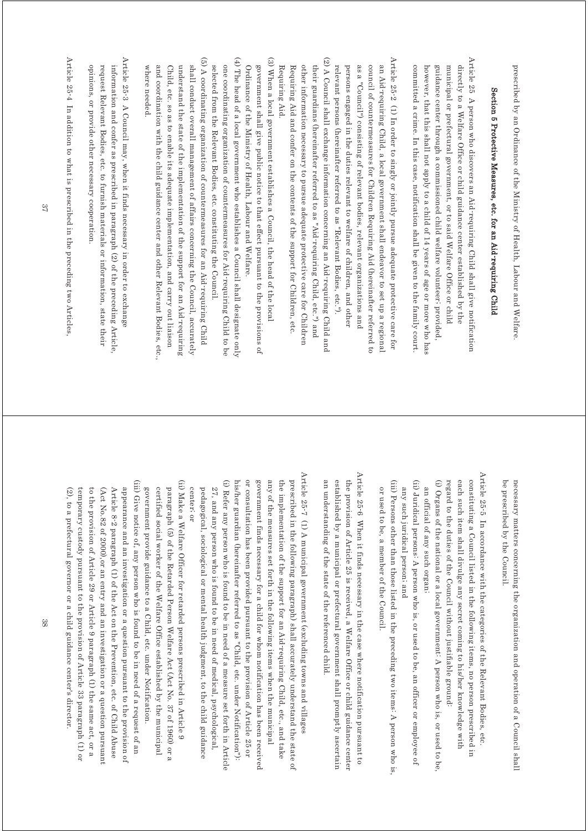prescribed by an Ordinance of the Ministry of Health, Labour and Welfare. prescribed by an Ordinance of the Ministry of Health, Labour and Welfare.

# Section 5 Protective Measures, etc. for an Aid-requiring Child Section 5 Protective Measures, etc. for an Aid-requiring Child

Article 25 A person who discovers an Aid requiring Child shall give notification Article 25 A person who discovers an Aid-requiring Child shall give notification guidance center through a commissioned child welfare volunteer; provided directly to a Welfare Office or child guidance center established by the committed a crime. In this case, notification shall be given to the family court however, that this shall not apply to a child of 14 years of age or more who has municipal or prefectural government, or to said Welfare Office or child committed a crime. In this case, notification shall be given to the family court. however, that this shall not apply to a child of 14 years of age or more who has guidance center through a commissioned child welfare volunteer; provided, municipal or prefectural government, or to said Welfare Office or child directly to a Welfare Office or child guidance center established by the

Article 25-2 (1) In order to singly or jointly pursue adequate protective care for (2) A Council shall exchange information concerning an Aid-requiring Child and Article 25-2 (1) In order to singly or jointly pursue adequate protective care for an Aid-requiring Child, a local government shall endeavor to set up a regional relevant persons (hereinafter referred to as "Relevant Bodies, etc."). persons engaged in the duties relevant to welfare of children, and other as a "Council") consisting of relevant bodies, relevant organizations and council of countermeasures for Children Requiring Aid (hereinafter referred to relevant persons (hereinafter referred to as "Relevant Bodies, etc."). persons engaged in the duties relevant to welfare of children, and other as a "Council") consisting of relevant bodies, relevant organizations and council of countermeasures for Children Requiring Aid (hereinafter referred to an Aid-requiring Child, a local government shall endeavor to set up a regional

(2) A Council shall exchange information concerning an Aid requiring Child and other information necessary to pursue adequate protective care for Children Requiring Aid Requiring Aid and confer on the contents of the support for Children, etc. their guardians (hereinafter referred to as "Aid-requiring Child, etc.") and Requiring Aid. Requiring Aid and confer on the contents of the support for Children, etc. other information necessary to pursue adequate protective care for Children their guardians (hereinafter referred to as "Aid-requiring Child, etc.") and

(3) When a local government establishes a Council, the head of the local (3) When a local government establishes a Council, the head of the local Ordinance of the Ministry of Health, Labour and Welfare. government shall give public notice to that effect pursuant to the provisions of Ordinance of the Ministry of Health, Labour and Welfare. government shall give public notice to that effect pursuant to the provisions of

(4) The head of a local government who establishes a Council shall designate only (4) The head of a local government who establishes a Council shall designate only one coordinating organization of countermeasures for Aid-requiring Child to be selected from the Relevant Bodies, etc. constituting the Council selected from the Relevant Bodies, etc. constituting the Council. one coordinating organization of countermeasures for Aid-requiring Child to be

(5) A coordinating organization of countermeasures for an Aid requiring Child (5) A coordinating organization of countermeasures for an Aid-requiring Child shall conduct overall management of affairs concerning the Council, accurately where needed. and coordination with the child guidance center and other Relevant Bodies, etc Child, etc. so as to enable its adequate implementation, and carry out liaison understand the state of the implementation of the support for an Aid requiring where needed. and coordination with the child guidance center and other Relevant Bodies, etc., Child, etc. so as to enable its adequate implementation, and carry out liaison understand the state of the implementation of the support for an Aid-requiring shall conduct overall management of affairs concerning the Council, accurately

center; or

center; or

Article 25-3 A Council may, when it finds necessary in order to exchange Article 25-3 A Council may, when it finds necessary in order to exchange information and confer as prescribed in paragraph (2) of the preceding Article. opinions, or provide other necessary cooperation. request Relevant Bodies, etc. to furnish materials or information, state their opinions, or provide other necessary cooperation. request Relevant Bodies, etc. to furnish materials or information, state their information and confer as prescribed in paragraph (2) of the preceding Article,

Article 25-4 In addition to what is prescribed in the preceding two Articles, Article 25-4 In addition to what is prescribed in the preceding two Articles,

> be prescribed by the Council necessary matters concerning the organization and operation of a Council shall be prescribed by the Council. necessary matters concerning the organization and operation of a Council shall

Article 25<sup>-5</sup> In accordance with the categories of the Relevant Bodies, etc. Article 25-5 In accordance with the categories of the Relevant Bodies, etc. (i) Organs of the national or a local government. A person who is, or used to be, each such item shall divulge any secret coming to his/her knowledge with constituting a Council listed in the following items, no person prescribed in regard to the duties of the Council without justifiable ground regard to the duties of the Council without justifiable ground: each such item shall divulge any secret coming to his/her knowledge with constituting a Council listed in the following items, no person prescribed in (i) Organs of the national or a local government: A person who is, or used to be, an official of any such organ; an official of any such organ;

(ii) Juridical persons: A person who is, or used to be, an officer or employee of (ii) Juridical persons: A person who is, or used to be, an officer or employee of any such juridical person; and any such juridical person; and

(iii) Persons other than those listed in the preceding two items. A person who is, (iii) Persons other than those listed in the preceding two items: A person who is, or used to be, a member of the Council or used to be, a member of the Council.

Article 25<sup>-6</sup> When it finds necessary in the case where notification pursuant to Article 25-6 When it finds necessary in the case where notification pursuant to established by a municipal or prefectural government shall promptly ascertain the provision of Article 25 is received, a Welfare Office or child guidance center an understanding of the state of the referenced child. an understanding of the state of the referenced child. established by a municipal or prefectural government shall promptly ascertain the provision of Article 25 is received, a Welfare Office or child guidance center

Article 25-7 (1) A municipal government (excluding towns and villages Article 25-7 (1) A municipal government (excluding towns and villages government finds necessary for a child for whom notification has been received any of the measures set forth in the following items when the municipal the implementation of the support for an Aid requiring Child, etc., and take prescribed in the following paragraph) shall accurately understand the state of (i) Refer any person who is found to be in need of a measure set forth in Article his/her guardian (hereinafter referred to as "Child, etc. under Notification"): or consultation has been provided pursuant to the provision of Article 25 or his/her guardian (hereinafter referred to as "Child, etc. under Notification"): or consultation has been provided pursuant to the provision of Article 25 or government finds necessary for a child for whom notification has been received any of the measures set forth in the following items when the municipal the implementation of the support for an Aid-requiring Child, etc., and take prescribed in the following paragraph) shall accurately understand the state of (i) Refer any person who is found to be in need of a measure set forth in Article pedagogical, sociological or mental health judgment, to the child guidance 27, and any person who is found to be in need of medical, psychological, pedagogical, sociological or mental health judgment, to the child guidance 27, and any person who is found to be in need of medical, psychological,

(ii) Make a Welfare Officer for retarded persons prescribed in Article 9 (iii) Give notice of, any person who is found to be in need of a request of an (iii) Give notice of, any person who is found to be in need of a request of an (ii) Make a Welfare Officer for retarded persons prescribed in Article 9 to the provision of Article 29 or Article 9 paragraph (1) the same act, or a Article 8-2 paragraph (1) of the Act on the Prevention, etc. of Child Abuse government provide guidance to a Child, etc. under Notification. paragraph (5) of the Retarded Person Welfare Act (Act No. 37 of 1960) or a (2), to a prefectural governor or a child guidance center's director. (Act No.82 of 2000), or an entry and an investigation or a question pursuant appearance and an investigation or a question pursuant to the provision of certified social worker of the Welfare Office established by the municipal temporary custody pursuant to the provision of Article 33 paragraph (1) or temporary custody pursuant to the provision of Article 33 paragraph (1) or to the provision of Article 29 or Article 9 paragraph (1) the same act, or a Article 8-2 paragraph (1) of the Act on the Prevention, etc. of Child Abuse appearance and an investigation or a question pursuant to the provision of government provide guidance to a Child, etc. under Notification. certified social worker of the Welfare Office established by the municipal paragraph (5) of the Retarded Person Welfare Act (Act No. 37 of 1960) or a (2), to a prefectural governor or a child guidance center's director. (Act No.82 of 2000),or an entry and an investigation or a question pursuant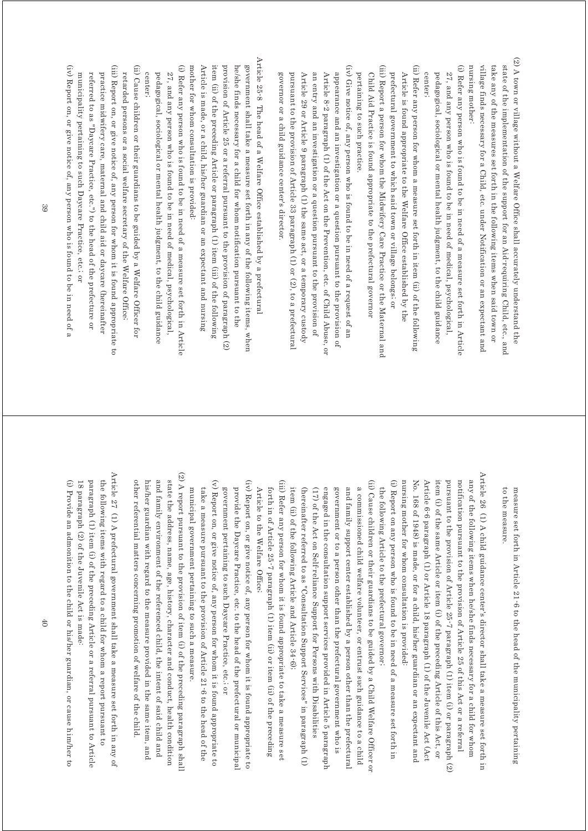(2) A town or village without a Welfare Office shall accurately understand the (2) A town or village without a Welfare Office shall accurately understand the state of the implementation of the support for an Aid requiring Child, etc., and nursing mother: village finds necessary for a Child, etc. under Notification or an expectant and take any of the measures set forth in the following items when said town or nursing mother: village finds necessary for a Child, etc. under Notification or an expectant and take any of the measures set forth in the following items when said town or state of the implementation of the support for an Aid-requiring Child, etc., and

(i) Refer any person who is found to be in need of a measure set forth in Article (i) Refer any person who is found to be in need of a measure set forth in Article center<sub>1</sub> pedagogical, sociological or mental health judgment, to the child guidance 27, and any person who is found to be in need of medical, psychological center; pedagogical, sociological or mental health judgment, to the child guidance 27, and any person who is found to be in need of medical, psychological,

(ii) Refer any person for whom a measure set forth in item (ii) of the following (ii) Refer any person for whom a measure set forth in item (ii) of the following Article is found appropriate to the Welfare Office established by the prefectural government to which said town or village belongs; or prefectural government to which said town or village belongs; or Article is found appropriate to the Welfare Office established by the

(iii) Report a person for whom the Midwifery Care Practice or the Maternal and (iii) Report a person for whom the Midwifery Care Practice or the Maternal and pertaining to such practice. Child Aid Practice is found appropriate to the prefectural governor pertaining to such practice. Child Aid Practice is found appropriate to the prefectural governor

(iv) Give notice of, any person who is found to be in need of a request of an (iv) Give notice of, any person who is found to be in need of a request of an Article 8-2 paragraph (1) of the Act on the Prevention, etc. of Child Abuse, or appearance and an investigation or a question pursuant to the provision of governor or a child guidance center's director. pursuant to the provision of Article 33 paragraph (1) or (2), to a prefectural Article 29 or Article 9 paragraph (1) the same act, or a temporary custody an entry and an investigation or a question pursuant to the provision of governor or a child guidance center's director. pursuant to the provision of Article 33 paragraph (1) or (2), to a prefectural Article 29 or Article 9 paragraph (1) the same act, or a temporary custody an entry and an investigation or a question pursuant to the provision of Article 8-2 paragraph (1) of the Act on the Prevention, etc. of Child Abuse, or appearance and an investigation or a question pursuant to the provision of

Article 25-8 The head of a Welfare Office established by a prefectural Article 25-8 The head of a Welfare Office established by a prefectural mother for whom consultation is provided: Article is made, or a child, his/her guardian or an expectant and nursing item (ii) of the preceding Article or paragraph (1) item (iii) of the following provision of Article 25 or a referral pursuant to the provision of paragraph (2) he/she finds necessary for a child for whom notification pursuant to the government shall take a measure set forth in any of the following items, when mother for whom consultation is provided: Article is made, or a child, his/her guardian or an expectant and nursing item (ii) of the preceding Article or paragraph (1) item (iii) of the following provision of Article 25 or a referral pursuant to the provision of paragraph (2) he/she finds necessary for a child for whom notification pursuant to the government shall take a measure set forth in any of the following items, when

(i) Refer any person who is found to be in need of a measure set forth in Article (i) Refer any person who is found to be in need of a measure set forth in Article 27, and any person who is found to be in need of medical, psychological, center, pedagogical, sociological or mental health judgment, to the child guidance center; pedagogical, sociological or mental health judgment, to the child guidance 27, and any person who is found to be in need of medical, psychological,

(iii) Report on, or give notice of, any person for whom it is found appropriate to (iii) Report on, or give notice of, any person for whom it is found appropriate to (ii) Cause children or their guardians to be guided by a Welfare Officer for (ii) Cause children or their guardians to be guided by a Welfare Officer for retarded persons or a social welfare secretary of the Welfare Office; retarded persons or a social welfare secretary of the Welfare Office;

referred to as "Daycare Practice, etc.") to the head of the prefecture or municipality pertaining to such Daycare Practice, etc., or practice midwifery care, maternal and child aid or daycare (hereinafter municipality pertaining to such Daycare Practice, etc.; or referred to as "Daycare Practice, etc.") to the head of the prefecture or practice midwifery care, maternal and child aid or daycare (hereinafter

(iv) Report on, or give notice of, any person who is found to be in need of a (iv) Report on, or give notice of, any person who is found to be in need of a

> to the measure. to the measure. measure set forth in Article 21-6 to the head of the municipality pertaining measure set forth in Article 21-6 to the head of the municipality pertaining

Article 26 (1) A child guidance center's director shall take a measure set forth in Article 26 (1) A child guidance center's director shall take a measure set forth in pursuant to the provision of Article 25-7 paragraph (1) item (i) or paragraph (2) notification pursuant to the provision of Article 25 of this Act or a referral (i) Report on any person who is found to be in need of a measure set forth in nursing mother for whom consultation is provided: No. 168 of 1948) is made, or for a child, his/her guardian or an expectant and Article 6-6 paragraph (1) or Article 18 paragraph (1) of the Juvenile Act (Act item (i) of the same Article or item (i) of the preceding Article of this Act, or any of the following items when he/she finds necessary for a child for whom nursing mother for whom consultation is provided: No. 168 of 1948) is made, or for a child, his/her guardian or an expectant and Article 6-6 paragraph (1) or Article 18 paragraph (1) of the Juvenile Act (Act item (i) of the same Article or item (i) of the preceding Article of this Act, or pursuant to the provision of Article 25-7 paragraph (1) item (i) or paragraph (2) notification pursuant to the provision of Article 25 of this Act or a referral any of the following items when he/she finds necessary for a child for whom (i) Report on any person who is found to be in need of a measure set forth in

(ii) Cause children or their guardians to be guided by a Child Welfare Officer or (ii) Cause children or their guardians to be guided by a Child Welfare Officer or a commissioned child welfare volunteer, or entrust such guidance to a child the following Article to the prefectural governor; a commissioned child welfare volunteer, or entrust such guidance to a child the following Article to the prefectural governor;

(hereinafter referred to as "Consultation Support Services" in paragraph (1) engaged in the consultation support services provided in Article 5 paragraph government or to a person other than the prefectural government who is and family support center established by a person other than the prefectural item (ii) of the following Article and Article 34-6); (17) of the Act on Self-reliance Support for Persons with Disabilities item (ii) of the following Article and Article 34-6); engaged in the consultation support services provided in Article 5 paragraph government or to a person other than the prefectural government who is and family support center established by a person other than the prefectural (hereinafter referred to as "Consultation Support Services" in paragraph (1) (17) of the Act on Self-reliance Support for Persons with Disabilities

(iii) Refer any person for whom it is found appropriate to take a measure set (iii) Refer any person for whom it is found appropriate to take a measure set forth in of Article 25-7 paragraph (1) item (ii) or item (ii) of the preceding Article to the Welfare Office; Article to the Welfare Office; forth in of Article 25-7 paragraph (1) item (ii) or item (ii) of the preceding

(iv) Report on, or give notice of, any person for whom it is found appropriate to (iv) Report on, or give notice of, any person for whom it is found appropriate to government pertaining to such Daycare Practice, etc.; or provide the Daycare Practice, etc. to the head of the prefectural or municipal government pertaining to such Daycare Practice, etc.; or provide the Daycare Practice, etc. to the head of the prefectural or municipal

(v) Report on, or give notice of, any person for whom it is found appropriate to (v) Report on, or give notice of, any person for whom it is found appropriate to municipal government pertaining to such a measure. take a measure pursuant to the provision of Article 21-6 to the head of the municipal government pertaining to such a measure. take a measure pursuant to the provision of Article 21-6 to the head of the

(2) A report pursuant to the provision of item (i) of the preceding paragraph shall (2) A report pursuant to the provision of item (i) of the preceding paragraph shall other referential matters concerning promotion of welfare of the child and family environment of the referenced child, the intent of said child and state the address, name, age, history, character and conduct, health condition his/her guardian with regard to the measure provided in the same item, and other referential matters concerning promotion of welfare of the child. his/her guardian with regard to the measure provided in the same item, and and family environment of the referenced child, the intent of said child and state the address, name, age, history, character and conduct, health condition

Article 27 (1) A prefectural government shall take a measure set forth in any of Article 27 (1) A prefectural government shall take a measure set forth in any of paragraph (1) item (i) of the preceding Article or a referral pursuant to Article the following items with regard to a child for whom a report pursuant to 18 paragraph (2) of the Juvenile Act is made: paragraph (1) item (i) of the preceding Article or a referral pursuant to Article the following items with regard to a child for whom a report pursuant to 18 paragraph (2) of the Juvenile Act is made:

(i) Provide an admonition to the child or his/her guardian, or cause him/her to (i) Provide an admonition to the child or his/her guardian, or cause him/her to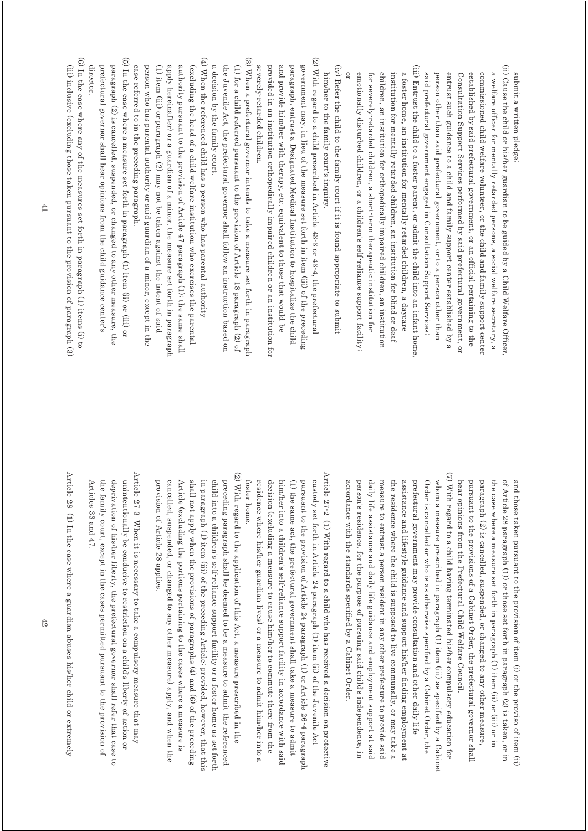submit a written pledge; submit a written pledge;

- (ii) Cause the child or his/her guardian to be guided by a Child Welfare Officer (ii) Cause the child or his/her guardian to be guided by a Child Welfare Officer, said prefectural government engaged in Consultation Support Services; commissioned child welfare volunteer, or the child and family support center a welfare officer for mentally retarded persons, a social welfare secretary, a person other than said prefectural government, or to a person other than entrust such guidance to a child and family support center established by a Consultation Support Services performed by said prefectural government, or established by said prefectural government, or an official pertaining to the said prefectural government engaged in Consultation Support Services; person other than said prefectural government, or to a person other than entrust such guidance to a child and family support center established by a Consultation Support Services performed by said prefectural government, or established by said prefectural government, or an official pertaining to the commissioned child welfare volunteer, or the child and family support center a welfare officer for mentally retarded persons, a social welfare secretary, a
- (iii) Entrust the child to a foster parent, or admit the child into an infant home (iii) Entrust the child to a foster parent, or admit the child into an infant home, a foster home, an institution for mentally retarded children, a daycare emotionally disturbed children, or a children's self-reliance support facility children, an institution for orthopedically impaired children, an institution for severely-retarded children, a short term therapeutic institution for institution for mentally retarded children, an institution for blind or deaf or emotionally disturbed children, or a children's self-reliance support facility; for severely-retarded children, a short-term therapeutic institution for children, an institution for orthopedically impaired children, an institution institution for mentally retarded children, an institution for blind or deaf a foster home, an institution for mentally retarded children, a daycare
- (iv) Refer the child to the family court if it is found appropriate to submit (iv) Refer the child to the family court if it is found appropriate to submit him/her to the family court's inquiry. him/her to the family court's inquiry.
- (2) With regard to a child prescribed in Article 43-3 or 43-4, the prefectural (2) With regard to a child prescribed in Article 43-3 or 43-4, the prefectural government may, in lieu of the measure set forth in item (iii) of the preceding provided in an institution orthopedically impaired children or an institution for and provide him/her with therapy, etc. equivalent to those that would be paragraph, entrust a Designated Medical Institution to hospitalize the child severely-retarded children. severely-retarded children. provided in an institution orthopedically impaired children or an institution for and provide him/her with therapy, etc. equivalent to those that would be paragraph, entrust a Designated Medical Institution to hospitalize the child government may, in lieu of the measure set forth in item (iii) of the preceding
- (3) When a prefectural governor intends to take a measure set forth in paragraph (3) When a prefectural governor intends to take a measure set forth in paragraph a decision by the family court. (1) for a child referred pursuant to the provision of Article  $18$  paragraph  $(2)$  of the Juvenile Act, the prefectural governor shall follow an instruction based on a decision by the family court. the Juvenile Act, the prefectural governor shall follow an instruction based on (1) for a child referred pursuant to the provision of Article 18 paragraph (2) of
- $(4)$  When the referenced child has a person who has parental authority (4) When the referenced child has a person who has parental authority apply hereinaffer) or a guardian of a minor, the measure set forth in paragraph authority pursuant to the provision of Article  $47$  paragraph  $(1)$ ; the same shall (excluding the head of a child welfare institution who exercises the parental case referred to in the preceding paragraph. person who has parental authority or said guardian of a minor, except in the (1) item (iii) or paragraph (2) may not be taken against the intent of said case referred to in the preceding paragraph. person who has parental authority or said guardian of a minor, except in the (1) item (iii) or paragraph (2) may not be taken against the intent of said apply hereinafter) or a guardian of a minor, the measure set forth in paragraph authority pursuant to the provision of Article 47 paragraph (1); the same shall (excluding the head of a child welfare institution who exercises the parental
- (5) In the case where a measure set forth in paragraph  $(1)$  item  $(i)$  or  $(iii)$  or (5) In the case where a measure set forth in paragraph (1) item (ii) or (iii) or paragraph (2) is cancelled, suspended, or changed to any other measure, the director. prefectural governor shall hear opinions from the child guidance center's director. prefectural governor shall hear opinions from the child guidance center's paragraph (2) is cancelled, suspended, or changed to any other measure, the
- (6) In the case where any of the measures set forth in paragraph  $(1)$  items  $(i)$  to (6) In the case where any of the measures set forth in paragraph (1) items (i) to (iii) inclusive (excluding those taken pursuant to the provision of paragraph (3) (iii) inclusive (excluding those taken pursuant to the provision of paragraph (3)

hear opinions from the Prefectural Child Welfare Council. paragraph (2) is cancelled, suspended, or changed to any other measure, the case where a measure set forth in paragraph (1) item (ii) or (iii) or in of Article 28 paragraph (1)) or those set forth in paragraph (2) is taken, or in pursuant to the provisions of a Cabinet Order, the prefectural governor shall and those taken pursuant to the provision of item (i) or the proviso of item (ii) hear opinions from the Prefectural Child Welfare Council. pursuant to the provisions of a Cabinet Order, the prefectural governor shall paragraph (2) is cancelled, suspended, or changed to any other measure, the case where a measure set forth in paragraph (1) item (ii) or (iii) or in of Article 28 paragraph (1)) or those set forth in paragraph (2) is taken, or in and those taken pursuant to the provision of item (i) or the proviso of item (ii)

- (7) With regard to a child having terminated his/her compulsory education for (7) With regard to a child having terminated his/her compulsory education for daily life assistance and daily life guidance and employment support at said prefectural government may provide consultation and other daily life Order is cancelled or who is as otherwise specified by a Cabinet Order, the whom a measure prescribed in paragraph (1) item (iii) as specified by a Cabinet measure to entrust a person resident in any other prefecture to provide said assistance and lifestyle guidance and support his/her finding employment at accordance with the standards specified by a Cabinet Order. accordance with the standards specified by a Cabinet Order. person's residence, for the purpose of pursuing said child's independence, in person's residence, for the purpose of pursuing said child's independence, in daily life assistance and daily life guidance and employment support at said measure to entrust a person resident in any other prefecture to provide said the residence where the child is supposed to live communally, or may take a the residence where the child is supposed to live communally, or may take a assistance and lifestyle guidance and support his/her finding employment at prefectural government may provide consultation and other daily life Order is cancelled or who is as otherwise specified by a Cabinet Order, the whom a measure prescribed in paragraph (1) item (iii) as specified by a Cabinet
- Article 27-2 (1) With regard to a child who has received a decision on protective Article 27-2 (1) With regard to a child who has received a decision on protective residence where his/her guardian lives) or a measure to admit him/her into a decision (excluding a measure to cause him/her to commute there from the pursuant to the provision of Article 24 paragraph (1) or Article 26-4 paragraph custody set forth in Article 24 paragraph (1) item (ii) of the Juvenile Act foster home. him/her into a children's self-reliance support facility in accordance with said (1) the same act, the prefectural government shall take a measure to admit foster home. residence where his/her guardian lives) or a measure to admit him/her into a decision (excluding a measure to cause him/her to commute there from the him/her into a children's self-reliance su (1) the same act, the prefectural government shall take a measure to admit pursuant to the provision of Article 24 paragraph (1) or Article 26-4 paragraph custody set forth in Article 24 paragraph (1) item (ii) of the Juvenile Act pport facility in accordance with said
- (2) With regard to the application of this Act, a measure prescribed in the (2) With regard to the application of this Act, a measure prescribed in the cancelled, suspended, or changed to any other measure) apply, and when the Article (excluding the portions pertaining to the cases where a measure is shall not apply when the provisions of paragraphs  $(4)$  and  $(6)$  of the preceding in paragraph (1) item (iii) of the preceding Article; provided, however, that this child into a children's self-reliance support facility or a foster home as set forth preceding paragraph shall be deemed to be a measure to admit the referenced provision of Article 28 applies. provision of Article 28 applies. cancelled, suspended, or changed to any other measure) apply, and when the Article (excluding the portions pertaining to the cases where a measure is shall not apply when the provisions of paragraphs (4) and (6) of the preceding in paragraph (1) item (iii) of the preceding Article; provided, however, that this child into a children's self-reliance support facility or a foster home as set forth preceding paragraph shall be deemed to be a measure to admit the referenced
- Article 27-3 When it is necessary to take a compulsory measure that may Article 27-3 When it is necessary to take a compulsory measure that may deprivation of his/her liberty, the prefectural governor shall refer that case to unintentionally be conducive to restriction on a child's liberty of action or Articles 33 and 47. Articles 33 and 47. the family court, except in the cases permitted pursuant to the provision of the family court, except in the cases permitted pursuant to the provision of deprivation of his/her liberty, the prefectural governor shall refer that case to unintentionally be conducive to restriction on a child's liberty of action or

Article 28 (1) In the case where a guardian abuses his/her child or extremely Article 28 (1) In the case where a guardian abuses his his prime or extremely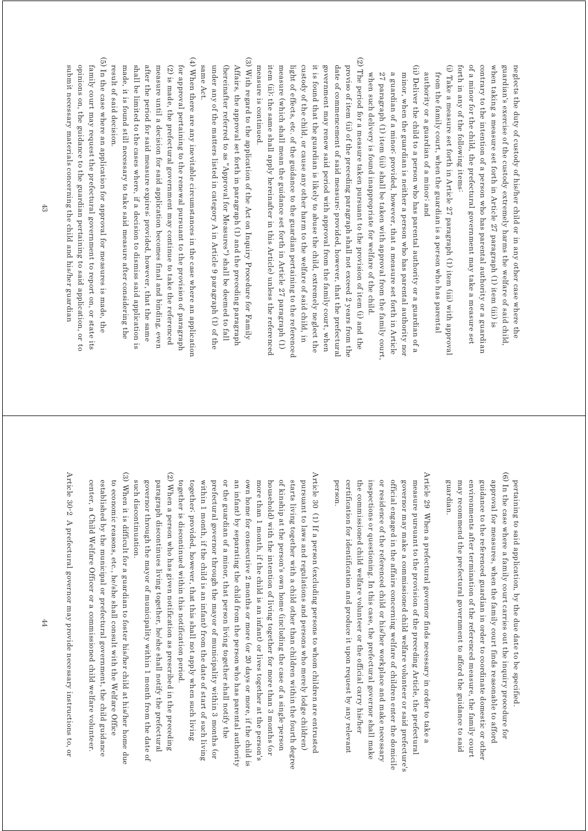forth in any of the following items: of a minor for the child, the prefectural government may take a measure set contrary to the intention of a person who has parental authority or a guardian when taking a measure set forth in Article 27 paragraph (1) item (iii) is guardian's exercise of the custody extremely harms the welfare of said child neglects the duty of custody of his/her child or in any other case where the forth in any of the following items: of a minor for the child, the prefectural government may take a measure set contrary to the intention of a person who has parental authority or a guardian when taking a measure set forth in Article 27 paragraph (1) item (iii) is guardian's exercise of the custody extremely harms the welfare of said child, neglects the duty of custody of his/her child or in any other case where the

(i) Take a measure set forth in Article 27 paragraph (1) item (iii) with approva (i) Take a measure set forth in Article  $27$  paragraph (1) item (iii) with approval authority or a guardian of a minor; and from the family court, when the guardian is a person who has parental authority or a guardian of a minor; and from the family court, when the guardian is a person who has parental

(ii) Deliver the child to a person who has parental authority or a guardian of a (ii) Deliver the child to a person who has parental authority or a guardian of a 27 paragraph (1) item (iii) shall be taken with approval from the family court minor, when the guardian is neither a person who has parental authority non when such delivery is found inappropriate for welfare of the child a guardian of a minor, provided, however, that a measure set forth in Article when such delivery is found inappropriate for welfare of the child.  $27$  paragraph (1) item (iii) shall be taken with approval from the family court, a guardian of a minor; provided, however, that a measure set forth in Article minor, when the guardian is neither a person who has parental authority nor

 $(2)$  The period for a measure taken pursuant to the provision of item  $(i)$  and the (2) The period for a measure taken pursuant to the provision of item (i) and the custody of the child, or cause any other harm to the welfare of said child, in measure is continued. item (ii); the same shall apply hereinafter in this Article) unless the referenced measure (which shall mean the guidance set forth in Article 27 paragraph (1) light of effects, etc. of the guidance to the guardian pertaining to the reference it is found that the guardian is likely to abuse the child, extremely neglect the government may renew said period with approval from the family court, when date of commencement of said measure; provided, however, that the prefectural proviso of item (ii) of the preceding paragraph shall not exceed 2 years from the measure is continued. item (iii); the same shall apply hereinater in this  $\frac{1}{2}$  and  $\frac{1}{2}$  and  $\frac{1}{2}$  and  $\frac{1}{2}$  and  $\frac{1}{2}$  and  $\frac{1}{2}$  and  $\frac{1}{2}$  and  $\frac{1}{2}$  and  $\frac{1}{2}$  and  $\frac{1}{2}$  and  $\frac{1}{2}$  and  $\frac{1}{2}$  and measure (which shall mean the guidance set forth in Article 27 paragraph (1) light of effects, etc. of the guidance to the guardian pertaining to the referenced custody of the child, or cause any other harm to the welfare of said child, in it is found that the guardian is likely to abuse the child, extremely neglect the government may renew said period with approval from the family court, when date of commencement of said measure; provided, however, that the prefectural proviso of item (ii) of the preceding paragraph shall not exceed 2 years from the

(3) With regard to the application of the Act on Inquiry Procedure for Family (3) With regard to the application of the Act on Inquiry Procedure for Family under any of the matters listed in category A in Article 9 paragraph (1) of the (hereinafter referred to as "Approval for Measures") shall be deemed to fall same Act. Affairs, the approval set forth in paragraph (1) and the preceding paragraph same Act. under any of the matters listed in category A in Article 9 paragraph (1) of the (hereinafter referred to as "Approval for Measures") shall be deemed to fall Affairs, the approval set forth in paragraph (1) and the preceding paragraph

(4) When there are any inevitable circumstances in the case where an application (4) When there are any inevitable circumstances in the case where an application after the period for said measure expires; provided, however, that the same result of said decision. made, it is found still necessary to take said measure after considering the shall be limited to the cases where, if a decision to dismiss said application is measure until a decision for said application becomes final and binding, even  $(2)$  is made, the prefectural government may continue to take the referenced for approval pertaining to the renewal pursuant to the provision of paragraph result of said decision. made, it is found still necessary to take said measure after considering the shall be limited to the cases where, if a decision to dismiss said application is after the period for said measure expires; provided, however, that the same measure until a decision for said application becomes final and binding, even (2) is made, the prefectural government may continue to take the referenced for approval pertaining to the renewal pursuant to the provision of paragraph

(5) In the case where an application for approval for measures is made, the (5) In the case where an application for approval for measures is made, the submit necessary materials concerning the child and his/her guardian opinions on, the guidance to the guardian pertaining to said application, or to family court may request the prefectural government to report on, or state its submit necessary materials concerning the child and his/her guardian opinions on, the guidance to the guardian pertaining to said application, or to family court may request the prefectural government to report on, or state its

> (6) In the case where a family court carries out the inquiry procedure for (6) In the case where a family court carries out the inquiry procedure for approval for measures, when the family court finds reasonable to afford guardian may recommend the prefectural government to afford the guidance to said environments after termination of the referenced measure, the family court guidance to the referenced guardian in order to coordinate domestic or other pertaining to said application, by the due date to be specified guardian. may recommend the prefectural government to afford the guidance to said environments after termination of the referenced measure, the family court guidance to the referenced guardian in order to coordinate domestic or other approval for measures, when the family court finds reasonable to afford pertaining to said application, by the due date to be specified.

Article 29 When a prefectural governor finds necessary in order to take a Article 29 When a prefectural governor finds necessary in order to take a the commissioned child welfare volunteer or the official carry his/her governor may make a commissioned child welfare volunteer or said prefecture's measure pursuant to the provision of the preceding Article, the prefectural certification for identification and produce it upon request by any relevant or residence of the referenced child or his/her workplace and make necessary official engaged in the affairs concerning welfare of children enter the domicile person. person. certification for identification and produce it upon request by any relevant the commissioned child welfare volunteer or the official carry his/her inspections or questioning. In this case, the prefectural governor shall make inspections or questioning. In this case, the prefectural governor shall make or residence of the referenced child or his/her workplace and make necessary official engaged in the affairs concerning welfare of children enter the domicile governor may make a commissioned child welfare volunteer or said prefecture's measure pursuant to the provision of the preceding Article, the prefectural

(2) When a person who has given notification as prescribed in the preceding Article 30 (1) If a person (excluding persons to whom children are entrusted Article 30 (1) If a person (excluding persons to whom children are entrusted togetheri provided, however, that this shall not apply when such living within 1 month, if the child is an infant) from the date of start of such living an infant) by separating the child from the person who has parental authority own home for consecutive 2 months or more (or 20 days or more, if the child is more than 1 month, if the child is an infant) or lives together at the person's of kinship at the person's own home (including the case of a single person pursuant to laws and regulations and persons who merely lodge children) together is discontinued within this notification period. prefectural governor through the mayor of municipality within 3 months (or or the guardian of a minor, that person living together shall notify the household) with the intention of living together for more than 3 months (or starts living together with a child other than children within the fourth degree together is discontinued within this notification period. together; provided, however, that this shall not apply when such living within 1 month, if the child is an infant) from the date of start of such living prefectural governor through the mayor of municipality within 3 months (or or the guardian of a minor, that person living together shall notify the an infant) by separating the child from the person who has parental authority own home for consecutive 2 months or more (or 20 days or more, if the child is more than 1 month, if the child is an infant) or lives together at the person's household) with the intention of living together for more than 3 months (or of kinship at the person's own home (including the case of a single-person starts living together with a child other than children within the fourth degree pursuant to laws and regulations and persons who merely lodge children)

(2) When a person who has given notification as prescribed in the preceding such discontinuation. governor through the mayor of municipality within 1 month from the date of paragraph discontinues living together, he/she shall notify the prefectural such discontinuation. governor through the mayor of municipality within 1 month from the date of paragraph discontinues living together, he/she shall notify the prefectural

(3) When it is difficult for a guardian to foster his/her child at his/her home due (3) When it is difficult for a guardian to foster his/her child at his/her home due to economic reasons, etc., he/she shall consult with the Welfare Office center, a Child Welfare Officer or a commissioned child welfare volunteer. established by the municipal or prefectural government, the child guidance center, a Child Welfare Officer or a commissioned child welfare volunteer. established by the municipal or prefectural government, the child guidance to economic reasons, etc., he/she shall consult with the Welfare Office

Article 30-2 A prefectural governor may provide necessary instructions to, or Article 30-2 A prefectural governor may provide necessary instructions to, or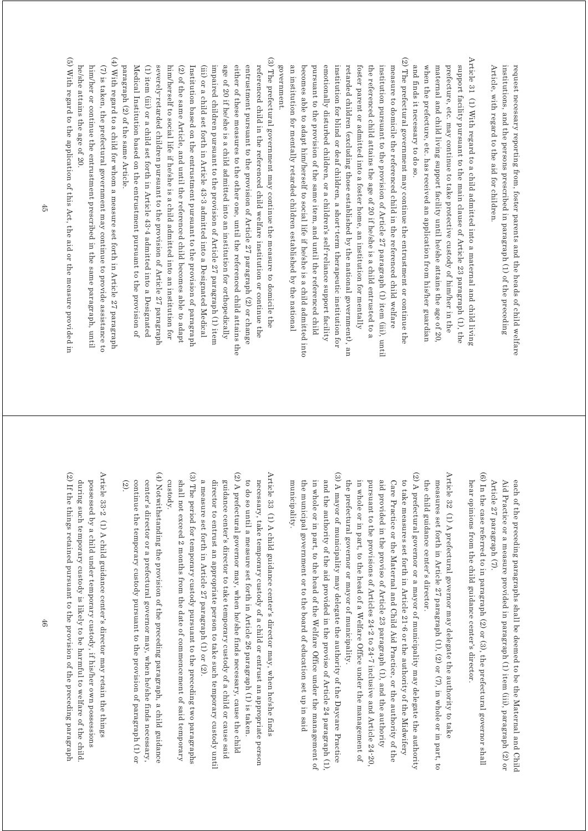Article, with regard to the aid for children institutions, and the persons prescribed in paragraph (1) of the preceding request necessary reporting from, foster parents and the heads of child welfare Article, with regard to the aid for children. institutions, and the persons prescribed in paragraph (1) of the preceding request necessary reporting from, foster parents and the heads of child welfare

Article 31 (1) With regard to a child admitted into a maternal and child living Article 31 (1) With regard to a child admitted into a maternal and child living support facility pursuant to the main clause of Article 23 paragraph (1), the and finds it necessary to do so. when the prefecture, etc. has received an application from his/her guardian maternal and child living support facility until he/she attains the age of 20 prefecture, etc. may continue to take protective custody of him/her in the and finds it necessary to do so. when the prefecture, etc. has received an application from his/her guardian maternal and child living support facility until he/she attains the age of 20, prefecture, etc. may continue to take protective custody of him/her in the support facility pursuant to the main clause of Article 23 paragraph (1), the

(2) The prefectural government may continue the entrustment or continue the (2) The prefectural government may continue the entrustment or continue the government. an institution for mentally retarded children established by the national becomes able to adapt him/herself to social life if he/she is a child admitted into emotionally disturbed children, or a children's self-reliance support facility institution for blind or deaf children, a short-term therapeutic institution for retarded children (excluding those established by the national government), an foster parent or admitted into a foster home, an institution for mentally the referenced child attains the age of 20 if he/she is a child entrusted to a institution pursuant to the provision of Article 27 paragraph (1) item (iii), until measure to domicile the referenced child in the referenced child welfare government. an institution for mentally retarded children established by the national becomes able to adapt him/herself to social life if he/she is a child admitted into pursuant to the provision of the same item, and until the referenced child pursuant to the provision of the same item, and until the referenced child emotionally disturbed children, or a children's self-reliance support facility institution for blind or deaf children, a short-term therapeutic institution for retarded children (excluding those established by the national government), an foster parent or admitted into a foster home, an institution for mentally the referenced child attains the age of 20 if he/she is a child entrusted to a institution pursuant to the provision of Article 27 paragraph (1) item (iii), until measure to domicile the referenced child in the referenced child welfare

(3) The prefectural government may continue the measure to domicile the (3) The prefectural government may continue the measure to domicile the referenced child in the referenced child welfare institution or continue the paragraph (2) of the same Article. Medical Institution based on the entrustment pursuant to the provision of (1) item (iii) or a child set forth in Article 43-4 admitted into a Designated severely-retarded children pursuant to the provision of Article 27 paragraph him/herself to social life if he/she is a child admitted into an institution for (2) of the same Article, and until the referenced child becomes able to adapt Institution based on the entrustment pursuant to the provision of paragraph (iii) or a child set forth in Article 43-3 admitted into a Designated Medical impaired children pursuant to the provision of Article 27 paragraph (1) item age of 20 if he/she is a child admitted into an institution for orthopedically either of these measures to the other one, until the referenced child attains the entrustment pursuant to the provision of Article 27 paragraph (2) or change paragraph (2) of the same Article. Medical Institution based on the entrustment pursuant to the provision of (1) item (iii) or a child set forth in Article 43-4 admitted into a Designated severely-retarded children pursuant to the provision of Article 27 paragraph him/herself to social life if he/she is a child admitted into an institution for (2) of the same Article, and until the referenced child becomes able to adapt Institution based on the entrustment pursuant to the provision of paragraph (iii) or a child set forth in Article 43-3 admitted into a Designated Medical impaired children pursuant to the provision of Article 27 paragraph (1) item age of 20 if he/she is a child admitted into an institution for orthopedically either of these measures to the other one, until the referenced child attains the entrustment pursuant to the provision of Article 27 paragraph (2) or change referenced child in the referenced child welfare institution or continue the

(4) With regard to a child for whom a measure set forth in Article 27 paragraph (4) With regard to a child for whom a measure set forth in  $\Delta T$  paragraphs of  $\Delta T$ (7) is taken, the prefectural government may continue to provide assistance to he/she attains the age of 20. him/her or continue the entrustment prescribed in the same paragraph, until he/she attains the age of 20. him/her or continue the entrustment prescribed in the same paragraph, until (7) is taken, the prefectural government may continue to provide assistance to

(5) With regard to the application of this Act, the aid or the measure provided in (5) With regard to the application of this Act, the aid or the measure provided in

> each of the preceding paragraphs shall be deemed to be the Maternal and Child Article 27 paragraph (7). Aid Practice or a measure provided in paragraph (1) item (iii), paragraph (2) or Article 27 paragraph (7). Aid Practice or a measure provided in paragraph (1) item (iii), paragraph (2) or each of the preceding paragraphs shall be deemed to be the Maternal and Child

(6) In the case referred to in paragraph (2) or (3), the prefectural governor shall (6) In the case referred to in paragraph (2) or (3), the prefectural governor shall hear opinions from the child guidance center's director hear opinions from the child guidance center's director.

Article 32 (1) A prefectural governor may delegate the authority to take Article 32 (1) A prefectural governor may delegate the authority to take measures set forth in Article 27 paragraph (1), (2) or (7), in whole or in part, to the child guidance center's director the child guidance center's director. measures set forth in Article 27 paragraph (1), (2) or  $(7)$ , in whole or in part, to

(2) A prefectural governor or a mayor of municipality may delegate the authority (2) A prefectural governor or a mayor of municipality may delegate the authority in whole or in part, to the head of a Welfare Office under the management of aid provided in the proviso of Article 23 paragraph (1), and the authority Care Practice or the Maternal and Child Aid Practice, or the authority of the to take measures set forth in Article 21-6 or the authority of the Midwifery the prefectural governor or mayor of municipality. pursuant to the provisions of Articles 24-2 to 24-7 inclusive and Article 24-20 the prefectural governor or mayor of municipality. in whole or in part, to the head of a Welfare Office under the management of pursuant to the provisions of Articles 24-2 to 24-7 inclusive and Article 24-20, aid provided in the proviso of Article 23 paragraph (1), and the authority Care Practice or the Maternal and Child Aid Practice, or the authority of the to take measures set forth in Article 21-6 or the authority of the Midwifery

(3) A mayor of municipality may delegate the authority of the Daycare Practice (3) A mayor of municipality may delegate the authority of the Daycare Practice the municipal government or to the board of education set up in said in whole or in part, to the head of the Welfare Office under the management of and the authority of the aid provided in the proviso of Article 24 paragraph  $(1)$ muncipality. municipality. the municipal government or to the board of education set up in said in whole or in part, to the head of the Welfare Office under the management of and the authority of the aid provided in the proviso of Article 24 paragraph (1),

(2) A prefectural governor may, when he/she finds necessary, cause the child (2) A prefectural governor may, when he/she finds necessary, cause the child Article 33 (1) A child guidance center's director may, when he/she finds Article 33  $(1)$  A child guidance center's director may, when he/she finds to do so until a measure set forth in Article 26 paragraph (1) is taken guidance center's director to take temporary custody of a child or cause said necessary, take temporary custody of a child or entrust an appropriate person guidance center's director to take temporary custody of a child or cause said to do so until a measure set forth in Article 26 paragraph (1) is taken. necessary, take temporary custody of a child or entrust an appropriate person

a measure set forth in Article 27 paragraph (1) or (2). director to entrust an appropriate person to take such temporary custody until a measure set forth in Article 27 paragraph (1) or (2). director to entrust an appropriate person to take such temporary custody until

(3) The period for temporary custody pursuant to the preceding two paragraphs (3) The period for temporary custody pursuant to the preceding two paragraphs custody. shall not exceed 2 months from the date of commencement of said temporary shall not exceed 2 months from the date of commencement of said temporary

(4) Notwithstanding the provision of the preceding paragraph, a child guidance (4) Notwithstanding the provision of the preceding paragraph and paragraphs of  $(4)$ continue the temporary custody pursuant to the provision of paragraph (1) or center's director or a prefectural governor may, when he/she finds necessary, (2). continue the temporary custody pursuant to the provision of paragraph (1) or center's director or a prefectural governor may, when he/she finds necessary,

(2) If the things retained pursuant to the provision of the preceding paragraph (2) If the things retained pursuant to the provision of the preceding paragraph Article 33-2 (1) A child guidance center's director may retain the things Article 33-2 (1) A child guidance center's director may retain the things during such temporary custody is likely to be harmful to welfare of the child possessed by a child under temporary custody, if his/her own possessions during such temporary custody is likely to be harmful to welfare of the child. possessed by a child under temporary custody, if his/her own possessions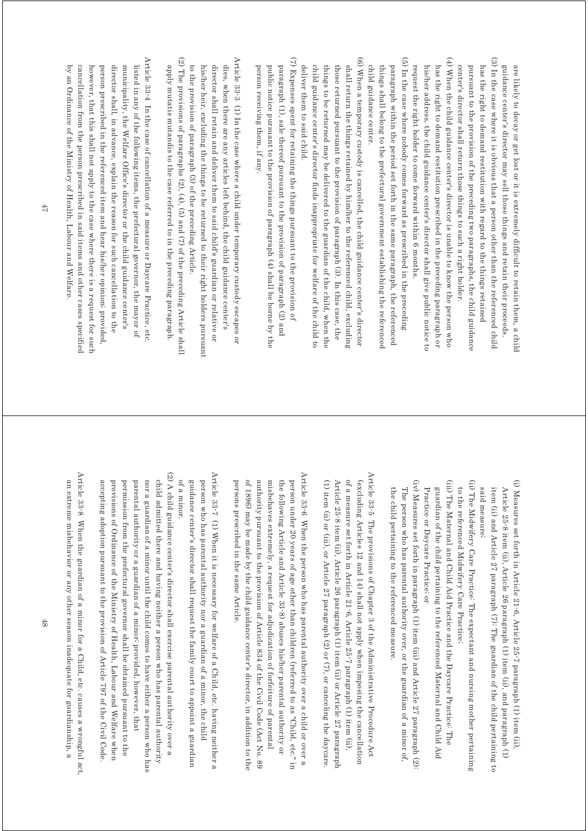(3) In the case where it is obvious that a person other than the referenced child  $(4)$  When the child guidance center's director is unable to know the person who (4) When the child guidance center's director is unable to know the person who (3) In the case where it is obvious that a person other than the referenced child center's director shall return those things to such a right holder. has the right to demand restitution prescribed in the preceding paragraph or pursuant to the provision of the preceding two paragraphs, the child guidance has the right to demand restitution with regard to the things retained guidance center's director may sell those things and retain their proceeds. are likely to decay or get lost or it is extremely difficult to retain them, a child has the right to demand restitution prescribed in the preceding paragraph or center's director shall return those things to such a right holder. pursuant to the provision of the preceding two paragraphs, the child guidance has the right to demand restitution with regard to the things retained guidance center's director may sell those things and retain their proceeds. are likely to decay or get lost or it is extremely difficult to retain them, a child

(5) In the case where nobody comes forward as prescribed in the preceding (5) In the case where nobody comes forward as prescribed in the preceding request the right holder to come forward within 6 months. his/her address, the child guidance center's director shall give public notice to paragraph within the period set forth in the same paragraph, the referenced request the right holder to come forward within 6 months. his/her address, the child guidance center's director shall give public notice to

child guidance center. things shall belong to the prefectural government establishing the reference paragraph within the period set forth in the same paragraph, the referenced child guidance center. things shall belong to the prefectural government establishing the referenced

(6) When a temporary custody is cancelled, the child guidance center's director (6) When a temporary custody is cancelled, the child guidance center's director shall return the things retained by him/her to the referenced child, excluding deliver them to said child. child guidance center's director finds inappropriate for welfare of the child to things to be returned may be delivered to the guardian of the child, when the those returned pursuant to the provision of paragraph (3). In this case, the deliver them to said child. child guidance center's director finds inappropriate for welfare of the child to things to be returned may be delivered to the guardian of the child, when the those returned pursuant to the provision of paragraph (3). In this case, the shall return the things retained by him/her to the referenced child, excluding

(7) Expenses spent for retaining the things pursuant to the provision of (7) Expenses spent for retaining the things pursuant to the provision of paragraph (1), sale thereof pursuant to the provision of paragraph (2) and person receiving them, if any. public notice pursuant to the provision of paragraph (4) shall be borne by the person receiving them, if any. public notice pursuant to the provision of paragraph (4) shall be borne by the paragraph (1), sale thereof pursuant to the provision of paragraph (2) and

(2) The provisions of paragraphs  $(2)$ ,  $(4)$ ,  $(5)$  and  $(7)$  of the preceding Article shall Article 33-3 (1) In the case where a child under temporary custody escapes or (2) The provisions of paragraphs (2), (4), (6) and (7) of the preceding Article shall Article 33-3 (1) In the case where a child under temporary custody escapes or apply mutatis mutandis to the case referred to in the preceding paragraph. to the provision of paragraph (3) of the preceding Article dies, when there are any articles left behind, the child guidance center's his/her heir, excluding the things to be returned to their right holders pursuant director shall retain and deliver them to said child's guardian or relative or apply mutatis mutandis to the case referred to in the preceding paragraph. to the provision of paragraph (3) of the preceding Article. his/her heir, excluding the things to be returned to their right holders pursuant director shall retain and deliver them to said child's guardian or relative or dies, when there are any articles left behind, the child guidance center's

Article 33-4 In the case of cancellation of a measure or Daycare Practice, etc Article 33-4 In the case of cancellation of a measure or Daycare Practice, etc. listed in any of the following items, the prefectural governor, the mayor of by an Ordinance of the Ministry of Health, Labour and Welfare. cancellation from the person prescribed in said items and other cases specified however, that this shall not apply to the case where there is a request for such director shall, in advance, explain the reason for such cancellation to the municipality, the Welfare Office's director or the child guidance center's by an Ordinance of the Ministry of Health, Labour and Welfare. cancellation from the person prescribed in said items and other cases specified however, that this shall not apply to the case where there is a request for such person prescribed in the referenced item and hear his/her opinion; provided, person prescribed in the referenced item and hear his/her opinion; provided, director shall, in advance, explain the reason for such cancellation to the municipality, the Welfare Office's director or the child guidance center's listed in any of the following items, the prefectural governor, the mayor of

> (i) Measures set forth in Article 21-6, Article 25-7 paragraph (1) item (ii) (i) Measures set forth in Article 21-6, Article 25-7 paragraph (1) item (ii), item (ii) and Article 27 paragraph (7): The guardian of the child pertaining to Article 25-8 item (ii), Article 26 paragraph (1) item (ii), and paragraph (1) said measure; said measure; item (ii) and Article 27 paragraph (7): The guardian of the child pertaining to Article 25-8 item (ii), Article 26 paragraph (1) item (ii), and paragraph (1)

(ii) The Midwifery Care Practice: The expectant and nursing mother pertaining (ii) The Midwifery Care Practice: The expectant and nursing mother pertaining to the referenced Midwifery Care Practice; to the referenced Midwifery Care Practice;

(iii) The Maternal and Child Aid Practice and the Daycare Practice: The (iii) The Maternal and Child Aid Practice and the Daycare Practice: The guardian of the child pertaining to the referenced Maternal and Child Aid Practice or Daycare Practice; or Practice or Daycare Practice; or guardian of the child pertaining to the referenced Maternal and Child Aid

(iv) Measures set forth in paragraph (1) item (iii) and Article 27 paragraph (2) (iv) Measures set forth in paragraph (1) item (iii) and Article 27 paragraph (2): the child pertaining to the referenced measure. The person who has parental authority over, or the guardian of a minor of, the child pertaining to the referenced measure. The person who has parental authority over, or the guardian of a minor of,

Article 33-5 The provisions of Chapter 3 of the Administrative Procedure Act Article 33-5 The provisions of Chapter 3 of the Administrative Procedure Act of a measure set forth in Article 21-6, Article 25-7 paragraph (1) item (ii), (1) item (ii) or (iii), or Article  $27$  paragraph (2) or (7), or canceling the daycare (excluding Articles 12 and 14) shall not apply when imposing the cancellation Article 25-8 item (ii), Article 26 paragraph (1) item (ii) or Article 27 paragraph (1) item (ii) or (iii), or Article 27 paragraph (2) or (7), or canceling the daycare. Article 25-8 item (ii), Article 26 paragraph (1) item (ii) or Article 27 paragraph (1) of a measure set forth in Article 21-6, Article 25-7 paragraph (1) item (ii), (excluding Articles 12 and 14) shall not apply when imposing the cancellation

Article 33-6 When the person who has parental authority over a child or over a Article 33<sup>-6</sup> When the person who has parental authority over a child or over a of 1896) may be made by the child guidance center's director, in addition to the authority pursuant to the provision of Article 834 of the Civil Code (Act No. 89 misbehaves extremely, a request for adjudication of forfeiture of parental the following Article and Article 33-8) abuses his/her parental authority or person under 20 years of age other than children (referred to as "Child, etc." in persons prescribed in the same Article. persons prescribed in the same Article. of 1896) may be made by the child guidance center's director, in addition to the authority pursuant to the provision of Article 834 of the Civil Code (Act No. 89 misbehaves extremely, a request for adjudication of forfeiture of parental the following Article and Article 33-8) abuses his/her parental authority or person under 20 years of age other than children (referred to as "Child, etc." in

Article 33-7 (1) When it is necessary for welfare of a Child, etc. having neither a Article 33-7 (1) When it is necessary for welfare of a Child, etc. having neither a guidance center's director shall request the family court to appoint a guardian person who has parental authority nor a guardian of a minor, the child of a minor. of a minor. guidance center's director shall request the family court to appoint a guardian person who has parental authority nor a guardian of a minor, the child

(2) A child guidance center's director shall exercise parental authority over a (2) A child guidance center's director shall exercise parental authority over a permission from the prefectural governor shall be obtained pursuant to the nor a guardian of a minor until the child comes to have either a person who has child admitted there and having neither a person who has parental authority provisions of Ordinance of the Ministry of Health, Labour and Welfare when parental authority or a guardian of a minor; provided, however, that accepting adoption pursuant to the provision of Article 797 of the Civil Code accepting adoption pursuant to the provision of Article 797 of the Civil Code. provisions of Ordinance of the Ministry of Health, Labour and Welfare when permission from the prefectural governor shall be obtained pursuant to the parental authority or a guardian of a minor; provided, however, that nor a guardian of a minor until the child comes to have either a person who has child admitted there and having neither a person who has parental authority

Article 33-8 When the guardian of a minor for a Child, etc. causes a wrongful act, Article 33-8 When the guardian of a minor for a Child, etc. causes a wrongful act, an extreme misbehavior or any other season inadequate for guardianship, a an extreme misbehavior or any other season inadequate for guardianship, a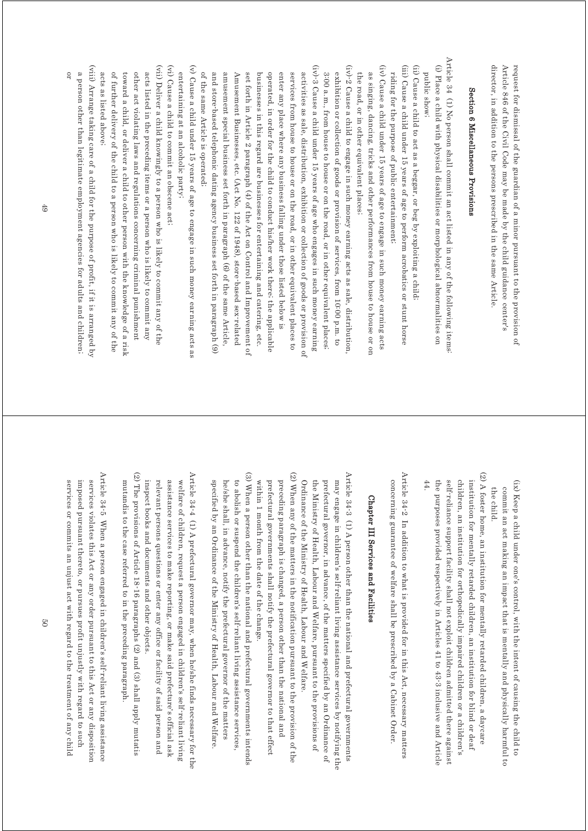director, in addition to the persons prescribed in the same Article. Article 846 of the Civil Code may be made by the child guidance center's request for dismissal of the guardian of a minor pursuant to the provision of director, in addition to the persons prescribed in the same Article. Article 846 of the Civil Code may be made by the child guidance center's request for dismissal of the guardian of a minor pursuant to the provision of

## Section 6 Miscellaneous Provisions Section 6 Miscellaneous Provisions

- Article 34  $(1)$  No person shall commit an act listed in any of the following items Article 34 (1) No person shall commit an act listed in any of the following items: (i) Place a child with physical disabilities or morphological abnormalities on (i) Place a child with physical disabilities or morphological abnormalities on public show public show;
- (ii) Cause a child to act as a beggar, or beg by exploiting a child (ii) Cause a child to act as a beggar, or beg by exploiting a child;
- (iii) Cause a child under 15 years of age to perform acrobatics or stunt horse (iii) Cause a child under 15 years of age to perform acrobatics or stunt horse
- (iv) Cause a child under 15 years of age to engage in such money earning acts mding for the purpose of public entertainment, riding for the purpose of public entertainment;
- $\overline{\rm (iv)}$  Cause a child under 15 years of age to engage in such money earning acts the road, or in other equivalent places; as singing, dancing, tricks and other performances from house to house or on the road, or in other equivalent places; as singing, dancing, tricks and other performances from house to house or on
- $(iv)^2$  Cause a child to engage in such money earning acts as sale, distribution (iv)-2 Cause a child to engage in such money earning acts as sale, distribution, exhibition or collection of goods or provision of services, from 10:00 p.m. to 3:00 a.m., from house to house or on the road, or in other equivalent places; 3:00 a.m., from house to house or on the road, or in other equivalent places; exhibition or collection of goods or provision of services, from 10:00 p.m. to
- $(iv)^{-3}$  Cause a child under 15 years of age who engages in such money earning (iv)-3 Cause a child under 15 years of age who engages in such money earning activities as sale, distribution, exhibition or collection of goods or provision of and store-based telephonic dating agency business set forth in paragraph (9) amusement special business set forth in paragraph (6) of the same Article, of the same Article is operated; Amusement Businesses, etc. (Act No. 122 of 1948), store-based sex-related set forth in Article 2 paragraph (4) of the Act on Control and Improvement of businesses in this regard are businesses for entertaining and catering, etc. operated, in order for the child to conduct his/her work there, the applicable enter any place where any business falling under those listed below is services from house to house or on the road, or in other equivalent places to of the same Article is operated; and store-based telephonic dating agency business set forth in paragraph (9) amusement special business set forth in paragraph (6) of the same Article, Amusement Businesses, etc. (Act No. 122 of 1948), store-based sex-related set forth in Article 2 paragraph (4) of the Act on Control and Improvement of businesses in this regard are businesses for entertaining and catering, etc. operated, in order for the child to conduct his/her work there; the applicable enter any place where any business falling under those listed below is services from house to house or on the road, or in other equivalent places to activities as sale, distribution, exhibition or collection of goods or provision of
- $(v)$  Cause a child under 15 years of age to engage in such money earning acts as (v) Cause a child under 15 years of age to engage in such money earning acts as entertaining at an alcoholic party; entertaining at an alcoholic party;
- (vi) Cause a child to commit an obscene act; (vi) Cause a child to commit an obscene act;
- (vii) Deliver a child knowingly to a person who is likely to commit any of the (vii) Deliver a child knowingly to a person who is likely to commit any of the of further delivery of the child to a person who is likely to commit any of the toward a child, or deliver a child to other person with the knowledge of a risk other act violating laws and regulations concerning criminal punishment acts listed in the preceding items or a person who is likely to commit any acts as listed above; acts as listed above; of further delivery of the child to a person who is likely to commit any of the toward a child, or deliver a child to other person with the knowledge of a risk other act violating laws and regulations concerning criminal punishment acts listed in the preceding items or a person who is likely to commit any
- (viii) Arrange taking care of a child for the purpose of profit, if it is arranged by (viii) Arrange taking care of a child for the purpose of profit, if it is arranged by a person other than legitimate employment agencies for adults and children. a person other than legitimate employment agencies for adults and children;

49

or

- (ix) Keep a child under one's control, with the intent of causing the child to (ix) Keep a child under one's control, with the intent of causing the child to commit an act making an impact that is mentally and physically harmful to the child. the child. commit an act making an impact that is mentally and physically harmful to
- (2) A foster home, an institution for mentally retarded children, a daycare (2) A foster home, an institution for mentally retarded children, a daycare 44. the purposes provided respectively in Articles 41 to 43-3 inclusive and Article children, an institution for orthopedically impaired children or a children's institution for mentally retarded children, an institution for blind or deaf self-reliance support facility shall not exploit children admitted there against the purposes provided respectively in Articles 41 to 43-3 inclusive and Article self-reliance support facility shall not exploit children admitted there against children, an institution for orthopedically impaired children or a children's institution for mentally retarded children, an institution for blind or deaf

Article 34-2 In addition to what is provided for in this Act, necessary matters Article 34-2 In addition to what is provided for in this Act, necessary matters concerning guarantee of welfare shall be prescribed by a Cabinet Order. concerning guarantee of welfare shall be prescribed by a Cabinet Order.

## Chapter III Services and Facilities Chapter III Services and Facilities

- Article 34-3 (1) A person other than the national and prefectural governments Article 34-3 (1) A person other than the national and prefectural governments Ordinance of the Ministry of Health, Labour and Welfare may engage in children's self-reliant living assistance services by notifying the the Ministry of Health, Labour and Welfare, pursuant to the provisions of prefectural governor, in advance, of the matters specified by an Ordinance of Ordinance of the Ministry of Health, Labour and Welfare. the Ministry of Health, Labour and Welfare, pursuant to the provisions of prefectural governor, in advance, of the matters specified by an Ordinance of may engage in children's self-reliant living assistance services by notifying the
- (2) When any of the matters in the notification pursuant to the provision of the (2) When any of the matters in the notification pursuant to the provision of the prefectural governments shall notify the prefectural governor to that effect preceding paragraph is changed, a person other than the national and within 1 month from the date of the change. within 1 month from the date of the change. prefectural governments shall notify the prefectural governor to that effect preceding paragraph is changed, a person other than the national and
- (3) When a person other than the national and prefectural governments intends (3) When a person other than the national and prefectural governments intends specified by an Ordinance of the Ministry of Health, Labour and Welfare he/she shall, in advance, notify the prefectural governor of the matters to abolish or suspend the children's self-reliant living assistance services, specified by an Ordinance of the Ministry of Health, Labour and Welfare. he/she shall, in advance, notify the prefectural governor of the matters to abolish or suspend the children's self-reliant living assistance services,
- Article 34-4 (1) A prefectural governor may, when he/she finds necessary for the Article 34-4 (1) A prefectural governor may, when he/she finds necessary for the inspect books and documents and other objects. relevant persons questions or enter any office or facility of said person and welfare of children, request a person engaged in children's self-reliant living assistance services to make reporting, or make said prefecture's official ask inspect books and documents and other objects. relevant persons questions or enter any office or facility of said person and assistance services to make reporting, or make said prefecture's official ask welfare of children, request a person engaged in children's self-reliant living
- (2) The provisions of Article 18-16 paragraphs (2) and (3) shall apply mutatis (2) The provisions of Article 18-16 paragraphs (2) and (3) shall apply mutatis mutandis to the case referred to in the preceding paragraph mutandis to the case referred to in the preceding paragraph.
- Article 34-5 When a person engaged in children's self-reliant living assistance Article 34-5 When a person engaged in children's self-reliant living assistance services violates this Act or any order pursuant to this Act or any disposition services or commits an unjust act with regard to the treatment of any child imposed pursuant thereto, or pursues profit unjustly with regard to such services or commits an unjust act with regard to the treatment of any child imposed pursuant thereto, or pursues services violates this Act or any order pursuant to this Act or any disposition profit unjustly with regard to such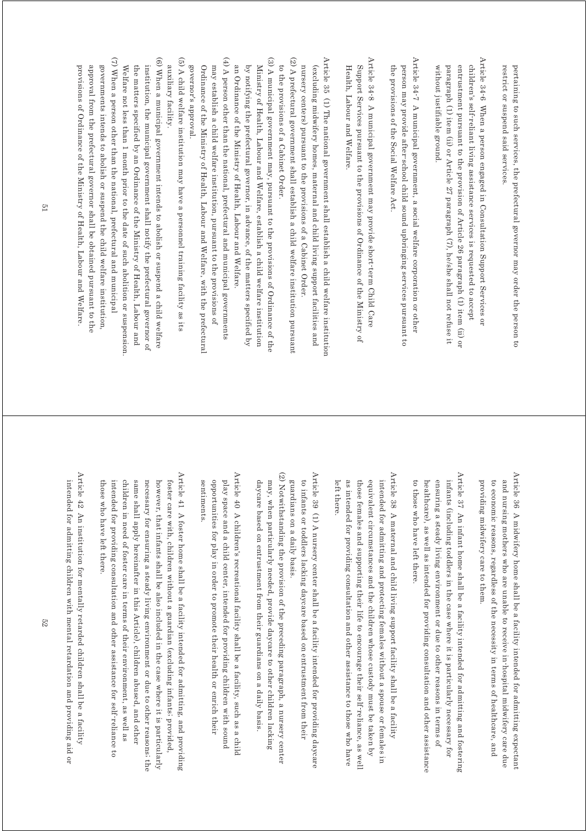restrict or suspend said services pertaining to such services, the prefectural governor may order the person to restrict or suspend said services. pertaining to such services, the prefectural governor may order the person to

Article 34-6 When a person engaged in Consultation Support Services or Article 34-6 When a person engaged in Consultation Support Services or entrustment pursuant to the provision of Article 26 paragraph (1) item (ii) or without justifiable ground paragraph (1) item (ii) or Article 27 paragraph (7), he/she shall not refuse it children's self-reliant living assistance services is requested to accept without justifiable ground. paragraph (1) item (ii) or Article 27 paragraph (7), he/she shall not refuse it entrustment pursuant to the provision of Article 26 paragraph (1) item (ii) or children's self-reliant living assistance services is requested to accept

Article 34-7 A municipal government, a social welfare corporation or other Article 34-7 A municipal government, a social welfare corporation or other the provisions of the Social Welfare Act. person may provide after-school child sound upbringing services pursuant to the provisions of the Social Welfare Act. person may provide after-school child sound upbringing services pursuant to

Article 34-8 A municipal government may provide short-term Child Care Article 34-8 A municipal government may provide short-term Child Care Support Services pursuant to the provisions of Ordinance of the Ministry of Health, Labour and Welfare Health, Labour and Welfare. Support Services pursuant to the provisions of Ordinance of the Ministry of

Article 35 (1) The national government shall establish a child welfare institution (2) A prefectural government shall establish a child welfare institution pursuan (2) A prefectural government shall establish a child welfare institution pursuant Article 35 (1) The national government shall establish a child welfare institution nursery centers) pursuant to the provisions of a Cabinet Order. (excluding midwifery homes, maternal and child living support facilities and nursery centers) pursuant to the provisions of a Cabinet Order. (excluding midwifery homes, maternal and child living support facilities and

to the provisions of a Cabinet Order. to the provisions of a Cabinet Order.

(3) A municipal government may, pursuant to the provisions of Ordinance of the (3) A municipal government may, pursuant to the provisions of Ordinance of the an Ordinance of the Ministry of Health, Labour and Welfare. by notifying the prefectural governor, in advance, of the matters specified by Ministry of Health, Labour and Welfare, establish a child welfare institution an Ordinance of the Ministry of Health, Labour and Welfare. by notifying the prefectural governor, in advance, of the matters specified by Ministry of Health, Labour and Welfare, establish a child welfare institution

(4) A person other than the national, prefectural and municipal governments (4) A person other than the national, prefectural and municipal governments governor's approval Ordinance of the Ministry of Health, Labour and Welfare, with the prefectural may establish a child welfare institution, pursuant to the provisions of governor's approval. Ordinance of the Ministry of Health, Labour and Welfare, with the prefectural may establish a child welfare institution, pursuant to the provisions of

(5) A child welfare institution may have a personnel training facility as its (5) A child welfare institution may have a personnel training facility as its auxiliary facility. auxiliary facility.

(6) When a municipal government intends to abolish or suspend a child welfare (6) When a municipal government intends to abolish or suspend a child welfare institution, the municipal government shall notify the prefectural governor of the matters specified by an Ordinance of the Ministry of Health, Labour and Welfare not less than 1 month prior to the date of such abolition or suspension Welfare not less than 1 month prior to the date of such abolition or suspension. the matters specified by an Ordinance of the Ministry of Health, Labour and institution, the municipal government shall notify the prefectural governor of

(7) When a person other than the national, prefectural and municipal (7) When a person other than the national, prefectural and municipal governments intends to abolish or suspend the child welfare institution, provisions of Ordinance of the Ministry of Health, Labour and Welfare. approval from the prefectural governor shall be obtained pursuant to the provisions of Ordinance of the Ministry of Health, Labour and Welfare. approval from the prefectural governor shall be obtained pursuant to the governments intends to abolish or suspend the child welfare institution,

> Article 36 A midwifery home shall be a facility intended for admitting expectant Article 36 A midwifery home shall be a facility intended for admitting expectant providing midwifery care to them to economic reasons, regardless of the necessity in terms of healthcare, and and nursing mothers who are unable to receive in-hospital midwifery care due providing midwifery care to them. to economic reasons, regardless of the necessity in terms of healthcare, and and nursing mothers who are unable to receive in-hospital midwifery care due

Article 37  $\,$  An infant home shall be a facility intended for admitting and fostering Article 37 An infant home shall be a facility intended for admitting and fostering ensuring a steady living environment or due to other reasons in terms of infants (including toddlers in the case where it is particularly necessary for to those who have left there. healthcare), as well as intended for providing consultation and other assistance to those who have left there. healthcare), as well as intended for providing consultation and other assistance ensuring a steady living environment or due to other reasons in terms of infants (including toddlers in the case where it is particularly necessary for

Article 38 A maternal and child living support facility shall be a facility Article 38 A maternal and child living support facility shall be a facility equivalent circumstances and the children whose custody must be taken by intended for admitting and protecting females without a spouse or females in as intended for providing consultation and other assistance to those who have those females and supporting their life to encourage their self-reliance, as well left there. left there. as intended for providing consultation and other assistance to those who have those females and supporting their life to encourage their self-reliance, as well equivalent circumstances and the children whose custody must be taken by intended for admitting and protecting females without a spouse or females in

Article 39 (1) A nursery center shall be a facility intended for providing daycare Article 39 (1) A nursery center shall be a facility intended for providing daycare to infants or toddlers lacking daycare based on entrustment from their guardians on a daily basis. guardians on a daily basis. to infants or toddlers lacking daycare based on entrustment from their

(2) Notwithstanding the provision of the preceding paragraph, a nursery center (2) Notwithstanding the provision of the preceding paragraph, a nursery center may, when particularly needed, provide daycare to other children lacking daycare based on entrustment from their guardians on a daily basis. daycare based on entrustment from their guardians on a daily basis. may, when particularly needed, provide daycare to other children lacking

Article 40 A children's recreational facility shall be a facility, such as a child Article 40 A children's recreational facility shall be a facility, such as a child opportunities for play in order to promote their health or enrich their play space and a child center, intended for providing children with sound sentiments. sentiments. opportunities for play in order to promote their health or enrich their play space and a child center, intended for providing children with sound

Article 41 A foster home shall be a facility intended for admitting, and providing Article 41 A foster home shall be a facility intended for admitting, and providing same shall apply hereinafter in this Article), children abused, and other foster care with, children without a guardian (excluding infants; provided, intended for providing consultation and other assistance for self-reliance to children in need of foster care in terms of their environment, as well as necessary for ensuring a steady living environment or due to other reasons; the however, that infants shall be also included in the case where it is particularly those who have left there those who have left there. intended for providing consultation and other assistance for self-reliance to children in need of foster care in terms of their environment, as well as same shall apply hereinafter in this Article), children abused, and other necessary for ensuring a steady living environment or due to other reasons; the however, that infants shall be also included in the case where it is particularly foster care with, children without a guardian (excluding infants; provided,

Article 42 An institution for mentally retarded children shall be a facility Article 42 An institution for mentally retarded children shall be a facility intended for admitting children with mental retardation and providing aid or intended for admitting children with mental retardation and providing aid or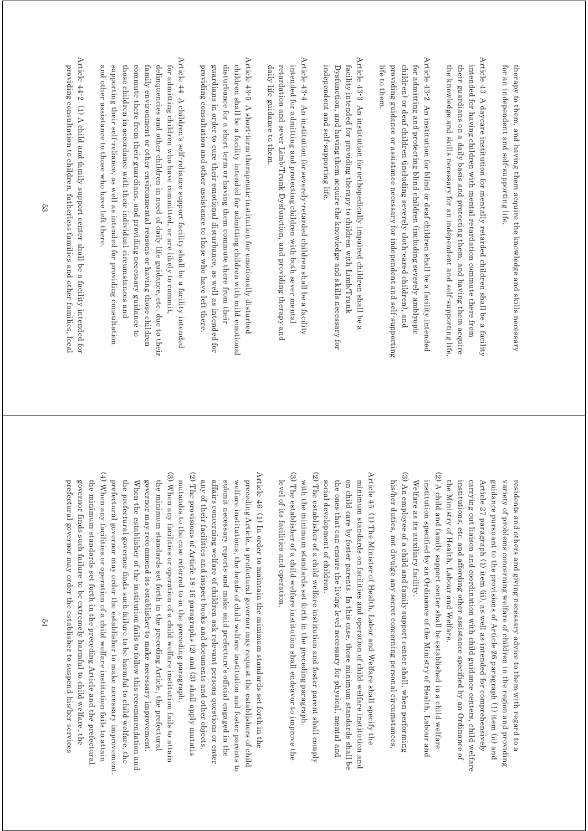for an independent and self-supporting life. therapy to them, and having them acquire the knowledge and skills necessary for an independent and self-supporting life. therapy to them, and having them acquire the knowledge and skills necessary

- Article 43 A daycare institution for mentally retarded children shall be a facility Article 43 A daycare institution for mentally retarded children shall be a facility the knowledge and skills necessary for an independent and self-supporting life their guardians on a daily basis and protecting them, and having them acquire intended for having children with mental retardation commute there from the knowledge and skills necessary for an independent and self-supporting life. their guardians on a daily basis and protecting them, and having them acquire intended for having children with mental retardation commute there from
- Article 43-2 An institution for blind or deaf children shall be a facility intended Article 43-2 An institution for blind or deaf children shall be a facility intended children) or deaf children (including severely cloth-eared children), and life to them. providing guidance or assistance necessary for independent and self-supporting for admitting and protecting blind children (including severely amblyopic life to them. providing guidance or assistance necessary for independent and self-supporting children) or deaf children (including severely cloth-eared children), and for admitting and protecting blind children (including severely amblyopic
- Article 43-3 An institution for orthopedically impaired children shall be a Article 43-3 An institution for orthopedically impaired children shall be a facility intended for providing therapy to children with Limb/Trunk independent and self-supporting life. Dysfunction, and having them acquire the knowledge and skills necessary for independent and self-supporting life. Dysfunction, and having them acquire the knowledge and skills necessary for facility intended for providing therapy to children with Limb/Trunk
- Article 43-4 An institution for severely retarded children shall be a facility Article 43-4 An institution for severely-retarded children shall be a facility daily life guidance to them retardation and sever Limb/Trunk Dysfunction, and providing therapy and intended for admitting and protecting children with both sever mental daily life guidance to them. retardation and sever Limb/Trunk Dysfunction, and providing therapy and intended for admitting and protecting children with both sever mental
- Article  $43\text{-}5$  A short-term therapeutic institution for emotionally disturbed Article 43-5 A short-term therapeutic institution for emotionally disturbed providing consultation and other assistance to those who have left there guardians in order to cure their emotional disturbance, as well as intended for disturbance for a short term or having them commute there from their children shall be a facility intended for admitting children with mild emotional providing consultation and other assistance to those who have left there. guardians in order to cure their emotional disturbance, as well as intended for disturbance for a short term or having them commute there from their children shall be a facility intended for admitting children with mild emotional
- Article 44 A children's self-reliance support facility shall be a facility intended Article 44 A children's self-reliance support facility shall be a facility intended and other assistance to those who have left there. supporting their self-reliance, as well as intended for providing consultation those children in accordance with their individual circumstances and commute there from their guardians, and providing necessary guidance to family environment or other environmental reasons or having those children delinquencies and other children in need of daily life guidance, etc. due to their for admitting children who have committed, or are likely to commit and other assistance to those who have left there. supporting their self-reliance, as well as intended for providing consultation those children in accordance with their individual circumstances and commute there from their guardians, and providing necessary guidance to family environment or other environmental reasons or having those children delinquencies and other children in need of daily life guidance, etc. due to their for admitting children who have committed, or are likely to commit,
- Article 44-2 (1) A child and family support center shall be a facility intended for Article 44-2 (1) A child and family support center shall be a facility intended for providing consultation to children, fatherless families and other families, local providing consultation to children, fatherless families and other families, local

the Ministry of Health, Labour and Welfare. institutions, etc. and affording other assistance specified by an Ordinance of Article 27 paragraph (1) item (ii), as well as intended for comprehensively guidance pursuant to the provisions of Article 26 paragraph (1) item (ii) and variety of problems concerning welfare of children in the region and providing carrying out liaison and coordination with child guidance centers, child welfare the Ministry of Health, Labour and Welfare. institutions, etc. and affording other assistance specified by an Ordinance of carrying out liaison and coordination with child guidance centers, child welfare Article 27 paragraph (1) item (ii), as well as intended for comprehensively guidance pursuant to the provisions of Article 26 paragraph (1) item (ii) and variety of problems concerning welfare of children in the region and providing residents and others and giving necessary advice to them with regard to a residents and others and giving necessary advice to them with regard to a

- (2) A child and family support center shall be established in a child welfare (2) A child and family support center shall be established in a child welfare institution specified by an Ordinance of the Ministry of Health, Labour and Welfare as its auxiliary facility. Welfare as its auxiliary facility. institution specified by an Ordinance of the Ministry of Health, Labour and
- (3) An employee of a child and family support center shall, when performing (3) An employee of a child and family support center shall, when performing his/her duties, not divulge any secret concerning personal circumstances his/her duties, not divulge any secret concerning personal circumstances.
- Article 45 (1) The Minister of Health, Labor and Welfare shall specify the Article 45  $\,$  (1) The Minister of Health, Labor and Welfare shall specify the social development of children. the ones that can ensure the living level necessary for physical, mental and on child care by foster parents. In this case, those minimum standards shall be minimum standards on facilities and operation of child welfare institution and social development of children. the ones that can ensure the living level necessary for physical, mental and on child care by foster parents. In this case, those minimum standards shall be minimum standards on facilities and operation of child welfare institution and
- (3) The establisher of a child welfare institution shall endeavor to improve the (3) The establisher of a child welfare institution shall endeavor to improve the (2) The establisher of a child welfare institution and foster parent shall comply (2) The establisher of a child welfare institution and foster parent shall comply with the minimum standards set forth in the preceding paragraph. level of its facilities and operation. level of its facilities and operation. with the minimum standards set forth in the preceding paragraph.
- (3) When any facilities or operation of a child welfare institution fails to attain (3) When any facilities or operation of a child welfare institution fails to attain (2) The provisions of Article 18-16 paragraphs (2) and (3) shall apply mutatis (2) The provisions of Article 18-16 paragraphs (2) and (3) shall apply mutatis Article 46 (1) In order to maintain the minimum standards set forth in the Article 46 (1) In order to maintain the minimum standards set forth in the mutandis to the case referred to in the preceding paragraph. any of their facilities and inspect books and documents and other objects. affairs concerning welfare of children ask relevant persons questions or enter submit necessary reports and make said prefecture's official engaged in the preceding Article, a prefectural governor may request the establishers of child welfare institutions, the heads of child welfare institution and foster parents to mutandis to the case referred to in the preceding paragraph. any of their facilities and inspect books and documents and other objects. affairs concerning welfare of children ask relevant persons questions or enter submit necessary reports and make said prefecture's official engaged in the welfare institutions, the heads of child welfare institution and foster parents to preceding Article, a prefectural governor may request the establishers of child
- (4) When any facilities or operation of a child welfare institution fails to attain (4) When any facilities or operation of a child  $\alpha$  elfare institution fails to attain (4) prefectural governor may order the establisher to suspend his/her services prefectural governor may order the establisher to make necessary improvement When the establisher of the institution fails to follow this recommendation and governor may recommend its establisher to make necessary improvement. governor finds such failure to be extremely harmful to child welfare, the the minimum standards set forth in the preceding Article and the prefectural the prefectural governor finds such failure to be harmful to child welfare, the the minimum standards set forth in the preceding Article, the prefectural prefectural governor may order the establisher to suspend his/her services governor finds such failure to be extremely harmful to child welfare, the the minimum standards set forth in the preceding Article and the prefectural prefectural governor may order the establisher to make necessary improvement. the prefectural governor finds such failure to be harmful to child welfare, the When the establisher of the institution fails to follow this recommendation and governor may recommend its establisher to make necessary improvement. the minimum standards set forth in the preceding Article, the prefectural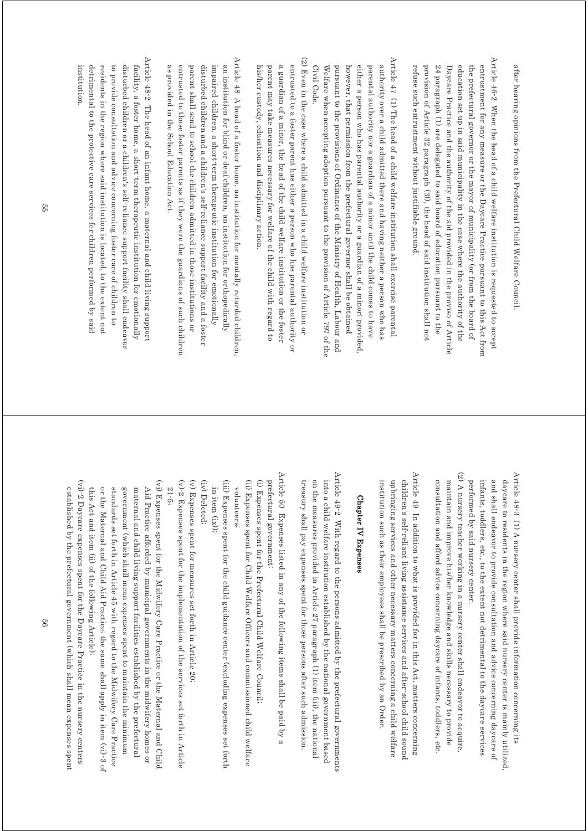after hearing opinions from the Prefectural Child Welfare Council after hearing opinions from the Prefectural Child Welfare Council.

Article 46-2 When the head of a child welfare institution is requested to accept Article 46-2 When the head of a child welfare institution is requested to accept entrustment for any measure or the Daycare Practice pursuant to this Act from refuse such entrustment without justifiable ground. provision of Article 32 paragraph (3)), the head of said institution shall not 24 paragraph (1) are delegated to said board of education pursuant to the Daycare Practice and the authority of the aid provided in the proviso of Article education set up in said municipality in the case where the authority of the the prefectural governor or the mayor of municipality (or from the board of refuse such entrustment without justifiable ground. provision of Article 32 paragraph (3)), the head of said institution shall not 24 paragraph (1) are delegated to said board of education pursuant to the Daycare Practice and the authority of the aid provided in the proviso of Article education set up in said municipality in the case where the authority of the the prefectural governor or the mayor of municipality (or from the board of entrustment for any measure or the Daycare Practice pursuant to this Act from

Article 47 (1) The head of a child welfare institution shall exercise parental Article 47 (1) The head of a child welfare institution shall exercise parental authority over a child admitted there and having neither a person who has Civil Code. Welfare when accepting adoption pursuant to the provision of Article 797 of the pursuant to the provisions of Ordinance of the Ministry of Health, Labour and however, that permission from the prefectural governor shall be obtained either a person who has parental authority or a guardian of a minor; provided parental authority nor a guardian of a minor until the child comes to have Civil Code. Welfare when accepting adoption pursuant to the provision of Article 797 of the pursuant to the provisions of Ordinance of the Ministry of Health, Labour and however, that permission from the prefectural governor shall be obtained either a person who has parental authority or a guardian of a minor; provided, parental authority nor a guardian of a minor until the child comes to have authority over a child admitted there and having neither a person who has

(2) Even in the case where a child admitted in a child welfare institution or (2) Even in the case where a child admitted in a child welfare institution or a guardian of a minor, the head of the child welfare institution or the foster entrusted to a foster parent has either a person who has parental authority or his/her custody, education and disciplinary action. parent may take measures necessary for welfare of the child with regard to his/her custody, education and disciplinary action. parent may take measures necessary for welfare of the child with regard to a guardian of a minor, the head of the child welfare institution or the foster entrusted to a foster parent has either a person who has parental authority or

Article 48 A head of a foster home, an institution for mentally retarded children Article 48 A head of a foster home, an institution for mentally retarded children, disturbed children and a children's self-reliance support facility and a foster as provided in the School Education Act. entrusted to those foster parents as if they were the guardians of such children parent shall send to school the children admitted in those institutions or impaired children, a short-term therapeutic institution for emotionally an institution for blind or deaf children, an institution for orthopedically as provided in the School Education Act. entrusted to those foster parents as if they were the guardians of such children parent shall send to school the children admitted in those institutions or disturbed children and a children's self-reliance support facility and a foster impaired children, a short-term therapeutic institution for emotionally an institution for blind or deaf children, an institution for orthopedically

Article 48-2 The head of an infant home, a maternal and child living support Article 48-2 The head of an infant home, a maternal and child living support institution. detrimental to the protective care services for children performed by said residents in the region where said institution is located, to the extent not to provide consultation and advice concerning foster care of children to disturbed children or a children's self-reliance support facility shall endeavor facility, a foster home, a short-term therapeutic institution for emotionally institution. detrimental to the protective care services for children performed by said residents in the region where said institution is located, to the extent not to provide consultation and advice concerning foster care of children to disturbed children or a children's self-reliance support facility shall endeavor facility, a foster home, a short-term therapeutic institution for emotionally

> Article 48-3 (1) A nursery center shall provide information concerning its Article 48-3 (1) A nursery center shall provide information concerning its infants, toddlers, etc., to the extent not detrimental to the daycare services and shall endeavor to provide consultation and advice concerning daycare of daycare to residents in the region where said nursery center is mainly utilized, performed by said nursery center. performed by said nursery center. infants, toddlers, etc., to the extent not detrimental to the daycare services and shall endeavor to provide consultation and advice concerning daycare of daycare to residents in the region where said nursery center is mainly utilized,

(2) A nursery teacher working in a nursery center shall endeavor to acquire, (2) A nursery teacher working in a nursery center shall endeavor to acquire, consultation and afford advice concerning daycare of infants, toddlers, etc. maintain and improve his/her knowledge and skills necessary to provide consultation and afford advice concerning daycare of infants, toddlers, etc. maintain and improve his/her knowledge and skills necessary to provide

Article 49 In addition to what is provided for in this Act, matters concerning Article 49 In addition to what is provided for in this Act, matters concerning children's self-reliant living assistance services and after-school child sound institution such as their employees shall be prescribed by an Order. upbringing services and other necessary matters concerning a child welfare institution such as their employees shall be prescribed by an Order. upbringing services and other necessary matters concerning a child welfare children's self-reliant living assistance services and after-school child sound

#### **Chapter IV Expenses** Chapter IV Expenses

Article  $49-2$  With regard to the persons admitted by the prefectural governments Article 49-2 With regard to the persons admitted by the prefectural governments treasury shall pay expenses spent for those persons after such admission. on the measures provided in Article 27 paragraph (1) item (iii), the national into a child welfare institution established by the national government based treasury shall pay expenses spent for those persons after such admission. on the measures provided in Article 27 paragraph (1) item (iii), the national into a child welfare institution established by the national government based

Article 50 Expenses listed in any of the following items shall be paid by a Article 50 Expenses listed in any of the following items shall be paid by a prefectural government:

(i) Expenses spent for the Prefectural Child Welfare Council prefectural government: (i) Expenses spent for the Prefectural Child Welfare Council;

(ii) Expenses spent for Child Welfare Officers and commissioned child welfare (ii) Expenses spent for Child Welfare Officers and commissioned child welfare volunteers; volunteers;

(iii) Expenses spent for the child guidance center (excluding expenses set forth (iii) Expenses spent for the child guidance center (excluding expenses set forth in item  $(ix)$ ); in item (ix));

(iv) Deleted; (iv) Deleted;

(v) Expenses spent for measures set forth in Article 20 (v) Expenses spent for measures set forth in Article 20;

 $(v)$ -2 Expenses spent for the implementation of the services set forth in Article (v)-2 Expenses spent for the implementation of the services set forth in Article

(vi) Expenses spent for the Midwifery Care Practice or the Maternal and Chile (vi) Expenses spent for the Midwifery Care Practice or the Maternal and Child 21-5; Aid Practice afforded by municipal governments in the midwifery homes or Aid Practice afforded by municipal governments in the midwifery homes or

or the Maternal and Child Aid Practice; the same shall apply in item (vi)-3 of standards set forth in Article 45 with regard to the Midwifery Care Practice government (which shall mean expenses spent to maintain the minimum maternal and child living support facilities established by the prefectural this Act and item (ii) of the following Article); this Act and item (ii) of the following Article); or the Maternal and Child Aid Practice; the same shall apply in item (vi)-3 of standards set forth in Article 45 with regard to the Midwifery Care Practice government (which shall mean expenses spent to maintain the minimum maternal and child living support facilities established by the prefectural

(vi) $-2$  Daycare expenses spent for the Daycare Practice in the nursery centers (vi)-2 Daycare expenses spent for the Daycare Practice in the nursery centers established by the prefectural government (which shall mean expenses spent established by the prefectural government (which shall mean expenses spent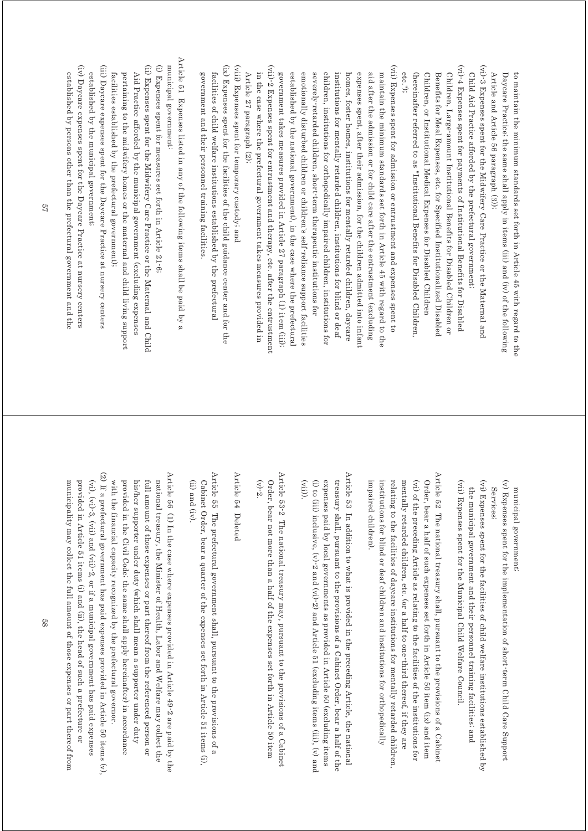Article and Article 56 paragraph (3)); Daycare Practice; the same shall apply in items (iii) and (iv) of the following to maintain the minimum standardards set forth in Article 45 with regard to the Article and Article 56 paragraph (3)); Daycare Practice; the same shall apply in items (iii) and (iv) of the following to maintain the minimum standards set forth in Article 45 with regard to the

- $(vi)$ -3 Expenses spent for the Midwifery Care Practice or the Maternal and (vi)-3 Expenses spent for the Midwifery Care Practice or the Maternal and Child Aid Practice afforded by the prefectural government; Child Aid Practice afforded by the prefectural government;
- (vi)-4 Expenses spent for payments of Institutional Benefits for Disabled (vi)-4 Expenses spent for payments of Institutional Benefits for Disabled Children, or Institutional Medical Expenses for Disabled Children (hereinafter referred to as "Institutional Benefits for Disabled Children Benefits for Meal Expenses, etc. for Specified Institutionalized Disabled Children, Large-amount Institutional Benefits for Disabled Children or etc."); (hereinafter referred to as "Institutional Benefits for Disabled Children, Children, or Institutional Medical Expenses for Disabled Children Benefits for Meal Expenses, etc. for Specified Institutionalized Disabled Children, Large-amount Institutional Benefits for Disabled Children or
- (vii)-2 Expenses spent for entrustment and therapy, etc. after the entrustment (viii)-2 Expenses spent for entrustment and then the result for entrustment  $\epsilon$ . (vii) Expenses spent for admission or entrustment and expenses spent to (vii) Expenses spent for admission or entrustment and expenses spent to government takes measures provided in Article 27 paragraph (1) item (iii)) emotionally disturbed children or children's self-reliance support facilities children, institutions for orthopedically impaired children, institutions for maintain the minimum standards set forth in Article 45 with regard to the established by the national government), in the case where the prefectura severely-retarded children, short-term therapeutic institutions for institutions for mentally retarded children, institutions for blind or deaf homes, foster homes, institutions for mentally retarded children, daycare expenses spent, after their admission, for the children admitted into infant aid after the admission or for child care after the entrustment (excluding government takes measures provided in Article 27 paragraph (1) item (iii); established by the national government), in the case where the prefectural emotionally disturbed children or children's self-reliance support facilities severely-retarded children, short-term therapeutic institutions for children, institutions for orthopedically impaired children, institutions for institutions for mentally retarded children, institutions for blind or deaf homes, foster homes, institutions for mentally retarded children, daycare expenses spent, after their admission, for the children admitted into infant aid after the admission or for child care after the entrustment (excluding maintain the minimum standards set forth in Article 45 with regard to the
- Article 27 paragraph (2); in the case where the prefectural government takes measures provided in Article 27 paragraph (2); in the case where the prefectural government takes measures provided in
- (viii) Expenses spent for temporary custody; and (viii) Expenses spent for temporary custody; and
- (ix) Expenses spent for the facilities of the child guidance center and for the (ix) Expenses spent for the facilities of the child guidance center and for the government and their personnel training facilities facilities of child welfare institutions established by the prefectural government and their personnel training facilities. facilities of child welfare institutions established by the prefectural

Article 51 Expenses listed in any of the following items shall be paid by a Article 51 Expenses listed in any of the following items shall be paid by a municipal government: municipal government:

- (i) Expenses spent for measures set forth in Article 21-6; (i) Expenses spent for measures set forth in Article 21-6;
- (ii) Expenses spent for the Midwifery Care Practice or the Maternal and Child (ii) Expenses spent for the Midwifery Care Practice or the Maternal and Child facilities established by the prefectural government); pertaining to the midwifery homes or the maternal and child living support Aid Practice afforded by the municipal government (excluding expenses facilities established by the prefectural government); pertaining to the midwifery homes or the maternal and child living support Aid Practice afforded by the municipal government (excluding expenses
- (iii) Daycare expenses spent for the Daycare Practice at nursery centers (iii) Daycare expenses spent for the Daycare Practice at nursery centers established by the municipal government; established by the municipal government;
- $\overline{\rm (iv)}$  Daycare expenses spent for the Daycare Practice at nursery centers (iv) Daycare expenses spent for the Daycare Practice at nursery centers established by persons other than the prefectural government and the established by persons other than the prefectural government and the

municipal government; municipal government;

- (v) Expenses spent for the implementation of short term Child Care Support (v) Expenses spent for the implementation of short-term Child Care Support Services; Services;
- (vii) Expenses spent for the Municipal Child Welfare Council. (vi) Expenses spent for the facilities of child welfare institutions established by (vii) Expenses spent for the Municipal Child Welfare Council. (vi) Expenses spent for the facilities of child welfare institutions established by the municipal government and their personnel training facilities; and the municipal government and their personnel training facilities; and
- Article 52 The national treasury shall, pursuant to the provisions of a Cabinet Article 52 The national treasury shall, pursuant to the provisions of a Cabinet (vi) of the preceding Article as relating to the facilities of the institutions for Order, bear a half of such expenses set forth in Article 50 item (ix) and item relating to the facilities of daycare institutions for mentally retarded children mentally retarded children, etc. (or a half to one-third thereof, if they are impaired children). impaired children). institutions for blind or deaf children and institutions for orthopedically institutions for blind or deaf children and institutions for orthopedically relating to the facilities of daycare institutions for mentally retarded children, mentally retarded children, etc. (or a half to one-third thereof, if they are (vi) of the preceding Article as relating to the facilities of the institutions for Order, bear a half of such expenses set forth in Article 50 item (ix) and item
- Article 53 In addition to what is provided in the preceding Article, the national Article 53 In addition to what is provided in the preceding Article, the national (vii)). (i) to (iii) inclusive,  $(v)$ -2 and  $(vi)$ -2) and Article 51 (excluding items (iii),  $(v)$  and expenses paid by local governments as provided in Article 50 (excluding items treasury shall, pursuant to the provisions of a Cabinet Order, bear a half of the (i) to (iii), (v) and (vi)-2 and (vi)-2) and Article 51 (excluding items (iii), (v) and expenses paid by local governments as provided in Article 50 (excluding items treasury shall, pursuant to the provisions of a Cabinet Order, bear a half of the
- Article 53-2 The national treasury may, pursuant to the provisions of a Cabinet Article 53-2 The national treasury may, pursuant to the provisions of a Cabinet (v)-2. Order, bear not more than a half of the expenses set forth in Article 50 item Order, bear not more than a half of the expenses set forth in Article 50 item

Article 54 Deleted Article 54 Deleted

- Article 55 The prefectural government shall, pursuant to the provisions of a Article 55 The prefectural government shall, pursuant to the provisions of a (ii) and (iv). Cabinet Order, bear a quarter of the expenses set forth in Article 51 items (i) (ii) and (iv).  $Co<sub>1</sub>$  is the  $O<sub>2</sub>$  in Article of the expenses set forth in Article 51 items (i),
- Article 56 (1) In the case where expenses provided in Article 49-2 are paid by the Article 56 (1) In the case where expenses provided in Article 49-2 are paid by the with the financial capacity recognized by the prefectural governor provided in the Civil Code; the same shall apply hereinafter) in accordance full amount of those expenses or part thereof from the referenced person or his/her supporter under duty (which shall mean a supporter under duty national treasury, the Minister of Health, Labor and Welfare may collect the with the financial capacity recognized by the prefectural governor. provided in the Civil Code; the same shall apply hereinafter) in accordance his/her supporter under duty (which shall mean a supporter under duty full amount of those expenses or part thereof from the referenced person or national treasury, the Minister of Health, Labor and Welfare may collect the
- (2) If a prefectural government has paid expenses provided in Article 50 items  $(v)$ , (2) If a prefectural government has paid expenses provided in Article 50 items (2) municipality may collect the full amount of those expenses or part thereof from  $(vi)$ ,  $(vi)$ -3,  $(vii)$  and  $(vii)$ -2, or if a municipal government has paid expenses provided in Article 51 items (i) and (ii), the head of such a prefecture or municipality may collect the full amount of those expenses or part thereof from provided in Article 51 items (i) and (ii), the head of such a prefecture or (vi), (vi)-3, (vii) and (vii)-2, or if a municipal government has paid expenses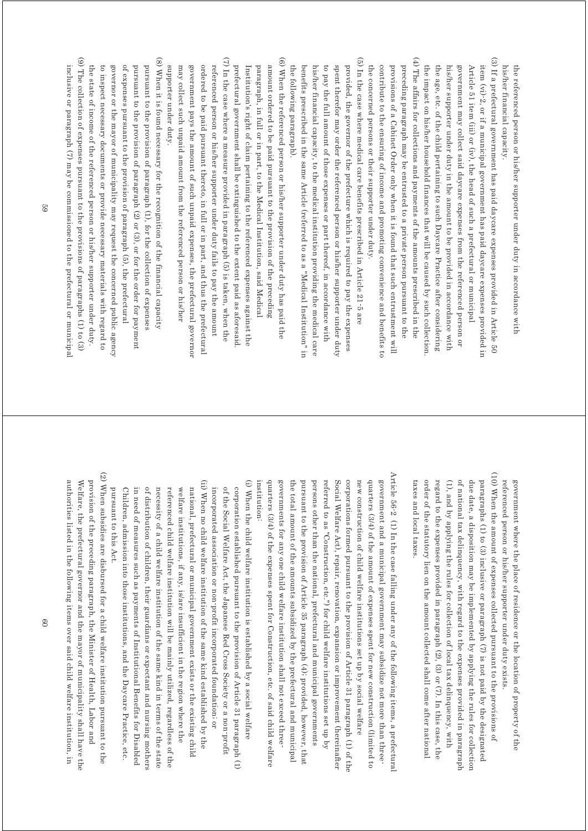his/her financial capacity. the referenced person or his/her supporter under duty in accordance with his/her financial capacity. the referenced person or his/her supporter under duty in accordance with

- (4) The affairs for collections and payments of the amounts prescribed in the (3) If a prefectural government has paid daycare expenses provided in Article 50 (4) The affairs for collections and payments of the amounts prescribed in the (3) If a prefectural government has paid daycare expenses provided in Article 50 the impact on his/her household finances that will be caused by such collection the age, etc. of the child pertaining to such Daycare Practice after considering his/her supporter under duty in the amount to be provided in accordance with government may collect said daycare expenses from the referenced person or Article 51 item (iii) or (iv), the head of such a prefectural or municipal item (vi)-2, or if a municipal government has paid daycare expenses provided in the impact on his/her household finances that will be caused by such collection. the age, etc. of the child pertaining to such Daycare Practice after considering his/her supporter under duty in the amount to be provided in accordance with government may collect said daycare expenses from the referenced person or Article 51 item (iii) or (iv), the head of such a prefectural or municipal item (vi)-2, or if a municipal government has paid daycare expenses provided in
- preceding paragraph may be entrusted to a private person pursuant to the the concerned persons or their supporter under duty. contribute to the ensuring of income and promoting convenience and benefits to provisions of a Cabinet Order only when it is found that such entrustment will the concerned persons or their supporter under duty. contribute to the ensuring of income and promoting convenience and benefits to provisions of a Cabinet Order only when it is found that such entrustment will preceding paragraph may be entrusted to a private person pursuant to the
- (5) In the case where medical care benefits prescribed in Article 21-5 are (5) In the case where medical care benefits prescribed in Article 21-5 are provided, the governor of the prefecture which is required to pay the expenses the following paragraph). benefits prescribed in the same Article (referred to as a "Medical Institution" in his/her financial capacity, to the medical institution providing the medical care to pay the full amount of those expenses or part thereof, in accordance with spent therefor may order the referenced person or his/her supporter under duty the following paragraph). benefits prescribed in the same Article (referred to as a "Medical Institution" in his/her financial capacity, to the medical institution providing the medical care to pay the full amount of those expenses or part thereof, in accordance with spent therefor may order the referenced person or his/her supporter under duty provided, the governor of the prefecture which is required to pay the expenses
- $(7)$  In the case where a measure provided in paragraph  $(5)$  is taken, when the (6) When the referenced person or his/her supporter under duty has paid the (7) In the case where a measure provided in paragraph (5) is taken, when the (6) When the referenced person or his/her supporter under duty has paid the ordered to be paid pursuant thereto, in full or in part, and thus the prefectural amount ordered to be paid pursuant to the provision of the preceding government pays the amount of such unpaid expenses, the prefectural governor referenced person or his/her supporter under duty fails to pay the amount prefectural government shall be extinguished to the extent paid as aforesaid Institution's right of claim pertaining to the referenced expenses against the paragraph, in full or in part, to the Medical Institution, said Medical government pays the amount of such unpaid expenses, the prefectural governor ordered to be paid pursuant thereto, in full or in part, and thus the prefectural referenced person or his/her supporter under duty fails to pay the amount prefectural government shall be extinguished to the extent paid as aforesaid. Institution's right of claim pertaining to the referenced expenses against the paragraph, in full or in part, to the Medical Institution, said Medical amount ordered to be paid pursuant to the provision of the preceding
- (9) The collection of expenses pursuant to the provisions of paragraphs (1) to (3) (8) When it is found necessary for the recognition of the financial capacity (9) The collection of expenses pursuant to the provisions of paragraphs (1) to (3) (8) When it is found necessary for the recognition of the financial capacity of expenses pursuant to the provision of paragraph (5), the prefectural pursuant to the provision of paragraph (2) or (3), or for the order for payment pursuant to the provision of paragraph (1), for the collection of expenses the state of income of the referenced person or his/her supporter under duty. to inspect necessary documents or provide necessary materials with regard to governor or the mayor of municipality may request the concerned public agency the state of income of the referenced person or his/her supporter under duty. to inspect necessary documents or provide necessary materials with regard to governor or the mayor of municipality may request the concerned public agency of expenses pursuant to the provision of paragraph (5), the prefectural pursuant to the provision of paragraph (2) or (3), or for the order for payment pursuant to the provision of paragraph (1), for the collection of expenses

supporter under duty.

supporter under duty.

may collect such unpaid amount from the referenced person or his/her

may collect such unpaid amount from the referenced person or his/her

inclusive or paragraph (7) may be commissioned to the prefectural or municipal inclusive or paragraph (7) may be commissioned to the prefectural or municipal

> (10) When the amount of expenses collected pursuant to the provisions of (10) When the amount of expenses collected pursuant to the provisions of referenced person or his/her supporter under duty exists government where the place of residence or the location of property of the referenced person or his/her supporter under duty exists. government where the place of residence or the location of property of the

- order of the statutory lien on the amount collected shall come after national regard to the expenses provided in paragraph (2), (3) or (7). In this case, the of national tax delinquency, with regard to the expenses provided in paragraph due date, a disposition may be implemented by applying the rules for collection paragraphs (1) to (3) inclusive or paragraph (7) is not paid by the designated (1), and by applying the rules for collection of local tax delinquency, with taxes and local taxes. taxes and local taxes. order of the statutory lien on the amount collected shall come after national regard to the expenses provided in paragraph (2), (3) or (7). In this case, the (1), and by applying the rules for collection of local tax delinquency, with of national tax delinquency, with regard to the expenses provided in paragraph due date, a disposition may be implemented by applying the rules for collection paragraphs (1) to (3) inclusive or paragraph (7) is not paid by the designated
- Article 56-2  $\,$  (1) In the case falling under any of the following items, a prefectural Article 56-2  $\,$  (1) In the case falling under any of the following items, a prefectura quarters (3/4) of the expenses spent for Construction, etc. of said child welfare referred to as "Construction, etc.") for child welfare institutions set up by corporations formed pursuant to the provision of Article 31 paragraph (1) of the government and a municipal government may subsidize not more than threepursuant to the provision of Article 35 paragraph (4); provided, however, that Social Welfare Act), repair, renovation, expansion or improvement (hereinafter new construction of child welfare institutions set up by social welfare quarters (3/4) of the amount of expenses spent for new construction (limited to institution: institution: quarters (3/4) of the expenses spent for Construction, etc. of said child welfare governments for any one child welfare institution shall not exceed three governments for any one child welfare institution shall not exceed threethe total amount of the amounts subsidized by the prefectural and municipal the total amount of the amounts subsidized by the prefectural and municipal pursuant to the provision of Article 35 paragraph (4); provided, however, that persons other than the national, prefectural and municipal governments persons other than the national, prefectural and municipal governments referred to as "Construction, etc.") for child welfare institutions set up by Social Welfare Act), repair, renovation, expansion or improvement (hereinafter corporations formed pursuant to the provision of Article 31 paragraph (1) of the new construction of child welfare institutions set up by social welfare quarters (3/4) of the amount of expenses spent for new construction (limited to government and a municipal government may subsidize not more than three-
- (i) When the child welfare institution is established by a social welfare (ii) When no child welfare institution of the same kind established by the (ii) When no child welfare institution of the same kind established by the (i) When the child welfare institution is established by a social welfare of the Social Welfare Act, the Japanese Red Cross Society or a non-profit corporation established pursuant to the provision of Article 31 paragraph (1) incorporated association or non-profit incorporated foundation; or incorporated association or non-profit incorporated foundation; or of the Social Welfare Act, the Japanese Red Cross Society or a non-profit corporation established pursuant to the provision of Article 31 paragraph (1)
- in need of measures such as payments of Institutional Benefits for Disabled of distribution of children, their guardians or expectant and nursing mothers referenced child welfare institution will be mainly utilized, regardless of the welfare institutions, if any, is/are insufficient in the region where the national, prefectural or municipal government exists or the existing child pursuant to this Act pursuant to this Act. Children, admission into those institutions, and the Daycare Practice, etc. in need of measures such as payments of Institutional Benefits for Disabled of distribution of children, their guardians or expectant and nursing mothers necessity of a child welfare institution of the same kind in terms of the state necessity of a child welfare institution of the same kind in terms of the state referenced child welfare institution will be mainly utilized, regardless of the welfare institutions, if any, is/are insufficient in the region where the national, prefectural or municipal government exists or the existing child Children, admission into those institutions, and the Daycare Practice, etc.
- (2) When subsidies are disbursed for a child welfare institution pursuant to the (2) When subsidies are disbursed for a child welfare institution pursuant to the authorities listed in the following items over said child welfare institution, in provision of the preceding paragraph, the Minister of Health, Labor and authorities listed in the following items over said child welfare institution, in Welfare, the prefectural governor and the mayor of municipality shall have the Welfare, the prefectural governor and the mayor of municipality shall have the provision of the preceding paragraph, the Minister of Health, Labor and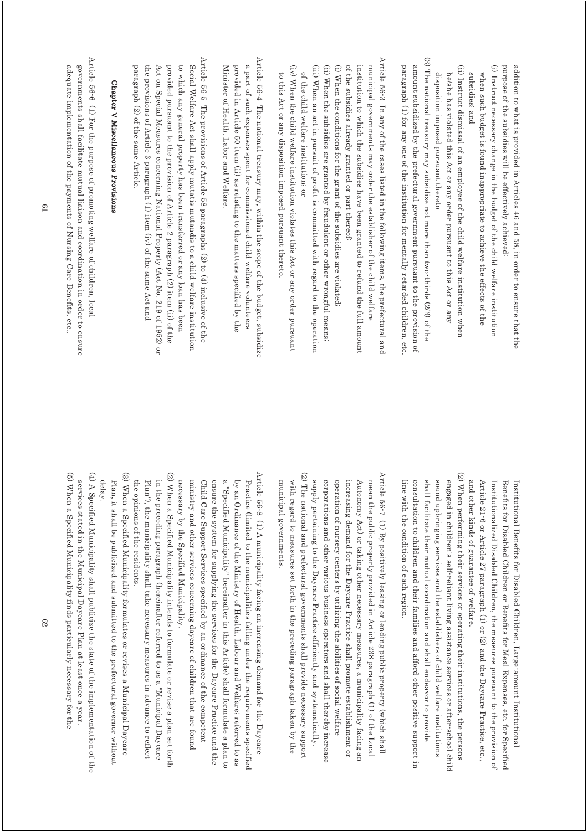purpose of the subsidies will be effectively achieved: purpose of the subsidies will be effectively achieved: addition to what is provided in Articles 46 and 58, in order to ensure that the addition to what is provided in Articles 46 and 58, in order to ensure that the

- (i) Instruct necessary change in the budget of the child welfare institution (i) Instruct necessary change in the budget of the child welfare institution when such budget is found inappropriate to achieve the effects of the subsidies; and subsidies; and when such budget is found inappropriate to achieve the effects of the
- (ii) Instruct dismissal of an employee of the child welfare institution when (ii) Instruct dismissal of an employee of the child welfare institution when disposition imposed pursuant thereto he/she has violated this Act or any order pursuant to this Act or any disposition imposed pursuant thereto he/she has violated this Act or any order pursuant to this Act or any

(3) The national treasury may subsidize not more than two-thirds (2/3) of the (3) The national treasury may subsidize not more than two-thirds (2/3) of the paragraph (1) for any one of the institution for mentally retarded children, etc amount subsidized by the prefectural government pursuant to the provision of paragraph (1) for any one of the institution for mentally retarded children, etc. amount subsidized by the prefectural government pursuant to the provision of

Article 56-3 In any of the cases listed in the following items, the prefectural and Article 56-3 In any of the cases listed in the following items, the prefectural and (i) When the conditions for the grant of the subsidies are violated of the subsidies already granted or part thereof institution to which the subsidies have been granted to refund the full amount municipal governments may order the establisher of the child welfare (i) When the conditions for the grant of the subsidies are violated; of the subsidies already granted or part thereof: institution to which the subsidies have been granted to refund the full amount municipal governments may order the establisher of the child welfare

- (ii) When the subsidies are granted by fraudulent or other wrongful means; (ii) When the subsidies are granted by fraudulent or other wrongful means;
- (iii) When an act in pursuit of profit is committed with regard to the operation (iii) When an act in pursuit of profit is committed with regard to the operation of the child welfare institution, or of the child welfare institution; or
- (iv) When the child welfare institution violates this Act or any order pursuant (iv) When the child welfare institution violates this Act or any order pursuant to this Act or any disposition imposed pursuant thereto to this Act or any disposition imposed pursuant thereto.

municipal governments.

municipal governments.

Article 56-4 The national treasury may, within the scope of the budget, subsidize Article 56-4 The national treasury may, within the scope of the budget, subsidize a part of such expenses spent for commissioned child welfare volunteers Minister of Health, Labor and Welfare. provided in Article 50 item (ii) as relating to the matters specified by the Minister of Health, Labor and Welfare. provided in Article 50 item (ii) as relating to the matters specified by the a part of such expenses spent for commissioned child welfare volunteers

Article 56-5 The provisions of Article 58 paragraphs (2) to (4) inclusive of the Article 56-5 The provisions of Article 58 paragraphs (2) to (4) inclusive of the Social Welfare Act shall apply mutatis mutandis to a child welfare institution paragraph (2) of the same Article the provisions of Article 3 paragraph (1) item (iv) of the same Act and Act on Special Measures concerning National Property (Act No. 219 of 1952) or provided pursuant to the provision of Article 2 paragraph (2) item (ii) of the to which any general property has been transferred or any loan has been paragraph (2) of the same Article. the provisions of Article 3 paragraph (1) item (iv) of the same Act and Act on Special Measures concerning National Property (Act No. 219 of 1952) or provided pursuant to the provision of Article 2 paragraph (2) item (ii) of the to which any general property has been transferred or any loan has been Social Welfare Act shall apply mutatis mutandis to a child welfare institution

## Chapter V Miscellaneous Provisions Chapter V Miscellaneous Provisions

Article 56-6 (1) For the purpose of promoting welfare of children, local Article 56-6 (1) For the purpose of promoting welfare of children, local adequate implementation of the payments of Nursing Care Benefits, etc., governments shall facilitate mutual liaison and coordination in order to ensure adequate implementation of the payments of Nursing Care Benefits, etc., governments shall facilitate mutual liaison and coordination in order to ensure

> Article 21-6 or Article 27 paragraph (1) or (2) and the Daycare Practice, etc., and other kinds of guarantee of welfare. Institutionalized Disabled Children, the measures pursuant to the provision of Benefits for Disabled Children or Benefits for Meal Expenses, etc. for Specified Institutional Benefits for Disabled Children, Large-amount Institutional and other kinds of guarantee of welfare. Article 21-6 or Article 27 paragraph (1) or (2) and the Daycare Practice, etc., Institutionalized Disabled Children, the measures pursuant to the provision of Benefits for Disabled Children or Benefits for Meal Expenses, etc. for Specified Institutional Benefits for Disabled Children, Large-amount Institutional

(2) When performing their services or operating their institutions, the persons (2) When performing their services or operating their institutions, the persons consultation to children and their families and afford other positive support in shall facilitate their mutual coordination and shall endeavor to provide sound upbringing services and the establishers of child welfare institutions engaged in children's self-reliant living assistance services or after-school child line with the condition of each region line with the condition of each region. consultation to children and their families and afford other positive support in shall facilitate their mutual coordination and shall endeavor to provide sound upbringing services and the establishers of child welfare institutions engaged in children's self-reliant living assistance services or after-school child

(2) The national and prefectural governments shall provide necessary support (2) The national and prefectural governments shall provide necessary support Article 56-7 (1) By positively leasing or lending public property (which shall Article 56-7 (1) By positively leasing or lending public property (which shall with regard to measures set forth in the preceding paragraph taken by the corporations and other various business operators and shall thereby increase operation of nursery centers by utilizing the abilities of social welfare increasing demand for the Daycare Practice shall promote establishment or mean the public property provided in Article 238 paragraph (1) of the Local supply pertaining to the Daycare Practice efficiently and systematically. Autonomy Act) or taking other necessary measures, a municipality facing an with regard to measures set forth in the preceding paragraph taken by the supply pertaining to the Daycare Practice efficiently and systematically. corporations and other various business operators and shall thereby increase operation of nursery centers by utilizing the abilities of social welfare increasing demand for the Daycare Practice shall promote establishment or Autonomy Act) or taking other necessary measures, a municipality facing an mean the public property provided in Article 238 paragraph (1) of the Local

Article 56.8 (1) A municipality facing an increasing demand for the Daycare Article 56-8 (1) A municipality facing an increasing demand for the Daycare ministry and other services concerning daycare of children that are found Child Care Support Services specified by an ordinance of the competent ensure the system for supplying the services for the Daycare Practice and the a "Specified Municipality" hereinafter in this Article) shall formulate a plan to by an Ordinance of the Ministry of Health, Labour and Welfare, referred to as Practice (limited to the municipalities falling under the requirements specified necessary by the Specified Municipality. necessary by the Specified Municipality. ministry and other services concerning daycare of children that are found Child Care Support Services specified by an ordinance of the competent ensure the system for supplying the services for the Daycare Practice and the a "Specified Municipality" hereinafter in this Article) shall formulate a plan to by an Ordinance of the Ministry of Health, Labour and Welfare; referred to as Practice (limited to the municipalities falling under the requirements specified

(2) When a Specified Municipality intends to formulate or revise a plan set forth (2) When a Specified Municipality intends to formulate or revise a plan set forth Plan"), the municipality shall take necessary measures in advance to reflect in the preceding paragraph (hereinafter referred to as a "Municipal Daycare the opinions of the residents. the opinions of the residents.  $P$ lan"), the municipality shall take necessary measures in a dyameter to reflect in the preceding paragraph (hereinafter referred to as a "Municipal Daycare

(3) When a Specified Municipality formulates or revises a Municipal Daycare (3) When a Specified Municipality formulates or revises a Municipal Daycare Plan, it shall be publicized and submitted to the prefectural governor without delay. Plan, it shall be publicized and submitted to the prefectural governor without

(5) When a Specified Municipality finds particularly necessary for the (5) When a Specified Municipality finds particularly necessary for the (4) A Specified Municipality shall publicize the state of the implementation of the (4) A Specified Municipality shall publicize the state of the implementation of the services stated in the Municipal Daycare Plan at least once a year. services stated in the Municipal Daycare Plan at least once a year.

61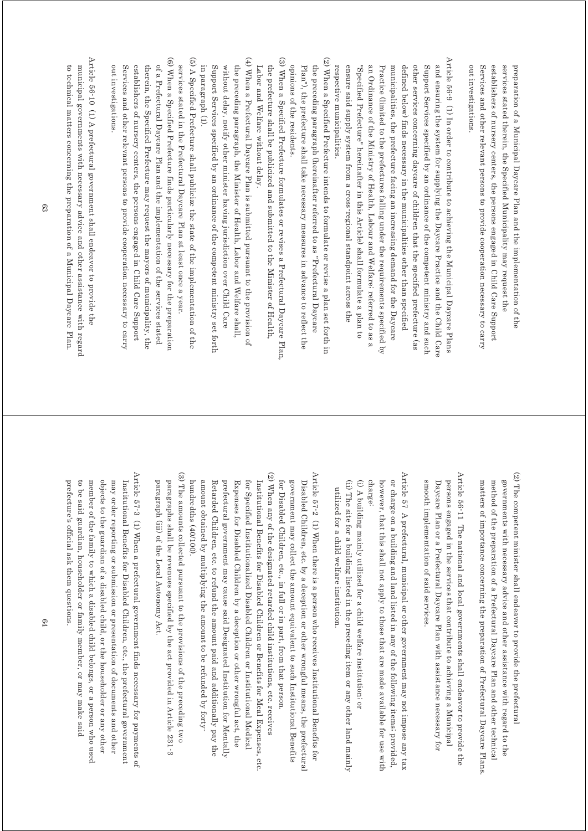out investigations Services and other relevant persons to provide cooperation necessary to carry establishers of nursery centers, the persons engaged in Child Care Support services stated therein, the Specified Municipality may request the preparation of a Municipal Daycare Plan and the implementation of the out investigations. Services and other relevant persons to provide cooperation necessary to carry establishers of nursery centers, the persons engaged in Child Care Support services stated therein, the Specified Municipality may request the preparation of a Municipal Daycare Plan and the implementation of the

- Article 56-9 (1) In order to contribute to achieving the Municipal Daycare Plans Article 56-9 (1) In order to contribute to achieving the Municipal Daycare Plans other services concerning daycare of children that the specified prefecture (as and ensuring the system for supplying the Daycare Practice and the Child Care respective municipalities. ensure said supply system from a cross-regional standpoint across the "Specified Prefecture" hereinafter in this Article) shall formulate a plan to an Ordinance of the Ministry of Health, Labour and Welfare, referred to as a Practice (limited to the prefectures falling under the requirements specified by municipalities, the prefecture facing an increasing demand for the Daycare defined below) finds necessary in the municipalities other than specified Support Services specified by an ordinance of the competent ministry and such respective municipalities. ensure said supply system from a cross-regional standpoint across the "Specified Prefecture" hereinafter in this Article) shall formulate a plan to an Ordinance of the Ministry of Health, Labour and Welfare; referred to as a Practice (limited to the prefectures falling under the requirements specified by municipalities, the prefecture facing an increasing demand for the Daycare defined below) finds necessary in the municipalities other than specified other services concerning daycare of children that the specified prefecture (as Support Services specified by an ordinance of the competent ministry and such and ensuring the system for supplying the Daycare Practice and the Child Care
- (2) When a Specified Prefecture intends to formulate or revise a plan set forth in (2) When a Specified Prefecture intends to formulate or revise a plan set forth in Plan"), the prefecture shall take necessary measures in advance to reflect the opinions of the residents. the preceding paragraph (hereinafter referred to as "Prefectural Daycare opinions of the residents. Plan"), the prefecture shall take necessary measures in advance to reflect the the preceding paragraph (hereinafter referred to as "Prefectural Daycare
- (3) When a Specified Prefecture formulates or revises a Prefectural Daycare Plan, (3) When a Specified Prefecture formulates or revises a Prefectural Daycare Plan, Labor and Welfare without delay. the prefecture shall be publicized and submitted to the Minister of Health, Labor and Welfare without delay. the prefecture shall be publicized and submitted to the Minister of Health,
- (4) When a Prefectural Daycare Plan is submitted pursuant to the provision of (4) When a Prefectural Daycare Plan is submitted pursuant to the provision of in paragraph  $(1)$ . Support Services specified by an ordinance of the competent ministry set forth without delay, notify other minister having jurisdiction over Child Care the preceding paragraph, the Minister of Health, Labor and Welfare shall, in paragraph (1). Support Services specified by an ordinance of the competent ministry set forth without delay, notify other minister having jurisdiction over Child Care the preceding paragraph, the Minister of Health, Labor and Welfare shall,
- (5) A Specified Prefecture shall publicize the state of the implementation of the (5)  $\triangleright$  Group Prefecture shall publicize the state of the implementation of the (5) services stated in the Prefectural Daycare Plan at least once a year. services stated in the Prefectural Daycare Plan at least once a year.
- (6) When a Specified Prefecture finds particularly necessary for the preparation (6) When a Specified Prefecture finds particularly necessary for the preparation of a Prefectural Daycare Plan and the implementation of the services stated establishers of nursery centers, the persons engaged in Child Care Support out investigations Services and other relevant persons to provide cooperation necessary to carry therein, the Specified Prefecture may request the mayors of municipality, the out investigations. Services and other relevant persons to provide cooperation necessary to carry establishers of nursery centers, the persons engaged in Child Care Support therein, the Specified Prefecture may request the mayors of municipality, the of a Prefectural Daycare Plan and the implementation of the services stated
- Article 56-10 (1) A prefectural government shall endeavor to provide the Article 56-10 (1) A prefectural government shall endeavor to provide the to technical matters concerning the preparation of a Municipal Daycare Plan. municipal governments with necessary advice and other assistance with regard to technical matters concerning the preparation of a Municipal Daycare Plan. municipal governments with necessary advice and other assistance with regard

- $(2)$  The competent minister shall endeavor to provide the prefectural (2) The competent minister shall endeavor to provide the prefectural matters of importance concerning the preparation of Prefectural Daycare Plans. method of the preparation of a Prefectural Daycare Plan and other technical governments with necessary advice and other assistance with regard to the matters of importance concerning the preparation of Prefectural Daycare Plans. method of the preparation of a Prefectural Daycare Plan and other technical governments with necessary advice and other assistance with regard to the
- Article 56-11 The national and local governments shall endeavor to provide the Article 56-11 The national and local governments shall endeavor to provide the smooth implementation of said services persons engaged in the services that contribute to achieving a Municipal smooth implementation of said services. Daycare Plan or a Prefectural Daycare Plan with assistance necessary for Daycare Plan or a Prefectural Daycare Plan with assistance necessary for persons engaged in the services that contribute to achieving a Municipal
- Article 57 A prefectural, municipal or other government may not impose any tax Article 57 A prefectural, municipal or other government may not impose any tax charge: however, that this shall not apply to those that are made available for use with or charge on a building and land listed in any of the following items; provided, however, that this shall not apply to those that are made available for use with or charge on a building and land listed in any of the following items; provided,
- (i) A building mainly utilized for a child welfare institution; or (ii) The site for a building listed in the preceding item or any other land mainly (ii) The site for a building listed in the preceding item or any other land mainly (i) A building mainly utilized for a child welfare institution; or utilized for a child welfare institution utilized for a child welfare institution.
- (2) When any of the designated retarded child institutions, etc. receives (2) When any of the designated retarded child institutions, etc. receives Article 57-2 (1) When there is a person who receives Institutional Benefits for Article 57-2 (1) When there is a person who receives Institutional Benefits for amount obtained by multiplying the amount to be refunded by forty for Specified Institutionalized Disabled Children or Institutional Medical Institutional Benefits for Disabled Children or Benefits for Meal Expenses, etc. for Disabled Children, etc., in full or in part, from that person. Disabled Children, etc. by a deception or other wrongful means, the prefectura. prefectural government may cause said Designated Institution for Mentally Expenses for Disabled Children by a deception or other wrongful act, the government may collect the amount equivalent to such Institutional Benefits amount obtained by multiplying the amount to be refunded by forty- Retarded Children, etc. to refund the amount paid and additionally pay the Retarded Children, etc. to refund the prefectural government may cause said Designated Institution for Mentally Expenses for Disabled Children by a deception or other wrongful act, the for Specified Institutionalized Disabled Children or Institutional Medical Institutional Benefits for Disabled Children or Benefits for Meal Expenses, etc. for Disabled Children, etc., in full or in part, from that person. government may collect the amount equivalent to such Institutional Benefits Disabled Children, etc. by a deception or other wrongful means, the prefectural amount paid and additionally pay the
- (3) The amounts collected pursuant to the provisions of the preceding two (3) The amounts collected pursuant to the provisions of the preceding two paragraphs shall be revenues specified by the act provided in Article 231-3 paragraph (iii) of the Local Autonomy Act paragraph (iii) of the Local Autonomy Act. paragraphs shall be revenues specified by the act provided in Article 231-3

hundredths (40/100).

hundredths (40/100)

Article 57-3 (1) When a prefectural government finds necessary for payments of Article 57-3 (1) When a prefectural government finds necessary for payments of objects to the guardian of a disabled child, or the householder or any other may order reporting or submission or presentation of documents and other to be said guardian, householder or family member, or may make said member of the family to which a disabled child belongs, or a person who used Institutional Benefits for Disabled Children, etc., the prefectural government prefecture's official ask them questions. prefecture's official ask them questions. to be said guardian, householder or family member, or may make said member of the family to which a disabled child belongs, or a person who used objects to the guardian of a disabled child, or the householder or any other may order reporting or submission or presentation of documents and other Institutional Benefits for Disabled Children, etc., the prefectural government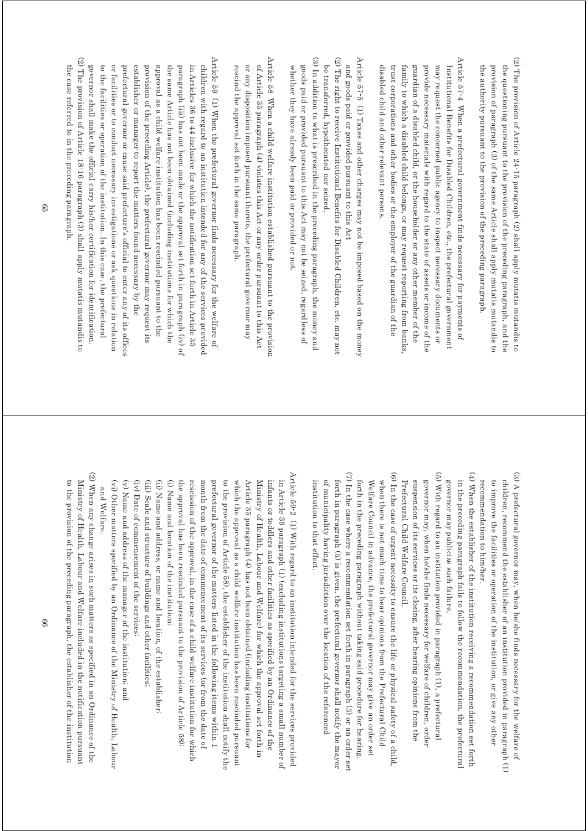- (2) The provision of Article 24-15 paragraph (2) shall apply mutatis mutandis to (2) The provision of Article 24-15 paragraph (2) shall apply mutatis mutandis to the questioning pursuant to the provision of the preceding paragraph, and the the authority pursuant to the provision of the preceding paragraph provision of paragraph (3) of the same Article shall apply mutatis mutandis to the authority pursuant to the provision of the preceding paragraph. provision of paragraph (3) of the same Article shall apply mutatis mutandis to the questioning pursuant to the provision of the preceding paragraph, and the
- Article 57-4 When a prefectural government finds necessary for payments of Article  $57-4$  When a prefectural government finds necessary for payments of disabled child and other relevant persons family to which a disabled child belongs, or may request reporting from banks guardian of a disabled child, or the householder or any other member of the provide necessary materials with regard to the state of assets or income of the may request the concerned public agency to inspect necessary documents or Institutional Benefits for Disabled Children, etc., the prefectural government disabled child and other relevant persons. trust corporations and other bodies or the employer of the guardian of the trust corporations and other bodies or the employer of the guardian of the family to which a disabled child belongs, or may request reporting from banks, guardian of a disabled child, or the householder or any other member of the provide necessary materials with regard to the state of assets or income of the may request the concerned public agency to inspect necessary documents or Institutional Benefits for Disabled Children, etc., the prefectural government
- Article 57-5 (1) Taxes and other charges may not be imposed based on the money Article 57-5 (1) Taxes and other charges may not be imposed based on the money and goods paid or provided pursuant to this Act and goods paid or provided pursuant to this Act
- (2) The right to receive Institutional Benefits for Disabled Children, etc. may not (2) The right to receive Institutional Benefits for Disabled Children, etc. may not be transferred, hypothecated nor seized. be transferred, hypothecated nor seized.
- $(3)$  In addition to what is prescribed in the preceding paragraph, the money and (3) In addition to what is prescribed in the preceding paragraph, the money and whether they have already been paid or provided or not goods paid or provided pursuant to this Act may not be seized, regardless of whether they have already been paid or provided or not. goods paid or provided pursuant to this Act may not be seized, regardless of
- Article 58 When a child welfare institution established pursuant to the provision Article 58 When a child welfare institution established pursuant to the provision of Article 35 paragraph (4) violates this Act or any order pursuant to this Act rescind the approval set forth in the same paragraph. or any disposition imposed pursuant thereto, the prefectural governor may rescind the approval set forth in the same paragraph. or any disposition imposed pursuant thereto, the prefectural governor may of Article 35 paragraph (4) violates this Act or any order pursuant to this Act
- (2) The provision of Article 18-16 paragraph (3) shall apply mutatis mutandis to Article 59 (1) When the prefectural governor finds necessary for the welfare of (2) The provision of Article 18-16 paragraph (3) shall apply mutatis mutandis to Article 59 (1) When the prefectural governor finds necessary for the welfare of governor shall make the official carry his/her certification for identification. to the facilities or operation of the institution. In this case, the prefectural or facilities or to conduct necessary investigations or ask questions in relation prefectural governor or cause said prefecture's official to enter any of its offices establisher or manager to report the matters found necessary by the provision of the preceding Article), the prefectural governor may request its approval as a child welfare institution has been rescinded pursuant to the the same Article has not been obtained (including institutions for which the paragraph (iii) has not been made or the approval set forth in paragraph (iv) of in Articles 36 to 44 inclusive for which the notification set forth in Article 35 children with regard to an institution intended for any of the services provided governor shall make the official carry his/her certification for identification. to the facilities or operation of the institution. In this case, the prefectural  $\alpha$ or facilities or to conduct necessary investigations or ask questions in relation prefectural governor or cause said prefecture's official to enter any of its offices establisher or manager to report the matters found necessary by the provision of the preceding Article), the prefectural governor may request its approval as a child welfare institution has been rescinded pursuant to the the same Article has not been obtained (including institutions for which the paragraph (iii) has not been made or the approval set forth in paragraph (iv) of in Articles 36 to 44 inclusive for which the notification set forth in Article 35 children with regard to an institution intended for any of the services provided
- the case referred to in the preceding paragraph. the case referred to in the preceding paragraph.

- (3) A prefectural governor may, when he/she finds necessary for the welfare of (3) A prefectural governor may, when he/she finds necessary for the welfare of to improve the facilities or operation of the institution, or give any other children, recommend the establisher of an institution provided in paragraph (1) recommendation to him/her. recommendation to him/her. to improve the facilities or operation of the institution, or give any other children, recommend the establisher of an institution provided in paragraph (1)
- (4) When the establisher of the institution receiving a recommendation set forth (4) When the establisher of the institution receiving a recommendation set forth in the preceding paragraph fails to follow the recommendation, the prefectural governor may publicize such failure. governor may publicize such failure. in the preceding paragraph fails to follow the recommendation, the prefectural
- (5) With regard to an institution provided in paragraph  $(1)$ , a prefectural (5) With regard to an institution provided in paragraph (1), a prefectural Prefectural Child Welfare Council. suspension of its services or its closing, after hearing opinions from the governor may, when he/she finds necessary for welfare of children, order Prefectural Child Welfare Council. suspension of its services or its closing, after hearing opinions from the governor may, when he/she finds necessary for welfare of children, order
- (7) In the case where a recommendation set forth in paragraph (3) or an order set (7) In the case where a recommendation set forth in paragraph (3) or an order set (6) In the case of urgent necessity to ensure the life or physical safety of a child, (6) In the case of urgent necessity to ensure the life or physical safety of a child, of municipality having jurisdiction over the location of the referenced forth in paragraph (5) is given, the prefectural governor shall notify the mayor forth in the preceding paragraph without taking said procedure for hearing. Welfare Council in advance, the prefectural governor may give an order set when there is not much time to hear opinions from the Prefectural Child of municipality having jurisdiction over the location of the referenced forth in paragraph (5) is given, the prefectural governor shall notify the mayor forth in the preceding paragraph without taking said procedure for hearing. Welfare Council in advance, the prefectural governor may give an order set when there is not much time to hear opinions from the Prefectural Child

institution to that effect.

institution to that effect.

- Article 59-2  $\,$  (1) With regard to an institution intended for the services provided Article 59-2 (1) With regard to an institution intended for the services provided rescission of the approval, in the case of a child welfare institution for which prefectural governor of the matters listed in the following items within 1 Article 35 paragraph (4) has not been obtained (including institutions for Ministry of Health, Labour and Welfare) for which the approval set forth in infants or toddlers and other facilities as specified by an Ordinance of the in Article 39 paragraph (1) (excluding institutions targeting a small number of (ii) Name and address, or name and location, of the establisher: (i) Name and location of the institution; the approval has been rescinded pursuant to the provision of Article 58): month from the date of commencement of its services (or from the date of to the provision of Article 58), the establisher of the institution shall notify the which the approval as a child welfare institution has been rescinded pursuant the approval has been rescinded pursuant to the provision of Article 58): rescission of the approval, in the case of a child welfare institution for which month from the date of commencement of its services (or from the date of prefectural governor of the matters listed in the following items within 1 to the provision of Article 58), the establisher of the institution shall notify the which the approval as a child welfare institution has been rescinded pursuant Article 35 paragraph (4) has not been obtained (including institutions for  $M$ inistry of Health, Labour and Welfare) for which the approval set for  $\mu$  for  $\mu$ infants or toddlers and other facilities as specified by an Ordinance of the in Article 39 paragraph (1) (excluding institutions targeting a small number of (ii) Name and address, or name and location, of the establisher; (i) Name and location of the institution;
- (iii) Scale and structure of buildings and other facilities; (iii) Scale and structure of buildings and other facilities;
- (iv) Date of commencement of the services; (iv) Date of commencement of the services;
- (v) Name and address of the manager of the institution; and (v) Name and address of the manager of the institution; and
- (vi) Other matters specified by an Ordinance of the Ministry of Health, Labour (vi) Other matters specified by an Ordinance of the Ministry of Health, Labour and Welfare. and Welfare.
- (2) When any change arises in such matters as specified in an Ordinance of the (2) When any change arises in such matters as specified in an Ordinance of the to the provision of the preceding paragraph, the establisher of the institution Ministry of Health, Labour and Welfare included in the notification pursuant to the provision of the preceding paragraph, the establisher of the institution Ministry of Health, Labour and Welfare included in the notification pursuant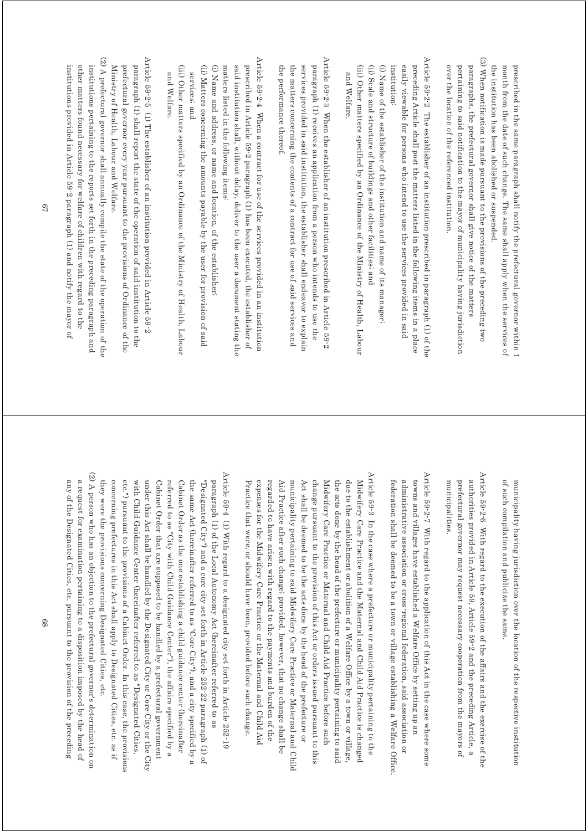the institution has been abolished or suspended month from the date of such change. The same shall apply when the services of prescribed in the same paragraph shall notify the prefectural governor within 1 the institution has been abolished or suspended. month from the date of such change. The same shall apply when the services of prescribed in the same paragraph shall notify the prefectural governor within 1

(3) When notification is made pursuant to the provisions of the preceding two (3) When notification is made pursuant to the provisions of the preceding two over the location of the referenced institution. pertaining to said notification to the mayor of municipality having jurisdiction paragraphs, the prefectural governor shall give notice of the matters over the location of the referenced institution. pertaining to said notification to the mayor of municipality having jurisdiction paragraphs, the prefectural governor shall give notice of the matters

Article 59-2-2 The establisher of an institution prescribed in paragraph (1) of the Article 59-2-2 The establisher of an institution prescribed in paragraph (1) of the institution: easily viewable for persons who intend to use the services provided in said preceding Article shall post the matters listed in the following items in a place institution: easily viewable for persons who intend to use the services provided in said preceding Article shall post the matters listed in the following items in a place

(i) Name of the establisher of the institution and name of its manager; (i) Name of the establisher of the institution and name of its manager;

(iii) Other matters specified by an Ordinance of the Ministry of Health, Labour (iii) Other matters specified by an Ordinance of the Ministry of Health, Labour (ii) Scale and structure of buildings and other facilities; and (ii) Scale and structure of buildings and other facilities; and and Welfare and Welfare.

Article 59-2-3 When the establisher of an institution prescribed in Article 59-2 Article 59-2-3 When the establisher of an institution prescribed in Article 59-2 the performance thereof the matters concerning the contents of a contract for use of said services and services provided in said institution, the establisher shall endeavor to explain paragraph (1) receives an application from a person who intends to use the the performance thereof. the matters concerning the contents of a contract for use of said services and services provided in said institution, the establisher shall endeavor to explain paragraph (1) receives an application from a person who intends to use the

Article 59-2-4 When a contract for use of the services provided in an institution Article 59-2-4 When a contract for use of the services provided in an institution prescribed in Article 59-2 paragraph (1) has been executed, the establisher of matters listed in the following items: said institution shall, without delay, deliver to the user a document stating the matters listed in the following items: said institution shall, without delay, deliver to the user a document stating the prescribed in Article 59-2 paragraph (1) has been executed, the establisher of

(i) Name and address, or name and location, of the establisher (i) Name and address, or name and location, of the establisher;

(ii) Matters concerning the amounts payable by the user for provision of said (ii) Matters concerning the amounts payable by the user for provision of said services; and services; and

(iii) Other matters specified by an Ordinance of the Ministry of Health, Labour (iii) Other matters specified by an Ordinance of the Ministry of Health, Labour and Welfare. and Welfare.

Article 59-2-5 (1) The establisher of an institution provided in Article 59-2 Article 59-2-5 (1) The establisher of an institution provided in Article 59-2 paragraph (1) shall report the state of the operation of said institution to the Ministry of Health, Labour and Welfare. prefectural governor every year pursuant to the provisions of Ordinance of the Ministry of Health, Labour and Welfare. prefectural governor every year pursuant to the provisions of Ordinance of the paragraph (1) shall report the state of the operation of said institution to the

(2) A prefectural governor shall amually compile the state of the operation of the (2) A prefectural governor shall annually compile the state of the operation of the  $(2)$ institutions provided in Article 59-2 paragraph (1) and notify the mayor of other matters found necessary for welfare of children with regard to the institutions pertaining to the reports set forth in the preceding paragraph and institutions provided in Article 59-2 paragraph (1) and notify the mayor of other matters found necessary for welfare of children with regard to the institutions pertaining to the reports set forth in the preceding paragraph and

> of such compilation and publicize the same municipality having jurisdiction over the location of the respective institution of such compilation and publicize the same. municipality having jurisdiction over the location of the respective institution

Article 59-2-6 With regard to the execution of the affairs and the exercise of the Article 59-2-6 With regard to the execution of the affairs and the exercise of the authorities provided in Article 59, Article 59-2 and the preceding Article, a municipalities. prefectural governor may request necessary cooperation from the mayors of municipalities. prefectural governor may request necessary cooperation from the mayors of authorities provided in Article 59, Article 59-2 and the preceding Article, a

Article 59-2-7 With regard to the application of this Act in the case where some Article 59-2-7 With regard to the application of this Act in the case where some administrative association or cross-regional federation, said association or towns and villages have established a Welfare Office by setting up an federation shall be deemed to be a town or village establishing a Welfare Uffice. federation shall be deemed to be a town or village establishing a Welfare Office. administrative association or cross-regional federation, said association or towns and villages have established a Welfare Office by setting up an

Article 59-3 In the case where a prefecture or municipality pertaining to the Article 59-3 In the case where a prefecture or municipality pertaining to the regarded to have arisen with regard to the payments and burden of the Aid Practice after such change; provided, however, that no change shall be municipality pertaining to said Midwifery Care Practice or Maternal and Child Act shall be deemed to be the acts done by the head of the prefecture or Midwifery Care Practice or Maternal and Child Aid Practice before such the acts done by the head of the prefecture or municipality pertaining to said due to the establishment or abolition of a Welfare Office by a town or village, Midwifery Care Practice and the Maternal and Child Aid Practice is changed Practice that were, or should have been, provided before such change. expenses for the Midwifery Care Practice or the Maternal and Child Aid change pursuant to the provision of this Act or orders issued pursuant to this Practice that were, or should have been, provided before such change. expenses for the Midwifery Care Practice or the Maternal and Child Aid regarded to have arisen with regard to the payments and burden of the Aid Practice after such change; provided municipality pertaining to said Midwifery Care Practice or Maternal and Child Act shall be deemed to be the acts done by the head of the prefecture or change pursuant to the provision of this Midwifery Care Practice or Maternal and Child Aid Practice before such the acts done by the head of the prefecture or municipality pertaining to said due to the establishment or abolition of a Welfare Office by a town or village, Midwifery Care Practice and the Maternal and Child Aid Practice is changed , however, that no change shall be Act or orders issued pursuant to this

(2) A person who has an objection to the prefectural governor's determination on (2) A person who has an objection to the prefectural governories determination on Article 59-4 (1) With regard to a designated city set forth in Article 252-19 Article 59-4 (1) With regard to a designated city set forth in Article 252-19 concerning prefectures in this Act shall apply to Designated Cities, etc. as if under this Act shall be handled by the Designated City or Core City or the City referred to as "City with Child Guidance Center"), the affairs specified by a the same Act (hereinafter referred to as "Core City"), and a city specified by a paragraph (1) of the Local Autonomy Act (hereinafter referred to as they were the provisions concerning Designated Cities, etc. etc.") pursuant to the provisions of a Cabinet Order. In this case, the provisions with Child Guidance Center (hereinafter referred to as "Designated Cities, Cabinet Order as the one establishing a child guidance center (hereinafter "Designated City") and a core city set forth in Article 252-22 paragraph (1) of they were the provisions concerning Designated Cities, etc. concerning prefectures in this Act shall apply to Designated Cities, etc. as if etc.") pursuant to the provisions of a Cabinet Order. In this case, the provisions with Child Guidance Center (hereinafter referred to as "Designated Cities, under this Act shall be handled by the Designated City or Core City or the City Cabinet Order that are supposed to be handled by a prefectural government Cabinet Order that are supposed to be handled by a prefectural government referred to as "City with Child Guidance Center"), the affairs specified by a Cabinet Order as the one establishing a child guidance center (hereinafter the same Act (hereinafter referred to as "Core City"), and a city specified by a "Designated City") and a core city set forth in Article 252-22 paragraph (1) of paragraph (1) of the Local Autonomy Act (hereinafter referred to as

any of the Designated Cities, etc. pursuant to the provision of the preceding a request for examination pertaining to a disposition imposed by the head of any of the Designated Cities, etc. pursuant to the provision of the preceding a request for examination pertaining to a disposition imposed by the head of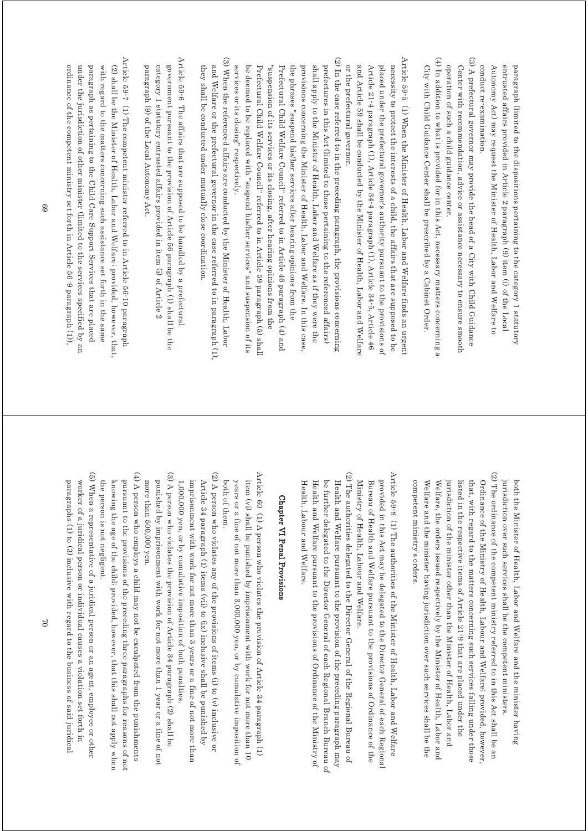entrusted affairs provided in Article 2 paragraph (9) item (i) of the Local conduct re-examination Autonomy Act) may request the Minister of Health, Labor and Welfare to paragraph (limited to the dispositions pertaining to the category 1 statutory conduct re-examination. Autonomy Act) may request the Minister of Health, Labor and Welfare to entrusted affairs provided in Article 2 paragraph (9) item (i) of the Local paragraph (limited to the dispositions pertaining to the category 1 statutory

(3) A prefectural governor may provide the head of a City with Child Guidance (3) A prefectural governor may provide the head of a City with Child Guidance operation of such a child guidance center. Center with recommendation, advice or assistance necessary to ensure smooth operation of such a child guidance center. Center with recommendation, advice or assistance necessary to ensure smooth

(4) In addition to what is provided for in this Act, necessary matters concerning a (4) In addition to what is provided for in this Act, necessary matters concerning a City with Child Guidance Center shall be prescribed by a Cabinet Order City with Child Guidance Center shall be prescribed by a Cabinet Order.

Article 59-5 (1) When the Minister of Health, Labor and Welfare finds an urgent  $\Delta$ rticle 59-5 (1) When the Melfare of Helath, Labor and Welfare finds an urgent or the prefectural governor and Article 59 shall be conducted by the Minister of Health, Labor and Welfare Article 21-4 paragraph (1), Article 34-4 paragraph (1), Article 34-5, Article 46 placed under the prefectural governor's authority pursuant to the provisions of necessity to protect the interests of a child, the affairs that are supposed to be or the prefectural governor. and Article 59 shall be conducted by the Minister of Health, Labor and Welfare Article 21-4 paragraph (1), Article 34-4 paragraph (1), Article 34-5, Article 46 placed under the prefectural governor's authority pursuant to the provisions of necessity to protect the interests of a child, the affairs that are supposed to be

(2) In the case referred to in the preceding paragraph, the provisions concerning (2) In the case referred to in the preceding paragraph, the provisions concerning services or its closing" respectively. be deemed to be replaced with "suspend his/her services" and suspension of its Prefectural Child Welfare Council" referred to in Article 59 paragraph (5) shall Prefectural Child Welfare Council" referred to in Article 46 paragraph (4) and the phrases "suspend his/her services after hearing opinions from the provisions concerning the Minister of Health, Labor and Welfare. In this case shall apply to the Minister of Health, Labor and Welfare as if they were the prefectures in this Act (limited to those pertaining to the referenced affairs) services or its closing" respectively. be deemed to be replaced with "suspend his/her services" and suspension of its Prefectural Child Welfare Council" referred to in Article 59 paragraph (5) shall "suspension of its services or its closing, after hearing opinions from the "suspension of its services or its closing, after hearing opinions from the Prefectural Child Welfare Council" referred to in Article 46 paragraph (4) and the phrases "suspend his/her services after hearing opinions from the provisions concerning the Minister of Health, Labor and Welfare. In this case, shall apply to the Minister of Health, Labor and Welfare as if they were the prefectures in this Act (limited to those pertaining to the referenced affairs)

(3) When the referenced affairs are conducted by the Minister of Health, Labor (3) When the referenced affairs are conducted by the Minister of Health, Labor and Welfare or the prefectural governor in the case referred to in paragraph (1) they shall be conducted under mutually close coordination they shall be conducted under mutually close coordination. and Welfare or the prefectural governor in the case referred to in paragraph (1),

Article 59-6 The affairs that are supposed to be handled by a prefectural Article 59-6 The affairs that are supposed to be handled by a prefectural category 1 statutory entrusted affairs provided in item (i) of Article  $2\,$ government pursuant to the provision of Article 56 paragraph (1) shall be the paragraph (9) of the Local Autonomy Act paragraph (9) of the Local Autonomy Act. category 1 statutory entrusted affairs provided in item (i) of Article 2 government pursuant to the provision of Article 56 paragraph (1) shall be the

Article 59-7 (1) The competent minister referred to in Article 56-10 paragraph Article 59-7 (1) The competent minister referred to in Article 56-10 paragraph (2) shall be the Minister of Health, Labor and Welfare; provided, however, that, ordinance of the competent ministry set forth in Article 56-9 paragraph (1)). under the jurisdiction of other minister (limited to the services specified by an paragraph as pertaining to the Child Care Support Services that are placed with regard to the matters concerning such assistance set forth in the same ordinance of the competent ministry set forth in Article 56-9 paragraph (1)), under the jurisdiction of other minister (limited to the services specified by an paragraph as pertaining to the Child Care Support Services that are placed with regard to the matters concerning such assistance set forth in the same (2) shall be the Minister of Health, Labor and Welfare; provided, however, that,

> (2) The ordinance of the competent ministry referred to in this Act shall be an (2) The ordinance of the competent ministry referred to in this Act shall be an jurisdiction over such services shall be the competent ministers both the Minister of Health, Labor and Welfare and the minister having jurisdiction over such services shall be the competent ministers. both the Minister of Health, Labor and Welfare and the minister having

Welfare, the orders issued respectively by the Minister of Health, Labor and listed in the respective items of Article 21-9 that are placed under the Ordinance of the Ministry of Health, Labour and Welfare; provided, however competent ministry's orders. Welfare and the minister having jurisdiction over such services shall be the jurisdiction of the minister other than the Minister of Health, Labor and that, with regard to the matters concerning such services falling under those competent ministry's orders. Welfare and the minister having jurisdiction over such services shall be the Welfare, the orders issued respectively by the Minister of Health, Labor and jurisdiction of the minister other than the Minister of Health, Labor and listed in the respective items of Article 21-9 that are placed under the that, with regard to the matters concerning such services falling under those Ordinance of the Ministry of Health, Labour and Welfare; provided, however,

Article 59-8  $\,$  (1) The authorities of the Minister of Health, Labor and Welfare Article 59-8 (1) The authorities of the Minister of Health, Labor and Welfare Ministry of Health, Labour and Welfare. Bureau of Health and Welfare pursuant to the provisions of Ordinance of the provided in this Act may be delegated to the Director General of each Regional Ministry of Health, Labour and Welfare. Bureau of Health and Welfare pursuant to the provisions of Ordinance of the provided in this Act may be delegated to the Director General of each Regional

(2) The authorities delegated to the Director General of the Regional Bureau of (2) The authorities delegated to the Director General of the Regional Bureau of be further delegated to the Director General of each Regional Branch Bureau of Health and Welfare pursuant to the provision of the preceding paragraph may Health, Labour and Welfare. Health, Labour and Welfare. Health and Welfare pursuant to the provisions of Ordinance of the Ministry of Health and Welfare pursuant to the provisions of Ordinance of the Ministry of  $\theta$ be further delegated to the Director General of each Regional Branch Bureau of Health and Welfare pursuant to the provision of the preceding paragraph may

### Chapter VI Penal Provisions Chapter VI Penal Provisions

Article 60 (1) A person who violates the provision of Article 34 paragraph (1) Article 60 (1) A person who violates the provision of Article 34 paragraph (1) both of them. years or a fine of not more than  $3,000,000$  yen, or by cumulative imposition of item (vi) shall be punished by imprisonment with work for not more than 10 both of them. years or a fine of not more than 3,000,000 yen, or by cumulative imposition of item (vi) shall be punished by imprisonment with work for not more than 10

(2) A person who violates any of the provisions of items (i) to (v) inclusive or (2) A person who violates any of the provisions of items (i) to  $(v)$ imprisonment with work for not more than 3 years or a fine of not more than 1,000,000 yen, or by cumulative imposition of both penalties Article 34 paragraph (1) items (vii) to (ix) inclusive shall be punished by imprisonment with work for not more than 3 years or a fine of not more than Article 34 paragraph (1) items (vii) to (ix) inclusive shall be punished by 1,000,000 yen, or by cumulative imposition of both penalties.

(3) A person who violates the provision of Article 34 paragraph (2) shall be (3) A person who violates the provision of Article 34 paragraph (2) shall be more than 500,000 yen. punished by imprisonment with work for not more than 1 year or a fine of not more than 500,000 yen. punished by imprisonment with work for not more than 1 year or a fine of not

 $(4)$  A person who employs a child may not be exculpated from the punishments (4) A person who employs a child may not be exculpated from the punishments knowing the age of the child; provided, however, that this shall not apply when pursuant to the provisions of the preceding three paragraphs for reasons of not the person is not negligent. the person is not negligent. knowing the age of the child; provided, however, that this shall not apply when pursuant to the provisions of the preceding three paragraphs for reasons of not

(5) When a representative of a juridical person or an agent, employee or other (5) When a representative of a juridical person or an agent, employee or other paragraphs (1) to (3) inclusive with regard to the business of said juridical worker of a juridical person or individual causes a violation set forth in paragraphs (1) to (3) inclusive with regard to the business of said juridical worker of a juridical person or individual causes a violation set forth in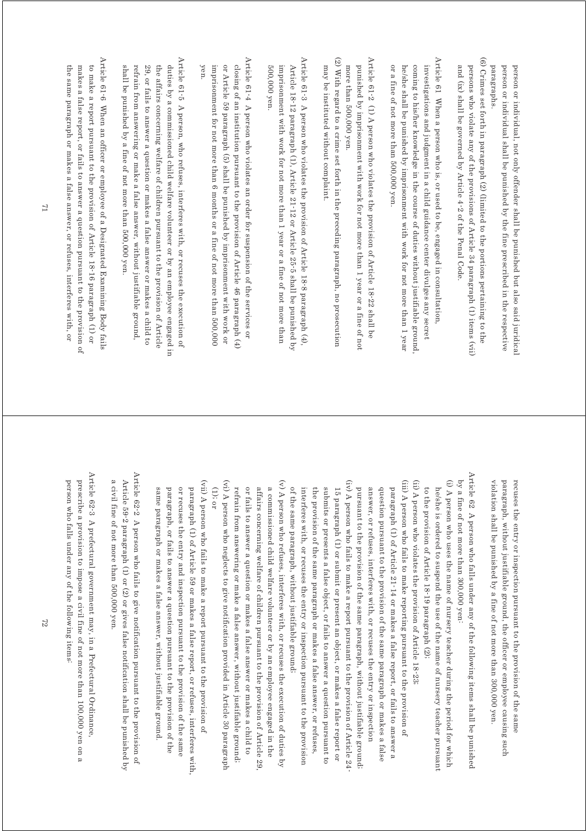paragraphs person or individual shall be punished by the fine prescribed in the respective person or individual, not only offender shall be punished but also said juridical paragraphs. person or individual shall be punished by the fine prescribed in the respective person or individual, not only offender shall be punished but also said juridical

(6) Crimes set forth in paragraph (2) (limited to the portions pertaining to the (6) Crimes set forth in paragraph (2) (limited to the portions pertaining to the and (ix) shall be governed by Article 4-2 of the Penal Code. persons who violate any of the provisions of Article 34 paragraph (1) items (vii) and (ix) shall be governed by Article 4-2 of the Penal Code. persons who violate any of the provisions of Article 34 paragraph (1) items (vii)

Article 61 When a person who is, or used to be, engaged in consultation, Article 61 When a person who is, or used to be, engaged in consultation, coming to his/her knowledge in the course of duties without justifiable ground investigations and judgment in a child guidance center divulges any secret or a tine of not more than 500,000 yen. he/she shall be punished by imprisonment with work for not more than 1 year or a fine of not more than 500,000 yen. he/she shall be punished by imprisonment with work for not more than 1 year coming to his/her knowledge in the course of duties without justifiable ground, investigations and judgment in a child guidance center divulges any secret

Article 61-2 (1) A person who violates the provision of Article 18-22 shall be Article 61-2 (1) A person who violates the provision of Article 18-22 shall be more than 500,000 yen punished by imprisonment with work for not more than 1 year or a fine of not more than 500,000 yen. punished by imprisonment with work for not more than 1 year or a fine of not

(2) With regard to a crime set forth in the preceding paragraph, no prosecution (2) With regard to a crime set forth in the preceding paragraph, no prosecution may be instituted without complaint. may be instituted without complaint.

Article 61-3 A person who violates the provision of Article 18-8 paragraph  $(4)$ , Article 61-3 A person who violates the provision of Article 18-8 paragraph (4), Article 18-12 paragraph (1), Article 21-12 or Article 25-5 shall be punished by 500,000 yen imprisonment with work for not more than 1 year or a fine of not more than 500,000 yen. imprisonment with work for not more than 1 year or a fine of not more than Article 18-12 paragraph (1), Article 21-12 or Article 25-5 shall be punished by

Article 61-4 A person who violates an order for suspension of the services or Article 61-4 A person who violates an order for suspension of the services or yen. imprisonment for not more than 6 months or a fine of not more than 500,000 or Article 59 paragraph (5) shall be punished by imprisonment with work or closing of an institution pursuant to the provision of Article 46 paragraph  $(4)$ imprisonment for not more than 6 months or a fine of not more than 500,000 or Article 59 paragraph (5) shall be punished by imprisonment with work or closing of an institution pursuant to the provision of Article 46 paragraph (4)

Article 61-5 A person, who refuses, interferes with, or recuses the execution of  $A$ refuses of  $5-6$  and  $B$  person, who refuses, interferes with, or recuses the execution of duties by a commissioned child welfare volunteer or by an employee engaged in shall be punished by a fine of not more than 500,000 yen. refrain from answering or make a false answer, without justifiable ground, 29, or fails to answer a question or makes a false answer or makes a child to the affairs concerning welfare of children pursuant to the provision of Article shall be punished by a fine of not more than 500,000 yen. refrain from answering or make a false answer, without justifiable ground, 29, or fails to answer a question or makes a false answer or makes a child to the affairs concerning welfare of children pursuant to the provision of Article duties by a commissioned child welfare volunteer or by an employee engaged in

Article 61-6 When an officer or employee of a Designated Examining Body fails Article 61-6 When an officer or employee of a Designated Examining Body fails to make a report pursuant to the provision of Article 18-16 paragraph (1) or the same paragraph or makes a false answer, or refuses, interferes with, or makes a false report, or fails to answer a question pursuant to the provision of the same paragraph or makes a false answer, or refuses, interferes with, or makes a false report, or fails to answer a question pursuant to the provision of to make a report pursuant to the provision of Article 18-16 paragraph (1) or

> paragraph, without justifiable ground, the officer or employee causing such violation shall be punished by a fine of not more than 300,000 yen. violation shall be punished by a fine of not more than 300,000 yen. paragraph, without justifiable ground, recuses the entry or inspection pursuant to the provision of the same recuses the entry or inspection pursuant to the provision of the same the officer or employee causing such

Article 62  $\,$  A person who falls under any of the following items shall be punished Article 62 A person who falls under any of the following items shall be punished by a fine of not more than 300,000 yen: by a fine of not more than 300,000 yen:

(i) A person who uses the name of nursery teacher during the period for which (i) A person who uses the name of nursery teacher during the period for which to the provision of Article 18-19 paragraph (2); he/she is ordered to suspend the use of the name of nursery teacher pursuant to the provision of Article 18-19 paragraph (2); he/she is ordered to suspend the use of the name of nursery teacher pursuant

(ii) A person who violates the provision of Article 18-23; (ii) A person who violates the provision of Article 18-23;

(iii) A person who fails to make reporting pursuant to the provision of (iii) A person who fails to make reporting pursuant to the provision of pursuant to the provision of the same paragraph, without justifiable ground; question pursuant to the provision of the same paragraph or makes a false paragraph (1) of Article 21-14 or makes a false report, or fails to answer a answer, or refuses, interferes with, or recuses the entry or inspection pursuant to the provision of the same answer, or refuses, interferes with, or recuses the entry or inspection question pursuant to the provision of the same paragraph or makes a false paragraph (1) of Article 21-14 or makes a false report, or fails to answer a paragraph, without justifiable ground;

 $(iv)$  A person who fails to make a report pursuant to the provision of Article 24 (iv) A person who fails to make a report pursuant to the provision of Article 24of the same paragraph, without justifiable ground. submits or presents a false object, or fails to answer a question pursuant to 15 paragraph (1) or submit or present an object, or makes a false report or interferes with, or recuses the entry or inspection pursuant to the provision the provision of the same paragraph or makes a false answer, or refuses, of the same paragraph, without justifiable ground; interferes with, or recuses the entry or inspection pursuant to the provision the provision of the same paragraph or makes a false answer, or refuses, submits or presents a false object, or fails to answer a question pursuant to 15 paragraph (1) or submit or present an object, or makes a false report or

(vi) A person who neglects to give notification provided in Article 30 paragraph (v) A person who refuses, interferes with, or recuses the execution of duties by (vi) A person who neglects to give notification provided in Article 30 paragraph (v) A person who refuses, interferes with, or recuses the execution of duties by or fails to answer a question or makes a false answer or makes a child to affairs concerning welfare of children pursuant to the provision of Article 29. a commissioned child welfare volunteer or by an employee engaged in the (1); or refrain from answering or make a false answer, without justifiable ground; refrain from answering or make a false answer, without justifiable ground; or fails to answer a question or makes a false answer or makes a child to affairs concerning welfare of children pursuant to the provision of Article 29, a commissioned child welfare volunteer or by an employee engaged in the

(vii) A person who fails to make a report pursuant to the provision of (vii) A person who fails to make a report pursuant to the provision of or recuses the entry and inspection pursuant to the provision of the same paragraph (1) of Article 59 or makes a false report, or refuses, interferes with, paragraph, or fails to answer a question pursuant to the provision of the same paragraph or makes a false answer, without justifiable ground same paragraph or makes a false answer, without justifiable ground. paragraph, or fails to answer a question pursuant to the provision of the or recuses the entry and inspection pursuant to the provision of the same paragraph (1) of Article 59 or makes a false report, or refuses, interferes with,

Article 62-2 A person who fails to give notification pursuant to provision of Article 62-2  $\,$  A person who fails to give notification pursuant to the provision of a civil fine of not more than 500,000 yen Article 59-2 paragraph (1) or (2) or gives false notification shall be punished by a civil fine of not more than 500,000 yen. Article 59-2 paragraph (1) or (2) or gives false notification shall be punished by

Article 62-3 A prefectural government may, in a Prefectural Ordinance, Article 62-3 A prefectural government may, in a Prefectural Ordinance, person who falls under any of the following items: prescribe a provision to impose a civil fine of not more than 100,000 yen on a person who falls under any of the following items: prescribe a provision to impose a civil fine of not more than 100,000 yen on a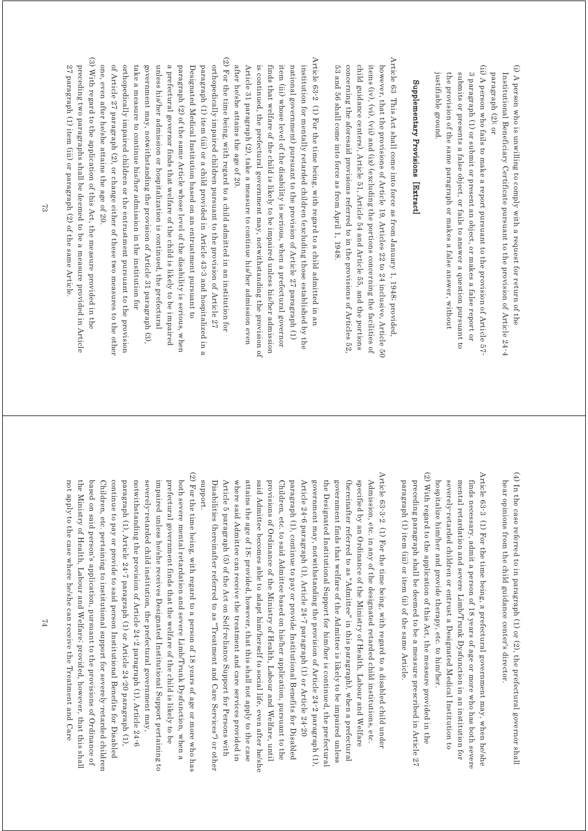- (i) A person who is unwilling to comply with a request for return of the (i) A person who is unwilling to comply with a request for return of the paragraph $(2);$  or Institutional Beneficiary Certificate pursuant to the provision of Article 24-4 paragraph (2); or Institutional Beneficiary Certificate pursuant to the provision of Article 24-4
- (ii) A person who fails to make a report pursuant to the provision of Article 57 (ii) A person who fails to make a report pursuant to the provision of Article 57- 3 paragraph (1) or submit or present an object, or makes a false report or justifiable ground. the provision of the same paragraph or makes a false answer, without submits or presents a false object, or fails to answer a question pursuant to justifiable ground. the provision of the same paragraph or makes a false answer, without submits or presents a false object, or fails to answer a question pursuant to 3 paragraph (1) or submit or present an object, or makes a false report or

# Supplementary Provisions [Extract] Supplementary Provisions [Extract]

Article 63 This Act shall come into force as from January 1, 1948; provided Article 63 This Act shall come into force as from January 1, 1948; provided, child guidance centers), Article 51, Article 54 and Article 55, and the portions 53 and 56 shall come into force as from April 1, 1948 concerning the aforesaid provisions referred to in the provisions of Articles 52 items  $(iv)$ ,  $(vi)$ ,  $(vii)$  and  $(ix)$  (excluding the portions concerning the facilities of however, that the provisions of Article 19, Articles 22 to 24 inclusive, Article 50 53 and 56 shall come into force as from April 1, 1948. concerning the aforesaid provisions referred to in the provisions of Articles 52, child guidance centers), Article 51, Article 54 and Article 55, and the portions items (iv), (vi), (vii) and (ix) (excluding the portions concerning the facilities of however, that the provisions of Article 19, Articles 22 to 24 inclusive, Article 50

- Article 63-2 (1) For the time being, with regard to a child admitted in an Article 63-2 (1) For the time being, with regard to a child admitted in an after he/she attains the age of 20. Article 31 paragraph (2), take a measure to continue his/her admission even is continued, the prefectural government may, notwithstanding the provision of finds that welfare of the child is likely to be impaired unless his/her admission item (iii) whose level of the disability is serious, when a prefectural governor national government) pursuant to the provision of Article 27 paragraph (1) institution for mentally retarded children (excluding those established by the after he/she attains the age of 20. Article 31 paragraph (2), take a measure to continue his/her admission even is continued, the prefectural government may, notwithstanding the provision of finds that welfare of the child is likely to be impaired unless his/her admission item (iii) whose level of the disability is serious, when a prefectural governor national government) pursuant to the provision of Article 27 paragraph (1) institution for mentally retarded children (excluding those established by the
- (2) For the time being, with regard to a child admitted in an institution for (2) For the time being, with regard to a child admitted in an institution for of Article 27 paragraph (2), or change either of these two measures to the other orthopedically impaired children or the entrustment pursuant to the provision orthopedically impaired children pursuant to the provision of Article 27 one, even after he/she attains the age of 20. take a measure to continue his/her admission in the institution for government may, notwithstanding the provision of Article 31 paragraph  $(3)$ unless his/her admission or hospitalization is continued, the prefectural a prefectural governor finds that welfare of the child is likely to be impaired paragraph (2) of the same Article whose level of the disability is serious, when Designated Medical Institution based on an entrustment pursuant to paragraph (1) item (iii) or a child provided in Article 43-3 and hospitalized in a one, even after he/she attains the age of 20. of Article 27 paragraph (2), or change either of these two measures to the other orthopedically impaired children or the entrustment pursuant to the provision take a measure to continue his/her admission in the institution for government may, notwithstanding the provision of Article 31 paragraph (3), unless his/her admission or hospitalization is continued, the prefectural a prefectural governor finds that welfare of the child is likely to be impaired paragraph (2) of the same Article whose level of the disability is serious, when Designated Medical Institution based on an entrustment pursuant to paragraph (1) item (iii) or a child provided in Article 43-3 and hospitalized in a orthopedically impaired children pursuant to the provision of Article 27
- (3) With regard to the application of this Act, the measure provided in the (3) With regard to the application of this Act, the measure provided in the 27 paragraph (1) item (iii) or paragraph (2) of the same Article. preceding two paragraphs shall be deemed to be a measure provided in Article 27 paragraph (1) item (iii) or paragraph (2) of the same Article. preceding two paragraphs shall be deemed to be a measure provided in Article

(4) In the case referred to in paragraph (1) or (2), the prefectural governor shall (4) In the case referred to in paragraph (1) or (2), the prefectural governor shall hear opinions from the child guidance center's director hear opinions from the child guidance center's director.

(2) With regard to the application of this Act, the measure provided in the (2) With regard to the application of this Act, the measure provided in the Article 63-3 (1) For the time being, a prefectural government may, when he/she Article 63-3 (1) For the time being, a prefectural government may, when he/she preceding paragraph shall be deemed to be a measure prescribed in Article 27 mental retardation and severe Limb/Trunk Dysfunction in an institution for hospitalize him/her and provide therapy, etc. to him/her. severely-retarded children or entrust a Designated Medical Institution to finds necessary, admit a person of 18 years of age or more who has both severe preceding paragraph shall be deemed to be a measure prescribed in Article 27 hospitalize him/her and provide therapy, etc. to him/her. severely-retarded children or entrust a Designated Medical Institution to mental retardation and severe Limb/Trunk Dysfunction in an institution for finds necessary, admit a person of 18 years of age or more who has both severe

paragraph (1) item (iii) or item (ii) of the same Article.

paragraph (1) item (iii) or item (ii) of the same Article.

- Article 63-3-2  $(1)$  For the time being, with regard to a disabled child under Article 63-3-2 (1) For the time being, with regard to a disabled child under attains the age of 18; provided, however, that this shall not apply to the case said Admittee becomes able to adapt him/herself to social life, even after he/she Children, etc. to said Admittee based on his/her application, pursuant to the Article 24-6 paragraph (1), Article 24-7 paragraph (1) or Article 24-20 (hereinafter referred to as "Admittee" in this paragraph), when a prefectural Article 5 paragraph (5) of the Act on Self-reliance Support for Persons with provisions of Ordinance of the Ministry of Health, Labour and Welfare, until government finds that welfare of the Admittee is likely to be impaired unless specified by an Ordinance of the Ministry of Health, Labour and Welfare Admission, etc. in any of the designated retarded child institutions, etc. Disabilities (hereinafter referred to as "Treatment and Care Services") or other Disabilities (hereinafter referred to as "Treatment and Care Services") or other Article 5 paragraph (5) of the Act on Self-reliance Support for Persons with where said Admittee can receive the treatment and care services provided in where said Admittee can receive the treatment and care services provided in attains the age of 18; provided, however, that this shall not apply to the case said Admittee becomes able to adapt him/herself to social life, even after he/she provisions of Ordinance of the Ministry of Health, Labour and Welfare, until Children, etc. to said Admittee based on his/her application, pursuant to the paragraph (1), continue to pay or provide Institutional Benefits for Disabled paragraph (1), continue to pay or provide Institutional Benefits for Disabled Article 24-6 paragraph (1), Article government may, notwithstanding the provision of Article 24-2 paragraph (1), government may, notwithstanding the provision of Article 24-2 paragraph (1), the Designated Institutional Support for him/her is continued, the prefectural the Designated Institutional Support for him/her is continued, the prefectural government finds that welfare of the Admittee is likely to be impaired unless (hereinafter referred to as "Admittee" in this paragraph), when a prefectural specified by an Ordinance of the Ministry of Health, Labour and Welfare Admission, etc. in any of the designated retarded child institutions, etc. 24-7 paragraph (1) or Article 24-20
- (2) For the time being, with regard to a person of 18 years of age or more who has (2) For the time being, with regard to a person of 18 years of age or more who has continue to pay or provide to said person Institutional Benefits for Disabled paragraph (1), Article 24-7 paragraph (1) or Article 24-20 paragraph (1), notwithstanding the provision of Article 24-2 paragraph (1), Article 24-6 severely retarded child institution, the prefectural government may, prefectural government finds that the welfare of the child is likely to be both severe mental retardation and severe Limb/Trunk Dysfunction, when a Children, etc. pertaining to institutional support for severely retarded children not apply to the case where he/she can receive the Treatment and Care not apply to the case where he/she can receive the Treatment and Care the Ministry of Health, Labour and Welfare, provided, however, that this shall the Ministry of Health, Labour and Welfare; provided, however, that this shall based on said person's application, pursuant to the provisions of Ordinance of based on said person's application, pursuant to the provisions of Ordinance of Children, etc. pertaining to institutional support for severely-retarded children continue to pay or provide to said person Institutional Benefits for Disabled paragraph (1), Article 24-7 paragraph (1) or Article 24-20 paragraph (1), notwithstanding the provision of Article 24-2 paragraph (1), Article 24-6 severely-retarded child institution, the prefectural government may, impaired unless he/she receives Designated Institutional Support pertaining to impaired unless he/she receives Designated Institutional Support pertaining to prefectural government finds that the welfare of the child is likely to be both severe mental retardation and severe Limb/Trunk Dysfunction, when a

support.

anbbort.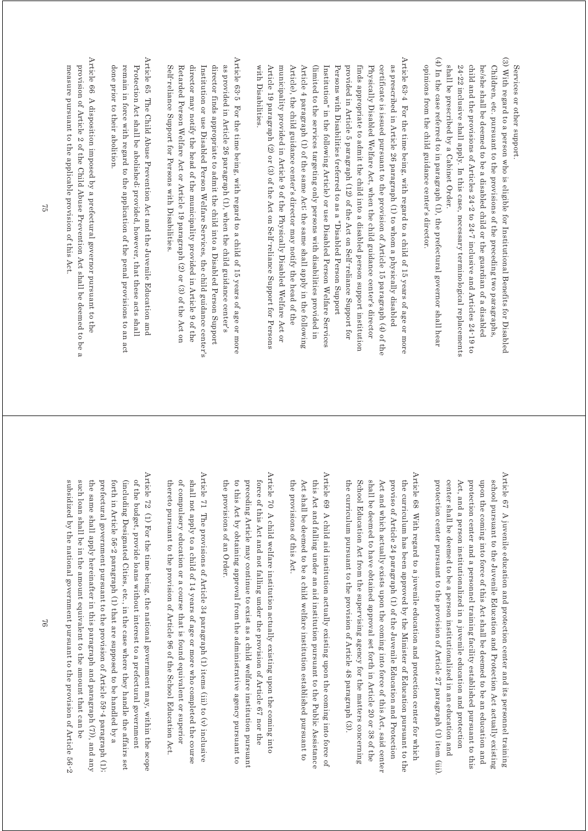Services or other support Services or other support.

- (3) With regard to a person who is eligible for Institutional Benefits for Disabled (3) With regard to a person who is eligible for Institutional Benefits for Disabled 24-22 inclusive shall apply. In this case, necessary terminological replacements child and the provisions of Articles 24-2 to 24-7 inclusive and Articles 24-19 to shall be prescribed by a Cabinet Order. he/she shall be deemed to be a disabled child or the guardian of a disabled Children, etc. pursuant to the provisions of the preceding two paragraphs shall be prescribed by a Cabinet Order. 24-22 inclusive shall apply. In this case, necessary terminological replacements child and the provisions of Articles 24-2 to 24-7 inclusive and Articles 24-19 to he/she shall be deemed to be a disabled child or the guardian of a disabled Children, etc. pursuant to the provisions of the preceding two paragraphs,
- (4) In the case referred to in paragraph  $(1)$ , the prefectural governor shall hear (4) In the case referred to in paragraph (1), the prefectural governor shall hear opinions from the child guidance center's director opinions from the child guidance center's director.
- Article 63-4 For the time being, with regard to a child of 15 years of age or more Article 63-4 For the time being, with regard to a child of 15 years of age or more Article 19 paragraph (2) or (3) of the Act on Self-reliance Support for Persons municipality provided in Article 9 of the Physically Disabled Welfare Act or Article 4 paragraph (1) of the same Act; the same shall apply in the following (limited to the services targeting only persons with disabilities provided in Institution" in the following Article) or use Disabled Person Welfare Services Persons with Disabilities (referred to as a "Disabled Person Support provided in Article 5 paragraph (12) of the Act on Self reliance Support for finds appropriate to admit the child into a disabled person support institution certificate is issued pursuant to the provision of Article 15 paragraph (4) of the as prescribed in Article 26 paragraph (1) to whom a physically disabled Article 19 paragraph (2) or (3) of the Act on Self-reliance Support for Persons municipality provided in Article 9 of the Physically Disabled Welfare Act or Article), the child guidance center's director may notify the head of the Article), the child guidance center's director may notify the head of the Article 4 paragraph (1) of the same Act; the same shall apply in the following (limited to the services targeting only persons with disabilities provided in Institution" in the following Article) or use Disabled Person Welfare Services Persons with Disabilities (referred to as a "Disabled Person Support provided in Article 5 paragraph (12) of the Act on Self-reliance Support for finds appropriate to admit the child into a disabled person support institution Physically Disabled Welfare Act, when the child guidance center's director Physically Disabled Welfare Act, when the child guidance center's director certificate is issued pursuant to the provision of Article 15 paragraph (4) of the as prescribed in Article 26 paragraph (1) to whom a physically disabled
- Article 63<sup>-5</sup> For the time being, with regard to a child of 15 years of age or more Article 63-5 For the time being, with regard to a child of 15 years of age or more as provided in Article 26 paragraph (1), when the child guidance center's Self-reliance Support for Persons with Disabilities Retarded Person Welfare Act or Article 19 paragraph (2) or (3) of the Act on director may notify the head of the municipality provided in Article 9 of the Institution or use Disabled Person Welfare Services, the child guidance center's director finds appropriate to admit the child into a Disabled Person Support Self-reliance Support for Persons with Disabilities. Retarded Person Welfare Act or Article 19 paragraph (2) or (3) of the Act on director may notify the head of the municipality provided in Article 9 of the Institution or use Disabled Person Welfare Services, the child guidance center's director finds appropriate to admit the child into a Disabled Person Support as provided in Article 26 paragraph (1), when the child guidance center's

with Disabilities.

with Disabilities

- Article 65 The Child Abuse Prevention Act and the Juvenile Education and Article 65 The Child Abuse Prevention Act and the Juvenile Education and Protection Act shall be abolished; provided, however, that these acts shall done prior to their abolition remain in force with regard to the application of the penal provisions to an act done prior to their abolition. remain in force with regard to the application of the penal provisions to an act Protection Act shall be abolished; provided, however, that these acts shall
- Article 66 A disposition imposed by a prefectural governor pursuant to the Article 66 A disposition imposed by a prefectural governor pursuant to the measure pursuant to the applicable provision of this Act. provision of Article 2 of the Child Abuse Prevention Act shall be deemed to be a measure pursuant to the applicable provision of this Act. provision of Article 2 of the Child Abuse Prevention Act shall be deemed to be a

Article 67 A juvenile education and protection center and its personnel training Article 67 A juvenile education and protection center and its personnel training protection center pursuant to the provision of Article 27 paragraph (1) item (iii) upon the coming into force of this Act shall be deemed to be an education and center shall be deemed to be a person institutionalized in an education and Act, and a person institutionalized in a juvenile education and protection school pursuant to the Juvenile Education and Protection Act actually existing protection center pursuant to the provision of Article 27 paragraph (1) item (iii). center shall be deemed to be a person institutionalized in an education and Act, and a person institutionalized in a juvenile education and protection protection center and a personnel training facility established pursuant to this protection center and a personnel training facility established pursuant to this upon the coming into force of this Act shall be deemed to be an education and school pursuant to the Juvenile Education and Protection Act actually existing

- Article 68 With regard to a juvenile education and protection center for which Article 68 With regard to a juvenile education and protection center for which the curriculum has been approved by the Minister of Education pursuant to the the curriculum pursuant to the provision of Article 48 paragraph (3). shall be deemed to have obtained approval set forth in Article 20 or 38 of the Act and which actually exists upon the coming into force of this Act, said center proviso of Article 24 paragraph (1) of the Juvenile Education and Protection the curriculum pursuant to the provision of Article 48 paragraph (3). School Education Act from the supervising agency for the matters concerning School Education Act from the supervising agency for the matters concerning shall be deemed to have obtained approval set forth in Article 20 or 38 of the Act and which actually exists upon the coming into force of this Act, said center proviso of Article 24 paragraph (1) of the Juvenile Education and Protection the curriculum has been approved by the Minister of Education pursuant to the
- Article 69 A child aid institution actually existing upon the coming into force of Article 69 A child aid institution actually existing upon the coming into force of the provisions of this Act. Act shall be deemed to be a child welfare institution established pursuant to this Act and falling under an aid institution pursuant to the Public Assistance the provisions of this Act. Act shall be deemed to be a child welfare institution established pursuant to this Act and falling under an aid institution pursuant to the Public Assistance
- Article 70 A child welfare institution actually existing upon the coming into Article 70 A child welfare institution actually existing upon the coming into to this Act by obtaining approval from the administrative agency pursuant to preceding Article may continue to exist as a child welfare institution pursuant force of this Act and not falling under the provision of Article 67 nor the the provisions of an Order. the provisions of an Order. to this Act by obtaining approval from the administrative agency pursuant to preceding Article may continue to exist as a child welfare institution pursuant force of this Act and not falling under the provision of Article 67 nor the
- Article 71 The provisions of Article 34 paragraph (1) items (iii) to (v) inclusive Article 71 The provisions of Article 34 paragraph (1) items (iii) to (v) inclusive thereto pursuant to the provision of Article 96 of the School Education Act. of compulsory education or a course that is found equivalent or superior shall not apply to a child of 14 years of age or more who completed the course thereto pursuant to the provision of Article 96 of the School Education Act. of compulsory education or a course that is found equivalent or superior shall not apply to a child of 14 years of age or more who completed the course
- Article 72 (1) For the time being, the national government may, within the scope Article 72 (1) For the time being, the national government may within the scope forth in Article 56-2 paragraph (1) that are supposed to be handled by a (including Designated Cities, etc., in the case where they handle the affairs set of the budget, provide loans without interest to a prefectural government subsidized by the national government pursuant to the provision of Article 56-2 such loan shall be in the amount equivalent to the amount that can be the same shall apply hereinafter in this paragraph and paragraph (7), and any prefectural government pursuant to the provision of Article 59-4 paragraph (1); subsidized by the national government pursuant to the provision of Article 56-2 such loan shall be in the amount equivalent to the amount that can be the same shall apply hereinafter in this paragraph and paragraph (7)), and any prefectural government pursuant to the provision of Article 59-4 paragraph (1); forth in Article 56-2 paragraph (1) that are supposed to be handled by a (including Designated Cities, etc., in the case where they handle the affairs set of the budget, provide loans without interest to a prefectural government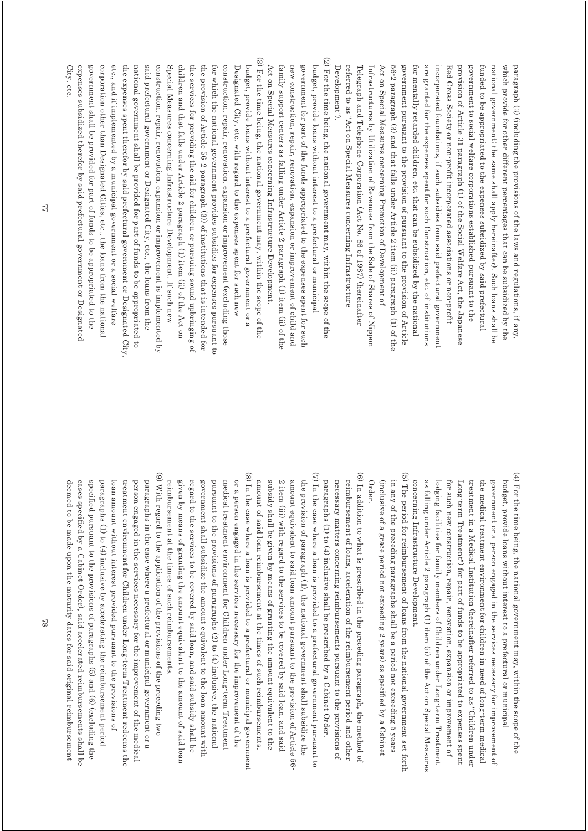referred to as "Act on Special Measures concerning Infrastructure Telegraph and Telephone Corporation (Act No. 86 of 1987) (hereinafter Infrastructures by Utilization of Revenues from the Sale of Shares of Nippor Act on Special Measures concerning Promotion of Development of  $56$ -2 paragraph (3) and that falls under Article 2 item (ii) paragraph (1) of the government pursuant to the provision of pursuant to the provision of Article for mentally retarded children, etc. that can be subsidized by the national are granted for the expenses spent for such Construction, etc. of institutions provision of Article 31 paragraph (1) of the Social Welfare Act, the Japanese funded to be appropriated to the expenses subsidized by said prefectural national government; the same shall apply hereinafter). Such loans shall be which provide for other different percentages that can be subsidized by the paragraph (3) (including the provisions of the laws and regulations, if any, Development"). Development"). referred to as "Act on Special Measures concerning Infrastructure Telegraph and Telephone Corporation (Act No. 86 of 1987) (hereinafter Infrastructures by Utilization of Revenues from the Sale of Shares of Nippon Act on Special Measures concerning Promotion of Development of 56-2 paragraph (3) and that falls under Article 2 item (ii) paragraph (1) of the government pursuant to the provision of pursuant to the provision of Article for mentally retarded children, etc. that can be subsidized by the national are granted for the expenses spent for such Construction, etc. of institutions incorporated foundations, if such subsidies from said prefectural governmen incorporated foundations, if such subsidies from said prefectural government Red Cross Society or non-profit incorporated associations or non-profit Red Cross Society or non-profit incorporated associations or non-profit provision of Article 31 paragraph (1) of the Social Welfare Act, the Japanese government to social welfare corporations established pursuant to the government to social welfare corporations established pursuant to the funded to be appropriated to the expenses subsidized by said prefectural national government; the same shall apply hereinafter). Such loans shall be which provide for other different percentages that can be subsidized by the paragraph (3) (including the provisions of the laws and regulations, if any,

(3) For the time being, the national government may, within the scope of the (2) For the time being, the national government may, within the scope of the (3) For the time being, the national government may, within the scope of the corporation other than Designated Cities, etc., the loans from the national the expenses spent therefor by said prefectural government or Designated City national government shall be provided for part of funds to be appropriated to said prefectural government or Designated City, etc., the loans from the construction, repair, renovation, expansion or improvement is implemented by Special Measures concerning Infrastructure Development. If such new children and that falls under Article 2 paragraph (1) item (ii) of the Act on the services for providing the aid for children or pursuing sound upbringing of the provision of Article 56-2 paragraph (3)) of institutions that is intended for for which the national government provides subsidies for expenses pursuant to construction, repair, renovation, expansion or improvement (excluding those Designated City, etc. with regard to the expenses spent for such new budget, provide loans without interest to a prefectural government or a Act on Special Measures concerning Infrastructure Development. family support centers as falling under Article 2 paragraph (1) item (ii) of the new construction, repair, renovation, expansion or improvement of child and government for part of the funds appropriated to the expenses spent for such budget, provide loans without interest to a prefectural or municipa. corporation other than Designated Cities, etc., the loans from the national etc., and if implemented by a municipal government or a social welfare etc., and if implemented by a municipal government or a social welfare the expenses spent therefor by said prefectural government or Designated City, national government shall be provided for part of funds to be appropriated to said prefectural government or Designated City, etc., the loans from the construction, repair, renovation, expansion or improvement is implemented by Special Measures concerning Infrastructure Development. If such new children and that falls under Article 2 paragraph (1) item (ii) of the Act on the services for providing the aid for children or pursuing sound upbringing of the provision of Article 56-2 paragraph (3)) of institutions that is intended for for which the national government provides subsidies for expenses pursuant to construction, repair, renovation, expansion or improvement (excluding those Designated City, etc. with regard to the expenses spent for such new budget, provide loans without interest to a prefectural government or a Act on Special Measures concerning Infrastructure Development. family support centers as falling under Article 2 paragraph (1) item (ii) of the new construction, repair, renovation, expansion or improvement of child and government for part of the funds appropriated to the expenses spent for such budget, provide loans without interest to a prefectural or municipal

> $(4)$  For the time being, the national government may, within the scope of the (4) For the time being, the national government may, within the scope of the concerning Infrastructure Development. as falling under Article 2 paragraph (1) item (ii) of the Act on Special Measures lodging facilities for family members of Children under Long-term Treatment the medical treatment environment for children in need of long-term medical government or a person engaged in the services necessary for improvement of budget, provide loans without interest to a prefectural or municipal concerning Infrastructure Development. as falling under Article 2 paragraph (1) item (ii) of the Act on Special Measures lodging facilities for family members of Children under Long-term Treatment for such new construction, repair, renovation, expansion or improvement of for such new construction, repair, renovation, expansion or improvement of Long-term Treatment") for part of funds to be appropriated to expenses spent Long-term Treatment") for part of funds to be appropriated to expenses spent treatment in a Medical Institution (hereinafter referred to as "Children under treatment in a Medical Institution (hereinafter referred to as "Children under the medical treatment environment for children in need of long-term medical government or a person engaged in the services necessary for improvement of budget, provide loans without interest to a prefectural or municipal

(5) The period for reimbursement of loans from the national government set forth (5) The period for reimbursement of loans from the national government set forth (inclusive of a grace period not exceeding 2 years) as specified by a Cabinet in any of the preceding paragraphs shall be a period not exceeding 5 years Order. (inclusive of a grace period not exceeding 2 years) as specified by a Cabinet in any of the preceding paragraphs shall be a period not exceeding 5 years

(6) In addition to what is prescribed in the preceding paragraph, the method of (6) In addition to what is prescribed in the preceding paragraph, the method of reimbursement of loans, acceleration of the reimbursement period and other paragraphs (1) to (4) inclusive shall be prescribed by a Cabinet Order. necessary matters concerning reimbursements pursuant to the provisions of paragraphs (1) to (4) inclusive shall be prescribed by a Cabinet Order. necessary matters concerning reimbursements pursuant to the provisions of reimbursement of loans, acceleration of the reimbursement period and other

(2) For the time being, the national government may, within the scope of the

(7) In the case where a loan is provided to a prefectural government pursuant to (7) In the case where a loan is provided to a prefectural government pursuant to subsidy shall be given by means of granting the amount equivalent to the 2 item (iii) with regard to the services to be covered by said loan, and said amount equivalent to said loan amount pursuant to the provision of Article 56 the provision of paragraph (1), the national government shall subsidize the subsidy shall be given by means of granting the amount equivalent to the 2 item (iii) with regard to the services to be covered by said loan, and said amount equivalent to said loan amount pursuant to the provision of Article 56 the provision of paragraph (1), the national government shall subsidize the

amount of said loan reimbursement at the times of such reimbursements.

amount of said loan reimbursement at the times of such reimbursements.

(8) In the case where a loan is provided to a prefectural or municipal government (8) In the case where a loan is provided to a prefectural or municipal government regard to the services to be covered by said loan, and said subsidy shall be government shall subsidize the amount equivalent to the loan amount with pursuant to the provisions of paragraphs  $(2)$  to  $(4)$  inclusive, the national medical treatment environment for Children under Long-term Treatment or a person engaged in the services necessary for the improvement of the regard to the services to be covered by said loan, and said subsidy shall be government shall subsidize the amount equivalent to the loan amount with pursuant to the provisions of paragraphs (2) to (4) inclusive, the national medical treatment environment for Children under Long-term Treatment or a person engaged in the services necessary for the improvement of the

reimbursement at the times of such reimbursements.

reimbursement at the times of such reimbursements.

given by means of granting the amount equivalent to the amount of said loan

given by means of granting the amount equivalent to the amount of said loan

(9) With regard to the application of the provisions of the preceding two (9) With regard to the application of the provisions of the preceding two specified pursuant to the provisions of paragraphs (5) and (6) (excluding the treatment environment for Children under Long-term Treatment redeems the person engaged in the services necessary for the improvement of the medical cases specified by a Cabinet Order), said accelerated reimbursements shall be loan amount without interest provided pursuant to the provisions of paragraphs in the case where a prefectural or municipal government or a cases specified by a Cabinet Order), said accelerated reimbursements shall be specified pursuant to the provisions of paragraphs (5) and (6) (excluding the paragraphs  $(1)$  to  $(4)$  inclusive by accelerating the reimbursement period paragraphs (1) to (4) inclusive by accelerating the reimbursement period loan amount without interest provided pursuant to the provisions of treatment environment for Children under Long-term Treatment redeems the person engaged in the services necessary for the improvement of the medical paragraphs in the case where a prefectural or municipal government or a

expenses subsidized therefor by said prefectural government or Designated government shall be provided for part of funds to be appropriated to the

expenses subsidized therefor by said prefectural government or Designatec government shall be provided for part of funds to be appropriated to the

City, etc.

deemed to be made upon the maturity dates for said original reimbursement

deemed to be made upon the maturity dates for said original reimbursement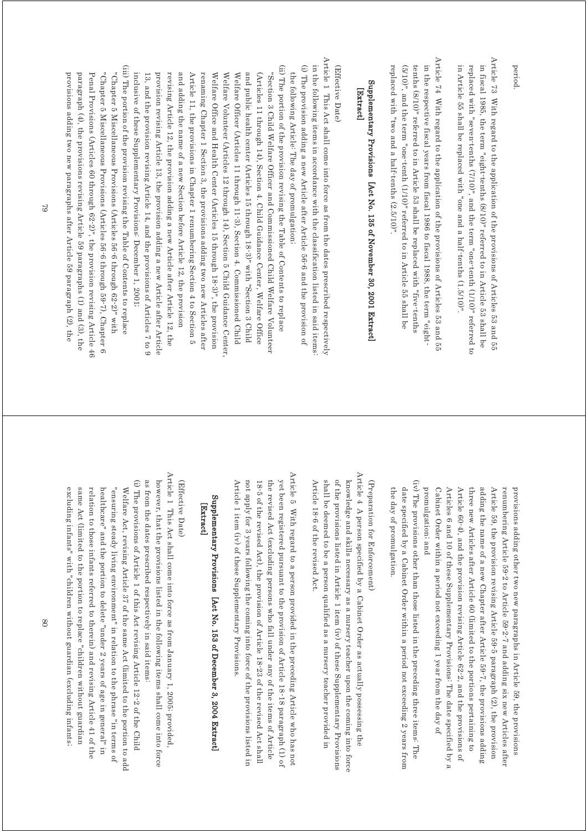period.

Article 73 With regard to the application of the provisions of Articles 53 and 55 Article 73 With regard to the application of the provisions of Articles 53 and 55 in fiscal 1985, the term "eight-tenths (8/10)" referred to in Article 53 shall be in Article 55 shall be replaced with "one and a half-tenths (1.5/10)". replaced with "seven tenths (7/10)", and the term "one tenth (1/10)" referred to in Article 55 shall be replaced with "one and a half-tenths (1.5/10)". replaced with "seven-tenths (7/10)", and the term "one-tenth (1/10)" referred to in fiscal 1985, the term "eight-tenths (8/10)" referred to in Article 53 shall be

Article 74 With regard to the application of the provisions of Articles 53 and 55 Article 74 With regard to the application of the provisions of Articles 53 and 55 in the respective fiscal years from fiscal 1986 to fiscal 1988, the term "eightreplaced with "two and a half-tenths (2.5/10)" (5/10)", and the term "one-tenth (1/10)" referred to in Article 55 shall be tenths (8/10)" referred to in Article 53 shall be replaced with "five-tenths replaced with "two and a half-tenths (2.5/10)". (5/10)", and the term "one-tenth (1/10)" referred to in Article 55 shall be tenths (8/10)" referred to in Article 53 shall be replaced with "five-tenths in the respective fiscal years from fiscal 1986 to fiscal 1988, the term "eight-

## Supplementary Provisions [Act No. 135 of November 30, 2001 Extract] Supplementary Provisions [Act No. 135 of November 30, 2001 Extract] [Extract] [Extract]

#### (Effective Date) (Effective Date)

Article 1 This Act shall come into force as from the dates prescribed respectively Article 1 This Act shall come into force as from the dates prescribed respectively (i) The provision adding a new Article after Article 56-6 and the provision of in the following items in accordance with the classification listed in said items (i) The provision adding a new Article after Article 56-6 and the provision of in the following items in accordance with the classification listed in said items: the following Article: The day of promulgation; the following Article: The day of promulgation;

(ii) The portion of the provision revising the Table of Contents to replace (ii) The portion of the provision revising the Table of Contents to replace inclusive of these Supplementary Provisions: December 1, 2001; 13, and the provision revising Article 14, and the provisions of Articles 7 to 9 and adding the name of a new Section before Article 12, the provision Article 11, the provisions in Chapter 1 renumbering Section 4 to Section 5 and public health center (Articles 15 through 18-3)" with "Section 3 Child provision revising Article 13, the provision adding a new Article after Article revising Article 12, the provision adding a new Article after Article 12, the renaming Chapter 1 Section 3, the provisions adding two new Articles after Welfare Office and Health Center (Articles 15 through 18-3)", the provision Welfare Volunteer (Articles 12 through 14), Section 5 Child Guidance Center Welfare Officer (Articles 11 through 11-3), Section 4. Commissioned Child (Articles 11 through 14), Section 4. Child Guidance Center, Welfare Office "Section 3 Child Welfare Officer and Commissioned Child Welfare Volunteer inclusive of these Supplementary Provisions: December 1, 2001; 13, and the provision revising Article 14, and the provisions of Articles 7 to 9 provision revising Article 13, the provision adding a new Article after Article revising Article 12, the provision adding a new Article after Article 12, the and adding the name of a new Section before Article 12, the provision Article 11, the provisions in Chapter 1 renumbering Section 4 to Section 5 renaming Chapter 1 Section 3, the provisions adding two new Articles after Welfare Office and Health Center (Articles 15 through 18-3)", the provision Welfare Volunteer (Articles 12 through 14), Section 5 Child Guidance Center, Welfare Officer (Articles 11 through 11-3), Section 4. Commissioned Child and public health center (Articles 15 through 18-3)" with "Section 3 Child (Articles 11 through 14), Section 4. Child Guidance Center, Welfare Office "Section 3 Child Welfare Officer and Commissioned Child Welfare Volunteer

(iii) The portion of the provision revising the Table of Contents to replace (iii) The portion of the provision revising the Table of Contents to replace provisions adding two new paragraphs after Article 59 paragraph (2), the paragraph (4), the provisions revising Article 59 paragraphs (1) and (3), the Penal Provisions (Articles 60 through 62-2)", the provision revising Article 46 "Chapter 5 Miscellaneous Provisions (Articles 56-6 through 59-7), Chapter 6 "Chapter 5 Miscellaneous Provisions (Articles 56-6 through 62-2)" with provisions adding two new paragraphs after Article 59 paragraph (2), the paragraph (4), the provisions revising Article 59 paragraphs (1) and (3), the Penal Provisions (Articles 60 through 62-2)", the provision revising Article 46 "Chapter 5 Miscellaneous Provisions (Articles 56-6 through 59-7), Chapter 6 "Chapter 5 Miscellaneous Provisions (Articles 56-6 through 62-2)" with

> promulgation; and Cabinet Order within a period not exceeding 1 year from the day of Article 60-4), and the provision revising Article 62-2, and the provisions of adding the name of a new Chapter after Article 59-7, the provisions adding Article 59, the provision revising Article 59-5 paragraph (2), the provision renumbering Article 59-2 to Article 59-2-7 and adding six new Articles after promulgation; and Articles 6 and 10 of these Supplementary Provisions: The date specified by a Articles 6 and 10 of these Supplementary Provisions: The date specified by a Article 60-4), and the provision revising Article 62-2, and the provisions of three new Articles after Article 60 (limited to the portions pertaining to three new Articles after Article 60 (limited to the portions pertaining to adding the name of a new Chapter after Article 59-7, the provisions adding Article 59, the provision revising Article 59-5 paragraph (2), the provision renumbering Article 59-2 to Article 59-2-7 and adding six new Articles after provisions adding other two new paragraphs in Article 59, the provisions provisions adding other two new paragraphs in Article 59, the provisions Cabinet Order within a period not exceeding 1 year from the day of

(iv) The provisions other than those listed in the preceding three items. The (iv) The provisions other than those listed in the preceding three items: The date specified by a Cabinet Order within a period not exceeding 2 years from the day of promulgation. the day of promulgation. date specified by a Cabinet Order within a period not exceeding 2 years from

## (Preparation for Enforcement) (Preparation for Enforcement)

Article 4 A person specified by a Cabinet Order as actually possessing the Article  $4$  A person specified by a Cabinet Order as actually possessing the knowledge and skills necessary as a nursery teacher upon the coming into force shall be deemed to be a person qualified as a nursery teacher provided in of the provisions listed in Article 1 item (iv) of these Supplementary Provisions Article 18-6 of the revised Act. Article 18-6 of the revised Act. shall be deemed to be a person qualified as a nursery teacher provided in of the provisions listed in Article 1 item (iv) of these Supplementary Provisions knowledge and skills necessary as a nursery teacher upon the coming into force

Article 5 With regard to a person provided in the preceding Article who has not Article 5 With regard to a person provided in the preceding Article who has not 18-5 of the revised Act), the provision of Article 18-23 of the revised Act shall the revised Act (excluding persons who fall under any of the items of Article yet been registered pursuant to the provision of Article 18-18 paragraph (1) of not apply for 3 years following the coming into force of the provisions listed in Article 1 item (iv) of these Supplementary Provisions Article 1 item (iv) of these Supplementary Provisions. not apply for 3 years following the coming into force of the provisions listed in the revised Act (excluding persons who fall under any of the items of Article yet been registered pursuant to the provision of Article 18-18 paragraph (1) of 18-5 of the revised Act), the provision of  $\Delta$ rticle 18-23 of the revised Act shall

## Supplementary Provisions [Act No. 153 of December 3, 2004 Extract] Supplementary Provisions [Act No. 153 of December 3, 2004 Extract] [Extract] [Extract]

#### (Effective Date) (Effective Date)

Article 1 This Act shall come into force as from January 1, 2005; provided, Article 1 This Act shall come into force as from January 1, 2005; provided, (i) The provisions of Article 1 of this Act revising Article 12-2 of the Child as from the dates prescribed respectively in said items. however, that the provisions listed in the following items shall come into force as from the dates prescribed respectively in said items: however, that the provisions listed in the following items shall come into force (i) The provisions of Article 1 of this Act revising Article 12-2 of the Child healthcare" and the portion to delete "under 2 years of age in general" in "ensuring steady living environment" in relation to the phrase "in terms of Welfare Act, revising Article 37 of the same Act (limited to the portion to add relation to those infants referred to therein) and revising Article 41 of the relation to those infants referred to therein) and revising Article 41 of the healthcare" and the portion to delete "under 2 years of age in general" in "ensuring steady living environment" in relation to the phrase "in terms of Welfare Act, revising Article 37 of the same Act (limited to the portion to add

excluding infants" with "children without guardian (excluding infants; same Act (limited to the portion to replace "children without guardian

excluding infants" with "children without guardian (excluding infants; same Act (limited to the portion to replace "children without guardian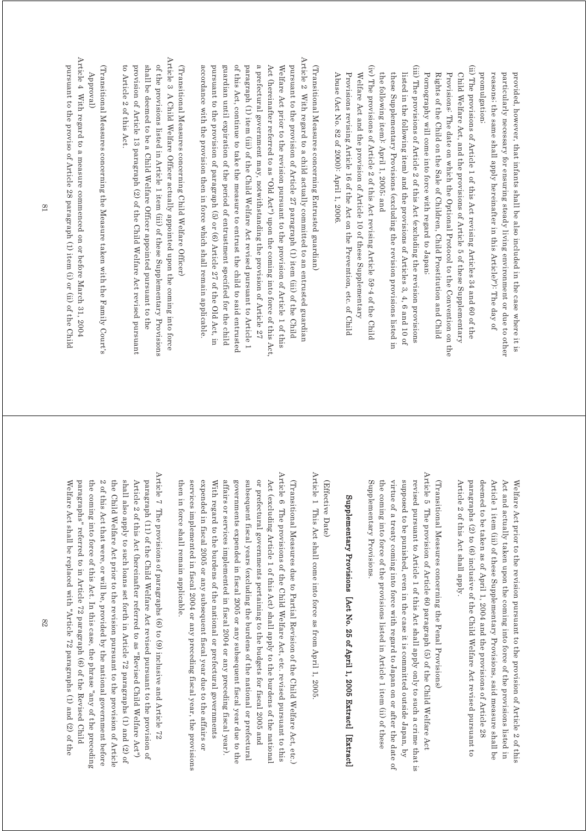promulgation; reasons; the same shall apply hereinafter in this Article)"): The day of particularly necessary for ensuring steady living environment or due to other provided, however, that infants shall be also included in the case where it is promulgation; reasons; the same shall apply hereinafter in this Article)"): The day of particularly necessary for ensuring steady living environment or due to other provided, however, that infants shall be also included in the case where it is

- (ii) The provisions of Article 1 of this Act revising Articles 34 and 60 of the (ii) The provisions of Article 1 of this Act revising Articles 34 and 60 of the Rights of the Child on the Sale of Children, Child Prostitution and Child Child Welfare Act, and the provisions of Article 5 of these Supplementary Pornography will come into force with regard to Japan; Provisions: The date on which the Optional Protocol to the Convention on the Pornography will come into force with regard to Japan; Rights of the Child on the Sale of Children, Child Prostitution and Child Provisions: The date on which the Optional Protocol to the Convention on the Child Welfare Act, and the provisions of Article 5 of these Supplementary
- (iii) The provisions of Article 2 of this Act (excluding the revision provisions (iii) The provisions of Article 2 of this Act (excluding the revision provisions the following item): April 1, 2005; and listed in the following item) and the provisions of Articles 3, 4, 6 and 10 of these Supplementary Provisions (excluding the revision provisional listed in the following item): April 1, 2005; and these Supplementary Provisions (excluding the revision provisions listed in listed in the following item) and the provisions of Articles 3, 4, 6 and 10 of
- $(iv)$  The provisions of Article 2 of this Act revising Article 59-4 of the Child (iv) The provisions of Article 2 of this Act revising Article 59-4 of the Child Abuse (Act No. 82 of 2000): April 1, 2006. Provisions revising Article 16 of the Act on the Prevention, etc. of Child Welfare Act and the provision of Article 10 of these Supplementary Abuse (Act No. 82 of 2000): April 1, 2006. Provisions revising Article 16 of the Act on the Prevention, etc. of Child Welfare Act and the provision of Article 10 of these Supplementary

Article 2 With regard to a child actually committed to an entrusted guardian Article 2 With regard to a child actually committed to an entrusted guardian a prefectural government may, notwithstanding the provision of Article 27 pursuant to the provision of Article 27 paragraph (1) item (iii) of the Child accordance with the provision then in force which shall remain applicable. pursuant to the provision of paragraph (5) or (6) Article 27 of the Old Act, in guardian until expiration of the period of entrustment specified for the child of this Act, continue to take the measure to entrust the child to said entrusted paragraph (1) item (iii) of the Child Welfare Act revised pursuant to Article 1 Act (hereinafter referred to as "Old Act") upon the coming into force of this Act. Welfare Act prior to the revision pursuant to the provision of Article 1 of this (Transitional Measures concerning Entrusted guardian.) accordance with the provision then in force which shall remain applicable. pursuant to the provision of paragraph (5) or (6) Article 27 of the Old Act, in guardian until expiration of the period of entrustment specified for the child of this Act, continue to take the measure to entrust the child to said entrusted paragraph (1) item (iii) of the Child Welfare Act revised pursuant to Article 1 a prefectural government may, notwithstanding the provision of Article 27 Act (hereinafter referred to as "Old Act") upon the coming into force of this Act, Welfare Act prior to the revision pursuant to the provision of Article 1 of this pursuant to the provision of Article 27 paragraph (1) item (iii) of the Child (Transitional Measures concerning Entrusted guardian)

Article 3 A Child Welfare Officer actually appointed upon the coming into force Article 3 A Child Welfare Officer actually appointed upon the coming into force shall be deemed to be a Child Welfare Officer appointed pursuant to the of the provisions listed in Article 1 item (iii) of these Supplementary Provisions (Transitional Measures concerning Child Welfare Officer) shall be deemed to be a Child Welfare Officer appointed pursuant to the of the provisions listed in Article 1 item (iii) of these Supplementary Provisions (Transitional Measures concerning Child Welfare Officer)

provision of Article 13 paragraph (2) of the Child Welfare Act revised pursuant

provision of Article 13 paragraph (2) of the Child Welfare Act revised pursuant

(Transitional Measures concerning the Measure taken with the Family Court's (Transitional Measures concerning the Measure taken with the Family Court's Approval)

to Article 2 of this Act.

to Article 2 of this Act.

Article 4 With regard to a measure commenced on or before March 31, 2004 Article 4 With regard to a measure commenced on or before March 31, 2004 pursuant to the proviso of Article 28 paragraph (1) item (i) or (ii) of the Child pursuant to the proviso of Article 28 paragraph (1) item (i) or (ii) of the Child

> deemed to be taken as of April 1, 2004 and the provisions of Article 28 Article 2 of this Act shall apply. Article 1 item (iii) of these Supplementary Provisions, said measure shall be Article 2 of this Act shall apply. paragraphs (2) to (6) inclusive of the Child Welfare Act revised pursuant to paragraphs (2) to (6) inclusive of the Child Welfare Act revised pursuant to deemed to be taken as of April 1, 2004 and the provisions of Article 28 Article 1 item (iii) of these Supplementary Provisions, said measure shall be Act and actually taken upon the coming into force of the provisions listed in Act and actually taken upon the coming into force of the provisions listed in Welfare Act prior to the revision pursuant to the provision of Article 2 of this Welfare Act prior to the revision pursuant to the provision of Article 2 of this

Article 5 The provision of Article 60 paragraph (5) of the Child Welfare Act Article 5 The provision of Article 60 paragraph (5) of the Child Welfare Act supposed to be punished, even in the case it is committed outside Japan, by revised pursuant to Article 1 of this Act shall apply only to such a crime that is (Transitional Measures concerning the Penal Provisions) virtue of a treaty coming into force with regard to Japan on or after the date of Supplementary Provisions. Supplementary Provisions. the coming into force of the provisions listed in Article 1 item (ii) of these the coming into force of the provisions listed in Article 1 item (ii) of these virtue of a treaty coming into force with regard to Japan on or after the date of supposed to be punished, even in the case it is committed outside Japan, by revised pursuant to Article 1 of this Act shall apply only to such a crime that is (Transitional Measures concerning the Penal Provisions)

# Supplementary Provisions [Act No. 25 of April 1, 2005 Extract] [Extract] Supplementary Provisions [Act No. 25 of April 1, 2005 Extract] [Extract]

(Effective Date) (Effective Date)

Article 1 This Act shall come into force as from April 1, 2005 Article 1 This Act shall come into force as from April 1, 2005.

Article 6 The provisions of the Child Welfare Act, etc. revised pursuant to this Article 6 The provisions of the Child Welfare Act, etc. revised pursuant to this or prefectural governments pertaining to the budgets for fiscal 2005 and Act (excluding Article 1 of this Act) shall apply to the burdens of the nationa services implemented in fiscal 2004 or any preceding fiscal year, the provisions expended in fiscal 2005 or any subsequent fiscal year due to the affairs or affairs or services implemented in fiscal 2004 or any preceding fiscal year). governments expended in fiscal 2005 or any subsequent fiscal year due to the subsequent fiscal years (excluding the burdens of the national or prefectural then in force shall remain applicable. then in force shall remain applicable. services implemented in fiscal 2004 or any preceding fiscal year, the provisions expended in fiscal 2005 or any subsequent fiscal year due to the affairs or With regard to the burdens of the national or prefectural governments With regard to the burdens of the national or prefectural governments affairs or services implemented in fiscal 2004 or any preceding fiscal year). governments expended in fiscal 2005 or any subsequent fiscal year due to the subsequent fiscal years (excluding the burdens of the national or prefectural or prefectural governments pertaining to the budgets for fiscal 2005 and Act (excluding Article 1 of this Act) shall apply to the burdens of the national (Transitional Measures due to Partial Revision of the Child Welfare Act, etc.) (Transitional Measures due to Partial Revision of the Child Welfare Act, etc.)

Article 7 The provisions of paragraphs (6) to (9) inclusive and Article 72 Article 7 The provisions of paragraphs (6) to (9) inclusive and Article 72 2 of this Act that were, or will be, provided by the national government before shall also apply to such loans set forth in Article 72 paragraphs (1) and (2) of Article 2 of this Act (hereinafter referred to as "Revised Child Welfare Act") paragraph (11) of the Child Welfare Act revised pursuant to the provision of Welfare Act shall be replaced with "Article 72 paragraphs (1) and (2) of the the Child Welfare Act prior to the revision pursuant to the provision of Article Welfare Act shall be replaced with "Article 72 paragraphs (1) and (2) of the paragraphs" referred to in Article 72 paragraph (6) of the Revised Child paragraphs" referred to in Article 72 paragraph (6) of the Revised Child the coming into force of this Act. In this case, the phrase "any of the preceding the coming into force of this Act. In this case, the phrase "any of the preceding 2 of this Act that were, or will be, provided by the national government before the Child Welfare Act prior to the revision pursuant to the provision of Article shall also apply to such loans set forth in Article 72 paragraphs (1) and (2) of Article 2 of this Act (hereinafter referred to as "Revised Child Welfare Act") paragraph (11) of the Child Welfare Act revised pursuant to the provision of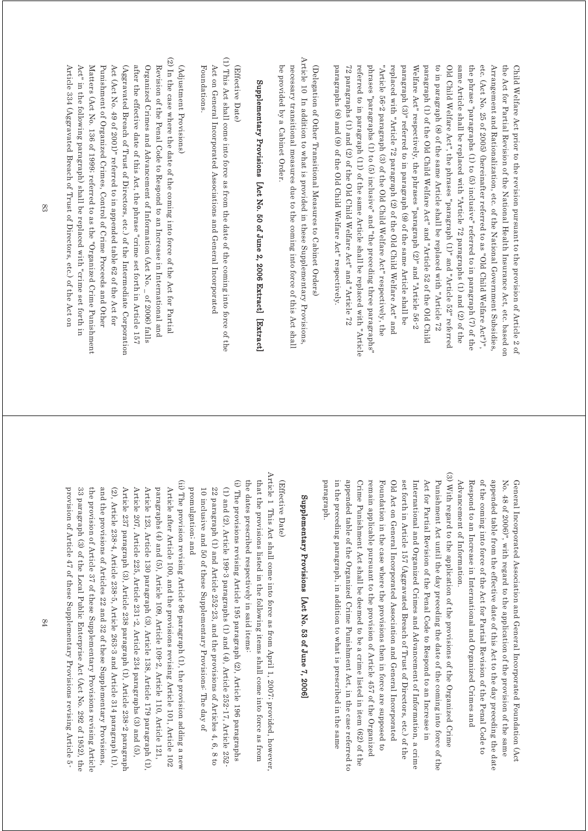paragraphs (8) and (9) of the Old Child Welfare Act" respectively. 72 paragraphs (1) and (2) of the Old Child Welfare Act" and "Article 72 referred to in paragraph (11) of the same Article shall be replaced with "Article phrases "paragraphs (1) to (5) inclusive" and "the preceding three paragraphs" "Article 56-2 paragraph (3) of the Old Child Welfare Act" respectively, the replaced with "Article 72 paragraph (2) of the Old Child Welfare Act" and paragraph (3)" referred to in paragraph (9) of the same Article shall be Welfare Act" respectively, the phrases "paragraph  $(2)$ " and "Article 56-2 paragraph (1) of the Old Child Welfare Act" and "Article 52 of the Old Child to in paragraph (8) of the same Article shall be replaced with "Article 72 Old Child Welfare Act", the phrases "paragraph (1)" and "Article 52" referred same Article shall be replaced with "Article 72 paragraphs (1) and (2) of the the phrase "paragraphs (1) to (5) inclusive" referred to in paragraph (7) of the etc. (Act No. 25 of 2005) (hereinafter referred to as "Old Child Welfare Act")", Arrangement and Rationalization, etc. of the National Government Subsidies, the Act for Partial Revision of the National Health Insurance Act, etc. based on Child Welfare Act prior to the revision pursuant to the provision of Article 2 of paragraphs (8) and (9) of the Old Child Welfare Act" respectively. 72 paragraphs (1) and (2) of the Old Child Welfare Act" and "Article 72 referred to in paragraph (11) of the same Article shall be replaced with "Article phrases "paragraphs (1) to (5) inclusive" and "the preceding three paragraphs" "Article 56-2 paragraph (3) of the Old Child Welfare Act" respectively, the replaced with "Article 72 paragraph (2) of the Old Child Welfare Act" and paragraph (3)" referred to in paragraph (9) of the same Article shall be Welfare Act" respectively, the phrases "paragraph (2)" and "Article 56-2 paragraph (1) of the Old Child Welfare Act" and "Article 52 of the Old Child to in paragraph (8) of the same Article shall be replaced with "Article 72 Old Child Welfare Act", the phrases "paragraph (1)" and "Article 52" referred same Article shall be replaced with "Article 72 paragraphs (1) and (2) of the the phrase "paragraphs" (1) to (6) inclusive" referred to in paragraph (7) of the etc. (Act No. 25 of 2005) (hereinafter referred to as "Old Child Welfare Act")", Arrangement and Rationalization, etc. of the National Government Subsidies, the Act for Partial Revision of the National Health Insurance Act, etc. based on Child Welfare Act prior to the revision pursuant to the provision of Article 2 of

Article 10 In addition to what is provided in these Supplementary Provisions, Article 10 In addition to what is provided in these Supplementary Provisions, necessary transitional measures due to the coming into force of this Act shall be provided by a Cabinet Order. (Delegation of Other Transitional Measures to Cabinet Orders) be provided by a Cabinet Order. necessary transitional measures due to the coming into force of this Act shall (Delegation of Other Transitional Measures to Cabinet Orders)

# Supplementary Provisions [Act No. 50 of June 2, 2006 Extract] [Extract] Supplementary Provisions [Act No. 50 of June 2, 2006 Extract] [Extract]

#### (Effective Date, (Effective Date)

(1) This Act shall come into force as from the date of the coming into force of the (1) This Act shall come into force as from the date of the coming into force of the Foundations. Act on General Incorporated Associations and General Incorporated Foundations. Act on General Incorporated Associations and General Incorporated

### (Adjustment Provisions) (Adjustment Provisions)

(2) In the case where the date of the coming into force of the Act for Partial (2) In the case where the date of the coming into force of the Act for Partial Article 334 (Aggravated Breach of Trust of Directors, etc.) of the Act on Matters (Act No. 136 of 1999) referred to as the "Organized Crime Punishment Punishment of Organized Crimes, Control of Crime Proceeds and Other Act (Act No. 49 of 2001)" referred to in appended table 62 of the Act for (Aggravated Breach of Trust of Directors, etc.) of the Intermediate Corporation after the effective date of this Act, the phrase "crime set forth in Article 157 Organized Crimes and Advancement of Information (Act No. \_ of 2006) falls Revision of the Penal Code to Respond to an Increase in International and Article 334 (Aggravated Breach of Trust of Directors, etc.) of the Act on Act" in the following paragraph) shall be replaced with "crime set forth in Act" in the following paragraph) shall be replaced with "crime set forth in Matters (Act No. 136 of 1999; referred to as the "Organized Crime Punishment Punishment of Organized Crimes, Control of Crime Proceeds and Other Act (Act No. 49 of 2001)" referred to in appended table 62 of the Act for  $(A$ gravated Breach of Directors, etc.) of the Intermediate Corporation after the effective date of this Act, the phrase "crime set forth in Article 157 Organized Crimes and Advancement of Information (Act No. \_ of 2006) falls Revision of the Penal Code to Respond to an Increase in International and

> Advancement of Information. of the coming into force of the Act for Partial Revision of the Penal Code to appended table from the effective date of this Act to the day preceding the date No. 48 of 2006)", with regard to the application of the provision of the same General Incorporated Association and General Incorporated Foundation (Act Advancement of Information. Respond to an Increase in International and Organized Crimes and Respond to an Increase in International and Organized Crimes and of the coming into force of the Act for Partial Revision of the Penal Code to appended table from the effective date of this Act to the day preceding the date No. 48 of 2006)", with regard to the application of the provision of the same General Incorporated Association and General Incorporated Foundation (Act

(3) With regard to the application of the provisions of the Organized Crime (3) With regard to the application of the provisions of the Organized Crime in the preceding paragraph, in addition to what is prescribed in the same appended table of the Organized Crime Punishment Act, in the case referred to remain applicable pursuant to the provision of Article 457 of the Organized Old Act on General Incorporated Association and General Incorporated International and Organized Crimes and Advancement of Information, a crime Act for Partial Revision of the Penal Code to Respond to an Increase in Punishment Act until the day preceding the date of the coming into force of the Crime Punishment Act shall be deemed to be a crime listed in item (62) of the set forth in Article 157 (Aggravated Breach of Trust of Directors, etc.) of the paragraph paragraph. in the preceding paragraph, in addition appended table of the Organized Crime Punishment Act, in the case referred to Crime Punishment Act shall be deemed to be a crime listed in item (62) of the remain applicable pursuant to the provision of Article 457 of the Organized Foundation in the case where the provisions then in force are supposed to Foundation in the case where the provisions then in force are supposed to Old Act on General Incorporated Association and General Incorporated set forth in Article 157 (Aggravated Breach of Trust of Directors, etc.) of the International and Organized Crimes and Advancement of Information, a crime Act for Partial Revision of the Penal Code to Respond to an Increase in Punishment Act until the day preceding the date of the coming into force of the to what is prescribed in the same

# Supplementary Provisions [Act No. 53 of June 7, 2006 Supplementary Provisions [Act No. 53 of June 7, 2006]

#### (Effective Date) (Effective Date)

Article 1 This Act shall come into force as from April 1, 2007; provided, however, Article 1 This Act shall come into force as from April 1, 2007; provided, however, the dates prescribed respectively in said items. that the provisions listed in the following items shall come into force as from the dates prescribed respectively in said items: that the provisions listed in the following items shall come into force as from

(i) The provisions revising Article 195 paragraph (2), Article 196 paragraphs (i) The provisions revising Article 195 paragraph (2), Article 196 paragraphs 10 inclusive and 50 of these Supplementary Provisions: The day of (1) and (2), Article 199-3 paragraphs (1) and (4), Article 252-17, Article 252-252 22 paragraph (1) and Article 252-23, and the provisions of Articles 4, 6, 8 to 22 paragraph (1) and Article 252-23, and the provisions of Articles 4, 6, 8 to 10 inclusive and 50 of these Supplementary Provisions: The day of (1) and (2), Article 199-3 paragraphs (1) and (4), Article 252-17, Article 252-17

promulgation; and

promulgation; and

(ii) The provision revising Article 96 paragraph (1), the provision adding a new (ii) The provision revising Article 96 paragraph (1), the provision adding a new Article 123, Article 130 paragraph (3), Article 138, Article 179 paragraph (1). Article after Article 100, and the provisions revising Article 101, Article 102 provision of Article 47 of these Supplementary Provisions revising Article 5. the provision of Article 37 of these Supplementary Provisions revising Article and the provisions of Articles 22 and 32 of these Supplementary Provisions,  $(2)$ , Article 238-4, Article 238-5, Article 263-3 and Article 314 paragraph  $(1)$ . Article 237 paragraph (3), Article 238 paragraph (1), Article 238-2 paragraph Article 207, Article 225, Article 231-2, Article 234 paragraphs (3) and (5), paragraphs (4) and (5), Article 109, Article 109-2, Article 110, Article 121, provision of Article 47 of these Supplementary Provisions revising Article 5- 33 paragraph (3) of the Local Public Enterprise Act (Act No. 292 of 1952), the the provision of Article 37 of these Supplementary Provisions revising Article and the provisions of Articles 22 and 32 of these Supplementary Provisions, Article 237 paragraph (3), Article 238 paragraph (1), Article 238-2 paragraph Article 207, Article 225, Article 231-2, Article 234 paragraphs (3) and (5), Article 123, Article 130 paragraph (3), Article 138, Article 179 paragraph (1), paragraphs (4) and (5), Article 109, Article 109-2, Article 110, Article 121, Article after Article 100, and the provisions revising Article 101, Article 102 33 paragraph (3) of the Local Public Enterprise Act (Act No. 292 of 1952), the (2), Article 238-4, Article 238-5, Article 263-5 and Article 314 paragraph (1),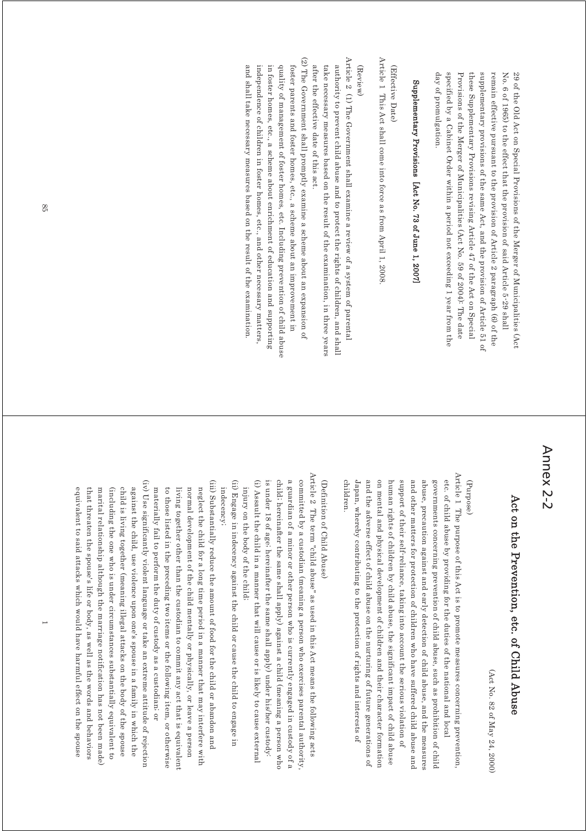29 of the Old Act on Special Provisions of the Merger of Municipalities (Act day of promulgation. specified by a Cabinet Order within a period not exceeding 1 year from the Provisions of the Merger of Municipalities (Act No. 59 of 2004): The date these Supplementary Provisions revising Article 47 of the Act on Special supplementary provisions of the same Act, and the provision of Article 51 of remain effective pursuant to the provision of Article 2 paragraph (6) of the No. 6 of 1965) to the effect that the provision of said Article 5-29 shall day of promulgation. specified by a Cabinet Order within a period not exceeding 1 year from the Provisions of the Merger of Municipalities (Act No. 59 of 2004): The date these Supplementary Provisions revising Article 47 of the Act on Special supplementary provisions of the same Act, and the provision of Article 51 of remain effective pursuant to the provision of Article 2 paragraph (6) of the No. 6 of 1965) to the effect that the provision of said Article 5-29 shall 29 of the Old Act on Special Provisions of the Merger of Municipalities (Act

# Supplementary Provisions [Act No. 73 of June 1, 2007] Supplementary Provisions [Act No. 73 of June 1, 2007]

(Effective Date) (Effective Date)

Article 1 This Act shall come into force as from April 1, 2008 Article 1 This Act shall come into force as from April 1, 2008.

#### (Review)

- Article 2 (1) The Government shall examine a review of a system of parental Article 2 (1) The Government shall examine a review of a system of parental authority to prevent child abuse and to protect the rights of children, and shall after the effective date of this act. take necessary measures based on the result of the examination, in three years after the effective date of this act. take necessary measures based on the result of the examination, in three years authority to prevent child abuse and to protect the rights of children, and shall
- (2) The Government shall promptly examine a scheme about an expansion of (2) The Government shall promptly examine a scheme about an expansion of and shall take necessary measures based on the result of the examination. independence of children in foster homes, etc., and other necessary matters, in foster homes, etc., a scheme about enrichment of education and supporting quality of management of foster homes, etc. Including prevention of child abuse foster parents and foster homes, etc., a scheme about an improvement in and shall take necessary measures based on the result of the examination. independence of children in foster homes, etc., and other necessary matters, in foster homes, etc., a scheme about enrichment of education and supporting quality of management of foster homes, etc. Including prevention of child abuse foster parents and foster homes, etc., a scheme about an improvement in

## Annex 2-2

# Act on the Prevention, etc. of Child Abuse Act on the Prevention, etc. of Child Abuse

(Act No. 82 of May 24, 2000) (Act No. 82 of May 24, 2000)

#### (Purpose)

Article 1 The purpose of this Act is to promote measures concerning prevention, Article 1 The purpose of this Act is to promote measures concerning prevention, and the adverse effect of child abuse on the nurturing of future generations of on mental and physical development of children and their character formation governments concerning prevention of child abuse, such as prohibition of child etc. of child abuse by providing for the duties of the national and local children. Japan, whereby contributing to the protection of rights and interests of human rights of children by child abuse, the significant impact of child abuse and other matters for protection of children who have suffered child abuse and abuse, precaution against and early detection of child abuse, and the measures children. Japan, whereby contributing to the protection of rights and interests of and the adverse effect of child abuse on the nurturing of future generations of on mental and physical development of children and their character formation human rights of children by child abuse, support of their self-reliance, taking into account the serious violation of support of their self-reliance, taking into account the serious violation of and other matters for protection of children who have suffered child abuse and abuse, precaution against and early detection of child abuse, and the measures governments concerning prevention of child abuse, such as prohibition of child etc. of child abuse by providing for the duties of the national and local the significant impact of child abuse

### (Definition of Child Abuse) (Definition of Child Abuse)

- Article 2 The term "child abuse" as used in this Act means the following acts Article 2 The term "child abuse" as used in this Act means the following acts committed by a custodian (meaning a person who exercises parental authority (i) Assault the child in a manner that will cause or is likely to cause external is under 18 of age; hereinafter the same shall apply) under his/her custody: child; hereinafter the same shall apply) against a child (meaning a person who a guardian of a minor or other person who is currently engaged in custody of a is under 18 of age; hereinafter the same shall apply) under his/her custody: child; hereinafter the same shall apply) against a child (meaning a person who a guardian of a minor or other person who is currently engaged in custody of a committed by a custodian (meaning a person who exercises parental authority, (i) Assault the child in a manner that will injury on the body of the child; injury on the body of the child; cause or is likely to cause external
- (ii) Engage in indecency against the child or cause the child to engage in (ii) Engage in indecency against the child or cause the child to engage in indecency; indecency;
- (iii) Substantially reduce the amount of food for the child or abandon and (iii) Substantially reduce the amount of food for the child or abandon and materially fail to perform the duty of custody as a custodian, or neglect the child for a long time period in a manner that may interfere with to those listed in the preceding two items or the following item, or otherwise living together other than the custodian to commit any act that is equivalent normal development of the child mentally or physically, or leave a person materially fail to perform the duty of custody as a custodian; or to those listed in the preceding two it living together other than the custodian to commit any act that is equivalent normal development of the child mentally or physically, or leave a person neglect the child for a long time period in a manner that may interfere with ems or the following item, or otherwise
- (iv) Use significantly violent language or take an extreme attitude of rejection (iv) Use significantly violent language or take an extreme attitude of rejection marital relationship although the marriage notification has not been made. child is living together (meaning illegal attacks on the body of the spouse against the child, use violence upon one's spouse in a family in which the marital relationship although the marriage notification has not been made) (including the one who is under circumstances substantially equivalent to child is living together against the child, use violence upon one's spouse in a family in which the (including the one who is under circumstances substantially equivalent to (meaning illegal attacks on the body of the spouse

equivalent to said attacks which would

that threaten the spouse's life or body, as well as the words and behaviors

equivalent to said attacks which would have harmful effect on the spouse that threaten the spouse's life or body, as well as the words and behaviors

have harmful effect on the spouse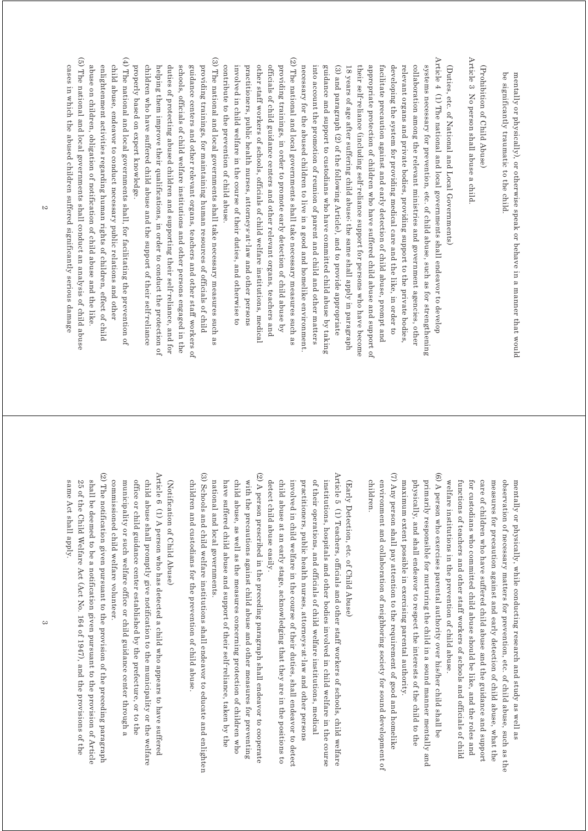be significantly traumatic to the child. mentally or physically), or otherwise speak or behave in a manner that would be significantly traumatic to the child. mentally or physically), or otherwise speak or behave in a manner that would

Article 3 No person shall abuse a child (Prohibition of Child Abuse) (Prohibition of Child Abuse)

Article 3 No person shall abuse a child.

Article  $4$  (1) The national and local governments shall endeavor to develop (2) The national and local governments shall take necessary measures such as (2) The national and local governments shall take necessary measures such as Article 4 (1) The national and local governments shall endeavor to develop systems necessary for prevention, etc. of child abuse, such as for strengthening other staff workers of schools, officials of child welfare institutions, medical officials of child guidance centers and other relevant organs, teachers and providing trainings, in order to promote early detection of child abuse by necessary for the abused children to live in a good and homelike environment collaboration among the relevant ministries and government agencies, other practitioners, public health nurses, attorneys-at-law and other persons into account the promotion of reunion of parent and child and other matters guidance and support to custodians who have committed child abuse by taking (3) and paragraph (2) of the following Article), and to provide appropriate 18 years of age after suffering child abuse; the same shall apply in paragraph their self-reliance (including self-reliance support for persons who have become appropriate protection of children who have suffered child abuse and support of facilitate precaution against and early detection of child abuse, prompt and developing the system for providing medical care and the like, in order to relevant organs and private bodies, providing support to the private bodies, (Duties, etc. of National and Local Governments) practitioners, public health nurses, attorneys-at-law and other persons other staff workers of schools, officials of child welfare institutions, medical officials of child guidance centers and other relevant organs, teachers and providing trainings, in order to promote early detection of child abuse by necessary for the abused children to live in a good and homelike environment. into account the promotion of reunion of parent and child and other matters guidance and support to custodians who (3) and paragraph (2) of the following Article), and to provide appropriate 18 years of age after suffering child abuse; the same shall apply in paragraph their self-reliance (including self-reliance support for persons who have become appropriate protection of children who ha facilitate precaution against and early detection of child abuse, prompt and developing the system for providing medical care and the like, in order to relevant organs and private bodies, providing support to the private bodies, collaboration among the relevant ministries and government agencies, other systems necessary for prevention, etc. of child abuse, such as for strengthening (Duties, etc. of National and Local Governments) have committed child abuse by taking ve suffered child abuse and support of

(3) The national and local governments shall take necessary measures such as (3) The national and local governments shall take necessary measures such as providing trainings, for maintaining human resources of officials of child properly based on expert knowledge. children who have suffered child abuse and the support of their self-reliance helping them improve their qualifications, in order to conduct the protection of duties of protecting abused children and supporting their self-reliance, and for schools, officials of child welfare institutions and other persons engaged in the guidance centers and other relevant organs, teachers and other staff workers of properly based on expert knowledge. children who have suffered child abuse and the support of their self-reliance helping them improve their qualifications, duties of protecting abused children and supporting their self-reliance, and for schools, officials of child welfare institutions and other persons engaged in the guidance centers and other relevant orga providing trainings, for maintaining human resources of officials of child ns, teachers and other staff workers of in order to conduct the protection of

involved in child welfare in the cours

involved in child welfare in the course of their duties, and otherwise to

contribute to the prevention of child abuse.

contribute to the prevention of child abuse.

e of their duties, and otherwise to

(5) The national and local governments shall conduct an analysis of child abuse (4) The national and local governments shall, for facilitating the prevention of (5) The national and local governments shall conduct an analysis of child abuse (4) The national and local governments shall, for facilitating the prevention of child abuse, endeavor to conduct necessary public relations and other enlightenment activities regarding human rights of children, effect of child abuse on children, obligation of notification of child abuse and the like. cases in which the abused children suffered significantly serious damage abuse on children, obligation of notification of child abuse and the like. enlightenment activities regarding human rights of children, effect of child child abuse, endeavor to conduct necessary public relations and other

cases in which the abused children suffered significantly serious damage

(6) A person who exercises parental authority over his/her child shall be  $(6)$ (6) A person who exercises parental authority over his/her child shall be welfare institutions in the prevention of child abuse. care of children who have suffered child abuse and the guidance and support measures for precaution against and early detection of child abuse, what the functions of teachers and other staff workers of schools and officials of child for custodians who committed child abuse should be like, and the roles and observation of necessary matters for prevention, etc. of child abuse, such as the mentally or physically, while conducting research and study as well as welfare institutions in the prevention of child abuse. functions of teachers and other staff workers of schools and officials of child for custodians who committed child abus care of children who have suffered child abuse and the guidance and support measures for precaution against and early detection of child abuse, what the observation of necessary matters for prevention, etc. of child abuse, such as the mentally or physically, while conducting research and study as well as e should be like, and the roles and

(7) Any person shall pay attention to the requirement of good and homelike (7) Any person shall pay attention to the requirement of good and homelike primarily responsible for nurturing the child in a sound manner mentally and maximum extent possible in exercising parental authority. physically, and shall endeavor to respect the interests of the child to the maximum extent possible in exercising parental authority. physically, and shall endeavor to respect the interests of the child to the primarily responsible for nurturing the child in a sound manner mentally and

children. environment and collaboration of neighboring society for sound development of children. environment and collaboration of neighboring society for sound development of

(Early Detection, etc. of Child Abuse) (Early Detection, etc. of Child Abuse)

Article 5 (1) Teachers, officials and other staff workers of schools, child welfare Article 5 (1) Teachers, officials and other staff workers of schools, child welfare child abuse at an early stage, acknowledging that they are in the positions to practitioners, public health nurses, attorneys at-law and other persons of their operations, and officials of child welfare institutions, medical institutions, hospitals and other bodies involved in child welfare in the course detect child abuse easily. involved in child welfare in the course of their duties, shall endeavor to detect detect child abuse easily. child abuse at an early stage, acknowledging that they are in the positions to involved in child welfare in the course of their duties, shall endeavor to detect practitioners, public health nurses, attorneys-at-law and other persons of their operations, and officials of child welfare institutions, medical institutions, hospitals and other bodies involved in child welfare in the course

(2) A person prescribed in the preceding paragraph shall endeavor to cooperate (2) A person prescribed in the preceding paragraph shall endeavor to cooperate have suffered child abuse and support of their self-reliance, taken by the child abuse, as well as the measures concerning protection of children who with the precautions against child abuse and other measures for preventing national and local governments. national and local governments. have suffered child abuse and support of child abuse, as well as the measures concerning protection of children who with the precautions against child abuse and other measures for preventing their self-reliance, taken by the

(3) Schools and child welfare institutions shall endeavor to educate and enlighten (3) Schools and child welfare institutions shall endeavor to educate and enlighten children and custodians for the prevention of child abuse children and custodians for the prevention of child abuse.

### (Notification of Child Abuse) (Notification of Child Abuse)

Article 6 (1) A person who has detected a child who appears to have suffered Article 6 (1) A person who has detected a child who appears to have suffered child abuse shall promptly give notification to the municipality or the welfare commissioned child welfare volunteer. municipality or such welfare office or child guidance center through a office or child guidance center established by the prefecture, or to the commissioned child municipality or such welfare office or child guidance center through a office or child guidance center established by the prefecture, or to the child abuse shall promptly give notification to the municipality or the welfare welfare volunteer.

(2) The notification given pursuant to the provision of the preceding paragraph (2) The notification given pursuant to the provision of the preceding paragraph 25 of the Child Welfare Act (Act No. 164 of 1947), and the provisions of the shall be deemed to be a notification given pursuant to the provision of Article same Act shall apply. same Act shall apply. 25 of the Child Welfare Act (Act No. shall be deemed to be a notification given pursuant to the provision of Article 164 of 1947), and the provisions of the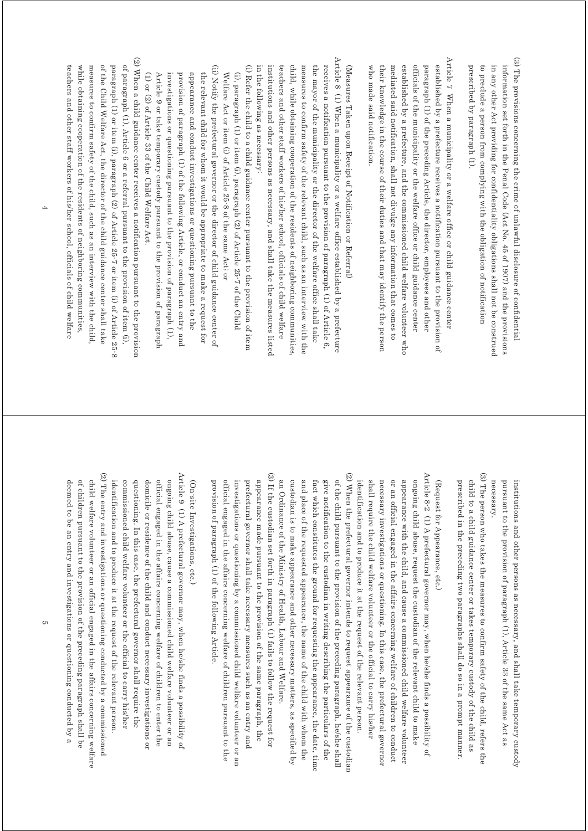- (3) The provisions concerning the crime of unlawful disclosure of confidential (3) The provisions concerning the crime of unlawful disclosure of confidential in any other Act providing for confidentiality obligations shall not be construed information set forth in the Penal Code (Act No. 45 of 1907) and the provisions prescribed by paragraph (1). to preclude a person from complying with the obligation of notification prescribed by paragraph (1). to preclude a person from complying with the obligation of notification in any other Act providing for confidentiality obligations shall not be construed information set forth in the Penal Code (Act No. 45 of 1907) and the provisions
- Article 7 When a municipality or a welfare office or child guidance center Article  $7$  When a municipality or a welfare office or child guidance center officials of the municipality or the welfare office or child guidance center who made said notification mediated said notification, shall not divulge any information that comes to established by a prefecture, and the commissioned child welfare volunteer who paragraph (1) of the preceding Article, the director, employees and other established by a prefecture receives a notification pursuant to the provision of who made said notification. their knowledge in the course of their duties and that may identify the person their knowledge in the course of their duties and that may identify the person mediated said notification, shall not divulge any information that comes to established by a prefecture, and the co officials of the municipality or the welfare office or child guidance center paragraph (1) of the preceding Article, the director, employees and other established by a prefecture receives a notification pursuant to the provision of mmissioned child welfare volunteer who

(Measures Taken upon Receipt of Notification or Referral) (Measures Taken upon Receipt of Notification or Referral)

- Article 8 (1) When a municipality or a welfare office established by a prefecture Article 8 (1) When a municipality or a welfare office established by a prefecture in the following as necessary. institutions and other persons as necessary, and shall take the measures listed teachers and other staff workers of his/her school, officials of child welfare child, while obtaining cooperation of the residents of neighboring communities measures to confirm safety of the relevant child, such as an interview with the the mayor of the municipality or the director of the welfare office shall take receives a notification pursuant to the provision of paragraph  $(1)$  of Article  $6$ . in the following as necessary: institutions and other persons as necessary, and shall take the measures listed teachers and other staff workers of his/her school, officials of child welfare child, while obtaining cooperation of the measures to confirm safety of the relevant child, such as an interview with the the mayor of the municipality or the director of the welfare office shall take receives a notification pursuant to the provision of paragraph (1) of Article 6, residents of neighboring communities,
- (i) Refer the child to a child guidance center pursuant to the provision of item (i) Refer the child to a child guidance center pursuant to the provision of item Welfare Act or item (i) of Article 25-8 of the same Act; or (i), paragraph (1) or item (i), paragraph (2) of Article  $25-7$  of the Child Welfare Act or item (i) of Article 25-8 of the same Act; or (i), paragraph (1) or item (i), paragraph (2) of Article 25-7 of the Child
- (ii) Notify the prefectural governor or the director of child guidance center of (ii) Notify the prefectural governor or the director of child guidance center of appearance and conduct investigations or questioning pursuant to the the relevant child for whom it would be appropriate to make a request for (1) or (2) of Article 33 of the Child Welfare Act. Article 9 or take temporary custody pursuant to the provision of paragraph investigations or questioning pursuant to the provision of paragraph (1), provision of paragraph (1) of the following Article, or conduct an entry and (1) or (2) of Article 33 of the Child Welfare Act. Article 9 or take temporary custody pursuant to the provision of paragraph investigations or questioning pursuant to the provision of paragraph (1), provision of paragraph (1) of the follow appearance and conduct investigations or questioning pursuant to the the relevant child for whom it would be appropriate to make a request for ing Article, or conduct an entry and
- $(2)$  When a child guidance center receives a notification pursuant to the provision (2) When a child guidance center receives a notification pursuant to the provision of paragraph (1), Article 6 or a referral pursuant to the provision of item (i), while obtaining cooperation of the residents of neighboring communities, measures to confirm safety of the child, such as an interview with the child, of the Child Welfare Act, the director of the child guidance center shall take paragraph (1) or item (1), paragraph (2) of Article 25-7 or item (i) of Article 25-8 teachers and other staff workers of his/her school, officials of child welfare teachers and other staff workers of his/her school, officials of child welfare while obtaining cooperation of the residents of neighboring communities, measures to confirm safety of the child, such as an interview with the child, of the Child Welfare Act, the director of the child guidance center shall take paragraph (1) or item (i), paragraph (2) of Article 25-7 or item (i) of Article 25-8 of paragraph (1),  $\lambda$  referred to  $\alpha$  are  $\alpha$  or a referral pursuant to the provision of item (i),

pursuant to the provision of paragraph (1), Article 33 of the same Act as institutions and other persons as necessary, and shall take temporary custody necessary. necessary. pursuant to the provision of paragraph (1), Article 33 of the same Act as institutions and other persons as necessary, and shall take temporary custody

(3) The person who takes the measures to confirm safety of the child, refers the (3) The person who takes the measures to confirm safety of the child, refers the prescribed in the preceding two paragraphs shall do so in a prompt manner. child to a child guidance center or takes temporary custody of the child as prescribed in the preceding two paragraphs shall do so in a prompt manner. child to a child guidance center or takes temporary custody of the child as

## (Request for Appearance, etc.) (Request for Appearance, etc.)

- $(2)$  When the prefectural governor intends to request appearance of the custodian (2) When the prefectural governor intends to request appearance of the custodian Article 8-2 (1) A prefectural governor may, when he/she finds a possibility of Article 8-2 (1) A prefectural governor may, when he/she finds a possibility of give notification to the custodian in writing describing the particulars of the of the child pursuant to the provision of the preceding paragraph, he/she shall identification and to produce it at the request of the relevant person. necessary investigations or questioning. In this case, the prefectural governor or an otticial engaged in the attairs concerning welfare of children to conduct appearance with the child, and cause a commissioned child welfare volunteer ongoing child abuse, request the custodian of the relevant child to make fact which constitutes the ground for requesting the appearance, the date, time shall require the child welfare volunteer or the official to carry his/her fact which constitutes the ground for requesting the appearance, the date, time give notification to the custodian in writing describing the particulars of the of the child pursuant to the provision of the preceding paragraph, he/she shall identification and to produce it at the request of the relevant person. shall require the child welfare volunteer or the official to carry his/her necessary investigations or questioning. In this case, the prefectural governor or an official engaged in the affairs concerning welfare of children to conduct appearance with the child, and cause ongoing child abuse, request the custodian of the relevant child to make a commissioned child welfare volunteer
- (3) If the custodian set forth in paragraph (1) fails to follow the request for (3) If the custodian set forth in paragraph (1) fails to follow the request for prefectural governor shall take necessary measures such as an entry and appearance made pursuant to the provision of the same paragraph, the an Ordinance of the Ministry of Health, Labour and Welfare. official engaged in the affairs concerning welfare of children pursuant to the investigations or questioning by a commissioned child welfare volunteer or an official engaged in the affairs concerning investigations or questioning by a commissioned child welfare volunteer or an prefectural governor shall take necessary measures such as an entry and appearance made pursuant to the provision of the same paragraph, the an Ordinance of the Ministry of Health, Labour and Welfare. welfare of children pursuant to the

custodian is to make appearance and other necessary matters, as specified by and place of the requested appearance, the name of the child with whom the

custodian is to make appearance and other necessary matters, as specified by

and place of the requested appearance, the name of the child with whom the

### (On-site Investigations, etc.) (On-site Investigations, etc.)

provision of paragraph (1) of the following Article.

provision of paragraph (1) of the following Article.

- (2) The entry and investigations or questioning conducted by a commissioned (2) The entry and investigations or questioning conducted by a commissioned Article 9 (1) A prefectural governor may, when he/she finds a possibility of Article 9 (1) A prefectural governor may, when he/she finds a possibility of identification and to produce it at the request of the relevant person commissioned child welfare volunteer or the official to carry his/her questioning. In this case, the prefectural governor shall require the domicile or residence of the child and conduct necessary investigations or official engaged in the affairs concerning welfare of children to enter the ongoing child abuse, cause a commissioned child welfare volunteer or an identification and to produce it at the request of the relevant person. commissioned child welfare volunteer or the official to carry his/her questioning. In this case, the pref domicile or residence of the child and conduct necessary investigations or official engaged in the affairs concerning welfare of children to enter the ongoing child abuse, cause a commissioned child welfare volunteer or an ectural governor shall require the
- of children pursuant to the provision of the preceding paragraph shall be child welfare volunteer or an official engaged in the affairs concerning welfare deemed to be an entry and investigations or questioning conducted by a deemed to be an entry and investigations or questioning conducted by a of children pursuant to the provision of the preceding paragraph shall be child welfare volunteer or an official engaged in the affairs concerning welfare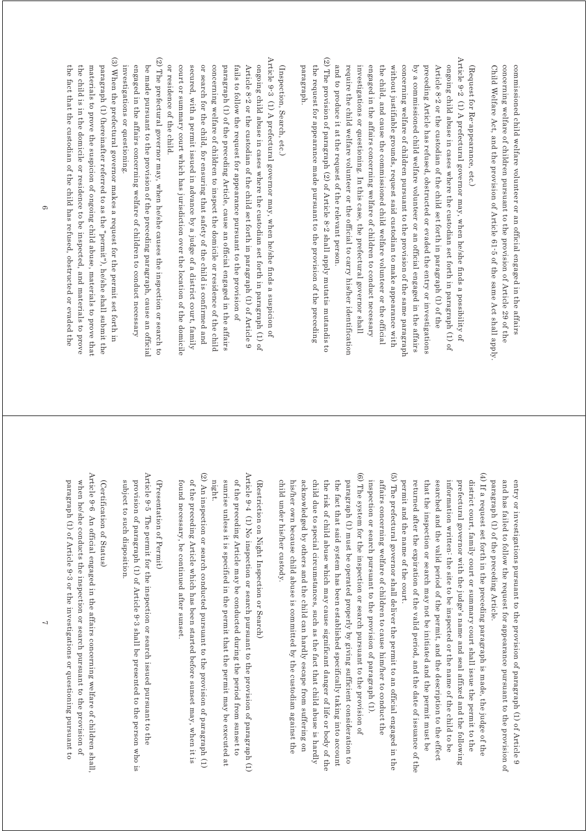Child Welfare Act, and the provision of Article 61-5 of the same Act shall apply. concerning welfare of children pursuant to the provision of Article 29 of the commissioned child welfare volunteer or an official engaged in the affairs Child Welfare Act, and the provision of Arti concerning welfare of children pursuant to the provision of Article 29 of the commissioned child welfare volunteer or an official engaged in the affairs cle 61-5 of the same Act shall apply.

(Request for Re-appearance, etc.) (Request for Re-appearance, etc.)

- Article 9-2 (1) A prefectural governor may, when he/she finds a possibility of Article 9-2 (1) A prefectural governor may, when he/she finds a possibility of and to produce it at the request of the relevant person. require the child welfare volunteer or the official to carry his/her identification investigations or questioning. In this case, the prefectural governor shall engaged in the affairs concerning welfare of children to conduct necessary the child, and cause the commissioned child welfare volunteer or the official without justifiable grounds, request said custodian to make appearance with concerning welfare of children pursuant to the provision of the same paragraph by a commissioned child welfare volunteer or an official engaged in the affairs preceding Article has refused, obstructed or evaded the entry or investigations Article 8-2 or the custodian of the child set forth in paragraph (1) of the ongoing child abuse in cases where the custodian set forth in paragraph (1) of and to produce it at the requ require the child welfare volunteer or the official to carry his/her identification investigations or questioning. In th engaged in the affairs concerning welfare of children to conduct necessary the child, and cause the commissioned child welfare volunteer or the official without justifiable grounds, request said custodian to make appearance with concerning welfare of children pursuant to the provision of the same paragraph by a commissioned child welfare volunteer or an official engaged in the affairs preceding Article has refused, obstructed or evaded the entry or investigations Article 8-2 or the custodian of the child set forth in paragraph (1) of the ongoing child abuse in cases where the custodian set forth in paragraph (1) of est of the relevant person. is case, the prefectural governor shall
- (2) The provision of paragraph (2) of Article 8-2 shall apply mutatis mutandis to (2) The provision of paragraph (2) of Article 8-2 shall apply mutatis mutandis to paragraph. the request for appearance made pursuant to the provision of the preceding paragraph. the request for appearance made pursuant to the provision of the preceding

(Inspection, Search, etc.) (Inspection, Search, etc.)

- Article 9-3 (1) A prefectural governor may, when he/she finds a suspicion of Article 9-3 (1) A prefectural governor may, when he/she finds a suspicion of or residence of the child. court or summary court which has jurisdiction over the location of the domicile or search for the child, for ensuring that safety of the child is confirmed and ongoing child abuse in cases where the custodian set forth in paragraph (1) of secured, with a permit issued in advance by a judge of a district court, family concerning welfare of children to inspect the domicile or residence of the child paragraph (1) of the preceding Article, cause an official engaged in the affairs fails to follow the request for appearance pursuant to the provision of Article 8-2 or the custodian of the child set forth in paragraph (1) of Article 9 or residence of the child. court or summary court which has jurisdiction over the location of the domicile secured, with a permit issued in advance by a judge of a district court, family or search for the child, for ensuring that safety of the child is confirmed and concerning welfare of childr paragraph (1) of the preceding Article, cause an official engaged in the affairs fails to follow the request for appearance pursuant to the provision of Article 8-2 or the containment of the child set forth in paragraph (1) of  $\Delta$ rticle 9 ongoing child abuse in cases where the custodian set forth in paragraph (1) of en to inspect the domicile or residence of the child
- (2) The prefectural governor may, when he/she causes the inspection or search to (2) The prefector all governor may, when heads a shape causes the inspection or search to engaged in the affairs concerning welfare of children to conduct necessary be made pursuant to the provision of the preceding paragraph, cause an official investigations or questioning. investigations or questioning. engaged in the affairs concerning welfare of children to conduct necessary be made pursuant to the provision of the preceding paragraph, cause an official
- (3) When the prefectural governor makes a request for the permit set forth in (3) When the prefectural governor makes a request for the permit set forth in the fact that the custodian of the child has refused, obstructed or evaded the the child is in the domicile or residence to be inspected, and materials to prove materials to prove the suspicion of ongoing child abuse, materials to prove that paragraph (1) (hereinafter referred to as the "permit"), he/she shall submit the the fact that the custodian of the child has refused, obstructed or evaded the the child is in the domicile or residence to be inspected, and materials to prove materials to prove the suspicion of ongoin paragraph (1) (hereinafter referred to as the "permit"), he/she shall submit the g child abuse, materials to prove that

paragraph (1) of the preceding Article. and has failed to follow the request for appearance pursuant to the provision of entry or investigations pursuant to the provision of paragraph (1) of Article 9 paragraph (1) of the preceding Article. and has failed to follow the request for appearance pursuant to the provision of entry or investigations pursuant to the provision of paragraph (1) of Article 9

- (4) If a request set forth in the preceding paragraph is made, the judge of the (4) If a request set forth in the preceding paragraph is made, the judge of the returned after the expiration of the valid period, and the date of issuance of the searched and the valid period of the permit, and the description to the effect permit and the name of the court. that the inspection or search may not be initiated and the permit must be information written: the site to be inspected or the name of the child to be prefectural governor with the judge's name and seal affixed and the following district court, family court or summary court shall issue the permit to the permit and the name of the court. returned after the expiration of the vali that the inspection or search may not be initiated and the permit must be searched and the valid period of the permit, and the description to the effect information written: the site to be inspected or the name of the child to be prefectural governor with the judge's name and seal affixed and the following district court, family court or summary court shall issue the permit to the d period, and the date of issuance of the
- (5) The prefectural governor shall deliver the permit to an official engaged in the (5) The prefectural governor shall deliver the permit to an official engaged in the inspection or search pursuant to the provision of paragraph (1) affairs concerning welfare of children to cause him/her to conduct the inspection or search pursuant to the provision of paragraph (1). affairs concerning welfare of children to cause him/her to conduct the
- (6) The system for the inspection or search pursuant to the provision of (6) The system for the inspection or search pursuant to the provision of acknowledged by others and the child can hardly escape from suffering on the risk of child abuse which may cause significant danger of life or body of the the fact that said system has been established specifically taking into account paragraph (1) must be operated properly by giving sufficient consideration to child under his/her custody. child due to special circumstances, such as the fact that child abuse is hardly child under his/her custody. his/her own because child abuse is committed by the custodian against the his/her own because child abuse is co acknowledged by others and the child can hardly escape from suffering on child due to special circumstances, such as the fact that child abuse is hardly the risk of child abuse which may cause si the fact that said system has been established specifically taking into account paragraph (1) must be operated properly by giving sufficient consideration to mmitted by the custodian against the gnificant danger of life or body of the

(Restriction on Night Inspection or Search) (Restriction on Night Inspection or Search)

- Article 9-4 (1) No inspection or search pursuant to the provision of paragraph (1)  $\Delta_{\text{P}}$  (1)  $\Delta_{\text{O}}$  inspection or search pursuant to the provision of paragraph (1) night. sunrise unless it is specified in the permit that the permit may be executed at of the preceding Article may be conducted during the period from sunset to sunrise unless it is specif of the preceding Article may be conducted during the period from sunset to ied in the permit that the permit may be executed at
- (2) An inspection or search conducted pursuant to the provision of paragraph (1) (2) An inspection or search conducted pursuant to the provision or search conduction of  $(1)$ of the preceding Article which has been started before sunset may, when it is found necessary, be continued after sunset. found necessary, be continued after sunset. of the preceding Article which has been started before sunset may, when it is

(Presentation of Permit) (Presentation of Permit)

Article 9-5 The permit for the inspection or search issued pursuant to the Article 9-5 The permit for the inspection or search issued pursuant to the provision of paragraph (1) of Article 9-3 shall be presented to the person who is subject to such disposition. subject to such disposition. provision of paragraph (1) of Article 9-3 shall be presented to the person who is

(Certification of Status) (Certification of Status)

Article 9-6 An official engaged in the affairs concerning welfare of children shall, Article 9-6 An official engaged in the affairs concerning welfare of children shall, paragraph (1) of Article 9-3 or the investigations or questioning pursuant to when he/she conducts the inspection or search pursuant to the provision of paragraph (1) of Article 9-3 or the investigations or questioning pursuant to when he/she conducts the inspection or search pursuant to the provision of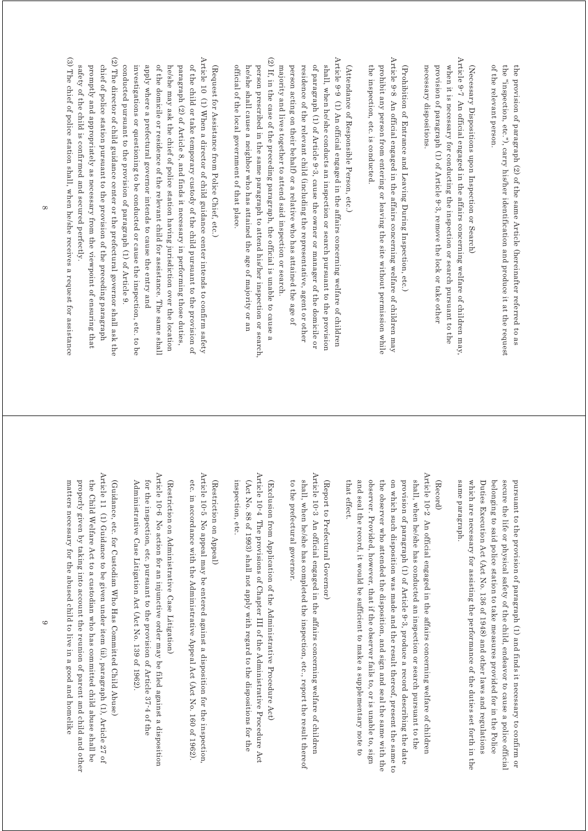of the relevant person. the "inspection, etc."), carry his/her identification and produce it at the request the provision of paragraph (2) of the same Article (hereinafter referred to as of the relevant person. the "inspection, etc."), carry his/her identification and produce it at the request the provision of paragraph (2) of the same Article (hereinafter referred to as

(Necessary Dispositions upon Inspection or Search) (Necessary Dispositions upon Inspection or Search)

Article 9-7 An official engaged in the affairs concerning welfare of children may Article 9<sup>-7</sup> An official engaged in the affairs concerning welfare of children may, provision of paragraph (1) of Article 9-3, remove the lock or take other when it is necessary for conducting the inspection or search pursuant to the necessary dispositions. necessary dispositions. provision of paragraph (1) of Article when it is necessary for conducting the inspection or search pursuant to the 9-3, remove the lock or take other

Article 9-8 An official engaged in the affairs concerning welfare of children may Article 9-8 An official engaged in the affairs concerning welfare of children may the inspection, etc. is conducted prohibit any person from entering or leaving the site without permission while (Prohibition of Entrance and Leaving During Inspection, etc.) the inspection, etc. is conducted. prohibit any person from entering or leaving the site without permission while (Prohibition of Entrance and Leaving During Inspection, etc.)

(Attendance of Responsible Person, etc.) (Attendance of Responsible Person, etc.)

(2) If, in the case of the preceding paragraph, the official is unable to cause a Article 9-9 (1) An official engaged in the affairs concerning welfare of children (2) If, in the case of the preceding paragraph, the official is unable to cause a Article 9-9 (1) An official engaged in the affairs concerning welfare of children of paragraph (1) of Article 9-3, cause the owner or manager of the domicile or residence of the relevant child (including the representative, agent or other shall, when he/she conducts an inspection or search pursuant to the provisior official of the local government of that place. he/she shall cause a neighbor who has attained the age of majority or an person prescribed in the same paragraph to attend his/her inspection or search. majority and lives together to attend said inspection or search. person acting on their behalf) or a relative who has attained the age of official of the local government of that place. he/she shall cause a neighbor who has attained the age of majority or an person prescribed in the same paragraph to attend his/her inspection or search, majority and lives together to attend said inspection or search. person acting on their behalf) or a relative who has attained the age of residence of the relevant child (including the representative, agent or other of paragraph (1) of Article 9-3, cause the owner or manager of the domicile or shall, when he/she conducts an inspection or search pursuant to the provision

(Request for Assistance from Police Chief, etc.) (Request for Assistance from Police Chief, etc.)

(2) The director of child guidance center or the prefectural governor shall ask the Article 10 (1) When a director of child guidance center intends to confirm safety (2) The director of child guidance center or the prefectural governor shall ask the Article 10 (1) When a director of child guidance center intends to confirm safety of the child or take temporary custody of the child pursuant to the provision of chief of police station pursuant to the provision of the preceding paragraph conducted pursuant to the provision of paragraph (1) of Article 9 promptly and appropriately as necessary from the viewpoint of ensuring that investigations or questioning to be conducted or cause the inspection, etc. to be apply where a prefectural governor intends to cause the entry and of the domic interest is a series of the relation assistance of the respective of the shall he/she may ask the chief of police station having jurisdiction over the location paragraph (2) of Article 8, and finds it necessary in performing those duties, promptly and appropriately as necessary from the viewpoint of ensuring that chief of police station pursuant to the provision of the preceding paragraph conducted pursuant to the provision of paragraph (1) of Article 9. investigations or questioning to be conduc apply where a prefectural governor intends to cause the entry and of the domicile or residence of the relevant child for assistance. The same shall he/she may ask the chief of police station having jurisdiction over the location paragraph (2) of Article 8, and finds it necessary in performing those duties, of the child or take temporary custody of the child pursuant to the provision of ted or cause the inspection, etc. to be

(3) The chief of police station shall, when he/she receives a request for assistance (3) The chief of police station shall, when he/she receives a reducest for assistance (3)  $\sim$ safety of the child is confirmed and secured perfectly. safety of the child is confirmed and secured perfectly.

> belonging to said police station to take measures provided for in the Police secure the life or physical safety of the child, endeavor to cause a police official pursuant to the provision of paragraph (1) and finds it necessary to confirm or same paragraph. which are necessary for assisting the performance of the duties set forth in the Duties Execution Act (Act No. 136 of 1948) and other laws and regulations same paragraph. which are necessary for assisting the performance of the duties set forth in the Duties Execution Act (Act No. 136 of 1948) and other laws and regulations belonging to said police station to take measures provided for in the Police secure the life or physical safety of the pursuant to the provision of paragraph (1) and finds it necessary to confirm or child, endeavor to cause a police official

#### (Record)

Article 10-2 An official engaged in the affairs concerning welfare of children Article 10-2 An official engaged in the affairs concerning welfare of children the observer who attended the disposition, and sign and seal the same with the on which such disposition was made and the result thereof, present the same to provision of paragraph (1) of Article 9-3, produce a record describing the date shall, when he/she has conducted an inspection or search pursuant to the that effect. and seal the record, it would be sufficient to make a supplementary note to observer. Provided, however, that if the observer fails to, or is unable to, sign that effect. and seal the record, it would be sufficient to make a supplementary note to observer. Provided, however, that if the observer fails to, or is unable to, sign the observer who attended the disposition, and sign and seal the same with the on which such disposition was made and the provision of paragraph (1) of Article 9-3, produce a record describing the date shall, when he/she has conducted an inspection or search pursuant to the result thereof, present the same to

## (Report to Prefectural Governor) (Report to Prefectural Governor)

Article 10-3 An official engaged in the affairs concerning welfare of children Article 10-3 An official engaged in the affairs concerning welfare of children to the prefectural governor. shall, when he/she has completed the inspection, etc., report the result thereof to the prefectural governor. shall, when he/she has completed the inspection, etc., report the result thereof

Article  $10\text{-}4$  The provisions of Chapter III of the Administrative Procedure Act Article 10-4 The provisions of Chapter III of the Administrative Procedure Act inspection, etc. (Act No. 88 of 1993) shall not apply with regard to the dispositions for the (Exclusion from Application of the Administrative Procedure Act) inspection, etc. (Act No. 88 of 1993) shall not apply with regard to the dispositions for the (Exclusion from Application of th e Administrative Procedure Act)

### (Restriction on Appeal) (Restriction on Appeal)

Article 10<sup>-5</sup> No appeal may be entered against a disposition for the inspection Article 10-5 No appeal may be entered against a disposition for the inspection, etc. in accordance with the Administrative Appeal Act (Act No. 160 of 1962) etc. in accordance with the Administrative Appeal Act (Act No. 160 of 1962).

# (Restriction on Administrative Case Litigation) (Restriction on Administrative Case Litigation)

Article 10<sup>.</sup>6 No action for an injunctive order may be filed against a disposition Article 10-6 No action for an injunctive order may be filed against a disposition Administrative Case Litigation Act (Act No. 139 of 1962) for the inspection, etc. pursuant to the provision of Article 37-4 of the Administrative Case Litigation Act (Act No. 139 of 1962). for the inspection, etc. pursuant to the provision of Article 37-4 of the

Article 11 (1) Guidance to be given under item (ii), paragraph (1), Article 27 of Article 11 (1) Guidance to be given under item (ii), baragraph (1),  $\mathcal{A}$  if  $(1)$ ,  $\mathcal{A}$  if  $(1)$ properly given by taking into account the reunion of parent and child and other the Child Welfare Act to a custodian who has committed child abuse shall be (Guidance, etc. for Custodian Who Has Committed Child Abuse) matters necessary for the abused child to live in a good and homelike matters necessary for the abused child to live in a good and homelike properly given by taking into account the reunion of parent and child and other the Child Welfare Act to a custodian who has committed child abuse shall be (Guidance, etc. for Custodian Who Has Committed Child Abuse)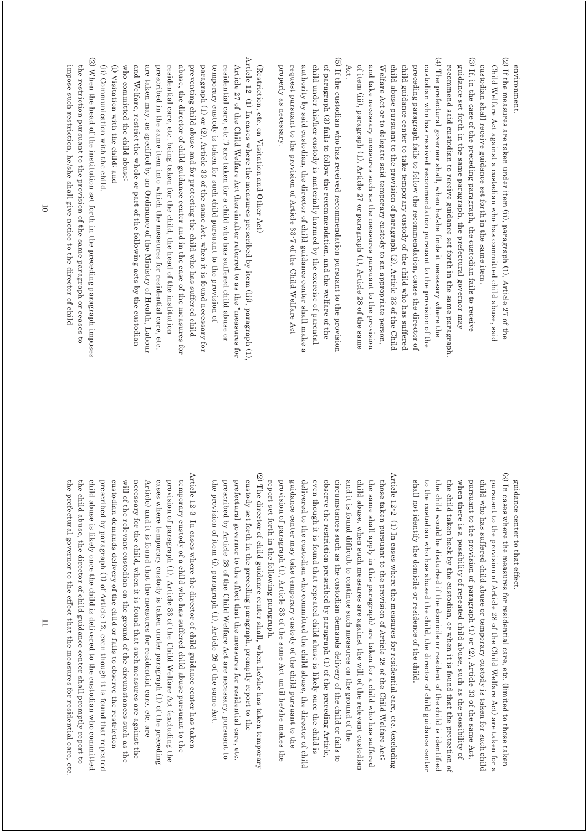environment. environment.

- (2) If the measures are taken under item (ii), paragraph (1), Article 27 of the (2) If the measures are taken under item (ii), paragraph (1), Article 27 of the custodian shall receive guidance set forth in the same item Child Welfare Act against a custodian who has committed child abuse, said custodian shall receive guidance set forth in the same item. Child Welfare Act against a custodian who has committed child abuse, said
- (3) If, in the case of the preceding paragraph, the custodian fails to receive (3) If, in the case of the preceding paragraph, the custodian fails to receive guidance set forth in the same paragraph, the prefectural governor may recommend said custodian to receive guidance set forth in the same paragraph recommend said custodian to receive guidance set forth in the same paragraph. guidance set forth in the same paragraph, the prefectural governor may
- $(4)$  The prefectural governor shall, when he/she finds it necessary where the (4) The prefectural governor shall, when he/she finds it necessary where the of item (iii), paragraph (1), Article 27 or paragraph (1), Article 28 of the same child abuse pursuant to the provision of paragraph (2), Article 33 of the Child and take necessary measures such as the measures pursuant to the provision Welfare Act or to delegate said temporary custody to an appropriate person, child guidance center to take temporary custody of the child who has suffered preceding paragraph fails to follow the recommendation, cause the director of custodian who has received recommendation pursuant to the provision of the Act. of item (iii), paragraph (1), Article 27 or paragraph (1), Article 28 of the same and take necessary measures such as the measures pursuant to the provision Welfare Act or to delegate said temporary custody to an appropriate person, child abuse pursuant to the provision of paragraph (2), Article 33 of the Child child guidance center to take temporar preceding paragraph fails to follow the recommendation, cause the director of custodian who has received recommendation pursuant to the provision of the y custody of the child who has suffered
- (5) If the custodian who has received recommendation pursuant to the provision (5) If the custodian who has received recommendation pursuant to the provision authority by said custodian, the director of child guidance center shall make a of paragraph (3) fails to follow the recommendation, and the welfare of the properly as necessary. request pursuant to the provision of Article 33-7 of the Child Welfare Act child under his/her custody is materially harmed by the exercise of parental properly as necessary. request pursuant to the provision of authority by said custodian, the director of child guidance center shall make a child under his/her custody is materially harmed by the exercise of parental of paragraph (3) fails to follow the recommendation, and the welfare of the Article 33-7 of the Child Welfare Act

(Restriction, etc. on Visitation and Other Act) (Restriction, etc. on Visitation and Other Act)

Article 12 (1) In cases where the measures prescribed by item (iii), paragraph (1) Article 12 (1) In cases where the measures prescribed by item (iii), paragraph (1), who committed the child abuse: and Welfare, restrict the whole or part of the following acts by the custodian are taken may, as specified by an Ordinance of the Ministry of Health, Labour residential care, etc. being taken for the child, the head of the institution abuse, the director of child guidance center and in the case of the measures for preventing child abuse and for protecting the child who has suffered child paragraph (1) or  $(2)$ , Article 33 of the same Act, when it is found necessary for residential care, etc.") are taken for a child who has suffered child abuse or Article 27 of the Child Welfare Act (hereinafter referred to as the "measures for who committed the child abuse: and Welfare, restrict the whole or part of the following acts by the custodian are taken may, as specified by an Ordinance of the Ministry of Health, Labour prescribed in the same item into which the measures for residential care, etc. prescribed in the same item into which the measures for residential care, etc. residential care, etc. being taken for the child, the head of the institution abuse, the director of child guidance ce preventing child abuse and for protecting the child who has suffered child paragraph (2) or  $(2)$ , Article 33 of the same Act, when it is found necessary for temporary custody is taken for such child pursuant to the provision of temporary custody is taken for such child pursuant to the provision of residential care, etc.") are taken for a child who has suffered child abuse or Article 27 of the Child Welfare Act (hereinafter referred to as the "measures for nter and in the case of the measures for

(i) Visitation with the child; and (i) Visitation with the child; and

- (ii) Communication with the child. (ii) Communication with the child.
- (2) When the head of the institution set forth in the preceding paragraph imposes (2) When the head of the institution set forth in the preceding paragraph imposes impose such restriction, he/she shall give notice to the director of child the restriction pursuant to the provision of the same paragraph or ceases to impose such restriction, he/she shall gi the restriction pursuant to the provision of the same paragraph or ceases to ve notice to the director of child

guidance center to that effect guidance center to that effect.

- (3) In cases where the measures for residential care, etc. (limited to those taken (3) In cases where the measures for residential care, etc. (limited to those taken shall not identify the domicile or residence of the child. when there is a possibility of repeated child abuse, such as the possibility of pursuant to the provision of paragraph (1) or (2), Article 33 of the same Act, child who has suffered child abuse or temporary custody is taken for such child pursuant to the provision of Article 28 of the Child Welfare Act) are taken for a to the custodian who has abused the child, the director of child guidance center the child would be disturbed if the domicile or resident of the child is identified shall not identify the domicile or residence of the child. to the custodian who has abused the child, the director of child guidance center the child would be disturbed if the domicile or resident of the child is identified the child taken back by the custodian, or when it is found that the protection of the child taken back by the custodian, or when it is found that the protection of when there is a possibility pursuant to the provision of paragraph (1) or  $(2)$ , Article 33 of the same Act, child who has suffered child abuse or te pursuant to the provision of Article 28 of the Child Welfare Act) are taken for a of repeated child abuse, such as the possibility of mporary custody is taken for such child
- Article 12-2 (1) In cases where the measures for residential care, etc. (excluding Article 12-2  $\,$  (1) In cases where the measures for residential care, etc. (excluding report set forth in the following paragraph. provision of paragraph (1), Article 33 of the same Act until he/she makes the delivered to the custodian who committed the child abuse, the director of child observe the restriction prescribed by paragraph (1) of the preceding Article, and it is found difficult to continue such measures on the ground of the child abuse, when such measures are against the will of the relevant custodian those taken pursuant to the provision of Article 28 of the Child Welfare Act; even though it is found that repeated child abuse is likely once the child is circumstances such as the custodian demands delivery of the child or fails to the same shall apply in this paragraph) are taken for a child who has suffered report set forth in the following paragraph. provision of paragraph (1), Article 33 of the same Act until he/she makes the guidance center may take temporary custody of the child pursuant to the guidance center may take temporary custody of the child pursuant to the delivered to the custodian who committed even though it is found that repeated child abuse is likely once the child is observe the restriction prescribed by paragraph (1) of the preceding Article, circumstances such as the custodian demands delivery of the child or fails to and it is found difficult to continue such measures on the ground of the child abuse, when such measures are agai the same shall apply in this paragraph) are taken for a child who has suffered those taken pursuant to the provision of Article 28 of the Child Welfare Act; nst the will of the relevant custodian the child abuse, the director of child
- (2) The director of child guidance center shall, when he/she has taken temporary (2) The director of child guidance center shall, when he/she has taken temporary custody set forth in the preceding paragraph, promptly report to the the provision of item (i), paragraph (1), Article 26 of the same Act. prescribed by Article 28 of the Child Welfare Act are necessary, pursuant to prefectural governor to the effect that the measures for residential care, etc. the provision of item (i), paragraph prescribed by Article 28 of the Child Welfare Act are necessary, pursuant to prefectural governor to the effect that the measures for residential care, etc. custody set forth in the preceding paragraph, promptly report to the (1), Article 26 of the same Act.
- Article 12-3 In cases where the director of child guidance center has taken Article 12-3 In cases where the director of child guidance center has taken custodian demands delivery of the child or fails to observe the restriction will of the relevant custodian on the ground of the circumstances such as the cases where temporary custody is taken under paragraph (1) of the preceding provision of paragraph (1), Article 33 of the Child Welfare Act (excluding the child abuse is likely once the child is delivered to the custodian who committed prescribed by paragraph (1) of Article 12, even though it is found that repeated temporary custody of a child who has suffered child abuse pursuant to the the prefectural governor to the effect that the measures for residential care, etc. the prefectural governor to the effect that the measures for residential care, etc. the child abuse, the director of child guidance center shall promptly report to the child abuse, the child abuse is likely once the child is delivered to the custodian who committed prescribed by paragraph (1) of Article 12, even though it is found that repeated custodian demands delivery of the child or fails to observe the restriction will of the relevant custodian on the ground of the circumstances such as the necessary for the child, when it is found that such measures are against the necessary for the child, when it is fo Article) and it is found that the measures for residential care, etc. are Article) and it is found that the measures for residential care, etc. are cases where temporary custody is taken under paragraph (1) of the preceding provision of paragraph (1), Article 33 of the Child Welfare Act (excluding the temporary custody of a child who has suffered child abuse pursuant to the director of child guidance center shall promptly report to und that such measures are against the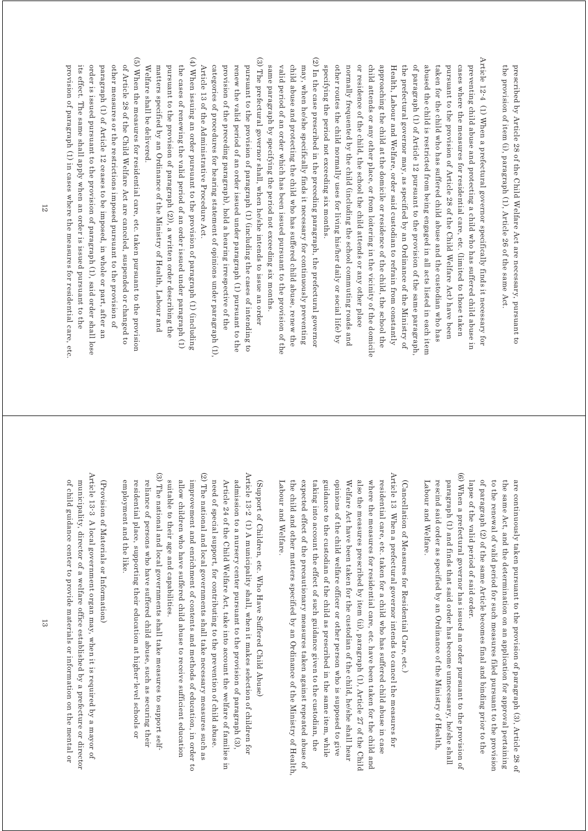the provision of item (i), paragraph (1), Article 26 of the same Act prescribed by Article 28 of the Child Welfare Act are necessary, pursuant to the provision of item (i), paragraph prescribed by Article 28 of the Child Welfare Act are necessary, pursuant to (1), Article 26 of the same Act.

Article 12-4 (1) When a prefectural governor specifically finds it necessary for Article 12-4 (1) When a prefectural governor specifically finds it necessary for other routes the child normally uses for living his/her daily or social life) by or residence of the child, the school the child attends or any other place of paragraph (1) of Article 12 pursuant to the provision of the same paragraph specifying the period not exceeding six months. normally frequented by the child (including the school commuting roads and child attends or any other place, or from loitering in the vicinity of the domicile approaching the child at the domicile or residence of the child, the school the Health, Labour and Welfare, order said custodian to refrain from constantly the prefectural governor may, as specified by an Ordinance of the Ministry of abused the child is restricted from being engaged in all acts listed in each item taken for the child who has suffered child abuse and the custodian who has pursuant to the provision of Article 28 of the Child Welfare Act) have been cases where the measures for residential care, etc. (limited to those taken preventing child abuse and protecting a child who has suffered child abuse in specifying the period not exceeding six months. other routes the child normally uses for living his/her daily or social life) by normally frequented by the child (including the school commuting roads and or residence of the child, the school the child attends or any other place child attends or any other place, or from loitering in the vicinity of the domicile approaching the child at the domicile or Health, Labour and Welfare, order said custodian to refrain from constantly the prefectural governor may, as specified by an Ordinance of the Ministry of of paragraph (1) of Article 12 pursuant to the provision of the same paragraph, abused the child is restricted from being engaged in all acts listed in each item taken for the child who has suffered ch pursuant to the provision of Article 28 of the Child Welfare Act) have been cases where the measures for residential care, etc. (limited to those taken preventing child abuse and protecting a child who has suffered child abuse in ild abuse and the custodian who has residence of the child, the school the

(3) The prefectural governor shall, when he/she intends to issue an order (2) In the case prescribed in the preceding paragraph, the prefectural governo (3) The prefectural governor shall, when he/she intends to issue an order (2) In the case prescribed in the preceding paragraph, the prefectural governor may, when he/she specifically finds it necessary for continuously preventing provision of the preceding paragraph), hold a hearing irrespective of the pursuant to the provision of paragraph (1) (including the cases of intending to valid period of an order which has been issued pursuant to the provision of the child abuse and protecting the child who has suffered child abuse, renew the renew the valid period of an order issued under paragraph (1) pursuant to the same paragraph by specifying the period not exceeding six months provision of the preceding paragraph), hold a hearing irrespective of the renew the valid period of an order issu pursuant to the provision of paragraph (1) (including the cases of intending to same paragraph by specifying the period not exceeding six months. valid period of an order which has been issued pursuant to the provision of the child abuse and protecting the child wh may, when he/she specifically finds it necessary for continuously preventing ed under paragraph (1) pursuant to the o has suffered child abuse, renew the

(4) When issuing an order pursuant to the provision of paragraph (1) (including (4) When issuing an order pursuant to the provision of paragraph (1) (including Welfare shall be delivered. matters specified by an Ordinance of the Ministry of Health, Labour and pursuant to the provision of paragraph (2)), a written order describing the the cases of renewing the valid period of an order issued under paragraph (1) Article 13 of the Administrative Procedure Act. Welfare shall be delivered. matters specified by an Ordinance of the Ministry of Health, Labour and pursuant to the provision of paragraph (2)), a written order describing the the cases of renewing the valid period of an order issued under paragraph (1)

categories of procedures for hearing stat

categories of procedures for hearing statement of opinions under paragraph (1).

Article 13 of the Administrative Procedure Act.

ement of opinions under paragraph (1),

(5) When the measures for residential care, etc. taken pursuant to the provision (5) When the measures for residential care, etc. taken pursuant to the provision of Article 28 of the Child Welfare Act are canceled, suspended or changed to provision of paragraph (1) in cases where the measures for residential care, etc. its effect. The same shall apply when an order is issued pursuant to the order is issued pursuant to the provision of paragraph (1), said order shall lose paragraph (1) of Article 12 ceases to be imposed, in whole or part, after an other measures or the restrictions imposed pursuant to the provision of provision of paragraph (1) in cases where the measures for residential care, etc. its effect. The same shall apply when an order is issued pursuant to the order is issued pursuant to the provision paragraph (1) of Article 12 ceases to be imposed, in whole or part, after an other measures or the restrictions imposed pursuant to the provision of of Article 28 of the Child Welfare Act are canceled, suspended or changed to of paragraph (1), said order shall lose

> lapse of the valid period of said order. of paragraph (2) of the same Article becomes final and binding prior to the to the renewal of valid period for such measures filed pursuant to the provision are continuously taken pursuant to the provision of paragraph (3), Article 28 of the same Act, and the determination on an application for approval pertaining lapse of the valid period of said order. of paragraph (2) of the same Article becomes final and binding prior to the to the renewal of valid period for such measures filed pursuant to the provision the same Act, and the determination on an application for approval pertaining are continuously taken pursuant to the provision of paragraph (3), Article 28 of

(6) When a prefectural governor has issued an order pursuant to the provision of (6) When a prefectural governor has issued an order pursuant to the provision of paragraph (1) and finds that said order has become unnecessary, he/she shall rescind said order as specified by an Ordinance of the Ministry of Health, Labour and Welfare Labour and Welfare. rescind said order as specified by an Ordinance of the Ministry of Health, paragraph (1) and finds that said order has become unnecessary, he/she shall

(Cancellation of Measures for Residential Care, etc.) (Cancellation of Measures for Residential Care, etc.)

Article  $13\,$  When a prefectural governor intends to cancel the measures for Article 13 When a prefectural governor intends to cancel the measures for guidance to the custodian of the child as prescribed in the same item, while opinions of the child welfare officer or other person who is supposed to give also the measures prescribed by item (ii), paragraph (1), Article 27 of the Child residential care, etc. taken for a child who has suffered child abuse in case expected effect of the precautionary measures taken against repeated abuse of Welfare Act have been taken for the custodian of the child, he/she shall hear where the measures for residential care, etc. have been taken for the child and Labour and Welfare. Labour and Welfare. the child and other matters specified by an Ordinance of the Ministry of Health. the child and other matters specified by an Ordinance of the Ministry of Health, expected effect of the precautionary measures taken against repeated abuse of taking into account the effect of such guidance given to the custodian, the taking into account the effect of such guidance given to the custodian, the guidance to the custodian of the child as prescribed in the same item, while opinions of the child welfare officer or other person who is supposed to give Welfare Act have been taken for the custodian of the child, he/she shall hear also the measures prescribed by item (ii) where the measures for residential care, etc. have been taken for the child and residential care, etc. taken for a child who has suffered child abuse in case , paragraph (1), Article 27 of the Child

(2) The national and local governments shall take necessary measures such as (2) The national and local governments shall take necessary measures such as Article 13-2 (1) A municipality shall, when it makes selection of children for Article 13-2 (1) A municipality shall, when it makes selection of children for Article 24 of the Child Welfare Act, take into account the welfare of families in admission to a nursery center pursuant to the provision of paragraph (3), (Support of Children, etc. Who Have Suffered Child Abuse) need of special support, for contributing to the prevention of child abuse. need of special support, for contribut Article 24 of the Child Welfare Act, take into account the welfare of families in admission to a nursery center pursuant to the provision of paragraph (3), (Support of Children, etc. Who Have Suffered Child Abuse) ing to the prevention of child abuse.

(3) The national and local governments shall take measures to support self (3) The national and local governments shall take measures to support self suitable to their age and capabilities allow children who have suffered child abuse to receive sufficient education improvement and enrichment of contents and methods of education, in order to suitable to their age and capabilities. allow children who have suffered child abuse sufficient education improvement and enrichment of contents and methods of education, in order to

residential place, supporting their education at higher-level schools or reliance of persons who have suffered child abuse, such as securing their employment and the like. employment and the like. residential place, supporting their education at higher-level schools or reliance of persons who have suffered child abuse, such as securing their

(Provision of Materials or Information) (Provision of Materials or Information)

Article 13-3 A local government organ may, when it is required by a mayor of Article 13-3 A local government organ may, when it is required by a mayor of of child guidance center to provide materials or information on the mental or municipality, director of a welfare office established by a prefecture or director of child guidance center to provide mate municipality, director of a welfare office established by a prefecture or director rials or information on the mental or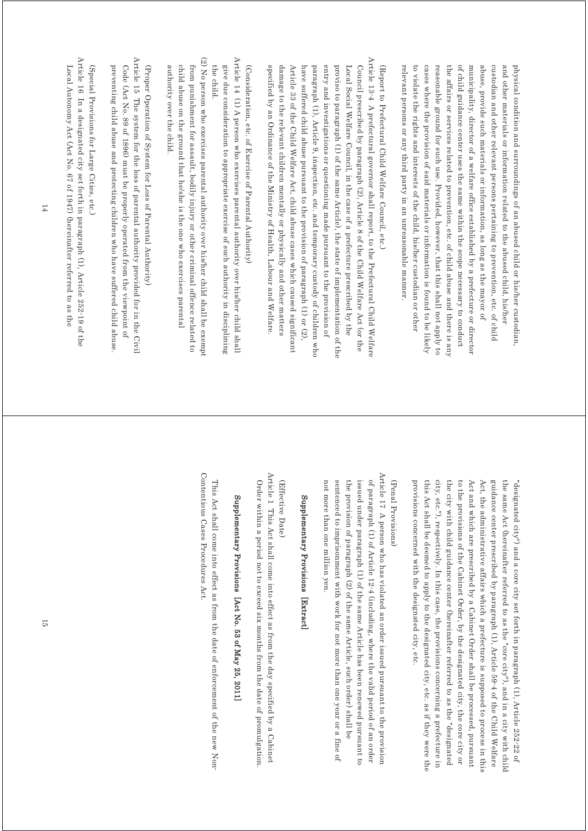relevant persons or any third party in an unreasonable manner. to violate the rights and interests of the child, his/her custodian or other cases where the provision of said materials or information is found to be likely reasonable ground for such use. Provided, however, that this shall not apply to the affairs or services related to prevention, etc. of child abuse and there is any of child guidance center uses the same within the scope necessary to conduct municipality, director of a welfare office established by a prefecture or director abuse, provide such materials or information, as long as the mayor of custodian and other relevant persons pertaining to prevention, etc. of child and other materials or information related to the abused child, his/her physical condition and surroundings of an abused child or his/her custodian relevant persons or any third party in an unreasonable manner. to violate the rights and interests of the child, his/her custodian or other cases where the provision of said materials reasonable ground for such use. Provided, however, that this shall not apply to the affairs or services related to prevention, etc. of child abuse and there is any of child guidance center uses the same within the scope necessary to conduct municipality, director of a welfare office abuse, provide such materials or information, as long as the mayor of custodian and other relevant persons pertaining to prevention, etc. of child and other materials or information related to the abused child, his/her physical condition and surroundings of an abused child or his/her custodian, established by a prefecture or director or information is found to be likely

# (Report to Prefectural Child Welfare Council, etc.) (Report to Prefectural Child Welfare Council, etc.)

Article 13-4 A prefectural governor shall report, to the Prefectural Child Welfare Article 13-4 A prefectural governor shall report, to the Prefectural Child Welfare specified by an Ordinance of the Ministry of Health, Labour and Welfare. damage to the relevant children mentally or physically and other matters Article 33 of the Child Welfare Act, child abuse cases which caused significant have suffered child abuse pursuant to the provision of paragraph (1) or (2), paragraph (1), Article 9, inspection, etc. and temporary custody of children who entry and investigations or questioning made pursuant to the provision of proviso to paragraph (1) of the same Article), the state of implementation of the Local Social Welfare Council, in the case of a prefecture prescribed by the Council prescribed by paragraph (2), Article 8 of the Child Welfare Act (or the specified by an Ordinance of the Ministry of Health, Labour and Welfare. damage to the relevant children mentally or physically and other matters Article 33 of the Child Welfare Act, child abuse cases which caused significant have suffered child abuse pursuant to the provision of paragraph (1) or (2), paragraph (1), Article 9, inspection, etc. entry and investigations or questioning made pursuant to the provision of proviso to paragraph (1) of the same Article), the state of implementation of the Local Social Welfare Council, in the ca Council prescribed by paragraph (2), Article 8 of the Child Welfare Act (or the se of a prefecture prescribed by the and temporary custody of children who

# (Consideration, etc. of Exercise of Parental Authority) (Consideration, etc. of Exercise of Parental Authority)

- Article 14 (1) A person who exercises parental authority over his/her child shall Article 14 (1) A person who exercises parental authority over his/her child shall give due consideration to appropriate exercise of such authority in disciplining the child the child. give due consideration to appropriate exercise of such authority in disciplining
- (2) No person who exercises parental authority over his/her child shall be exempt (2) No person who exercises parental authority over his/her child shall be exempt from punishment for assault, bodily injury or other criminal offence related to authority over the child. child abuse on the ground that he/she is the one who exercises parental authority over the child. child abuse on the ground that he/she is the one who exercises parental from punishment for assault, bodily injury or other criminal offence related to
- Article 15 The system for the loss of parental authority provided for in the Civil Article 15 The system for the loss of parental authority provided for in the Civil preventing child abuse and protecting children who have suffered child abuse Code (Act No. 89 of 1896) must be properly operated from the viewpoint of (Proper Operation of System for Loss of Parental Authority) preventing child abuse and protecting children who have suffered child abuse. Code (Act No. 89 of 1896) must be properly operated from the viewpoint of (Proper Operation of System for Loss of Parental Authority)

# (Special Provisions for Large Cities, etc.) (Special Provisions for Large Cities, etc.)

Article 16 In a designated city set forth in paragraph (1), Article 252-19 of the Article 16 In a designated city set forth in paragraph (1), Article 252-19 of the Local Autonomy Act (Act No. 67 of 1947) (hereinafter referred to as the Local Autonomy Act (Act No. 67 of 1947) (hereinafter referred to as the

> provisions concerned with the designated city, etc. city, etc."), respectively. In this case, the provisions concerning a prefecture in the city with child guidance center (hereinafter referred to as the "designated to the provisions of the Cabinet Order, by the designated city, the core city or Act and which are prescribed by a Cabinet Order shall be processed, pursuant Act, the administrative affairs which a prefecture is supposed to process in thi guidance center prescribed by paragraph (1), Article 59-4 of the Child Welfare provisions concerned with this Act shall be deemed to apply to the designated city, etc. as if they were the this Act shall be deemed to apply to the designated city, etc. as if they were the city, etc."), respectively. In this case, the provisions concerning a prefecture in the city with child guidance center (hereinafter referred to as the "designated to the provisions of the Cabinet Order, by the designated city, the core city or Act and which are prescribed by a Cabine Act, the administrative affairs which a prefecture is supposed to process in this guidance center prescribed by paragraph (1), Article 59-4 of the Child Welfare the same Act (hereinafter referred to as the "core city"), and in a city with chilc the same Act (hereinafter referred to as the "core city"), and in a city with child "designated city") and a core city set forth in paragraph (1), Article 252-22 of "designated city") and a core city set forth in paragraph (1), Article 252-22 of the designated city, etc. t Order shall be processed, pursuant

#### (Penal Provisions) (Penal Provisions)

Article 17 A person who has violated an order issued pursuant to the provision Article 17 A person who has violated an order issued pursuant to the provision sentenced to imprisonment with work for not more than one year or a fine of the provision of paragraph (2) of the same Article, such order) shall be issued under paragraph (1) of the same Article has been renewed pursuant to of paragraph (1) of Article 12-4 (including, where the valid period of an order not more than one million yen. not more than one million yen. sentenced to imprisonment with work for not more than one year or a fine of the provision of paragraph (2) of the same Article, such order) shall be issued under paragraph (1) of the same Article has been renewed pursuant to of paragraph (1) of Article 12-4 (including, where the valid period of an order

## Supplementary Provisions [Extract. Supplementary Provisions [Extract]

#### (Effective Date) (Effective Date)

Article 1 This Act shall come into effect as from the day specified by a Cabinet Article 1 This Act shall come into effect as from the day specified by a Cabinet Order within a period not to exceed six months from the date of promulgation Order within a period not to exceed six months from the date of promulgation.

# Supplementary Provisions [Act No. 53 of May 25, 2011 Supplementary Provisions [Act No. 53 of May 25, 2011]

Contentious Cases Procedures Act. Contentious Cases Procedures Act. This Act shall come into effect as from the date of enforcement of the new Non-This Act shall come into effect as from the date of enforcement of the new Non